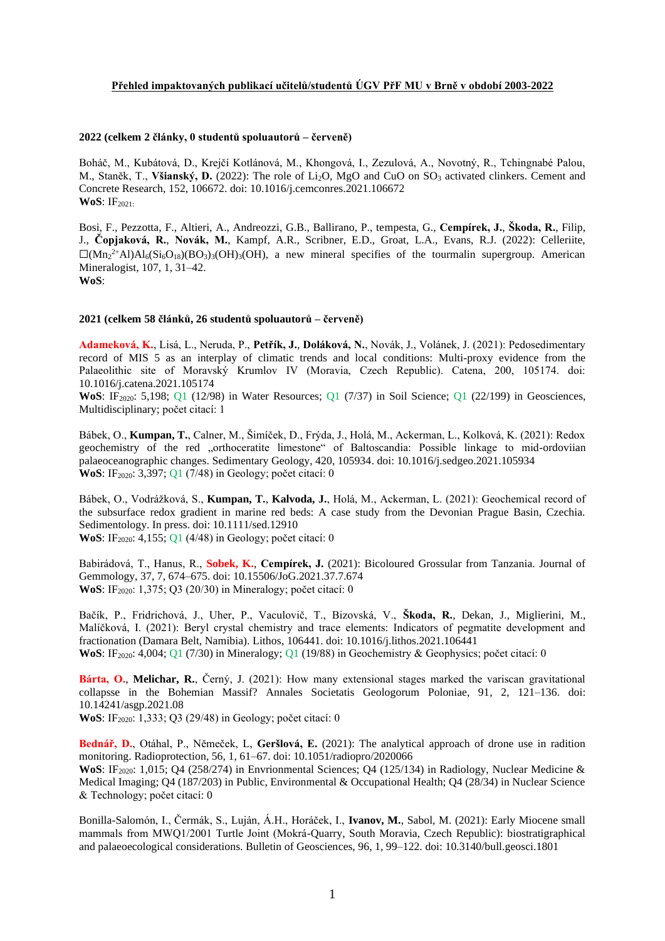# **Přehled impaktovaných publikací učitelů/studentů ÚGV PřF MU v Brně v období 2003-2022**

### **2022 (celkem 2 články, 0 studentů spoluautorů – červeně)**

Boháč, M., Kubátová, D., Krejčí Kotlánová, M., Khongová, I., Zezulová, A., Novotný, R., Tchingnabé Palou, M., Staněk, T., Všianský, D. (2022): The role of Li<sub>2</sub>O, MgO and CuO on SO<sub>3</sub> activated clinkers. Cement and Concrete Research, 152, 106672. doi: 10.1016/j.cemconres.2021.106672 **WoS**: IF<sub>2021</sub>:

Bosi, F., Pezzotta, F., Altieri, A., Andreozzi, G.B., Ballirano, P., tempesta, G., **Cempírek, J.**, **Škoda, R.**, Filip, J., **Čopjaková, R.**, **Novák, M.**, Kampf, A.R., Scribner, E.D., Groat, L.A., Evans, R.J. (2022): Celleriite,  $\Box(Mn_2^{2+}Al)Al_6(Si_6O_{18})(BO_3)_{3}(OH)_{3}(OH)$ , a new mineral specifies of the tourmalin supergroup. American Mineralogist, 107, 1, 31–42.

**WoS**:

#### **2021 (celkem 58 článků, 26 studentů spoluautorů – červeně)**

**Adameková, K.**, Lisá, L., Neruda, P., **Petřík, J.**, **Doláková, N.**, Novák, J., Volánek, J. (2021): Pedosedimentary record of MIS 5 as an interplay of climatic trends and local conditions: Multi-proxy evidence from the Palaeolithic site of Moravský Krumlov IV (Moravia, Czech Republic). Catena, 200, 105174. doi: 10.1016/j.catena.2021.105174

**WoS**: IF<sub>2020</sub>: 5,198; Q1 (12/98) in Water Resources; Q1 (7/37) in Soil Science; Q1 (22/199) in Geosciences, Multidisciplinary; počet citací: 1

Bábek, O., **Kumpan, T.**, Calner, M., Šimíček, D., Frýda, J., Holá, M., Ackerman, L., Kolková, K. (2021): Redox geochemistry of the red "orthoceratite limestone" of Baltoscandia: Possible linkage to mid-ordoviian palaeoceanographic changes. Sedimentary Geology, 420, 105934. doi: 10.1016/j.sedgeo.2021.105934 **WoS**: IF2020: 3,397; Q1 (7/48) in Geology; počet citací: 0

Bábek, O., Vodrážková, S., **Kumpan, T.**, **Kalvoda, J.**, Holá, M., Ackerman, L. (2021): Geochemical record of the subsurface redox gradient in marine red beds: A case study from the Devonian Prague Basin, Czechia. Sedimentology. In press. doi: 10.1111/sed.12910 **WoS**: IF2020: 4,155; Q1 (4/48) in Geology; počet citací: 0

Babirádová, T., Hanus, R., **Sobek, K.**, **Cempírek, J.** (2021): Bicoloured Grossular from Tanzania. Journal of Gemmology, 37, 7, 674–675. doi: 10.15506/JoG.2021.37.7.674 **WoS**: IF2020: 1,375; Q3 (20/30) in Mineralogy; počet citací: 0

Bačík, P., Fridrichová, J., Uher, P., Vaculovič, T., Bizovská, V., **Škoda, R.**, Dekan, J., Miglierini, M., Malíčková, I. (2021): Beryl crystal chemistry and trace elements: Indicators of pegmatite development and fractionation (Damara Belt, Namibia). Lithos, 106441. doi: 10.1016/j.lithos.2021.106441 **WoS**: IF2020: 4,004; Q1 (7/30) in Mineralogy; Q1 (19/88) in Geochemistry & Geophysics; počet citací: 0

**Bárta, O.**, **Melichar, R.**, Černý, J. (2021): How many extensional stages marked the variscan gravitational collapsse in the Bohemian Massif? Annales Societatis Geologorum Poloniae, 91, 2, 121–136. doi: 10.14241/asgp.2021.08

**WoS**: IF2020: 1,333; Q3 (29/48) in Geology; počet citací: 0

**Bednář, D.**, Otáhal, P., Němeček, L, **Geršlová, E.** (2021): The analytical approach of drone use in radition monitoring. Radioprotection, 56, 1, 61–67. doi: 10.1051/radiopro/2020066

**WoS**: IF2020: 1,015; Q4 (258/274) in Envrionmental Sciences; Q4 (125/134) in Radiology, Nuclear Medicine & Medical Imaging; Q4 (187/203) in Public, Environmental & Occupational Health; Q4 (28/34) in Nuclear Science & Technology; počet citací: 0

Bonilla-Salomón, I., Čermák, S., Luján, Á.H., Horáček, I., **Ivanov, M.**, Sabol, M. (2021): Early Miocene small mammals from MWQ1/2001 Turtle Joint (Mokrá-Quarry, South Moravia, Czech Republic): biostratigraphical and palaeoecological considerations. Bulletin of Geosciences, 96, 1, 99–122. doi: 10.3140/bull.geosci.1801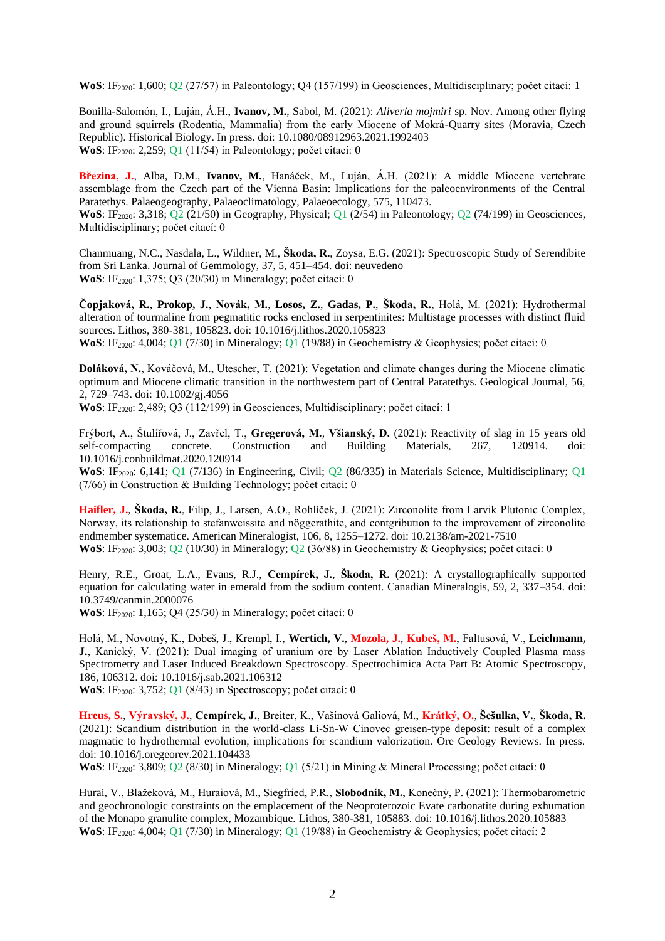**WoS**: IF2020: 1,600; Q2 (27/57) in Paleontology; Q4 (157/199) in Geosciences, Multidisciplinary; počet citací: 1

Bonilla-Salomón, I., Luján, Á.H., **Ivanov, M.**, Sabol, M. (2021): *Aliveria mojmiri* sp. Nov. Among other flying and ground squirrels (Rodentia, Mammalia) from the early Miocene of Mokrá-Quarry sites (Moravia, Czech Republic). Historical Biology. In press. doi: 10.1080/08912963.2021.1992403 **WoS**: IF2020: 2,259; Q1 (11/54) in Paleontology; počet citací: 0

**Březina, J.**, Alba, D.M., **Ivanov, M.**, Hanáček, M., Luján, Á.H. (2021): A middle Miocene vertebrate assemblage from the Czech part of the Vienna Basin: Implications for the paleoenvironments of the Central Paratethys. Palaeogeography, Palaeoclimatology, Palaeoecology, 575, 110473. **WoS**: IF2020: 3,318; Q2 (21/50) in Geography, Physical; Q1 (2/54) in Paleontology; Q2 (74/199) in Geosciences, Multidisciplinary; počet citací: 0

Chanmuang, N.C., Nasdala, L., Wildner, M., **Škoda, R.**, Zoysa, E.G. (2021): Spectroscopic Study of Serendibite from Sri Lanka. Journal of Gemmology, 37, 5, 451–454. doi: neuvedeno **WoS**: IF2020: 1,375; Q3 (20/30) in Mineralogy; počet citací: 0

**Čopjaková, R.**, **Prokop, J.**, **Novák, M.**, **Losos, Z.**, **Gadas, P.**, **Škoda, R.**, Holá, M. (2021): Hydrothermal alteration of tourmaline from pegmatitic rocks enclosed in serpentinites: Multistage processes with distinct fluid sources. Lithos, 380-381, 105823. doi: 10.1016/j.lithos.2020.105823

**WoS**: IF2020: 4,004; Q1 (7/30) in Mineralogy; Q1 (19/88) in Geochemistry & Geophysics; počet citací: 0

**Doláková, N.**, Kováčová, M., Utescher, T. (2021): Vegetation and climate changes during the Miocene climatic optimum and Miocene climatic transition in the northwestern part of Central Paratethys. Geological Journal, 56, 2, 729–743. doi: 10.1002/gj.4056

**WoS**: IF2020: 2,489; Q3 (112/199) in Geosciences, Multidisciplinary; počet citací: 1

Frýbort, A., Štulířová, J., Zavřel, T., **Gregerová, M.**, **Všianský, D.** (2021): Reactivity of slag in 15 years old self-compacting concrete. Construction and Building Materials, 267, 120914. doi: 10.1016/j.conbuildmat.2020.120914

**WoS**: IF2020: 6,141; Q1 (7/136) in Engineering, Civil; Q2 (86/335) in Materials Science, Multidisciplinary; Q1 (7/66) in Construction & Building Technology; počet citací: 0

**Haifler, J.**, **Škoda, R.**, Filip, J., Larsen, A.O., Rohlíček, J. (2021): Zirconolite from Larvik Plutonic Complex, Norway, its relationship to stefanweissite and nöggerathite, and contgribution to the improvement of zirconolite endmember systematice. American Mineralogist, 106, 8, 1255–1272. doi: 10.2138/am-2021-7510 **WoS**: IF2020: 3,003; Q2 (10/30) in Mineralogy; Q2 (36/88) in Geochemistry & Geophysics; počet citací: 0

Henry, R.E., Groat, L.A., Evans, R.J., **Cempírek, J.**, **Škoda, R.** (2021): A crystallographically supported equation for calculating water in emerald from the sodium content. Canadian Mineralogis, 59, 2, 337–354. doi: 10.3749/canmin.2000076

**WoS**: IF2020: 1,165; Q4 (25/30) in Mineralogy; počet citací: 0

Holá, M., Novotný, K., Dobeš, J., Krempl, I., **Wertich, V.**, **Mozola, J.**, **Kubeš, M.**, Faltusová, V., **Leichmann, J.**, Kanický, V. (2021): Dual imaging of uranium ore by Laser Ablation Inductively Coupled Plasma mass Spectrometry and Laser Induced Breakdown Spectroscopy. Spectrochimica Acta Part B: Atomic Spectroscopy, 186, 106312. doi: 10.1016/j.sab.2021.106312

**WoS**: IF2020: 3,752; Q1 (8/43) in Spectroscopy; počet citací: 0

**Hreus, S.**, **Výravský, J.**, **Cempírek, J.**, Breiter, K., Vašinová Galiová, M., **Krátký, O.**, **Šešulka, V.**, **Škoda, R.** (2021): Scandium distribution in the world-class Li-Sn-W Cínovec greisen-type deposit: result of a complex magmatic to hydrothermal evolution, implications for scandium valorization. Ore Geology Reviews. In press. doi: 10.1016/j.oregeorev.2021.104433

**WoS**: IF2020: 3,809; Q2 (8/30) in Mineralogy; Q1 (5/21) in Mining & Mineral Processing; počet citací: 0

Hurai, V., Blažeková, M., Huraiová, M., Siegfried, P.R., **Slobodník, M.**, Konečný, P. (2021): Thermobarometric and geochronologic constraints on the emplacement of the Neoproterozoic Evate carbonatite during exhumation of the Monapo granulite complex, Mozambique. Lithos, 380-381, 105883. doi: 10.1016/j.lithos.2020.105883 **WoS**: IF2020: 4,004; Q1 (7/30) in Mineralogy; Q1 (19/88) in Geochemistry & Geophysics; počet citací: 2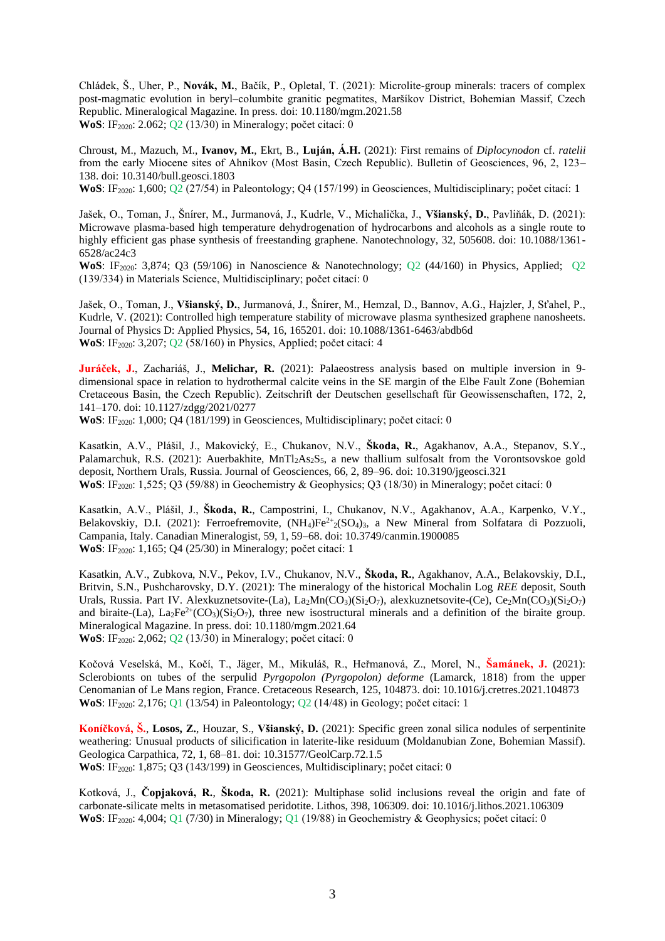Chládek, Š., Uher, P., **Novák, M.**, Bačík, P., Opletal, T. (2021): Microlite-group minerals: tracers of complex post-magmatic evolution in beryl–columbite granitic pegmatites, Maršíkov District, Bohemian Massif, Czech Republic. Mineralogical Magazine. In press. doi: 10.1180/mgm.2021.58 **WoS**: IF2020: 2.062; Q2 (13/30) in Mineralogy; počet citací: 0

Chroust, M., Mazuch, M., **Ivanov, M.**, Ekrt, B., **Luján, Á.H.** (2021): First remains of *Diplocynodon* cf. *ratelii* from the early Miocene sites of Ahníkov (Most Basin, Czech Republic). Bulletin of Geosciences, 96, 2, 123– 138. doi: 10.3140/bull.geosci.1803

**WoS**: IF2020: 1,600; Q2 (27/54) in Paleontology; Q4 (157/199) in Geosciences, Multidisciplinary; počet citací: 1

Jašek, O., Toman, J., Šnírer, M., Jurmanová, J., Kudrle, V., Michalička, J., **Všianský, D.**, Pavliňák, D. (2021): Microwave plasma-based high temperature dehydrogenation of hydrocarbons and alcohols as a single route to highly efficient gas phase synthesis of freestanding graphene. Nanotechnology, 32, 505608. doi: 10.1088/1361-6528/ac24c3

**WoS**: IF2020: 3,874; Q3 (59/106) in Nanoscience & Nanotechnology; Q2 (44/160) in Physics, Applied; Q2 (139/334) in Materials Science, Multidisciplinary; počet citací: 0

Jašek, O., Toman, J., **Všianský, D.**, Jurmanová, J., Šnírer, M., Hemzal, D., Bannov, A.G., Hajzler, J, Sťahel, P., Kudrle, V. (2021): Controlled high temperature stability of microwave plasma synthesized graphene nanosheets. Journal of Physics D: Applied Physics, 54, 16, 165201. doi: 10.1088/1361-6463/abdb6d **WoS**: IF2020: 3,207; Q2 (58/160) in Physics, Applied; počet citací: 4

**Juráček, J.**, Zachariáš, J., **Melichar, R.** (2021): Palaeostress analysis based on multiple inversion in 9 dimensional space in relation to hydrothermal calcite veins in the SE margin of the Elbe Fault Zone (Bohemian Cretaceous Basin, the Czech Republic). Zeitschrift der Deutschen gesellschaft für Geowissenschaften, 172, 2, 141–170. doi: 10.1127/zdgg/2021/0277

**WoS**: IF2020: 1,000; Q4 (181/199) in Geosciences, Multidisciplinary; počet citací: 0

Kasatkin, A.V., Plášil, J., Makovický, E., Chukanov, N.V., **Škoda, R.**, Agakhanov, A.A., Stepanov, S.Y., Palamarchuk, R.S. (2021): Auerbakhite, MnTl<sub>2</sub>As<sub>2</sub>S<sub>5</sub>, a new thallium sulfosalt from the Vorontsovskoe gold deposit, Northern Urals, Russia. Journal of Geosciences, 66, 2, 89–96. doi: 10.3190/jgeosci.321 **WoS**: IF2020: 1,525; Q3 (59/88) in Geochemistry & Geophysics; Q3 (18/30) in Mineralogy; počet citací: 0

Kasatkin, A.V., Plášil, J., **Škoda, R.**, Campostrini, I., Chukanov, N.V., Agakhanov, A.A., Karpenko, V.Y., Belakovskiy, D.I. (2021): Ferroefremovite,  $(NH_4)Fe^{2+2}(SO_4)_3$ , a New Mineral from Solfatara di Pozzuoli, Campania, Italy. Canadian Mineralogist, 59, 1, 59–68. doi: 10.3749/canmin.1900085 **WoS**: IF2020: 1,165; Q4 (25/30) in Mineralogy; počet citací: 1

Kasatkin, A.V., Zubkova, N.V., Pekov, I.V., Chukanov, N.V., **Škoda, R.**, Agakhanov, A.A., Belakovskiy, D.I., Britvin, S.N., Pushcharovsky, D.Y. (2021): The mineralogy of the historical Mochalin Log *REE* deposit, South Urals, Russia. Part IV. Alexkuznetsovite-(La), La<sub>2</sub>Mn(CO<sub>3</sub>)(Si<sub>2</sub>O<sub>7</sub>), alexkuznetsovite-(Ce), Ce<sub>2</sub>Mn(CO<sub>3</sub>)(Si<sub>2</sub>O<sub>7</sub>) and biraite-(La),  $La_2Fe^{2+}(CO_3)(Si_2O_7)$ , three new isostructural minerals and a definition of the biraite group. Mineralogical Magazine. In press. doi: 10.1180/mgm.2021.64 **WoS**: IF<sub>2020</sub>: 2,062; Q2 (13/30) in Mineralogy; počet citací: 0

Kočová Veselská, M., Kočí, T., Jäger, M., Mikuláš, R., Heřmanová, Z., Morel, N., **Šamánek, J.** (2021): Sclerobionts on tubes of the serpulid *Pyrgopolon (Pyrgopolon) deforme* (Lamarck, 1818) from the upper Cenomanian of Le Mans region, France. Cretaceous Research, 125, 104873. doi: 10.1016/j.cretres.2021.104873 **WoS**: IF2020: 2,176; Q1 (13/54) in Paleontology; Q2 (14/48) in Geology; počet citací: 1

**Koníčková, Š.**, **Losos, Z.**, Houzar, S., **Všianský, D.** (2021): Specific green zonal silica nodules of serpentinite weathering: Unusual products of silicification in laterite-like residuum (Moldanubian Zone, Bohemian Massif). Geologica Carpathica, 72, 1, 68–81. doi: 10.31577/GeolCarp.72.1.5 WoS: IF<sub>2020</sub>: 1,875; Q3 (143/199) in Geosciences, Multidisciplinary; počet citací: 0

Kotková, J., **Čopjaková, R.**, **Škoda, R.** (2021): Multiphase solid inclusions reveal the origin and fate of carbonate-silicate melts in metasomatised peridotite. Lithos, 398, 106309. doi: 10.1016/j.lithos.2021.106309 **WoS**: IF2020: 4,004; Q1 (7/30) in Mineralogy; Q1 (19/88) in Geochemistry & Geophysics; počet citací: 0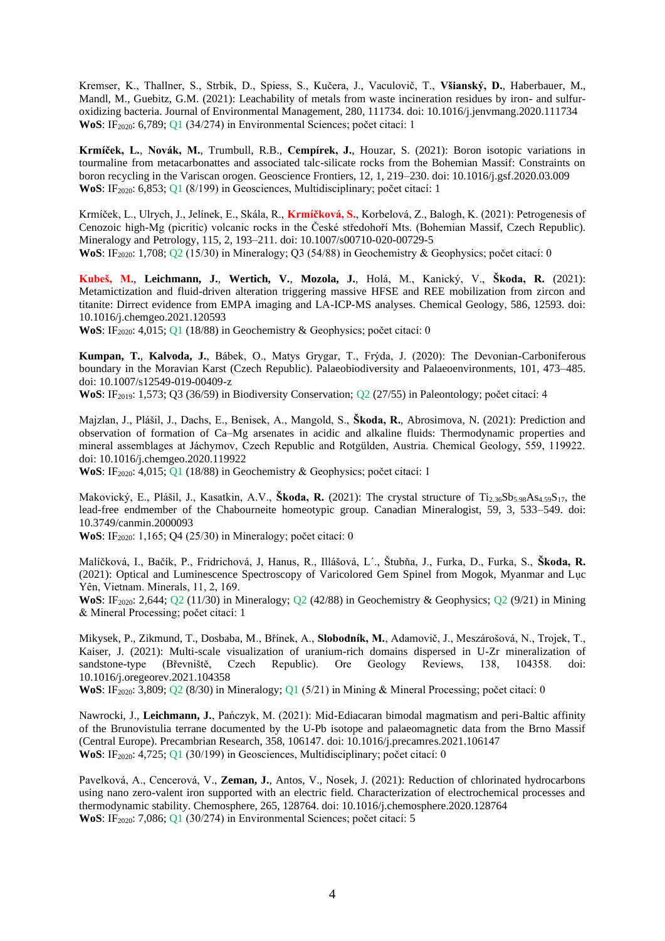Kremser, K., Thallner, S., Strbik, D., Spiess, S., Kučera, J., Vaculovič, T., **Všianský, D.**, Haberbauer, M., Mandl, M., Guebitz, G.M. (2021): Leachability of metals from waste incineration residues by iron- and sulfuroxidizing bacteria. Journal of Environmental Management, 280, 111734. doi: 10.1016/j.jenvmang.2020.111734 **WoS**: IF2020: 6,789; Q1 (34/274) in Environmental Sciences; počet citací: 1

**Krmíček, L.**, **Novák, M.**, Trumbull, R.B., **Cempírek, J.**, Houzar, S. (2021): Boron isotopic variations in tourmaline from metacarbonattes and associated talc-silicate rocks from the Bohemian Massif: Constraints on boron recycling in the Variscan orogen. Geoscience Frontiers, 12, 1, 219–230. doi: 10.1016/j.gsf.2020.03.009 WoS: IF<sub>2020</sub>: 6,853; Q1 (8/199) in Geosciences, Multidisciplinary; počet citací: 1

Krmíček, L., Ulrych, J., Jelínek, E., Skála, R., **Krmíčková, S.**, Korbelová, Z., Balogh, K. (2021): Petrogenesis of Cenozoic high-Mg (picritic) volcanic rocks in the České středohoří Mts. (Bohemian Massif, Czech Republic). Mineralogy and Petrology, 115, 2, 193–211. doi: 10.1007/s00710-020-00729-5 **WoS**: IF2020: 1,708; Q2 (15/30) in Mineralogy; Q3 (54/88) in Geochemistry & Geophysics; počet citací: 0

**Kubeš, M.**, **Leichmann, J.**, **Wertich, V.**, **Mozola, J.**, Holá, M., Kanický, V., **Škoda, R.** (2021): Metamictization and fluid-driven alteration triggering massive HFSE and REE mobilization from zircon and titanite: Dirrect evidence from EMPA imaging and LA-ICP-MS analyses. Chemical Geology, 586, 12593. doi: 10.1016/j.chemgeo.2021.120593

**WoS**: IF2020: 4,015; Q1 (18/88) in Geochemistry & Geophysics; počet citací: 0

**Kumpan, T.**, **Kalvoda, J.**, Bábek, O., Matys Grygar, T., Frýda, J. (2020): The Devonian-Carboniferous boundary in the Moravian Karst (Czech Republic). Palaeobiodiversity and Palaeoenvironments, 101, 473–485. doi: 10.1007/s12549-019-00409-z

**WoS**: IF2019: 1,573; Q3 (36/59) in Biodiversity Conservation; Q2 (27/55) in Paleontology; počet citací: 4

Majzlan, J., Plášil, J., Dachs, E., Benisek, A., Mangold, S., **Škoda, R.**, Abrosimova, N. (2021): Prediction and observation of formation of Ca–Mg arsenates in acidic and alkaline fluids: Thermodynamic properties and mineral assemblages at Jáchymov, Czech Republic and Rotgülden, Austria. Chemical Geology, 559, 119922. doi: 10.1016/j.chemgeo.2020.119922

**WoS**: IF2020: 4,015; Q1 (18/88) in Geochemistry & Geophysics; počet citací: 1

Makovický, E., Plášil, J., Kasatkin, A.V., **Škoda, R.** (2021): The crystal structure of Ti2.36Sb5.98As4.59S17, the lead-free endmember of the Chabourneite homeotypic group. Canadian Mineralogist, 59, 3, 533–549. doi: 10.3749/canmin.2000093

**WoS**: IF2020: 1,165; Q4 (25/30) in Mineralogy; počet citací: 0

Malíčková, I., Bačík, P., Fridrichová, J, Hanus, R., Illášová, L´., Štubňa, J., Furka, D., Furka, S., **Škoda, R.** (2021): Optical and Luminescence Spectroscopy of Varicolored Gem Spinel from Mogok, Myanmar and Lục Yên, Vietnam. Minerals, 11, 2, 169.

**WoS**: IF<sub>2020</sub>: 2,644; Q2 (11/30) in Mineralogy; Q2 (42/88) in Geochemistry & Geophysics; Q2 (9/21) in Mining & Mineral Processing; počet citací: 1

Mikysek, P., Zikmund, T., Dosbaba, M., Břínek, A., **Slobodník, M.**, Adamovič, J., Meszárošová, N., Trojek, T., Kaiser, J. (2021): Multi-scale visualization of uranium-rich domains dispersed in U-Zr mineralization of sandstone-type (Břevniště, Czech Republic). Ore Geology Reviews, 138, 104358. doi: 10.1016/j.oregeorev.2021.104358

**WoS**: IF2020: 3,809; Q2 (8/30) in Mineralogy; Q1 (5/21) in Mining & Mineral Processing; počet citací: 0

Nawrocki, J., **Leichmann, J.**, Pańczyk, M. (2021): Mid-Ediacaran bimodal magmatism and peri-Baltic affinity of the Brunovistulia terrane documented by the U-Pb isotope and palaeomagnetic data from the Brno Massif (Central Europe). Precambrian Research, 358, 106147. doi: 10.1016/j.precamres.2021.106147 WoS: IF<sub>2020</sub>: 4,725; Q1 (30/199) in Geosciences, Multidisciplinary; počet citací: 0

Pavelková, A., Cencerová, V., **Zeman, J.**, Antos, V., Nosek, J. (2021): Reduction of chlorinated hydrocarbons using nano zero-valent iron supported with an electric field. Characterization of electrochemical processes and thermodynamic stability. Chemosphere, 265, 128764. doi: 10.1016/j.chemosphere.2020.128764 **WoS**: IF2020: 7,086; Q1 (30/274) in Environmental Sciences; počet citací: 5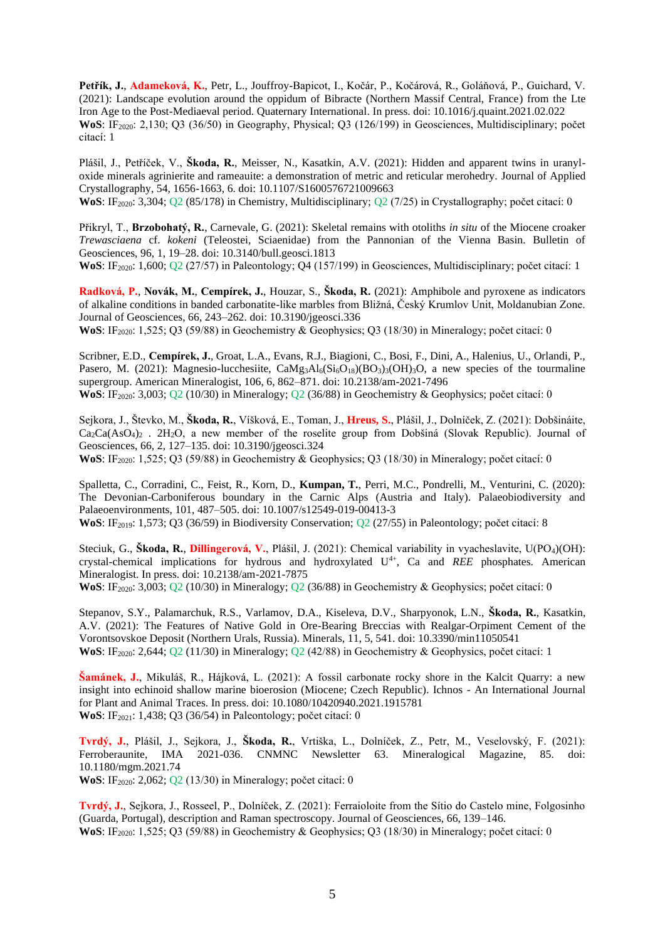**Petřík, J.**, **Adameková, K.**, Petr, L., Jouffroy-Bapicot, I., Kočár, P., Kočárová, R., Goláňová, P., Guichard, V. (2021): Landscape evolution around the oppidum of Bibracte (Northern Massif Central, France) from the Lte Iron Age to the Post-Mediaeval period. Quaternary International. In press. doi: 10.1016/j.quaint.2021.02.022 **WoS**: IF2020: 2,130; Q3 (36/50) in Geography, Physical; Q3 (126/199) in Geosciences, Multidisciplinary; počet citací: 1

Plášil, J., Petříček, V., **Škoda, R.**, Meisser, N., Kasatkin, A.V. (2021): Hidden and apparent twins in uranyloxide minerals agrinierite and rameauite: a demonstration of metric and reticular merohedry. Journal of Applied Crystallography, 54, 1656-1663, 6. doi: 10.1107/S1600576721009663 **WoS**: IF2020: 3,304; Q2 (85/178) in Chemistry, Multidisciplinary; Q2 (7/25) in Crystallography; počet citací: 0

Přikryl, T., **Brzobohatý, R.**, Carnevale, G. (2021): Skeletal remains with otoliths *in situ* of the Miocene croaker *Trewasciaena* cf. *kokeni* (Teleostei, Sciaenidae) from the Pannonian of the Vienna Basin. Bulletin of Geosciences, 96, 1, 19–28. doi: 10.3140/bull.geosci.1813

**WoS**: IF2020: 1,600; Q2 (27/57) in Paleontology; Q4 (157/199) in Geosciences, Multidisciplinary; počet citací: 1

**Radková, P.**, **Novák, M.**, **Cempírek, J.**, Houzar, S., **Škoda, R.** (2021): Amphibole and pyroxene as indicators of alkaline conditions in banded carbonatite-like marbles from Bližná, Český Krumlov Unit, Moldanubian Zone. Journal of Geosciences, 66, 243–262. doi: 10.3190/jgeosci.336

**WoS**: IF2020: 1,525; Q3 (59/88) in Geochemistry & Geophysics; Q3 (18/30) in Mineralogy; počet citací: 0

Scribner, E.D., **Cempírek, J.**, Groat, L.A., Evans, R.J., Biagioni, C., Bosi, F., Dini, A., Halenius, U., Orlandi, P., Pasero, M. (2021): Magnesio-lucchesiite,  $CaMg_3Al_6(Si_6O_{18})(BO_{3})_3(OH)_3O$ , a new species of the tourmaline supergroup. American Mineralogist, 106, 6, 862–871. doi: 10.2138/am-2021-7496 **WoS**: IF2020: 3,003; Q2 (10/30) in Mineralogy; Q2 (36/88) in Geochemistry & Geophysics; počet citací: 0

Sejkora, J., Števko, M., **Škoda, R.**, Víšková, E., Toman, J., **Hreus, S.**, Plášil, J., Dolníček, Z. (2021): Dobšináite,  $Ca_2Ca(AsO<sub>4</sub>)<sub>2</sub>$ . 2H<sub>2</sub>O, a new member of the roselite group from Dobšiná (Slovak Republic). Journal of Geosciences, 66, 2, 127–135. doi: 10.3190/jgeosci.324

**WoS**: IF2020: 1,525; Q3 (59/88) in Geochemistry & Geophysics; Q3 (18/30) in Mineralogy; počet citací: 0

Spalletta, C., Corradini, C., Feist, R., Korn, D., **Kumpan, T.**, Perri, M.C., Pondrelli, M., Venturini, C. (2020): The Devonian-Carboniferous boundary in the Carnic Alps (Austria and Italy). Palaeobiodiversity and Palaeoenvironments, 101, 487–505. doi: 10.1007/s12549-019-00413-3 **WoS**: IF2019: 1,573; Q3 (36/59) in Biodiversity Conservation; Q2 (27/55) in Paleontology; počet citací: 8

Steciuk, G., Škoda, R., **Dillingerová, V.**, Plášil, J. (2021): Chemical variability in vyacheslavite, U(PO<sub>4</sub>)(OH): crystal-chemical implications for hydrous and hydroxylated U4+, Ca and *REE* phosphates. American Mineralogist. In press. doi: 10.2138/am-2021-7875

**WoS**: IF2020: 3,003; Q2 (10/30) in Mineralogy; Q2 (36/88) in Geochemistry & Geophysics; počet citací: 0

Stepanov, S.Y., Palamarchuk, R.S., Varlamov, D.A., Kiseleva, D.V., Sharpyonok, L.N., **Škoda, R.**, Kasatkin, A.V. (2021): The Features of Native Gold in Ore-Bearing Breccias with Realgar-Orpiment Cement of the Vorontsovskoe Deposit (Northern Urals, Russia). Minerals, 11, 5, 541. doi: 10.3390/min11050541 **WoS**: IF2020: 2,644; Q2 (11/30) in Mineralogy; Q2 (42/88) in Geochemistry & Geophysics, počet citací: 1

**Šamánek, J.**, Mikuláš, R., Hájková, L. (2021): A fossil carbonate rocky shore in the Kalcit Quarry: a new insight into echinoid shallow marine bioerosion (Miocene; Czech Republic). Ichnos - An International Journal for Plant and Animal Traces. In press. doi: 10.1080/10420940.2021.1915781 **WoS**: IF2021: 1,438; Q3 (36/54) in Paleontology; počet citací: 0

**Tvrdý, J.**, Plášil, J., Sejkora, J., **Škoda, R.**, Vrtiška, L., Dolníček, Z., Petr, M., Veselovský, F. (2021): Ferroberaunite, IMA 2021-036. CNMNC Newsletter 63. Mineralogical Magazine, 85. doi: 10.1180/mgm.2021.74

**WoS**: IF2020: 2,062; Q2 (13/30) in Mineralogy; počet citací: 0

**Tvrdý, J.**, Sejkora, J., Rosseel, P., Dolníček, Z. (2021): Ferraioloite from the Sítio do Castelo mine, Folgosinho (Guarda, Portugal), description and Raman spectroscopy. Journal of Geosciences, 66, 139–146. **WoS**: IF2020: 1,525; Q3 (59/88) in Geochemistry & Geophysics; Q3 (18/30) in Mineralogy; počet citací: 0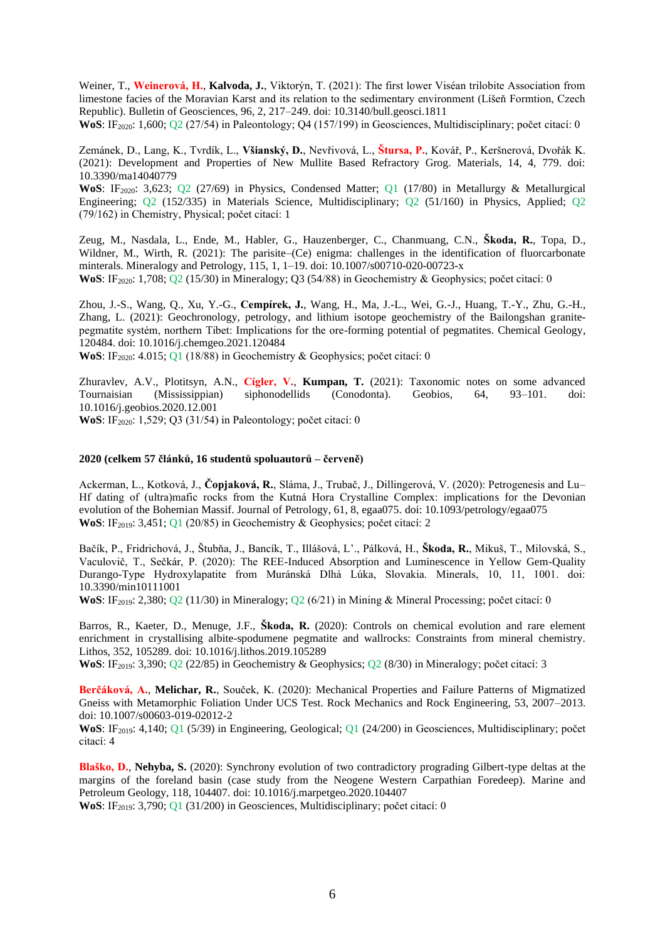Weiner, T., **Weinerová, H.**, **Kalvoda, J.**, Viktorýn, T. (2021): The first lower Viséan trilobite Association from limestone facies of the Moravian Karst and its relation to the sedimentary environment (Líšeň Formtion, Czech Republic). Bulletin of Geosciences, 96, 2, 217–249. doi: 10.3140/bull.geosci.1811

**WoS**: IF2020: 1,600; Q2 (27/54) in Paleontology; Q4 (157/199) in Geosciences, Multidisciplinary; počet citací: 0

Zemánek, D., Lang, K., Tvrdík, L., **Všianský, D.**, Nevřivová, L., **Štursa, P.**, Kovář, P., Keršnerová, Dvořák K. (2021): Development and Properties of New Mullite Based Refractory Grog. Materials, 14, 4, 779. doi: 10.3390/ma14040779

WoS: IF<sub>2020</sub>: 3,623; Q2 (27/69) in Physics, Condensed Matter; Q1 (17/80) in Metallurgy & Metallurgical Engineering; Q2 (152/335) in Materials Science, Multidisciplinary; Q2 (51/160) in Physics, Applied; Q2 (79/162) in Chemistry, Physical; počet citací: 1

Zeug, M., Nasdala, L., Ende, M., Habler, G., Hauzenberger, C., Chanmuang, C.N., **Škoda, R.**, Topa, D., Wildner, M., Wirth, R. (2021): The parisite–(Ce) enigma: challenges in the identification of fluorcarbonate minterals. Mineralogy and Petrology, 115, 1, 1–19. doi: 10.1007/s00710-020-00723-x **WoS**: IF2020: 1,708; Q2 (15/30) in Mineralogy; Q3 (54/88) in Geochemistry & Geophysics; počet citací: 0

Zhou, J.-S., Wang, Q., Xu, Y.-G., **Cempírek, J.**, Wang, H., Ma, J.-L., Wei, G.-J., Huang, T.-Y., Zhu, G.-H., Zhang, L. (2021): Geochronology, petrology, and lithium isotope geochemistry of the Bailongshan granitepegmatite systém, northern Tibet: Implications for the ore-forming potential of pegmatites. Chemical Geology, 120484. doi: 10.1016/j.chemgeo.2021.120484

WoS: IF<sub>2020</sub>: 4.015; Q1 (18/88) in Geochemistry & Geophysics; počet citací: 0

Zhuravlev, A.V., Plotitsyn, A.N., **Cígler, V.**, **Kumpan, T.** (2021): Taxonomic notes on some advanced Tournaisian (Mississippian) siphonodellids (Conodonta). Geobios, 64, 93–101. doi: 10.1016/j.geobios.2020.12.001

**WoS**: IF2020: 1,529; Q3 (31/54) in Paleontology; počet citací: 0

### **2020 (celkem 57 článků, 16 studentů spoluautorů – červeně)**

Ackerman, L., Kotková, J., **Čopjaková, R.**, Sláma, J., Trubač, J., Dillingerová, V. (2020): Petrogenesis and Lu– Hf dating of (ultra)mafic rocks from the Kutná Hora Crystalline Complex: implications for the Devonian evolution of the Bohemian Massif. Journal of Petrology, 61, 8, egaa075. doi: 10.1093/petrology/egaa075 WoS: IF<sub>2019</sub>: 3,451; Q1 (20/85) in Geochemistry & Geophysics; počet citací: 2

Bačík, P., Fridrichová, J., Štubňa, J., Bancík, T., Illášová, L'., Pálková, H., **Škoda, R.**, Mikuš, T., Milovská, S., Vaculovič, T., Sečkár, P. (2020): The REE-Induced Absorption and Luminescence in Yellow Gem-Quality Durango-Type Hydroxylapatite from Muránská Dlhá Lúka, Slovakia. Minerals, 10, 11, 1001. doi: 10.3390/min10111001

**WoS**: IF2019: 2,380; Q2 (11/30) in Mineralogy; Q2 (6/21) in Mining & Mineral Processing; počet citací: 0

Barros, R., Kaeter, D., Menuge, J.F., **Škoda, R.** (2020): Controls on chemical evolution and rare element enrichment in crystallising albite-spodumene pegmatite and wallrocks: Constraints from mineral chemistry. Lithos, 352, 105289. doi: 10.1016/j.lithos.2019.105289

**WoS**: IF2019: 3,390; Q2 (22/85) in Geochemistry & Geophysics; Q2 (8/30) in Mineralogy; počet citací: 3

**Berčáková, A.**, **Melichar, R.**, Souček, K. (2020): Mechanical Properties and Failure Patterns of Migmatized Gneiss with Metamorphic Foliation Under UCS Test. Rock Mechanics and Rock Engineering, 53, 2007–2013. doi: 10.1007/s00603-019-02012-2

**WoS**: IF2019: 4,140; Q1 (5/39) in Engineering, Geological; Q1 (24/200) in Geosciences, Multidisciplinary; počet citací: 4

**Blaško, D.**, **Nehyba, S.** (2020): Synchrony evolution of two contradictory prograding Gilbert-type deltas at the margins of the foreland basin (case study from the Neogene Western Carpathian Foredeep). Marine and Petroleum Geology, 118, 104407. doi: 10.1016/j.marpetgeo.2020.104407

**WoS**: IF2019: 3,790; Q1 (31/200) in Geosciences, Multidisciplinary; počet citací: 0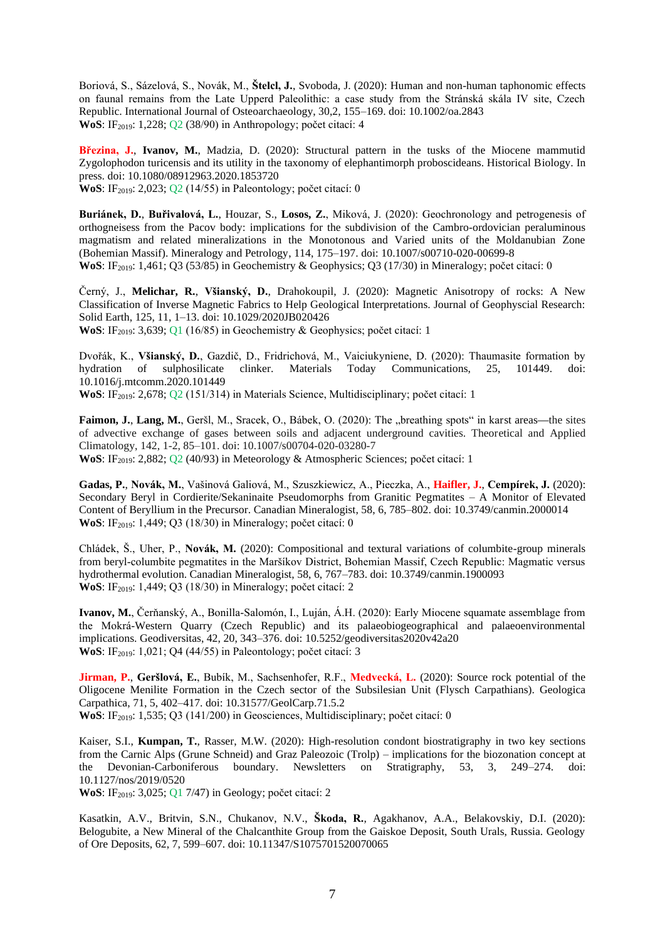Boriová, S., Sázelová, S., Novák, M., **Štelcl, J.**, Svoboda, J. (2020): Human and non-human taphonomic effects on faunal remains from the Late Upperd Paleolithic: a case study from the Stránská skála IV site, Czech Republic. International Journal of Osteoarchaeology, 30,2, 155–169. doi: 10.1002/oa.2843 **WoS**: IF2019: 1,228; Q2 (38/90) in Anthropology; počet citací: 4

**Březina, J.**, **Ivanov, M.**, Madzia, D. (2020): Structural pattern in the tusks of the Miocene mammutid Zygolophodon turicensis and its utility in the taxonomy of elephantimorph proboscideans. Historical Biology. In press. doi: 10.1080/08912963.2020.1853720

**WoS**: IF2019: 2,023; Q2 (14/55) in Paleontology; počet citací: 0

**Buriánek, D.**, **Buřivalová, L.**, Houzar, S., **Losos, Z.**, Miková, J. (2020): Geochronology and petrogenesis of orthogneisess from the Pacov body: implications for the subdivision of the Cambro-ordovician peraluminous magmatism and related mineralizations in the Monotonous and Varied units of the Moldanubian Zone (Bohemian Massif). Mineralogy and Petrology, 114, 175–197. doi: 10.1007/s00710-020-00699-8

**WoS**: IF2019: 1,461; Q3 (53/85) in Geochemistry & Geophysics; Q3 (17/30) in Mineralogy; počet citací: 0

Černý, J., **Melichar, R.**, **Všianský, D.**, Drahokoupil, J. (2020): Magnetic Anisotropy of rocks: A New Classification of Inverse Magnetic Fabrics to Help Geological Interpretations. Journal of Geophyscial Research: Solid Earth, 125, 11, 1–13. doi: 10.1029/2020JB020426

**WoS**: IF2019: 3,639; Q1 (16/85) in Geochemistry & Geophysics; počet citací: 1

Dvořák, K., **Všianský, D.**, Gazdič, D., Fridrichová, M., Vaiciukyniene, D. (2020): Thaumasite formation by hydration of sulphosilicate clinker. Materials Today Communications, 25, 101449. doi: 10.1016/j.mtcomm.2020.101449

**WoS**: IF2019: 2,678; Q2 (151/314) in Materials Science, Multidisciplinary; počet citací: 1

**Faimon, J., Lang, M.**, Geršl, M., Sracek, O., Bábek, O. (2020): The "breathing spots" in karst areas—the sites of advective exchange of gases between soils and adjacent underground cavities. Theoretical and Applied Climatology, 142, 1-2, 85–101. doi: 10.1007/s00704-020-03280-7

**WoS**: IF2019: 2,882; Q2 (40/93) in Meteorology & Atmospheric Sciences; počet citací: 1

**Gadas, P.**, **Novák, M.**, Vašinová Galiová, M., Szuszkiewicz, A., Pieczka, A., **Haifler, J.**, **Cempírek, J.** (2020): Secondary Beryl in Cordierite/Sekaninaite Pseudomorphs from Granitic Pegmatites – A Monitor of Elevated Content of Beryllium in the Precursor. Canadian Mineralogist, 58, 6, 785–802. doi: 10.3749/canmin.2000014 **WoS**: IF2019: 1,449; Q3 (18/30) in Mineralogy; počet citací: 0

Chládek, Š., Uher, P., **Novák, M.** (2020): Compositional and textural variations of columbite-group minerals from beryl-columbite pegmatites in the Maršíkov District, Bohemian Massif, Czech Republic: Magmatic versus hydrothermal evolution. Canadian Mineralogist, 58, 6, 767–783. doi: 10.3749/canmin.1900093 **WoS**: IF2019: 1,449; Q3 (18/30) in Mineralogy; počet citací: 2

**Ivanov, M.**, Čerňanský, A., Bonilla-Salomón, I., Luján, Á.H. (2020): Early Miocene squamate assemblage from the Mokrá-Western Quarry (Czech Republic) and its palaeobiogeographical and palaeoenvironmental implications. Geodiversitas, 42, 20, 343–376. doi: 10.5252/geodiversitas2020v42a20 **WoS**: IF2019: 1,021; Q4 (44/55) in Paleontology; počet citací: 3

**Jirman, P.**, **Geršlová, E.**, Bubík, M., Sachsenhofer, R.F., **Medvecká, L.** (2020): Source rock potential of the Oligocene Menilite Formation in the Czech sector of the Subsilesian Unit (Flysch Carpathians). Geologica Carpathica, 71, 5, 402–417. doi: 10.31577/GeolCarp.71.5.2

**WoS**: IF2019: 1,535; Q3 (141/200) in Geosciences, Multidisciplinary; počet citací: 0

Kaiser, S.I., **Kumpan, T.**, Rasser, M.W. (2020): High-resolution condont biostratigraphy in two key sections from the Carnic Alps (Grune Schneid) and Graz Paleozoic (Trolp) – implications for the biozonation concept at the Devonian-Carboniferous boundary. Newsletters on Stratigraphy, 53, 3, 249–274. doi: 10.1127/nos/2019/0520

**WoS**: IF2019: 3,025; Q1 7/47) in Geology; počet citací: 2

Kasatkin, A.V., Britvin, S.N., Chukanov, N.V., **Škoda, R.**, Agakhanov, A.A., Belakovskiy, D.I. (2020): Belogubite, a New Mineral of the Chalcanthite Group from the Gaiskoe Deposit, South Urals, Russia. Geology of Ore Deposits, 62, 7, 599–607. doi: 10.11347/S1075701520070065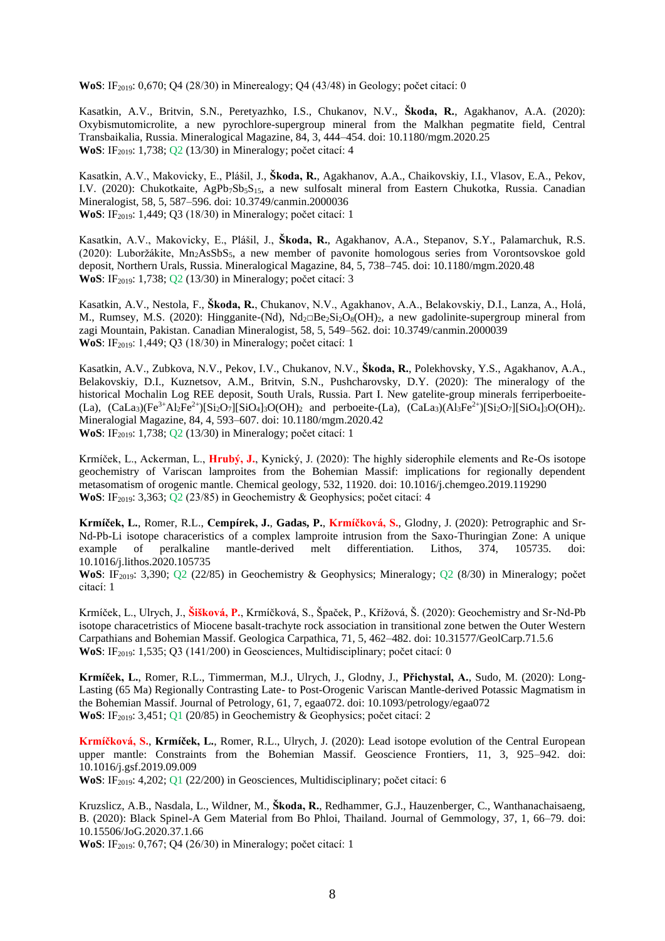**WoS**: IF2019: 0,670; Q4 (28/30) in Minerealogy; Q4 (43/48) in Geology; počet citací: 0

Kasatkin, A.V., Britvin, S.N., Peretyazhko, I.S., Chukanov, N.V., **Škoda, R.**, Agakhanov, A.A. (2020): Oxybismutomicrolite, a new pyrochlore-supergroup mineral from the Malkhan pegmatite field, Central Transbaikalia, Russia. Mineralogical Magazine, 84, 3, 444–454. doi: 10.1180/mgm.2020.25 **WoS**: IF2019: 1,738; Q2 (13/30) in Mineralogy; počet citací: 4

Kasatkin, A.V., Makovicky, E., Plášil, J., **Škoda, R.**, Agakhanov, A.A., Chaikovskiy, I.I., Vlasov, E.A., Pekov, I.V. (2020): Chukotkaite, AgPb7Sb5S15, a new sulfosalt mineral from Eastern Chukotka, Russia. Canadian Mineralogist, 58, 5, 587–596. doi: 10.3749/canmin.2000036 **WoS**: IF2019: 1,449; Q3 (18/30) in Mineralogy; počet citací: 1

Kasatkin, A.V., Makovicky, E., Plášil, J., **Škoda, R.**, Agakhanov, A.A., Stepanov, S.Y., Palamarchuk, R.S. (2020): Luboržákite, Mn2AsSbS5, a new member of pavonite homologous series from Vorontsovskoe gold deposit, Northern Urals, Russia. Mineralogical Magazine, 84, 5, 738–745. doi: 10.1180/mgm.2020.48 **WoS**: IF2019: 1,738; Q2 (13/30) in Mineralogy; počet citací: 3

Kasatkin, A.V., Nestola, F., **Škoda, R.**, Chukanov, N.V., Agakhanov, A.A., Belakovskiy, D.I., Lanza, A., Holá, M., Rumsey, M.S. (2020): Hingganite-(Nd), Nd<sub>2</sub>□Be<sub>2</sub>Si<sub>2</sub>O<sub>8</sub>(OH)<sub>2</sub>, a new gadolinite-supergroup mineral from zagi Mountain, Pakistan. Canadian Mineralogist, 58, 5, 549–562. doi: 10.3749/canmin.2000039 **WoS**: IF2019: 1,449; Q3 (18/30) in Mineralogy; počet citací: 1

Kasatkin, A.V., Zubkova, N.V., Pekov, I.V., Chukanov, N.V., **Škoda, R.**, Polekhovsky, Y.S., Agakhanov, A.A., Belakovskiy, D.I., Kuznetsov, A.M., Britvin, S.N., Pushcharovsky, D.Y. (2020): The mineralogy of the historical Mochalin Log REE deposit, South Urals, Russia. Part I. New gatelite-group minerals ferriperboeite-  $(La)$ ,  $(CaLa_3)(Fe^{3+}Al_2Fe^{2+})[Si_2O_7][SiO_4]_3O(OH)_2$  and perboeite- $(La)$ ,  $(CaLa_3)(Al_3Fe^{2+})[Si_2O_7][SiO_4]_3O(OH)_2$ . Mineralogial Magazine, 84, 4, 593–607. doi: 10.1180/mgm.2020.42 **WoS**: IF2019: 1,738; Q2 (13/30) in Mineralogy; počet citací: 1

Krmíček, L., Ackerman, L., **Hrubý, J.**, Kynický, J. (2020): The highly siderophile elements and Re-Os isotope geochemistry of Variscan lamproites from the Bohemian Massif: implications for regionally dependent metasomatism of orogenic mantle. Chemical geology, 532, 11920. doi: 10.1016/j.chemgeo.2019.119290 **WoS**: IF2019: 3,363; Q2 (23/85) in Geochemistry & Geophysics; počet citací: 4

**Krmíček, L.**, Romer, R.L., **Cempírek, J.**, **Gadas, P.**, **Krmíčková, S.**, Glodny, J. (2020): Petrographic and Sr-Nd-Pb-Li isotope characeristics of a complex lamproite intrusion from the Saxo-Thuringian Zone: A unique example of peralkaline mantle-derived melt differentiation. Lithos, 374, 105735. doi: 10.1016/j.lithos.2020.105735

**WoS**: IF2019: 3,390; Q2 (22/85) in Geochemistry & Geophysics; Mineralogy; Q2 (8/30) in Mineralogy; počet citací: 1

Krmíček, L., Ulrych, J., **Šišková, P.**, Krmíčková, S., Špaček, P., Křížová, Š. (2020): Geochemistry and Sr-Nd-Pb isotope characetristics of Miocene basalt-trachyte rock association in transitional zone betwen the Outer Western Carpathians and Bohemian Massif. Geologica Carpathica, 71, 5, 462–482. doi: 10.31577/GeolCarp.71.5.6 WoS: IF<sub>2019</sub>: 1,535; Q3 (141/200) in Geosciences, Multidisciplinary; počet citací: 0

**Krmíček, L.**, Romer, R.L., Timmerman, M.J., Ulrych, J., Glodny, J., **Přichystal, A.**, Sudo, M. (2020): Long-Lasting (65 Ma) Regionally Contrasting Late- to Post-Orogenic Variscan Mantle-derived Potassic Magmatism in the Bohemian Massif. Journal of Petrology, 61, 7, egaa072. doi: 10.1093/petrology/egaa072 **WoS**: IF2019: 3,451; Q1 (20/85) in Geochemistry & Geophysics; počet citací: 2

**Krmíčková, S.**, **Krmíček, L.**, Romer, R.L., Ulrych, J. (2020): Lead isotope evolution of the Central European upper mantle: Constraints from the Bohemian Massif. Geoscience Frontiers, 11, 3, 925–942. doi: 10.1016/j.gsf.2019.09.009

**WoS**: IF2019: 4,202; Q1 (22/200) in Geosciences, Multidisciplinary; počet citací: 6

Kruzslicz, A.B., Nasdala, L., Wildner, M., **Škoda, R.**, Redhammer, G.J., Hauzenberger, C., Wanthanachaisaeng, B. (2020): Black Spinel-A Gem Material from Bo Phloi, Thailand. Journal of Gemmology, 37, 1, 66–79. doi: 10.15506/JoG.2020.37.1.66

**WoS**: IF2019: 0,767; Q4 (26/30) in Mineralogy; počet citací: 1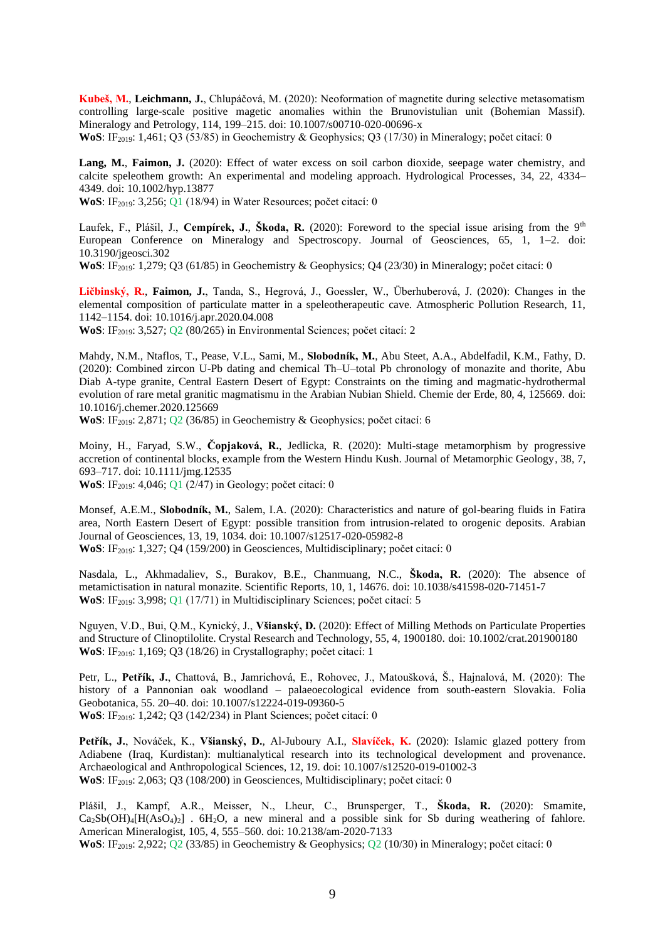**Kubeš, M.**, **Leichmann, J.**, Chlupáčová, M. (2020): Neoformation of magnetite during selective metasomatism controlling large-scale positive magetic anomalies within the Brunovistulian unit (Bohemian Massif). Mineralogy and Petrology, 114, 199–215. doi: 10.1007/s00710-020-00696-x

**WoS**: IF2019: 1,461; Q3 (53/85) in Geochemistry & Geophysics; Q3 (17/30) in Mineralogy; počet citací: 0

**Lang, M.**, **Faimon, J.** (2020): Effect of water excess on soil carbon dioxide, seepage water chemistry, and calcite speleothem growth: An experimental and modeling approach. Hydrological Processes, 34, 22, 4334– 4349. doi: 10.1002/hyp.13877

**WoS**: IF2019: 3,256; Q1 (18/94) in Water Resources; počet citací: 0

Laufek, F., Plášil, J., Cempírek, J., Škoda, R. (2020): Foreword to the special issue arising from the 9<sup>th</sup> European Conference on Mineralogy and Spectroscopy. Journal of Geosciences, 65, 1, 1–2. doi: 10.3190/jgeosci.302

**WoS**: IF2019: 1,279; Q3 (61/85) in Geochemistry & Geophysics; Q4 (23/30) in Mineralogy; počet citací: 0

**Ličbinský, R.**, **Faimon, J.**, Tanda, S., Hegrová, J., Goessler, W., Überhuberová, J. (2020): Changes in the elemental composition of particulate matter in a speleotherapeutic cave. Atmospheric Pollution Research, 11, 1142–1154. doi: 10.1016/j.apr.2020.04.008

**WoS**: IF2019: 3,527; Q2 (80/265) in Environmental Sciences; počet citací: 2

Mahdy, N.M., Ntaflos, T., Pease, V.L., Sami, M., **Slobodník, M.**, Abu Steet, A.A., Abdelfadil, K.M., Fathy, D. (2020): Combined zircon U-Pb dating and chemical Th–U–total Pb chronology of monazite and thorite, Abu Diab A-type granite, Central Eastern Desert of Egypt: Constraints on the timing and magmatic-hydrothermal evolution of rare metal granitic magmatismu in the Arabian Nubian Shield. Chemie der Erde, 80, 4, 125669. doi: 10.1016/j.chemer.2020.125669

**WoS**: IF2019: 2,871; Q2 (36/85) in Geochemistry & Geophysics; počet citací: 6

Moiny, H., Faryad, S.W., **Čopjaková, R.**, Jedlicka, R. (2020): Multi-stage metamorphism by progressive accretion of continental blocks, example from the Western Hindu Kush. Journal of Metamorphic Geology, 38, 7, 693–717. doi: 10.1111/jmg.12535

**WoS**: IF2019: 4,046; Q1 (2/47) in Geology; počet citací: 0

Monsef, A.E.M., **Slobodník, M.**, Salem, I.A. (2020): Characteristics and nature of gol-bearing fluids in Fatira area, North Eastern Desert of Egypt: possible transition from intrusion-related to orogenic deposits. Arabian Journal of Geosciences, 13, 19, 1034. doi: 10.1007/s12517-020-05982-8 **WoS**: IF2019: 1,327; Q4 (159/200) in Geosciences, Multidisciplinary; počet citací: 0

Nasdala, L., Akhmadaliev, S., Burakov, B.E., Chanmuang, N.C., **Škoda, R.** (2020): The absence of metamictisation in natural monazite. Scientific Reports, 10, 1, 14676. doi: 10.1038/s41598-020-71451-7 **WoS**: IF2019: 3,998; Q1 (17/71) in Multidisciplinary Sciences; počet citací: 5

Nguyen, V.D., Bui, Q.M., Kynický, J., **Všianský, D.** (2020): Effect of Milling Methods on Particulate Properties and Structure of Clinoptilolite. Crystal Research and Technology, 55, 4, 1900180. doi: 10.1002/crat.201900180 **WoS**: IF2019: 1,169; Q3 (18/26) in Crystallography; počet citací: 1

Petr, L., **Petřík, J.**, Chattová, B., Jamrichová, E., Rohovec, J., Matoušková, Š., Hajnalová, M. (2020): The history of a Pannonian oak woodland – palaeoecological evidence from south-eastern Slovakia. Folia Geobotanica, 55. 20–40. doi: 10.1007/s12224-019-09360-5 **WoS**: IF2019: 1,242; Q3 (142/234) in Plant Sciences; počet citací: 0

**Petřík, J.**, Nováček, K., **Všianský, D.**, Al-Juboury A.I., **Slavíček, K.** (2020): Islamic glazed pottery from Adiabene (Iraq, Kurdistan): multianalytical research into its technological development and provenance. Archaeological and Anthropological Sciences, 12, 19. doi: 10.1007/s12520-019-01002-3 **WoS**: IF2019: 2,063; Q3 (108/200) in Geosciences, Multidisciplinary; počet citací: 0

Plášil, J., Kampf, A.R., Meisser, N., Lheur, C., Brunsperger, T., **Škoda, R.** (2020): Smamite,  $Ca_2Sb(OH)_4[H(AsO_4)_2]$ . 6H<sub>2</sub>O, a new mineral and a possible sink for Sb during weathering of fahlore. American Mineralogist, 105, 4, 555–560. doi: 10.2138/am-2020-7133

**WoS**: IF2019: 2,922; Q2 (33/85) in Geochemistry & Geophysics; Q2 (10/30) in Mineralogy; počet citací: 0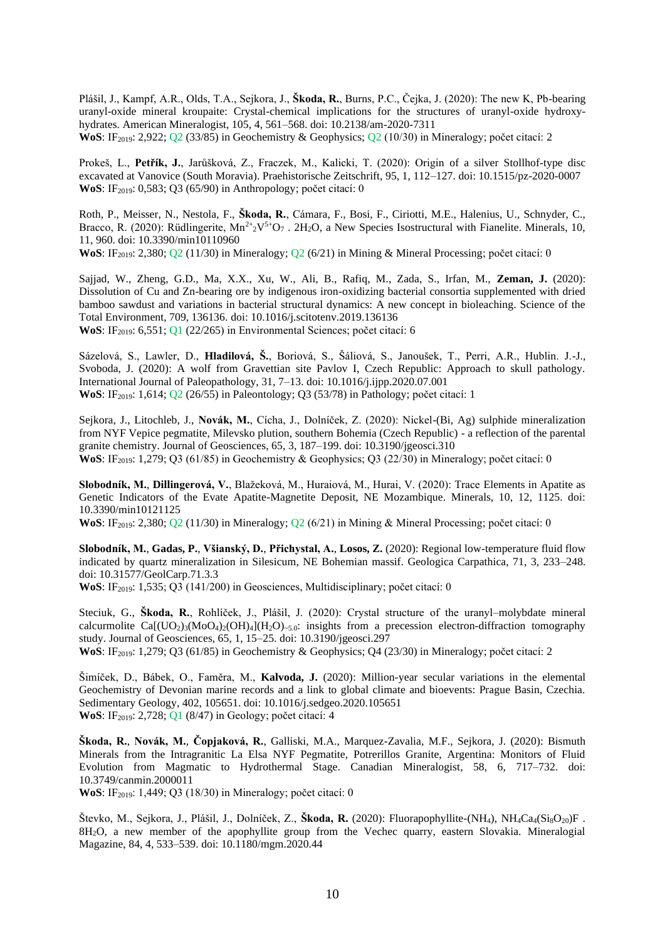Plášil, J., Kampf, A.R., Olds, T.A., Sejkora, J., **Škoda, R.**, Burns, P.C., Čejka, J. (2020): The new K, Pb-bearing uranyl-oxide mineral kroupaite: Crystal-chemical implications for the structures of uranyl-oxide hydroxyhydrates. American Mineralogist, 105, 4, 561–568. doi: 10.2138/am-2020-7311 **WoS**: IF2019: 2,922; Q2 (33/85) in Geochemistry & Geophysics; Q2 (10/30) in Mineralogy; počet citací: 2

Prokeš, L., **Petřík, J.**, Jarůšková, Z., Fraczek, M., Kalicki, T. (2020): Origin of a silver Stollhof-type disc excavated at Vanovice (South Moravia). Praehistorische Zeitschrift, 95, 1, 112–127. doi: 10.1515/pz-2020-0007 **WoS**: IF<sub>2019</sub>: 0,583; Q3 (65/90) in Anthropology; počet citací: 0

Roth, P., Meisser, N., Nestola, F., **Škoda, R.**, Cámara, F., Bosi, F., Ciriotti, M.E., Halenius, U., Schnyder, C., Bracco, R. (2020): Rüdlingerite,  $Mn^{2+}{}_{2}V^{5+}O_7$ . 2H<sub>2</sub>O, a New Species Isostructural with Fianelite. Minerals, 10, 11, 960. doi: 10.3390/min10110960

**WoS**: IF2019: 2,380; Q2 (11/30) in Mineralogy; Q2 (6/21) in Mining & Mineral Processing; počet citací: 0

Sajjad, W., Zheng, G.D., Ma, X.X., Xu, W., Ali, B., Rafiq, M., Zada, S., Irfan, M., **Zeman, J.** (2020): Dissolution of Cu and Zn-bearing ore by indigenous iron-oxidizing bacterial consortia supplemented with dried bamboo sawdust and variations in bacterial structural dynamics: A new concept in bioleaching. Science of the Total Environment, 709, 136136. doi: 10.1016/j.scitotenv.2019.136136

**WoS**: IF2019: 6,551; Q1 (22/265) in Environmental Sciences; počet citací: 6

Sázelová, S., Lawler, D., **Hladilová, Š.**, Boriová, S., Šáliová, S., Janoušek, T., Perri, A.R., Hublin. J.-J., Svoboda, J. (2020): A wolf from Gravettian site Pavlov I, Czech Republic: Approach to skull pathology. International Journal of Paleopathology, 31, 7–13. doi: 10.1016/j.ijpp.2020.07.001 **WoS**: IF2019: 1,614; Q2 (26/55) in Paleontology; Q3 (53/78) in Pathology; počet citací: 1

Sejkora, J., Litochleb, J., **Novák, M.**, Cícha, J., Dolníček, Z. (2020): Nickel-(Bi, Ag) sulphide mineralization from NYF Vepice pegmatite, Milevsko plution, southern Bohemia (Czech Republic) - a reflection of the parental granite chemistry. Journal of Geosciences, 65, 3, 187–199. doi: 10.3190/jgeosci.310 **WoS**: IF2019: 1,279; Q3 (61/85) in Geochemistry & Geophysics; Q3 (22/30) in Mineralogy; počet citací: 0

**Slobodník, M.**, **Dillingerová, V.**, Blažeková, M., Huraiová, M., Hurai, V. (2020): Trace Elements in Apatite as Genetic Indicators of the Evate Apatite-Magnetite Deposit, NE Mozambique. Minerals, 10, 12, 1125. doi: 10.3390/min10121125

**WoS**: IF2019: 2,380; Q2 (11/30) in Mineralogy; Q2 (6/21) in Mining & Mineral Processing; počet citací: 0

**Slobodník, M.**, **Gadas, P.**, **Všianský, D.**, **Přichystal, A.**, **Losos, Z.** (2020): Regional low-temperature fluid flow indicated by quartz mineralization in Silesicum, NE Bohemian massif. Geologica Carpathica, 71, 3, 233–248. doi: 10.31577/GeolCarp.71.3.3

**WoS**: IF2019: 1,535; Q3 (141/200) in Geosciences, Multidisciplinary; počet citací: 0

Steciuk, G., **Škoda, R.**, Rohlíček, J., Plášil, J. (2020): Crystal structure of the uranyl–molybdate mineral calcurmolite  $Ca[(UO<sub>2</sub>)<sub>3</sub>(MO<sub>4</sub>)<sub>2</sub>(OH)<sub>4</sub>](H<sub>2</sub>O)<sub>-5.0</sub>:$  insights from a precession electron-diffraction tomography study. Journal of Geosciences, 65, 1, 15–25. doi: 10.3190/jgeosci.297 **WoS**: IF2019: 1,279; Q3 (61/85) in Geochemistry & Geophysics; Q4 (23/30) in Mineralogy; počet citací: 2

Šimíček, D., Bábek, O., Faměra, M., **Kalvoda, J.** (2020): Million-year secular variations in the elemental Geochemistry of Devonian marine records and a link to global climate and bioevents: Prague Basin, Czechia. Sedimentary Geology, 402, 105651. doi: 10.1016/j.sedgeo.2020.105651 **WoS**: IF2019: 2,728; Q1 (8/47) in Geology; počet citací: 4

**Škoda, R.**, **Novák, M.**, **Čopjaková, R.**, Galliski, M.A., Marquez-Zavalia, M.F., Sejkora, J. (2020): Bismuth Minerals from the Intragranitic La Elsa NYF Pegmatite, Potrerillos Granite, Argentina: Monitors of Fluid Evolution from Magmatic to Hydrothermal Stage. Canadian Mineralogist, 58, 6, 717–732. doi: 10.3749/canmin.2000011

**WoS**: IF2019: 1,449; Q3 (18/30) in Mineralogy; počet citací: 0

Števko, M., Sejkora, J., Plášil, J., Dolníček, Z., **Škoda, R.** (2020): Fluorapophyllite-(NH4), NH4Ca4(Si8O20)F . 8H2O, a new member of the apophyllite group from the Vechec quarry, eastern Slovakia. Mineralogial Magazine, 84, 4, 533–539. doi: 10.1180/mgm.2020.44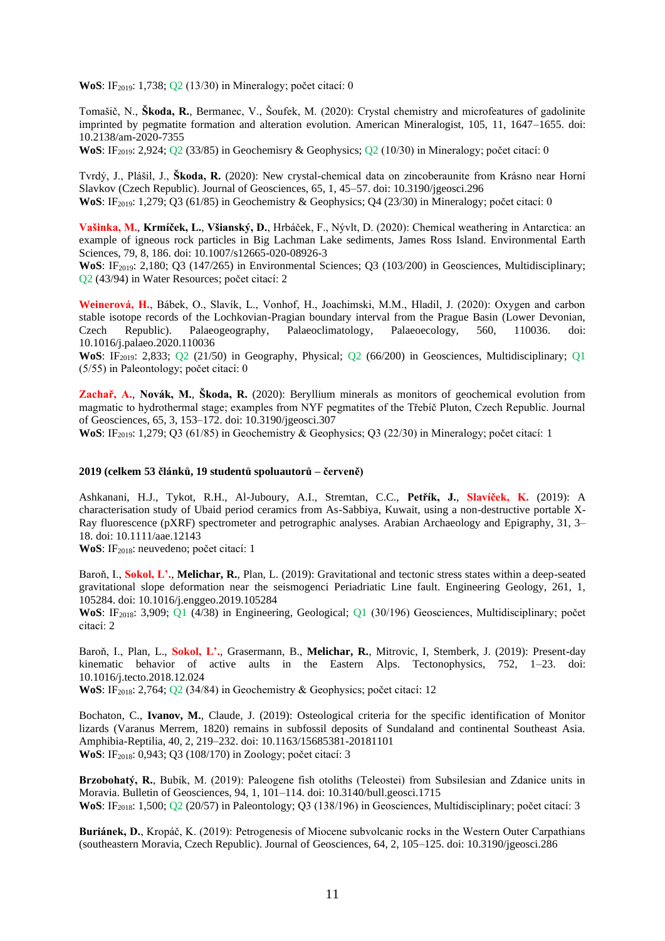**WoS**: IF2019: 1,738; Q2 (13/30) in Mineralogy; počet citací: 0

Tomašič, N., **Škoda, R.**, Bermanec, V., Šoufek, M. (2020): Crystal chemistry and microfeatures of gadolinite imprinted by pegmatite formation and alteration evolution. American Mineralogist, 105, 11, 1647–1655. doi: 10.2138/am-2020-7355

**WoS**: IF2019: 2,924; Q2 (33/85) in Geochemisry & Geophysics; Q2 (10/30) in Mineralogy; počet citací: 0

Tvrdý, J., Plášil, J., **Škoda, R.** (2020): New crystal-chemical data on zincoberaunite from Krásno near Horní Slavkov (Czech Republic). Journal of Geosciences, 65, 1, 45–57. doi: 10.3190/jgeosci.296 **WoS**: IF2019: 1,279; Q3 (61/85) in Geochemistry & Geophysics; Q4 (23/30) in Mineralogy; počet citací: 0

**Vašinka, M.**, **Krmíček, L.**, **Všianský, D.**, Hrbáček, F., Nývlt, D. (2020): Chemical weathering in Antarctica: an example of igneous rock particles in Big Lachman Lake sediments, James Ross Island. Environmental Earth Sciences, 79, 8, 186. doi: 10.1007/s12665-020-08926-3

**WoS**: IF2019: 2,180; Q3 (147/265) in Environmental Sciences; Q3 (103/200) in Geosciences, Multidisciplinary; Q2 (43/94) in Water Resources; počet citací: 2

**Weinerová, H.**, Bábek, O., Slavík, L., Vonhof, H., Joachimski, M.M., Hladil, J. (2020): Oxygen and carbon stable isotope records of the Lochkovian-Pragian boundary interval from the Prague Basin (Lower Devonian, Czech Republic). Palaeogeography, Palaeoclimatology, Palaeoecology, 560, 110036. doi: 10.1016/j.palaeo.2020.110036

**WoS**: IF2019: 2,833; Q2 (21/50) in Geography, Physical; Q2 (66/200) in Geosciences, Multidisciplinary; Q1 (5/55) in Paleontology; počet citací: 0

**Zachař, A.**, **Novák, M.**, **Škoda, R.** (2020): Beryllium minerals as monitors of geochemical evolution from magmatic to hydrothermal stage; examples from NYF pegmatites of the Třebíč Pluton, Czech Republic. Journal of Geosciences, 65, 3, 153–172. doi: 10.3190/jgeosci.307

**WoS**: IF2019: 1,279; Q3 (61/85) in Geochemistry & Geophysics; Q3 (22/30) in Mineralogy; počet citací: 1

## **2019 (celkem 53 článků, 19 studentů spoluautorů – červeně)**

Ashkanani, H.J., Tykot, R.H., Al-Juboury, A.I., Stremtan, C.C., **Petřík, J.**, **Slavíček, K.** (2019): A characterisation study of Ubaid period ceramics from As-Sabbiya, Kuwait, using a non-destructive portable X-Ray fluorescence (pXRF) spectrometer and petrographic analyses. Arabian Archaeology and Epigraphy, 31, 3– 18. doi: 10.1111/aae.12143

WoS: IF<sub>2018</sub>: neuvedeno; počet citací: 1

Baroň, I., **Sokol, L'.**, **Melichar, R.**, Plan, L. (2019): Gravitational and tectonic stress states within a deep-seated gravitational slope deformation near the seismogenci Periadriatic Line fault. Engineering Geology, 261, 1, 105284. doi: 10.1016/j.enggeo.2019.105284

**WoS**: IF2018: 3,909; Q1 (4/38) in Engineering, Geological; Q1 (30/196) Geosciences, Multidisciplinary; počet citací: 2

Baroň, I., Plan, L., **Sokol, L'.**, Grasermann, B., **Melichar, R.**, Mitrovic, I, Stemberk, J. (2019): Present-day kinematic behavior of active aults in the Eastern Alps. Tectonophysics, 752, 1–23. doi: 10.1016/j.tecto.2018.12.024

WoS: IF<sub>2018</sub>: 2,764; Q2 (34/84) in Geochemistry & Geophysics; počet citací: 12

Bochaton, C., **Ivanov, M.**, Claude, J. (2019): Osteological criteria for the specific identification of Monitor lizards (Varanus Merrem, 1820) remains in subfossil deposits of Sundaland and continental Southeast Asia. Amphibia-Reptilia, 40, 2, 219–232. doi: 10.1163/15685381-20181101 **WoS**: IF2018: 0,943; Q3 (108/170) in Zoology; počet citací: 3

**Brzobohatý, R.**, Bubík, M. (2019): Paleogene fish otoliths (Teleostei) from Subsilesian and Zdanice units in Moravia. Bulletin of Geosciences, 94, 1, 101–114. doi: 10.3140/bull.geosci.1715 **WoS**: IF2018: 1,500; Q2 (20/57) in Paleontology; Q3 (138/196) in Geosciences, Multidisciplinary; počet citací: 3

**Buriánek, D.**, Kropáč, K. (2019): Petrogenesis of Miocene subvolcanic rocks in the Western Outer Carpathians (southeastern Moravia, Czech Republic). Journal of Geosciences, 64, 2, 105–125. doi: 10.3190/jgeosci.286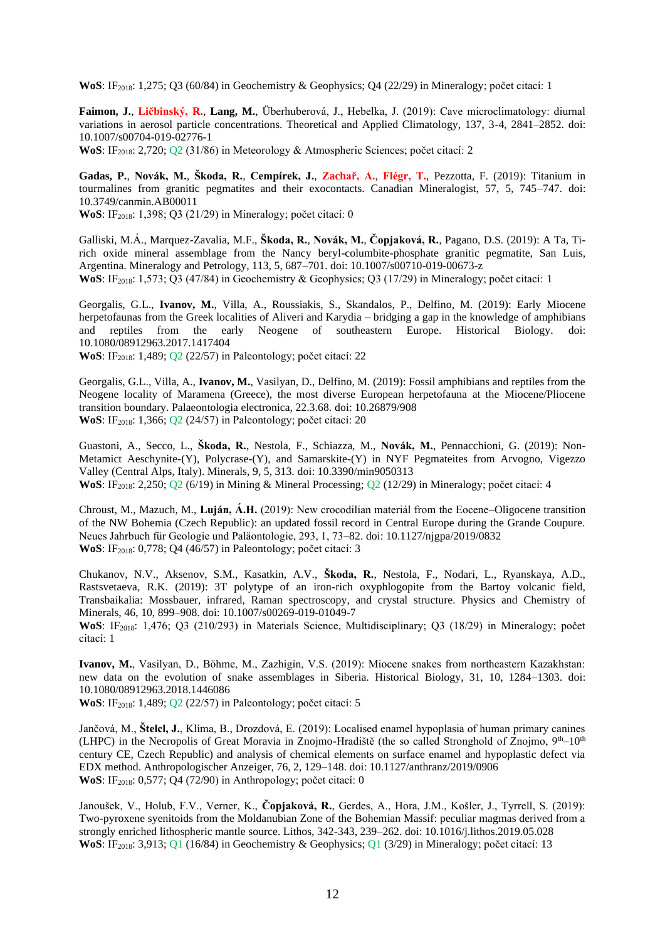**WoS**: IF2018: 1,275; Q3 (60/84) in Geochemistry & Geophysics; Q4 (22/29) in Mineralogy; počet citací: 1

**Faimon, J.**, **Ličbinský, R.**, **Lang, M.**, Überhuberová, J., Hebelka, J. (2019): Cave microclimatology: diurnal variations in aerosol particle concentrations. Theoretical and Applied Climatology, 137, 3-4, 2841–2852. doi: 10.1007/s00704-019-02776-1

**WoS**: IF2018: 2,720; Q2 (31/86) in Meteorology & Atmospheric Sciences; počet citací: 2

**Gadas, P.**, **Novák, M.**, **Škoda, R.**, **Cempírek, J.**, **Zachař, A.**, **Flégr, T.**, Pezzotta, F. (2019): Titanium in tourmalines from granitic pegmatites and their exocontacts. Canadian Mineralogist, 57, 5, 745–747. doi: 10.3749/canmin.AB00011

**WoS**: IF2018: 1,398; Q3 (21/29) in Mineralogy; počet citací: 0

Galliski, M.Á., Marquez-Zavalia, M.F., **Škoda, R.**, **Novák, M.**, **Čopjaková, R.**, Pagano, D.S. (2019): A Ta, Tirich oxide mineral assemblage from the Nancy beryl-columbite-phosphate granitic pegmatite, San Luis, Argentina. Mineralogy and Petrology, 113, 5, 687–701. doi: 10.1007/s00710-019-00673-z **WoS**: IF2018: 1,573; Q3 (47/84) in Geochemistry & Geophysics; Q3 (17/29) in Mineralogy; počet citací: 1

Georgalis, G.L., **Ivanov, M.**, Villa, A., Roussiakis, S., Skandalos, P., Delfino, M. (2019): Early Miocene

herpetofaunas from the Greek localities of Aliveri and Karydia – bridging a gap in the knowledge of amphibians and reptiles from the early Neogene of southeastern Europe. Historical Biology. doi: 10.1080/08912963.2017.1417404

**WoS**: IF2018: 1,489; Q2 (22/57) in Paleontology; počet citací: 22

Georgalis, G.L., Villa, A., **Ivanov, M.**, Vasilyan, D., Delfino, M. (2019): Fossil amphibians and reptiles from the Neogene locality of Maramena (Greece), the most diverse European herpetofauna at the Miocene/Pliocene transition boundary. Palaeontologia electronica, 22.3.68. doi: 10.26879/908 **WoS**: IF2018: 1,366; Q2 (24/57) in Paleontology; počet citací: 20

Guastoni, A., Secco, L., **Škoda, R.**, Nestola, F., Schiazza, M., **Novák, M.**, Pennacchioni, G. (2019): Non-Metamict Aeschynite-(Y), Polycrase-(Y), and Samarskite-(Y) in NYF Pegmateites from Arvogno, Vigezzo Valley (Central Alps, Italy). Minerals, 9, 5, 313. doi: 10.3390/min9050313 **WoS**: IF2018: 2,250; Q2 (6/19) in Mining & Mineral Processing; Q2 (12/29) in Mineralogy; počet citací: 4

Chroust, M., Mazuch, M., **Luján, Á.H.** (2019): New crocodilian materiál from the Eocene–Oligocene transition of the NW Bohemia (Czech Republic): an updated fossil record in Central Europe during the Grande Coupure. Neues Jahrbuch für Geologie und Paläontologie, 293, 1, 73–82. doi: 10.1127/njgpa/2019/0832 **WoS**: IF2018: 0,778; Q4 (46/57) in Paleontology; počet citací: 3

Chukanov, N.V., Aksenov, S.M., Kasatkin, A.V., **Škoda, R.**, Nestola, F., Nodari, L., Ryanskaya, A.D., Rastsvetaeva, R.K. (2019): 3T polytype of an iron-rich oxyphlogopite from the Bartoy volcanic field, Transbaikalia: Mossbauer, infrared, Raman spectroscopy, and crystal structure. Physics and Chemistry of Minerals, 46, 10, 899–908. doi: 10.1007/s00269-019-01049-7

**WoS**: IF2018: 1,476; Q3 (210/293) in Materials Science, Multidisciplinary; Q3 (18/29) in Mineralogy; počet citací: 1

**Ivanov, M.**, Vasilyan, D., Böhme, M., Zazhigin, V.S. (2019): Miocene snakes from northeastern Kazakhstan: new data on the evolution of snake assemblages in Siberia. Historical Biology, 31, 10, 1284–1303. doi: 10.1080/08912963.2018.1446086

**WoS**: IF2018: 1,489; Q2 (22/57) in Paleontology; počet citací: 5

Jančová, M., **Štelcl, J.**, Klíma, B., Drozdová, E. (2019): Localised enamel hypoplasia of human primary canines (LHPC) in the Necropolis of Great Moravia in Znojmo-Hradiště (the so called Stronghold of Znojmo,  $9<sup>th</sup>–10<sup>th</sup>$ century CE, Czech Republic) and analysis of chemical elements on surface enamel and hypoplastic defect via EDX method. Anthropologischer Anzeiger, 76, 2, 129–148. doi: 10.1127/anthranz/2019/0906 **WoS**: IF2018: 0,577; Q4 (72/90) in Anthropology; počet citací: 0

Janoušek, V., Holub, F.V., Verner, K., **Čopjaková, R.**, Gerdes, A., Hora, J.M., Košler, J., Tyrrell, S. (2019): Two-pyroxene syenitoids from the Moldanubian Zone of the Bohemian Massif: peculiar magmas derived from a strongly enriched lithospheric mantle source. Lithos, 342-343, 239–262. doi: 10.1016/j.lithos.2019.05.028 WoS: IF<sub>2018</sub>: 3,913; Q1 (16/84) in Geochemistry & Geophysics; Q1 (3/29) in Mineralogy; počet citací: 13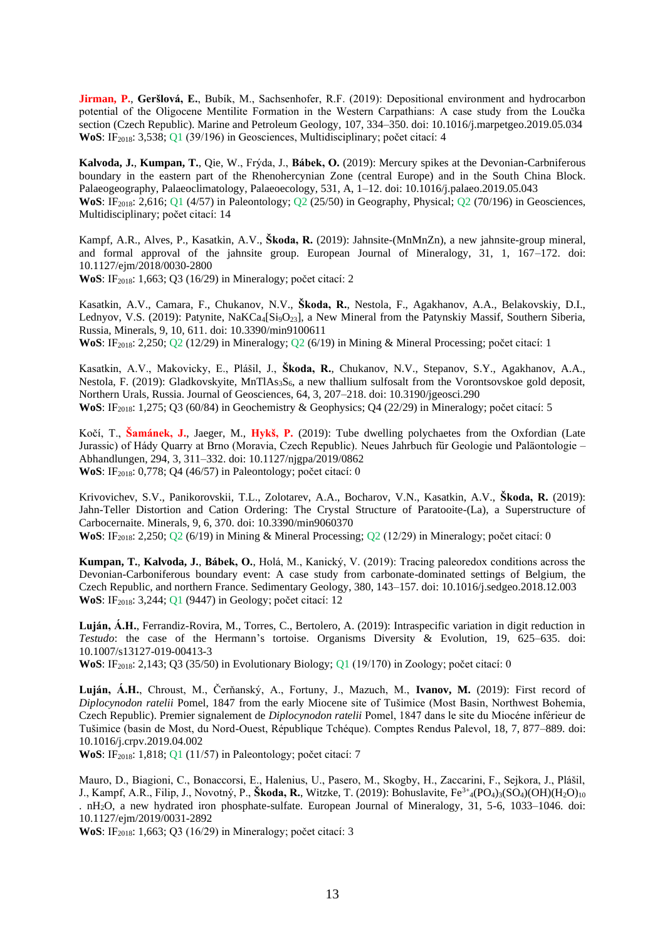**Jirman, P.**, **Geršlová, E.**, Bubík, M., Sachsenhofer, R.F. (2019): Depositional environment and hydrocarbon potential of the Oligocene Mentilite Formation in the Western Carpathians: A case study from the Loučka section (Czech Republic). Marine and Petroleum Geology, 107, 334–350. doi: 10.1016/j.marpetgeo.2019.05.034 **WoS**: IF2018: 3,538; Q1 (39/196) in Geosciences, Multidisciplinary; počet citací: 4

**Kalvoda, J.**, **Kumpan, T.**, Qie, W., Frýda, J., **Bábek, O.** (2019): Mercury spikes at the Devonian-Carbniferous boundary in the eastern part of the Rhenohercynian Zone (central Europe) and in the South China Block. Palaeogeography, Palaeoclimatology, Palaeoecology, 531, A, 1–12. doi: 10.1016/j.palaeo.2019.05.043 WoS: IF<sub>2018</sub>: 2,616; Q1 (4/57) in Paleontology; Q2 (25/50) in Geography, Physical; Q2 (70/196) in Geosciences, Multidisciplinary; počet citací: 14

Kampf, A.R., Alves, P., Kasatkin, A.V., **Škoda, R.** (2019): Jahnsite-(MnMnZn), a new jahnsite-group mineral, and formal approval of the jahnsite group. European Journal of Mineralogy, 31, 1, 167–172. doi: 10.1127/ejm/2018/0030-2800

**WoS**: IF<sub>2018</sub>: 1,663; Q3 (16/29) in Mineralogy; počet citací: 2

Kasatkin, A.V., Camara, F., Chukanov, N.V., **Škoda, R.**, Nestola, F., Agakhanov, A.A., Belakovskiy, D.I., Lednyov, V.S. (2019): Patynite, Na $KCa_4[Si_9O_{23}]$ , a New Mineral from the Patynskiy Massif, Southern Siberia, Russia, Minerals, 9, 10, 611. doi: 10.3390/min9100611

**WoS**: IF2018: 2,250; Q2 (12/29) in Mineralogy; Q2 (6/19) in Mining & Mineral Processing; počet citací: 1

Kasatkin, A.V., Makovicky, E., Plášil, J., **Škoda, R.**, Chukanov, N.V., Stepanov, S.Y., Agakhanov, A.A., Nestola, F. (2019): Gladkovskyite, MnTlAs<sub>3</sub>S<sub>6</sub>, a new thallium sulfosalt from the Vorontsovskoe gold deposit, Northern Urals, Russia. Journal of Geosciences, 64, 3, 207–218. doi: 10.3190/jgeosci.290 **WoS**: IF2018: 1,275; Q3 (60/84) in Geochemistry & Geophysics; Q4 (22/29) in Mineralogy; počet citací: 5

Kočí, T., **Šamánek, J.**, Jaeger, M., **Hykš, P.** (2019): Tube dwelling polychaetes from the Oxfordian (Late Jurassic) of Hády Quarry at Brno (Moravia, Czech Republic). Neues Jahrbuch für Geologie und Paläontologie – Abhandlungen, 294, 3, 311–332. doi: 10.1127/njgpa/2019/0862 **WoS**: IF<sub>2018</sub>: 0,778; Q4 (46/57) in Paleontology; počet citací: 0

Krivovichev, S.V., Panikorovskii, T.L., Zolotarev, A.A., Bocharov, V.N., Kasatkin, A.V., **Škoda, R.** (2019): Jahn-Teller Distortion and Cation Ordering: The Crystal Structure of Paratooite-(La), a Superstructure of Carbocernaite. Minerals, 9, 6, 370. doi: 10.3390/min9060370

**WoS**: IF2018: 2,250; Q2 (6/19) in Mining & Mineral Processing; Q2 (12/29) in Mineralogy; počet citací: 0

**Kumpan, T.**, **Kalvoda, J.**, **Bábek, O.**, Holá, M., Kanický, V. (2019): Tracing paleoredox conditions across the Devonian-Carboniferous boundary event: A case study from carbonate-dominated settings of Belgium, the Czech Republic, and northern France. Sedimentary Geology, 380, 143–157. doi: 10.1016/j.sedgeo.2018.12.003 **WoS**: IF2018: 3,244; Q1 (9447) in Geology; počet citací: 12

**Luján, Á.H.**, Ferrandiz-Rovira, M., Torres, C., Bertolero, A. (2019): Intraspecific variation in digit reduction in *Testudo*: the case of the Hermann's tortoise. Organisms Diversity & Evolution, 19, 625–635. doi: 10.1007/s13127-019-00413-3

**WoS**: IF2018: 2,143; Q3 (35/50) in Evolutionary Biology; Q1 (19/170) in Zoology; počet citací: 0

**Luján, Á.H.**, Chroust, M., Čerňanský, A., Fortuny, J., Mazuch, M., **Ivanov, M.** (2019): First record of *Diplocynodon ratelii* Pomel, 1847 from the early Miocene site of Tušimice (Most Basin, Northwest Bohemia, Czech Republic). Premier signalement de *Diplocynodon ratelii* Pomel, 1847 dans le site du Miocéne inférieur de Tušimice (basin de Most, du Nord-Ouest, République Tchéque). Comptes Rendus Palevol, 18, 7, 877–889. doi: 10.1016/j.crpv.2019.04.002

**WoS**: IF2018: 1,818; Q1 (11/57) in Paleontology; počet citací: 7

Mauro, D., Biagioni, C., Bonaccorsi, E., Halenius, U., Pasero, M., Skogby, H., Zaccarini, F., Sejkora, J., Plášil, J., Kampf, A.R., Filip, J., Novotný, P., **Škoda, R.**, Witzke, T. (2019): Bohuslavite, Fe<sup>3+</sup>4(PO4)3(SO4)(OH)(H2O)10 . nH2O, a new hydrated iron phosphate-sulfate. European Journal of Mineralogy, 31, 5-6, 1033–1046. doi: 10.1127/ejm/2019/0031-2892

**WoS**: IF2018: 1,663; Q3 (16/29) in Mineralogy; počet citací: 3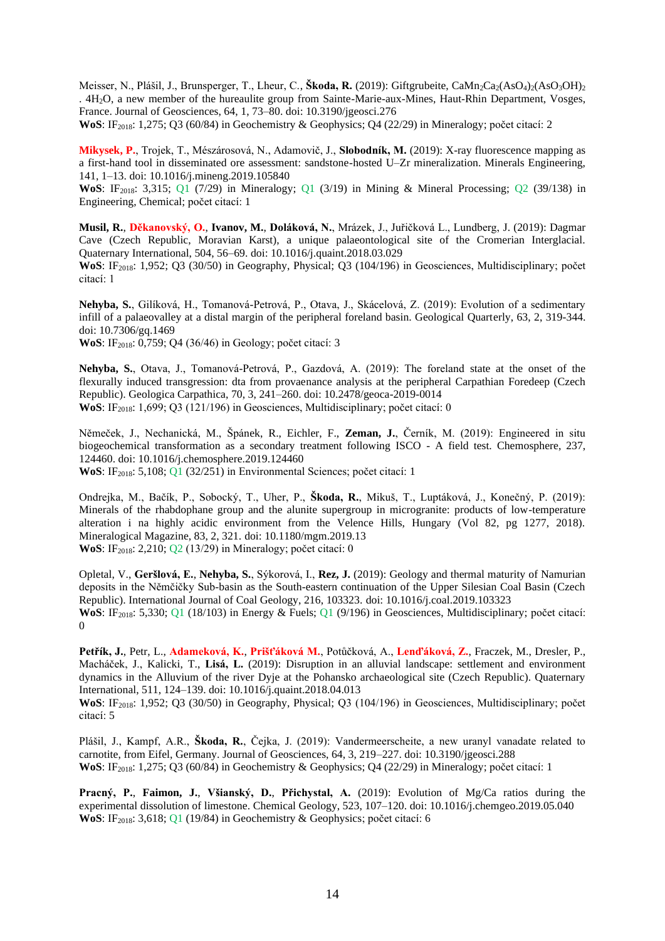Meisser, N., Plášil, J., Brunsperger, T., Lheur, C., Škoda, R. (2019): Giftgrubeite, CaMn<sub>2</sub>Ca<sub>2</sub>(AsO<sub>4</sub>)<sub>2</sub>(AsO<sub>3</sub>OH)<sub>2</sub> . 4H2O, a new member of the hureaulite group from Sainte-Marie-aux-Mines, Haut-Rhin Department, Vosges, France. Journal of Geosciences, 64, 1, 73–80. doi: 10.3190/jgeosci.276

**WoS**: IF2018: 1,275; Q3 (60/84) in Geochemistry & Geophysics; Q4 (22/29) in Mineralogy; počet citací: 2

**Mikysek, P.**, Trojek, T., Mészárosová, N., Adamovič, J., **Slobodník, M.** (2019): X-ray fluorescence mapping as a first-hand tool in disseminated ore assessment: sandstone-hosted U–Zr mineralization. Minerals Engineering, 141, 1–13. doi: 10.1016/j.mineng.2019.105840

**WoS**: IF2018: 3,315; Q1 (7/29) in Mineralogy; Q1 (3/19) in Mining & Mineral Processing; Q2 (39/138) in Engineering, Chemical; počet citací: 1

**Musil, R.**, **Děkanovský, O.**, **Ivanov, M.**, **Doláková, N.**, Mrázek, J., Juřičková L., Lundberg, J. (2019): Dagmar Cave (Czech Republic, Moravian Karst), a unique palaeontological site of the Cromerian Interglacial. Quaternary International, 504, 56–69. doi: 10.1016/j.quaint.2018.03.029

**WoS**: IF2018: 1,952; Q3 (30/50) in Geography, Physical; Q3 (104/196) in Geosciences, Multidisciplinary; počet citací: 1

**Nehyba, S.**, Gilíková, H., Tomanová-Petrová, P., Otava, J., Skácelová, Z. (2019): Evolution of a sedimentary infill of a palaeovalley at a distal margin of the peripheral foreland basin. Geological Quarterly, 63, 2, 319-344. doi: 10.7306/gq.1469

**WoS**: IF2018: 0,759; Q4 (36/46) in Geology; počet citací: 3

**Nehyba, S.**, Otava, J., Tomanová-Petrová, P., Gazdová, A. (2019): The foreland state at the onset of the flexurally induced transgression: dta from provaenance analysis at the peripheral Carpathian Foredeep (Czech Republic). Geologica Carpathica, 70, 3, 241–260. doi: 10.2478/geoca-2019-0014 **WoS**: IF2018: 1,699; Q3 (121/196) in Geosciences, Multidisciplinary; počet citací: 0

Němeček, J., Nechanická, M., Špánek, R., Eichler, F., **Zeman, J.**, Černík, M. (2019): Engineered in situ biogeochemical transformation as a secondary treatment following ISCO - A field test. Chemosphere, 237, 124460. doi: 10.1016/j.chemosphere.2019.124460

**WoS**: IF2018: 5,108; Q1 (32/251) in Environmental Sciences; počet citací: 1

Ondrejka, M., Bačík, P., Sobocký, T., Uher, P., **Škoda, R.**, Mikuš, T., Luptáková, J., Konečný, P. (2019): Minerals of the rhabdophane group and the alunite supergroup in microgranite: products of low-temperature alteration i na highly acidic environment from the Velence Hills, Hungary (Vol 82, pg 1277, 2018). Mineralogical Magazine, 83, 2, 321. doi: 10.1180/mgm.2019.13 **WoS**: IF<sub>2018</sub>: 2,210; Q2 (13/29) in Mineralogy; počet citací: 0

Opletal, V., **Geršlová, E.**, **Nehyba, S.**, Sýkorová, I., **Rez, J.** (2019): Geology and thermal maturity of Namurian deposits in the Němčičky Sub-basin as the South-eastern continuation of the Upper Silesian Coal Basin (Czech Republic). International Journal of Coal Geology, 216, 103323. doi: 10.1016/j.coal.2019.103323 **WoS**: IF2018: 5,330; Q1 (18/103) in Energy & Fuels; Q1 (9/196) in Geosciences, Multidisciplinary; počet citací:  $\Omega$ 

**Petřík, J.**, Petr, L., **Adameková, K.**, **Prišťáková M.**, Potůčková, A., **Lenďáková, Z.**, Fraczek, M., Dresler, P., Macháček, J., Kalicki, T., **Lisá, L.** (2019): Disruption in an alluvial landscape: settlement and environment dynamics in the Alluvium of the river Dyje at the Pohansko archaeological site (Czech Republic). Quaternary International, 511, 124–139. doi: 10.1016/j.quaint.2018.04.013

**WoS**: IF2018: 1,952; Q3 (30/50) in Geography, Physical; Q3 (104/196) in Geosciences, Multidisciplinary; počet citací: 5

Plášil, J., Kampf, A.R., **Škoda, R.**, Čejka, J. (2019): Vandermeerscheite, a new uranyl vanadate related to carnotite, from Eifel, Germany. Journal of Geosciences, 64, 3, 219–227. doi: 10.3190/jgeosci.288 **WoS**: IF2018: 1,275; Q3 (60/84) in Geochemistry & Geophysics; Q4 (22/29) in Mineralogy; počet citací: 1

**Pracný, P.**, **Faimon, J.**, **Všianský, D.**, **Přichystal, A.** (2019): Evolution of Mg/Ca ratios during the experimental dissolution of limestone. Chemical Geology, 523, 107–120. doi: 10.1016/j.chemgeo.2019.05.040 **WoS**: IF2018: 3,618; Q1 (19/84) in Geochemistry & Geophysics; počet citací: 6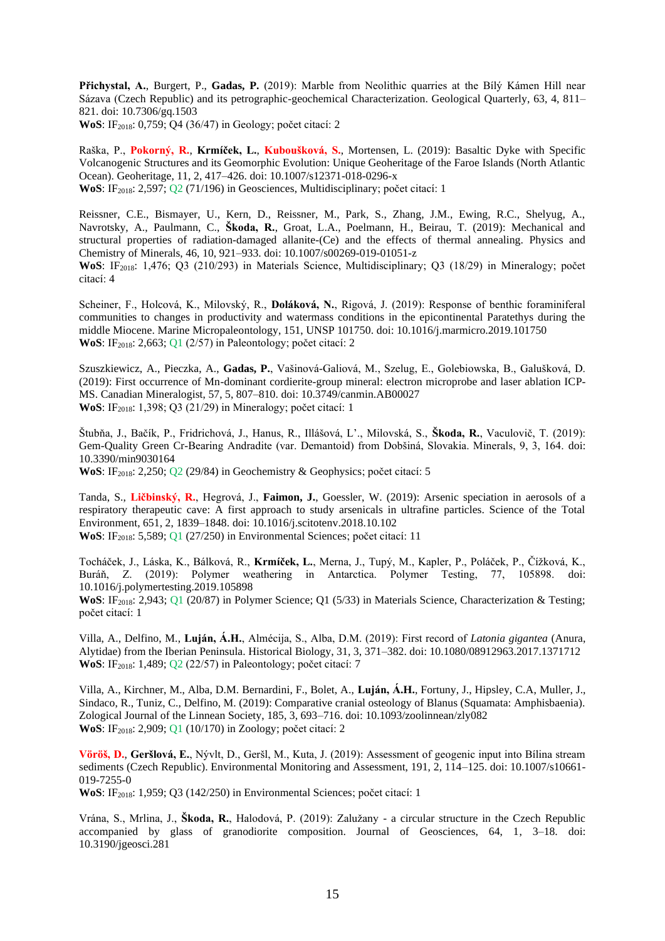**Přichystal, A.**, Burgert, P., **Gadas, P.** (2019): Marble from Neolithic quarries at the Bílý Kámen Hill near Sázava (Czech Republic) and its petrographic-geochemical Characterization. Geological Quarterly, 63, 4, 811– 821. doi: 10.7306/gq.1503

**WoS**: IF2018: 0,759; Q4 (36/47) in Geology; počet citací: 2

Raška, P., **Pokorný, R.**, **Krmíček, L.**, **Kuboušková, S.**, Mortensen, L. (2019): Basaltic Dyke with Specific Volcanogenic Structures and its Geomorphic Evolution: Unique Geoheritage of the Faroe Islands (North Atlantic Ocean). Geoheritage, 11, 2, 417–426. doi: 10.1007/s12371-018-0296-x

WoS: IF<sub>2018</sub>: 2,597; Q2 (71/196) in Geosciences, Multidisciplinary; počet citací: 1

Reissner, C.E., Bismayer, U., Kern, D., Reissner, M., Park, S., Zhang, J.M., Ewing, R.C., Shelyug, A., Navrotsky, A., Paulmann, C., **Škoda, R.**, Groat, L.A., Poelmann, H., Beirau, T. (2019): Mechanical and structural properties of radiation-damaged allanite-(Ce) and the effects of thermal annealing. Physics and Chemistry of Minerals, 46, 10, 921–933. doi: 10.1007/s00269-019-01051-z

**WoS**: IF2018: 1,476; Q3 (210/293) in Materials Science, Multidisciplinary; Q3 (18/29) in Mineralogy; počet citací: 4

Scheiner, F., Holcová, K., Milovský, R., **Doláková, N.**, Rigová, J. (2019): Response of benthic foraminiferal communities to changes in productivity and watermass conditions in the epicontinental Paratethys during the middle Miocene. Marine Micropaleontology, 151, UNSP 101750. doi: 10.1016/j.marmicro.2019.101750 **WoS**: IF2018: 2,663; Q1 (2/57) in Paleontology; počet citací: 2

Szuszkiewicz, A., Pieczka, A., **Gadas, P.**, Vašinová-Galiová, M., Szelug, E., Golebiowska, B., Galušková, D. (2019): First occurrence of Mn-dominant cordierite-group mineral: electron microprobe and laser ablation ICP-MS. Canadian Mineralogist, 57, 5, 807–810. doi: 10.3749/canmin.AB00027 **WoS**: IF2018: 1,398; Q3 (21/29) in Mineralogy; počet citací: 1

Štubňa, J., Bačík, P., Fridrichová, J., Hanus, R., Illášová, L'., Milovská, S., **Škoda, R.**, Vaculovič, T. (2019): Gem-Quality Green Cr-Bearing Andradite (var. Demantoid) from Dobšiná, Slovakia. Minerals, 9, 3, 164. doi: 10.3390/min9030164

**WoS**: IF2018: 2,250; Q2 (29/84) in Geochemistry & Geophysics; počet citací: 5

Tanda, S., **Ličbinský, R.**, Hegrová, J., **Faimon, J.**, Goessler, W. (2019): Arsenic speciation in aerosols of a respiratory therapeutic cave: A first approach to study arsenicals in ultrafine particles. Science of the Total Environment, 651, 2, 1839–1848. doi: 10.1016/j.scitotenv.2018.10.102 **WoS**: IF2018: 5,589; Q1 (27/250) in Environmental Sciences; počet citací: 11

Tocháček, J., Láska, K., Bálková, R., **Krmíček, L.**, Merna, J., Tupý, M., Kapler, P., Poláček, P., Čížková, K., Buráň, Z. (2019): Polymer weathering in Antarctica. Polymer Testing, 77, 105898. doi: 10.1016/j.polymertesting.2019.105898

**WoS**: IF2018: 2,943; Q1 (20/87) in Polymer Science; Q1 (5/33) in Materials Science, Characterization & Testing; počet citací: 1

Villa, A., Delfino, M., **Luján, Á.H.**, Almécija, S., Alba, D.M. (2019): First record of *Latonia gigantea* (Anura, Alytidae) from the Iberian Peninsula. Historical Biology, 31, 3, 371–382. doi: 10.1080/08912963.2017.1371712 **WoS**: IF2018: 1,489; Q2 (22/57) in Paleontology; počet citací: 7

Villa, A., Kirchner, M., Alba, D.M. Bernardini, F., Bolet, A., **Luján, Á.H.**, Fortuny, J., Hipsley, C.A, Muller, J., Sindaco, R., Tuniz, C., Delfino, M. (2019): Comparative cranial osteology of Blanus (Squamata: Amphisbaenia). Zological Journal of the Linnean Society, 185, 3, 693–716. doi: 10.1093/zoolinnean/zly082 **WoS**: IF2018: 2,909; Q1 (10/170) in Zoology; počet citací: 2

**Vöröš, D.**, **Geršlová, E.**, Nývlt, D., Geršl, M., Kuta, J. (2019): Assessment of geogenic input into Bílina stream sediments (Czech Republic). Environmental Monitoring and Assessment, 191, 2, 114–125. doi: 10.1007/s10661-019-7255-0

**WoS**: IF2018: 1,959; Q3 (142/250) in Environmental Sciences; počet citací: 1

Vrána, S., Mrlina, J., **Škoda, R.**, Halodová, P. (2019): Zalužany - a circular structure in the Czech Republic accompanied by glass of granodiorite composition. Journal of Geosciences, 64, 1, 3–18. doi: 10.3190/jgeosci.281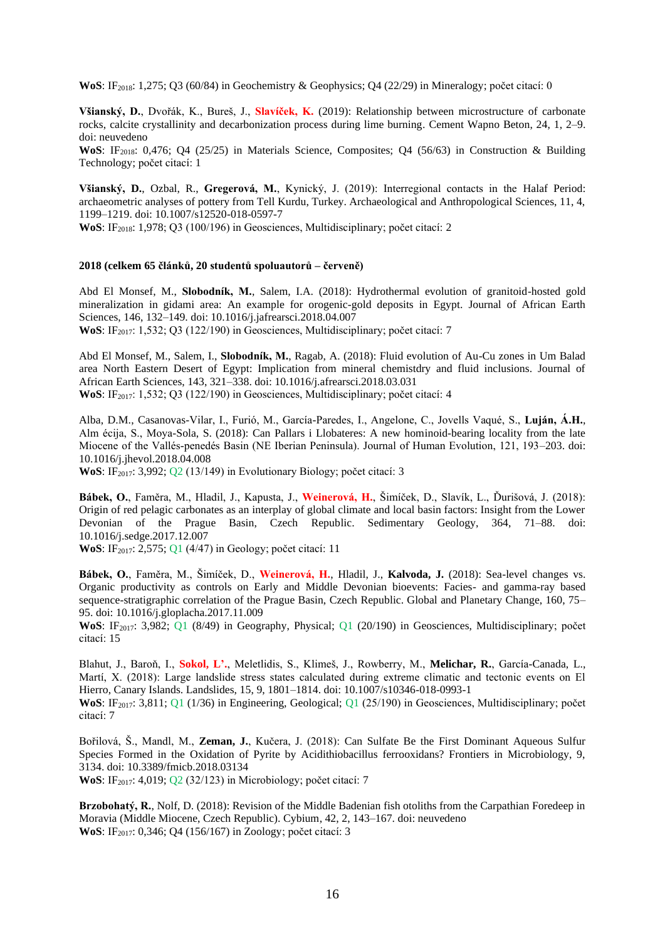**WoS**: IF2018: 1,275; Q3 (60/84) in Geochemistry & Geophysics; Q4 (22/29) in Mineralogy; počet citací: 0

**Všianský, D.**, Dvořák, K., Bureš, J., **Slavíček, K.** (2019): Relationship between microstructure of carbonate rocks, calcite crystallinity and decarbonization process during lime burning. Cement Wapno Beton, 24, 1, 2–9. doi: neuvedeno

**WoS**: IF2018: 0,476; Q4 (25/25) in Materials Science, Composites; Q4 (56/63) in Construction & Building Technology; počet citací: 1

**Všianský, D.**, Ozbal, R., **Gregerová, M.**, Kynický, J. (2019): Interregional contacts in the Halaf Period: archaeometric analyses of pottery from Tell Kurdu, Turkey. Archaeological and Anthropological Sciences, 11, 4, 1199–1219. doi: 10.1007/s12520-018-0597-7

**WoS**: IF2018: 1,978; Q3 (100/196) in Geosciences, Multidisciplinary; počet citací: 2

#### **2018 (celkem 65 článků, 20 studentů spoluautorů – červeně)**

Abd El Monsef, M., **Slobodník, M.**, Salem, I.A. (2018): Hydrothermal evolution of granitoid-hosted gold mineralization in gidami area: An example for orogenic-gold deposits in Egypt. Journal of African Earth Sciences, 146, 132–149. doi: 10.1016/j.jafrearsci.2018.04.007

**WoS**: IF2017: 1,532; Q3 (122/190) in Geosciences, Multidisciplinary; počet citací: 7

Abd El Monsef, M., Salem, I., **Slobodník, M.**, Ragab, A. (2018): Fluid evolution of Au-Cu zones in Um Balad area North Eastern Desert of Egypt: Implication from mineral chemistdry and fluid inclusions. Journal of African Earth Sciences, 143, 321–338. doi: 10.1016/j.afrearsci.2018.03.031 **WoS**: IF2017: 1,532; Q3 (122/190) in Geosciences, Multidisciplinary; počet citací: 4

Alba, D.M., Casanovas-Vilar, I., Furió, M., García-Paredes, I., Angelone, C., Jovells Vaqué, S., **Luján, Á.H.**, Alm écija, S., Moya-Sola, S. (2018): Can Pallars i Llobateres: A new hominoid-bearing locality from the late Miocene of the Vallés-penedés Basin (NE Iberian Peninsula). Journal of Human Evolution, 121, 193–203. doi: 10.1016/j.jhevol.2018.04.008

**WoS**: IF2017: 3,992; Q2 (13/149) in Evolutionary Biology; počet citací: 3

**Bábek, O.**, Faměra, M., Hladil, J., Kapusta, J., **Weinerová, H.**, Šimíček, D., Slavík, L., Ďurišová, J. (2018): Origin of red pelagic carbonates as an interplay of global climate and local basin factors: Insight from the Lower Devonian of the Prague Basin, Czech Republic. Sedimentary Geology, 364, 71–88. doi: 10.1016/j.sedge.2017.12.007

**WoS**: IF<sub>2017</sub>: 2,575; Q1 (4/47) in Geology; počet citací: 11

**Bábek, O.**, Faměra, M., Šimíček, D., **Weinerová, H.**, Hladil, J., **Kalvoda, J.** (2018): Sea-level changes vs. Organic productivity as controls on Early and Middle Devonian bioevents: Facies- and gamma-ray based sequence-stratigraphic correlation of the Prague Basin, Czech Republic. Global and Planetary Change, 160, 75– 95. doi: 10.1016/j.gloplacha.2017.11.009

**WoS**: IF2017: 3,982; Q1 (8/49) in Geography, Physical; Q1 (20/190) in Geosciences, Multidisciplinary; počet citací: 15

Blahut, J., Baroň, I., **Sokol, L'.**, Meletlidis, S., Klimeš, J., Rowberry, M., **Melichar, R.**, García-Canada, L., Martí, X. (2018): Large landslide stress states calculated during extreme climatic and tectonic events on El Hierro, Canary Islands. Landslides, 15, 9, 1801–1814. doi: 10.1007/s10346-018-0993-1

**WoS**: IF2017: 3,811; Q1 (1/36) in Engineering, Geological; Q1 (25/190) in Geosciences, Multidisciplinary; počet citací: 7

Bořilová, Š., Mandl, M., **Zeman, J.**, Kučera, J. (2018): Can Sulfate Be the First Dominant Aqueous Sulfur Species Formed in the Oxidation of Pyrite by Acidithiobacillus ferrooxidans? Frontiers in Microbiology, 9, 3134. doi: 10.3389/fmicb.2018.03134

**WoS**: IF2017: 4,019; Q2 (32/123) in Microbiology; počet citací: 7

**Brzobohatý, R.**, Nolf, D. (2018): Revision of the Middle Badenian fish otoliths from the Carpathian Foredeep in Moravia (Middle Miocene, Czech Republic). Cybium, 42, 2, 143–167. doi: neuvedeno **WoS**: IF2017: 0,346; Q4 (156/167) in Zoology; počet citací: 3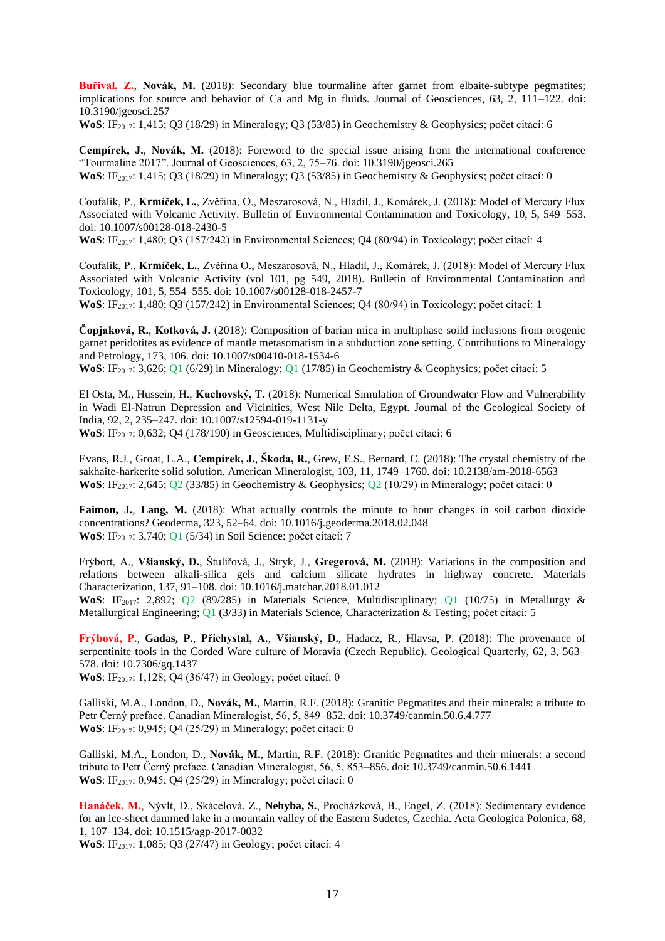**Buřival, Z.**, **Novák, M.** (2018): Secondary blue tourmaline after garnet from elbaite-subtype pegmatites; implications for source and behavior of Ca and Mg in fluids. Journal of Geosciences, 63, 2, 111–122. doi: 10.3190/jgeosci.257

**WoS**: IF2017: 1,415; Q3 (18/29) in Mineralogy; Q3 (53/85) in Geochemistry & Geophysics; počet citací: 6

**Cempírek, J.**, **Novák, M.** (2018): Foreword to the special issue arising from the international conference "Tourmaline 2017". Journal of Geosciences, 63, 2, 75–76. doi: 10.3190/jgeosci.265 **WoS**: IF2017: 1,415; Q3 (18/29) in Mineralogy; Q3 (53/85) in Geochemistry & Geophysics; počet citací: 0

Coufalík, P., **Krmíček, L.**, Zvěřina, O., Meszarosová, N., Hladil, J., Komárek, J. (2018): Model of Mercury Flux Associated with Volcanic Activity. Bulletin of Environmental Contamination and Toxicology, 10, 5, 549–553. doi: 10.1007/s00128-018-2430-5

**WoS**: IF2017: 1,480; Q3 (157/242) in Environmental Sciences; Q4 (80/94) in Toxicology; počet citací: 4

Coufalík, P., **Krmíček, L.**, Zvěřina O., Meszarosová, N., Hladil, J., Komárek, J. (2018): Model of Mercury Flux Associated with Volcanic Activity (vol 101, pg 549, 2018). Bulletin of Environmental Contamination and Toxicology, 101, 5, 554–555. doi: 10.1007/s00128-018-2457-7

**WoS**: IF2017: 1,480; Q3 (157/242) in Environmental Sciences; Q4 (80/94) in Toxicology; počet citací: 1

**Čopjaková, R.**, **Kotková, J.** (2018): Composition of barian mica in multiphase soild inclusions from orogenic garnet peridotites as evidence of mantle metasomatism in a subduction zone setting. Contributions to Mineralogy and Petrology, 173, 106. doi: 10.1007/s00410-018-1534-6 **WoS**: IF2017: 3,626; Q1 (6/29) in Mineralogy; Q1 (17/85) in Geochemistry & Geophysics; počet citací: 5

El Osta, M., Hussein, H., **Kuchovský, T.** (2018): Numerical Simulation of Groundwater Flow and Vulnerability in Wadi El-Natrun Depression and Vicinities, West Nile Delta, Egypt. Journal of the Geological Society of India, 92, 2, 235–247. doi: 10.1007/s12594-019-1131-y

WoS: IF<sub>2017</sub>: 0,632; Q4 (178/190) in Geosciences, Multidisciplinary; počet citací: 6

Evans, R.J., Groat, L.A., **Cempírek, J.**, **Škoda, R.**, Grew, E.S., Bernard, C. (2018): The crystal chemistry of the sakhaite-harkerite solid solution. American Mineralogist, 103, 11, 1749–1760. doi: 10.2138/am-2018-6563 **WoS**: IF2017: 2,645; Q2 (33/85) in Geochemistry & Geophysics; Q2 (10/29) in Mineralogy; počet citací: 0

Faimon, J., Lang, M. (2018): What actually controls the minute to hour changes in soil carbon dioxide concentrations? Geoderma, 323, 52–64. doi: 10.1016/j.geoderma.2018.02.048 **WoS**: IF2017: 3,740; Q1 (5/34) in Soil Science; počet citací: 7

Frýbort, A., **Všianský, D.**, Štulířová, J., Stryk, J., **Gregerová, M.** (2018): Variations in the composition and relations between alkali-silica gels and calcium silicate hydrates in highway concrete. Materials Characterization, 137, 91–108. doi: 10.1016/j.matchar.2018.01.012

WoS: IF<sub>2017</sub>: 2,892; Q2 (89/285) in Materials Science, Multidisciplinary; Q1 (10/75) in Metallurgy & Metallurgical Engineering; Q1 (3/33) in Materials Science, Characterization & Testing; počet citací: 5

**Frýbová, P.**, **Gadas, P.**, **Přichystal, A.**, **Všianský, D.**, Hadacz, R., Hlavsa, P. (2018): The provenance of serpentinite tools in the Corded Ware culture of Moravia (Czech Republic). Geological Quarterly, 62, 3, 563– 578. doi: 10.7306/gq.1437

**WoS**: IF2017: 1,128; Q4 (36/47) in Geology; počet citací: 0

Galliski, M.A., London, D., **Novák, M.**, Martin, R.F. (2018): Granitic Pegmatites and their minerals: a tribute to Petr Černý preface. Canadian Mineralogist, 56, 5, 849–852. doi: 10.3749/canmin.50.6.4.777 **WoS**: IF<sub>2017</sub>: 0,945; Q4 (25/29) in Mineralogy; počet citací: 0

Galliski, M.A., London, D., **Novák, M.**, Martin, R.F. (2018): Granitic Pegmatites and their minerals: a second tribute to Petr Černý preface. Canadian Mineralogist, 56, 5, 853–856. doi: 10.3749/canmin.50.6.1441 **WoS**: IF2017: 0,945; Q4 (25/29) in Mineralogy; počet citací: 0

**Hanáček, M.**, Nývlt, D., Skácelová, Z., **Nehyba, S.**, Procházková, B., Engel, Z. (2018): Sedimentary evidence for an ice-sheet dammed lake in a mountain valley of the Eastern Sudetes, Czechia. Acta Geologica Polonica, 68, 1, 107–134. doi: 10.1515/agp-2017-0032

**WoS**: IF2017: 1,085; Q3 (27/47) in Geology; počet citací: 4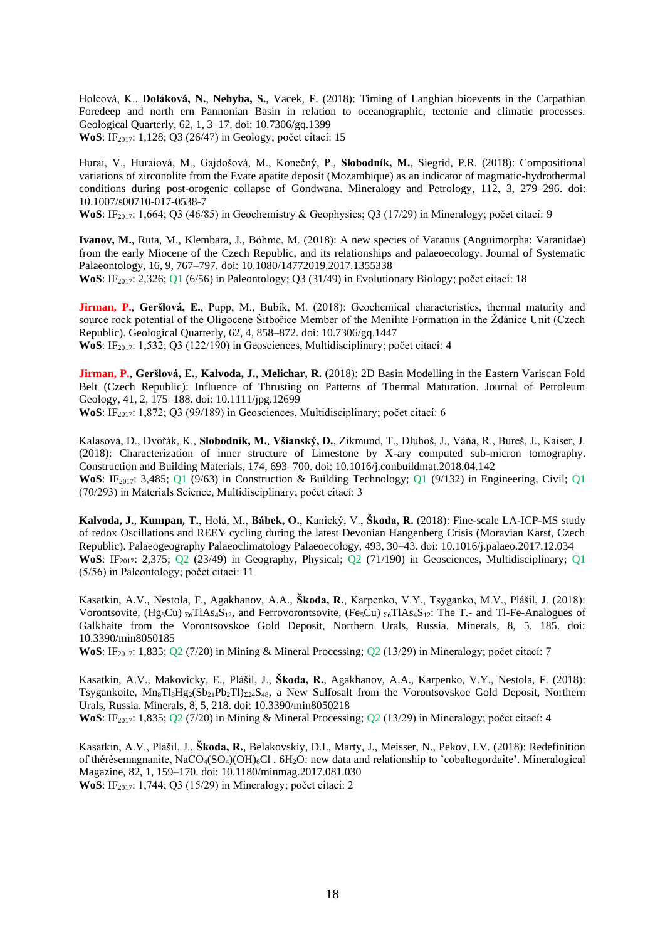Holcová, K., **Doláková, N.**, **Nehyba, S.**, Vacek, F. (2018): Timing of Langhian bioevents in the Carpathian Foredeep and north ern Pannonian Basin in relation to oceanographic, tectonic and climatic processes. Geological Quarterly, 62, 1, 3–17. doi: 10.7306/gq.1399 **WoS**: IF2017: 1,128; Q3 (26/47) in Geology; počet citací: 15

Hurai, V., Huraiová, M., Gajdošová, M., Konečný, P., **Slobodník, M.**, Siegrid, P.R. (2018): Compositional variations of zirconolite from the Evate apatite deposit (Mozambique) as an indicator of magmatic-hydrothermal conditions during post-orogenic collapse of Gondwana. Mineralogy and Petrology, 112, 3, 279–296. doi: 10.1007/s00710-017-0538-7

**WoS**: IF2017: 1,664; Q3 (46/85) in Geochemistry & Geophysics; Q3 (17/29) in Mineralogy; počet citací: 9

**Ivanov, M.**, Ruta, M., Klembara, J., Böhme, M. (2018): A new species of Varanus (Anguimorpha: Varanidae) from the early Miocene of the Czech Republic, and its relationships and palaeoecology. Journal of Systematic Palaeontology, 16, 9, 767–797. doi: 10.1080/14772019.2017.1355338 **WoS**: IF2017: 2,326; Q1 (6/56) in Paleontology; Q3 (31/49) in Evolutionary Biology; počet citací: 18

**Jirman, P.**, **Geršlová, E.**, Pupp, M., Bubík, M. (2018): Geochemical characteristics, thermal maturity and source rock potential of the Oligocene Šitbořice Member of the Menilite Formation in the Ždánice Unit (Czech Republic). Geological Quarterly, 62, 4, 858–872. doi: 10.7306/gq.1447 **WoS**: IF2017: 1,532; Q3 (122/190) in Geosciences, Multidisciplinary; počet citací: 4

**Jirman, P.**, **Geršlová, E.**, **Kalvoda, J.**, **Melichar, R.** (2018): 2D Basin Modelling in the Eastern Variscan Fold Belt (Czech Republic): Influence of Thrusting on Patterns of Thermal Maturation. Journal of Petroleum Geology, 41, 2, 175–188. doi: 10.1111/jpg.12699

**WoS**: IF2017: 1,872; Q3 (99/189) in Geosciences, Multidisciplinary; počet citací: 6

Kalasová, D., Dvořák, K., **Slobodník, M.**, **Všianský, D.**, Zikmund, T., Dluhoš, J., Váňa, R., Bureš, J., Kaiser, J. (2018): Characterization of inner structure of Limestone by X-ary computed sub-micron tomography. Construction and Building Materials, 174, 693–700. doi: 10.1016/j.conbuildmat.2018.04.142 **WoS**: IF2017: 3,485; Q1 (9/63) in Construction & Building Technology; Q1 (9/132) in Engineering, Civil; Q1 (70/293) in Materials Science, Multidisciplinary; počet citací: 3

**Kalvoda, J.**, **Kumpan, T.**, Holá, M., **Bábek, O.**, Kanický, V., **Škoda, R.** (2018): Fine-scale LA-ICP-MS study of redox Oscillations and REEY cycling during the latest Devonian Hangenberg Crisis (Moravian Karst, Czech Republic). Palaeogeography Palaeoclimatology Palaeoecology, 493, 30–43. doi: 10.1016/j.palaeo.2017.12.034 **WoS**: IF2017: 2,375; Q2 (23/49) in Geography, Physical; Q2 (71/190) in Geosciences, Multidisciplinary; Q1 (5/56) in Paleontology; počet citací: 11

Kasatkin, A.V., Nestola, F., Agakhanov, A.A., **Škoda, R.**, Karpenko, V.Y., Tsyganko, M.V., Plášil, J. (2018): Vorontsovite, (Hg<sub>5</sub>Cu) <sub>Σ6</sub>TlAs<sub>4</sub>S<sub>12</sub>, and Ferrovorontsovite, (Fe<sub>5</sub>Cu) <sub>Σ6</sub>TlAs<sub>4</sub>S<sub>12</sub>: The T.- and Tl-Fe-Analogues of Galkhaite from the Vorontsovskoe Gold Deposit, Northern Urals, Russia. Minerals, 8, 5, 185. doi: 10.3390/min8050185

**WoS**: IF2017: 1,835; Q2 (7/20) in Mining & Mineral Processing; Q2 (13/29) in Mineralogy; počet citací: 7

Kasatkin, A.V., Makovicky, E., Plášil, J., **Škoda, R.**, Agakhanov, A.A., Karpenko, V.Y., Nestola, F. (2018): Tsygankoite,  $M_{18}H_{8}I_{8}H_{92}(Sb_{21}Pb_{2}Tl)_{524}S_{48}$ , a New Sulfosalt from the Vorontsovskoe Gold Deposit, Northern Urals, Russia. Minerals, 8, 5, 218. doi: 10.3390/min8050218

**WoS**: IF2017: 1,835; Q2 (7/20) in Mining & Mineral Processing; Q2 (13/29) in Mineralogy; počet citací: 4

Kasatkin, A.V., Plášil, J., **Škoda, R.**, Belakovskiy, D.I., Marty, J., Meisser, N., Pekov, I.V. (2018): Redefinition of thérèsemagnanite, NaCO<sub>4</sub>(SO<sub>4</sub>)(OH)<sub>6</sub>Cl . 6H<sub>2</sub>O: new data and relationship to 'cobaltogordaite'. Mineralogical Magazine, 82, 1, 159–170. doi: 10.1180/minmag.2017.081.030 **WoS**: IF2017: 1,744; Q3 (15/29) in Mineralogy; počet citací: 2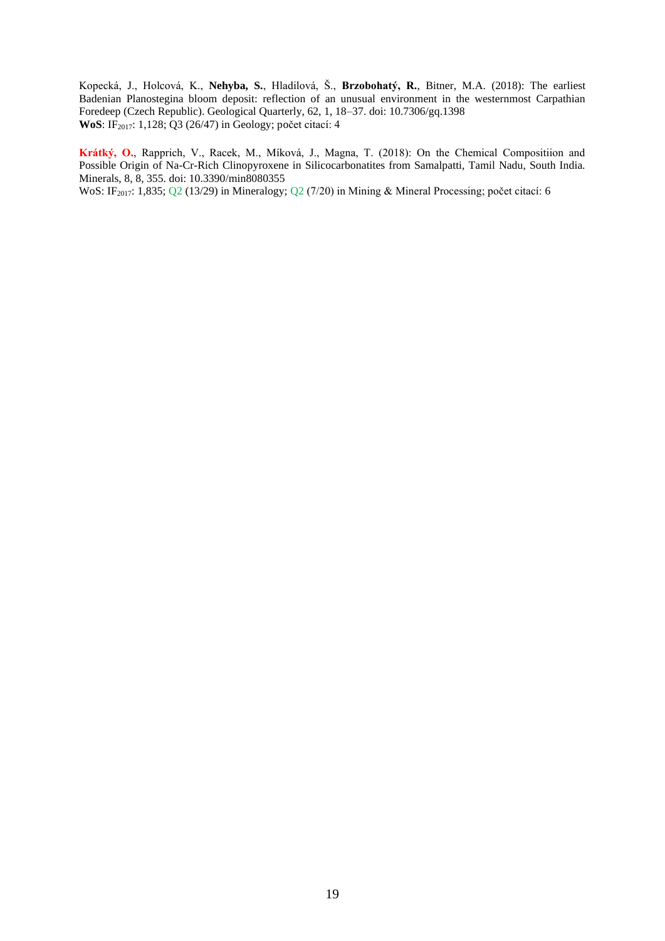Kopecká, J., Holcová, K., **Nehyba, S.**, Hladilová, Š., **Brzobohatý, R.**, Bitner, M.A. (2018): The earliest Badenian Planostegina bloom deposit: reflection of an unusual environment in the westernmost Carpathian Foredeep (Czech Republic). Geological Quarterly, 62, 1, 18–37. doi: 10.7306/gq.1398 **WoS**: IF2017: 1,128; Q3 (26/47) in Geology; počet citací: 4

**Krátký, O.**, Rapprich, V., Racek, M., Míková, J., Magna, T. (2018): On the Chemical Compositiion and Possible Origin of Na-Cr-Rich Clinopyroxene in Silicocarbonatites from Samalpatti, Tamil Nadu, South India. Minerals, 8, 8, 355. doi: 10.3390/min8080355

WoS: IF2017: 1,835; Q2 (13/29) in Mineralogy; Q2 (7/20) in Mining & Mineral Processing; počet citací: 6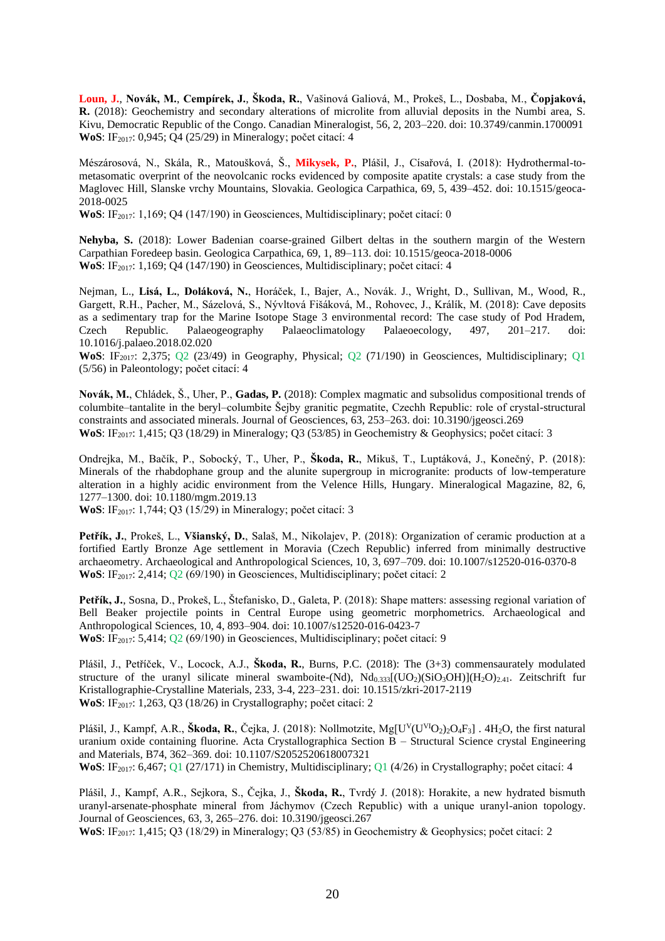**Loun, J.**, **Novák, M.**, **Cempírek, J.**, **Škoda, R.**, Vašinová Galiová, M., Prokeš, L., Dosbaba, M., **Čopjaková, R.** (2018): Geochemistry and secondary alterations of microlite from alluvial deposits in the Numbi area, S. Kivu, Democratic Republic of the Congo. Canadian Mineralogist, 56, 2, 203–220. doi: 10.3749/canmin.1700091 **WoS**: IF2017: 0,945; Q4 (25/29) in Mineralogy; počet citací: 4

Mészárosová, N., Skála, R., Matoušková, Š., **Mikysek, P.**, Plášil, J., Císařová, I. (2018): Hydrothermal-tometasomatic overprint of the neovolcanic rocks evidenced by composite apatite crystals: a case study from the Maglovec Hill, Slanske vrchy Mountains, Slovakia. Geologica Carpathica, 69, 5, 439–452. doi: 10.1515/geoca-2018-0025

**WoS**: IF2017: 1,169; Q4 (147/190) in Geosciences, Multidisciplinary; počet citací: 0

**Nehyba, S.** (2018): Lower Badenian coarse-grained Gilbert deltas in the southern margin of the Western Carpathian Foredeep basin. Geologica Carpathica, 69, 1, 89–113. doi: 10.1515/geoca-2018-0006 **WoS**: IF2017: 1,169; Q4 (147/190) in Geosciences, Multidisciplinary; počet citací: 4

Nejman, L., **Lisá, L.**, **Doláková, N.**, Horáček, I., Bajer, A., Novák. J., Wright, D., Sullivan, M., Wood, R., Gargett, R.H., Pacher, M., Sázelová, S., Nývltová Fišáková, M., Rohovec, J., Králík, M. (2018): Cave deposits as a sedimentary trap for the Marine Isotope Stage 3 environmental record: The case study of Pod Hradem, Czech Republic. Palaeogeography Palaeoclimatology Palaeoecology, 497, 201–217. doi: 10.1016/j.palaeo.2018.02.020

**WoS**: IF2017: 2,375; Q2 (23/49) in Geography, Physical; Q2 (71/190) in Geosciences, Multidisciplinary; Q1 (5/56) in Paleontology; počet citací: 4

**Novák, M.**, Chládek, Š., Uher, P., **Gadas, P.** (2018): Complex magmatic and subsolidus compositional trends of columbite–tantalite in the beryl–columbite Šejby granitic pegmatite, Czechh Republic: role of crystal-structural constraints and associated minerals. Journal of Geosciences, 63, 253–263. doi: 10.3190/jgeosci.269 **WoS**: IF2017: 1,415; Q3 (18/29) in Mineralogy; Q3 (53/85) in Geochemistry & Geophysics; počet citací: 3

Ondrejka, M., Bačík, P., Sobocký, T., Uher, P., **Škoda, R.**, Mikuš, T., Luptáková, J., Konečný, P. (2018): Minerals of the rhabdophane group and the alunite supergroup in microgranite: products of low-temperature alteration in a highly acidic environment from the Velence Hills, Hungary. Mineralogical Magazine, 82, 6, 1277–1300. doi: 10.1180/mgm.2019.13

**WoS**: IF2017: 1,744; Q3 (15/29) in Mineralogy; počet citací: 3

**Petřík, J.**, Prokeš, L., **Všianský, D.**, Salaš, M., Nikolajev, P. (2018): Organization of ceramic production at a fortified Eartly Bronze Age settlement in Moravia (Czech Republic) inferred from minimally destructive archaeometry. Archaeological and Anthropological Sciences, 10, 3, 697–709. doi: 10.1007/s12520-016-0370-8 **WoS**: IF2017: 2,414; Q2 (69/190) in Geosciences, Multidisciplinary; počet citací: 2

**Petřík, J.**, Sosna, D., Prokeš, L., Štefanisko, D., Galeta, P. (2018): Shape matters: assessing regional variation of Bell Beaker projectile points in Central Europe using geometric morphometrics. Archaeological and Anthropological Sciences, 10, 4, 893–904. doi: 10.1007/s12520-016-0423-7 WoS: IF<sub>2017</sub>: 5,414; Q2 (69/190) in Geosciences, Multidisciplinary; počet citací: 9

Plášil, J., Petříček, V., Locock, A.J., **Škoda, R.**, Burns, P.C. (2018): The (3+3) commensaurately modulated structure of the uranyl silicate mineral swamboite-(Nd),  $Nd_{0.333}[(UO_2)(SiO_3OH)](H_2O)_{2.41}$ . Zeitschrift fur Kristallographie-Crystalline Materials, 233, 3-4, 223–231. doi: 10.1515/zkri-2017-2119 **WoS**: IF2017: 1,263, Q3 (18/26) in Crystallography; počet citací: 2

Plášil, J., Kampf, A.R., Škoda, R., Čejka, J. (2018): Nollmotzite, Mg[U<sup>v</sup>(U<sup>vI</sup>O<sub>2</sub>)<sub>2</sub>O<sub>4</sub>F<sub>3</sub>]. 4H<sub>2</sub>O, the first natural uranium oxide containing fluorine. Acta Crystallographica Section B – Structural Science crystal Engineering and Materials, B74, 362–369. doi: 10.1107/S2052520618007321 **WoS**: IF<sub>2017</sub>: 6,467; Q1 (27/171) in Chemistry, Multidisciplinary; Q1 (4/26) in Crystallography; počet citací: 4

Plášil, J., Kampf, A.R., Sejkora, S., Čejka, J., **Škoda, R.**, Tvrdý J. (2018): Horakite, a new hydrated bismuth uranyl-arsenate-phosphate mineral from Jáchymov (Czech Republic) with a unique uranyl-anion topology. Journal of Geosciences, 63, 3, 265–276. doi: 10.3190/jgeosci.267

**WoS**: IF2017: 1,415; Q3 (18/29) in Mineralogy; Q3 (53/85) in Geochemistry & Geophysics; počet citací: 2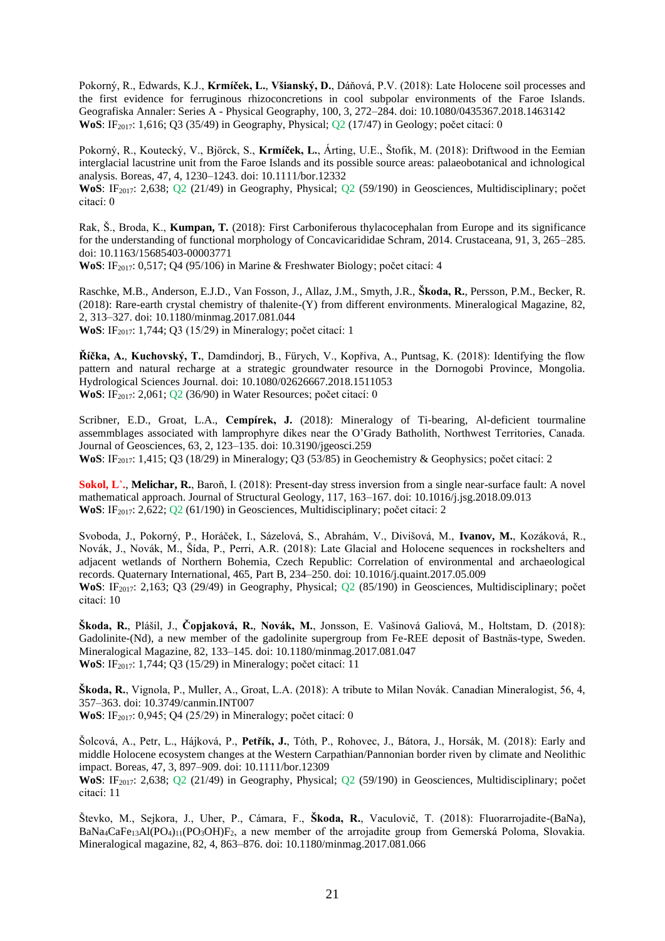Pokorný, R., Edwards, K.J., **Krmíček, L.**, **Všianský, D.**, Dáňová, P.V. (2018): Late Holocene soil processes and the first evidence for ferruginous rhizoconcretions in cool subpolar environments of the Faroe Islands. Geografiska Annaler: Series A - Physical Geography, 100, 3, 272–284. doi: 10.1080/0435367.2018.1463142 **WoS**: IF2017: 1,616; Q3 (35/49) in Geography, Physical; Q2 (17/47) in Geology; počet citací: 0

Pokorný, R., Koutecký, V., Björck, S., **Krmíček, L.**, Árting, U.E., Štofik, M. (2018): Driftwood in the Eemian interglacial lacustrine unit from the Faroe Islands and its possible source areas: palaeobotanical and ichnological analysis. Boreas, 47, 4, 1230–1243. doi: 10.1111/bor.12332

WoS: IF<sub>2017</sub>: 2,638; Q2 (21/49) in Geography, Physical; Q2 (59/190) in Geosciences, Multidisciplinary; počet citací: 0

Rak, Š., Broda, K., **Kumpan, T.** (2018): First Carboniferous thylacocephalan from Europe and its significance for the understanding of functional morphology of Concavicarididae Schram, 2014. Crustaceana, 91, 3, 265–285. doi: 10.1163/15685403-00003771

**WoS**: IF2017: 0,517; Q4 (95/106) in Marine & Freshwater Biology; počet citací: 4

Raschke, M.B., Anderson, E.J.D., Van Fosson, J., Allaz, J.M., Smyth, J.R., **Škoda, R.**, Persson, P.M., Becker, R. (2018): Rare-earth crystal chemistry of thalenite-(Y) from different environments. Mineralogical Magazine, 82, 2, 313–327. doi: 10.1180/minmag.2017.081.044

**WoS**: IF2017: 1,744; Q3 (15/29) in Mineralogy; počet citací: 1

**Říčka, A.**, **Kuchovský, T.**, Damdindorj, B., Fürych, V., Kopřiva, A., Puntsag, K. (2018): Identifying the flow pattern and natural recharge at a strategic groundwater resource in the Dornogobi Province, Mongolia. Hydrological Sciences Journal. doi: 10.1080/02626667.2018.1511053 **WoS**: IF<sub>2017</sub>: 2,061; Q2 (36/90) in Water Resources; počet citací: 0

Scribner, E.D., Groat, L.A., **Cempírek, J.** (2018): Mineralogy of Ti-bearing, Al-deficient tourmaline assemmblages associated with lamprophyre dikes near the O'Grady Batholith, Northwest Territories, Canada. Journal of Geosciences, 63, 2, 123–135. doi: 10.3190/jgeosci.259

**WoS**: IF2017: 1,415; Q3 (18/29) in Mineralogy; Q3 (53/85) in Geochemistry & Geophysics; počet citací: 2

**Sokol, L**'**.**, **Melichar, R.**, Baroň, I. (2018): Present-day stress inversion from a single near-surface fault: A novel mathematical approach. Journal of Structural Geology, 117, 163–167. doi: 10.1016/j.jsg.2018.09.013 WoS: IF<sub>2017</sub>: 2,622; Q2 (61/190) in Geosciences, Multidisciplinary; počet citací: 2

Svoboda, J., Pokorný, P., Horáček, I., Sázelová, S., Abrahám, V., Divišová, M., **Ivanov, M.**, Kozáková, R., Novák, J., Novák, M., Šída, P., Perri, A.R. (2018): Late Glacial and Holocene sequences in rockshelters and adjacent wetlands of Northern Bohemia, Czech Republic: Correlation of environmental and archaeological records. Quaternary International, 465, Part B, 234–250. doi: 10.1016/j.quaint.2017.05.009 **WoS**: IF2017: 2,163; Q3 (29/49) in Geography, Physical; Q2 (85/190) in Geosciences, Multidisciplinary; počet citací: 10

**Škoda, R.**, Plášil, J., **Čopjaková, R.**, **Novák, M.**, Jonsson, E. Vašinová Galiová, M., Holtstam, D. (2018): Gadolinite-(Nd), a new member of the gadolinite supergroup from Fe-REE deposit of Bastnäs-type, Sweden. Mineralogical Magazine, 82, 133–145. doi: 10.1180/minmag.2017.081.047 **WoS**: IF2017: 1,744; Q3 (15/29) in Mineralogy; počet citací: 11

**Škoda, R.**, Vignola, P., Muller, A., Groat, L.A. (2018): A tribute to Milan Novák. Canadian Mineralogist, 56, 4, 357–363. doi: 10.3749/canmin.INT007 **WoS**: IF<sub>2017</sub>: 0,945; Q4 (25/29) in Mineralogy; počet citací: 0

Šolcová, A., Petr, L., Hájková, P., **Petřík, J.**, Tóth, P., Rohovec, J., Bátora, J., Horsák, M. (2018): Early and middle Holocene ecosystem changes at the Western Carpathian/Pannonian border riven by climate and Neolithic impact. Boreas, 47, 3, 897–909. doi: 10.1111/bor.12309

**WoS**: IF2017: 2,638; Q2 (21/49) in Geography, Physical; Q2 (59/190) in Geosciences, Multidisciplinary; počet citací: 11

Števko, M., Sejkora, J., Uher, P., Cámara, F., **Škoda, R.**, Vaculovič, T. (2018): Fluorarrojadite-(BaNa),  $BaNa_4CaFe_{13}Al(PO_4)_{11}(PO_3OH)F_2$ , a new member of the arrojadite group from Gemerská Poloma, Slovakia. Mineralogical magazine, 82, 4, 863–876. doi: 10.1180/minmag.2017.081.066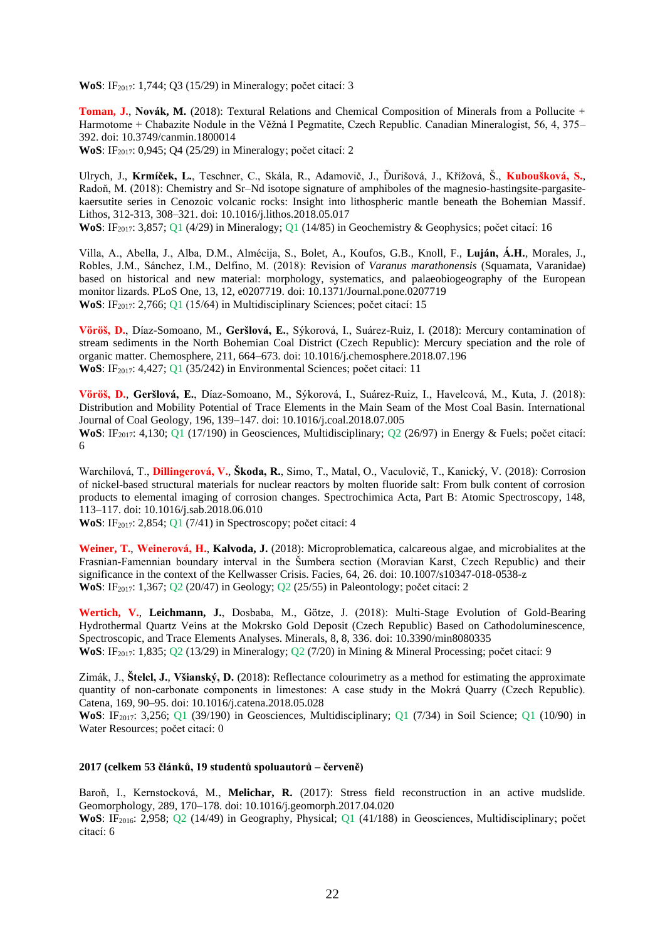**WoS**: IF2017: 1,744; Q3 (15/29) in Mineralogy; počet citací: 3

**Toman, J., Novák, M.** (2018): Textural Relations and Chemical Composition of Minerals from a Pollucite + Harmotome + Chabazite Nodule in the Věžná I Pegmatite, Czech Republic. Canadian Mineralogist, 56, 4, 375– 392. doi: 10.3749/canmin.1800014

**WoS**: IF<sub>2017</sub>: 0,945; Q4 (25/29) in Mineralogy; počet citací: 2

Ulrych, J., **Krmíček, L.**, Teschner, C., Skála, R., Adamovič, J., Ďurišová, J., Křížová, Š., **Kuboušková, S.**, Radoň, M. (2018): Chemistry and Sr–Nd isotope signature of amphiboles of the magnesio-hastingsite-pargasitekaersutite series in Cenozoic volcanic rocks: Insight into lithospheric mantle beneath the Bohemian Massif. Lithos, 312-313, 308–321. doi: 10.1016/j.lithos.2018.05.017

**WoS**: IF2017: 3,857; Q1 (4/29) in Mineralogy; Q1 (14/85) in Geochemistry & Geophysics; počet citací: 16

Villa, A., Abella, J., Alba, D.M., Almécija, S., Bolet, A., Koufos, G.B., Knoll, F., **Luján, Á.H.**, Morales, J., Robles, J.M., Sánchez, I.M., Delfino, M. (2018): Revision of *Varanus marathonensis* (Squamata, Varanidae) based on historical and new material: morphology, systematics, and palaeobiogeography of the European monitor lizards. PLoS One, 13, 12, e0207719. doi: 10.1371/Journal.pone.0207719 **WoS**: IF2017: 2,766; Q1 (15/64) in Multidisciplinary Sciences; počet citací: 15

**Vöröš, D.**, Díaz-Somoano, M., **Geršlová, E.**, Sýkorová, I., Suárez-Ruiz, I. (2018): Mercury contamination of stream sediments in the North Bohemian Coal District (Czech Republic): Mercury speciation and the role of organic matter. Chemosphere, 211, 664–673. doi: 10.1016/j.chemosphere.2018.07.196 **WoS**: IF2017: 4,427; Q1 (35/242) in Environmental Sciences; počet citací: 11

**Vöröš, D.**, **Geršlová, E.**, Díaz-Somoano, M., Sýkorová, I., Suárez-Ruiz, I., Havelcová, M., Kuta, J. (2018): Distribution and Mobility Potential of Trace Elements in the Main Seam of the Most Coal Basin. International Journal of Coal Geology, 196, 139–147. doi: 10.1016/j.coal.2018.07.005 **WoS**: IF2017: 4,130; Q1 (17/190) in Geosciences, Multidisciplinary; Q2 (26/97) in Energy & Fuels; počet citací: 6

Warchilová, T., **Dillingerová, V.**, **Škoda, R.**, Simo, T., Matal, O., Vaculovič, T., Kanický, V. (2018): Corrosion of nickel-based structural materials for nuclear reactors by molten fluoride salt: From bulk content of corrosion products to elemental imaging of corrosion changes. Spectrochimica Acta, Part B: Atomic Spectroscopy, 148, 113–117. doi: 10.1016/j.sab.2018.06.010

**WoS**: IF2017: 2,854; Q1 (7/41) in Spectroscopy; počet citací: 4

**Weiner, T.**, **Weinerová, H.**, **Kalvoda, J.** (2018): Microproblematica, calcareous algae, and microbialites at the Frasnian-Famennian boundary interval in the Šumbera section (Moravian Karst, Czech Republic) and their significance in the context of the Kellwasser Crisis. Facies, 64, 26. doi: 10.1007/s10347-018-0538-z **WoS**: IF2017: 1,367; Q2 (20/47) in Geology; Q2 (25/55) in Paleontology; počet citací: 2

**Wertich, V.**, **Leichmann, J.**, Dosbaba, M., Götze, J. (2018): Multi-Stage Evolution of Gold-Bearing Hydrothermal Quartz Veins at the Mokrsko Gold Deposit (Czech Republic) Based on Cathodoluminescence, Spectroscopic, and Trace Elements Analyses. Minerals, 8, 8, 336. doi: 10.3390/min8080335 **WoS**: IF2017: 1,835; Q2 (13/29) in Mineralogy; Q2 (7/20) in Mining & Mineral Processing; počet citací: 9

Zimák, J., **Štelcl, J.**, **Všianský, D.** (2018): Reflectance colourimetry as a method for estimating the approximate quantity of non-carbonate components in limestones: A case study in the Mokrá Quarry (Czech Republic). Catena, 169, 90–95. doi: 10.1016/j.catena.2018.05.028

**WoS**: IF<sub>2017</sub>: 3,256; Q1 (39/190) in Geosciences, Multidisciplinary; Q1 (7/34) in Soil Science; Q1 (10/90) in Water Resources; počet citací: 0

### **2017 (celkem 53 článků, 19 studentů spoluautorů – červeně)**

Baroň, I., Kernstocková, M., **Melichar, R.** (2017): Stress field reconstruction in an active mudslide. Geomorphology, 289, 170–178. doi: 10.1016/j.geomorph.2017.04.020 **WoS**: IF2016: 2,958; Q2 (14/49) in Geography, Physical; Q1 (41/188) in Geosciences, Multidisciplinary; počet citací: 6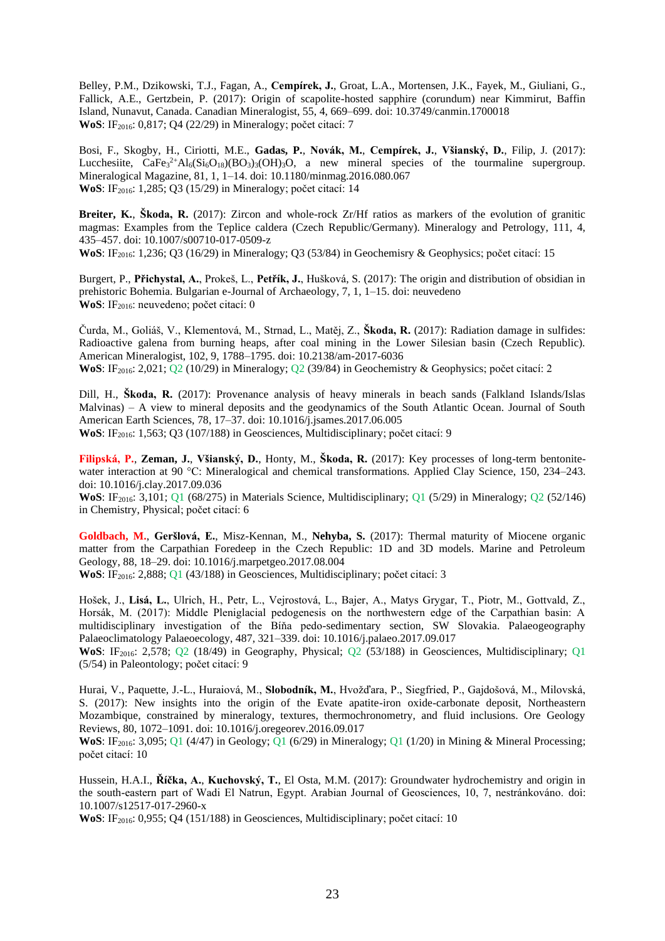Belley, P.M., Dzikowski, T.J., Fagan, A., **Cempírek, J.**, Groat, L.A., Mortensen, J.K., Fayek, M., Giuliani, G., Fallick, A.E., Gertzbein, P. (2017): Origin of scapolite-hosted sapphire (corundum) near Kimmirut, Baffin Island, Nunavut, Canada. Canadian Mineralogist, 55, 4, 669–699. doi: 10.3749/canmin.1700018 **WoS**: IF2016: 0,817; Q4 (22/29) in Mineralogy; počet citací: 7

Bosi, F., Skogby, H., Ciriotti, M.E., **Gadas, P.**, **Novák, M.**, **Cempírek, J.**, **Všianský, D.**, Filip, J. (2017): Lucchesiite,  $CaFe<sub>3</sub><sup>2+</sup>Al<sub>6</sub>(Si<sub>6</sub>O<sub>18</sub>)(BO<sub>3</sub>)<sub>3</sub>(OH)<sub>3</sub>O$ , a new mineral species of the tourmaline supergroup. Mineralogical Magazine, 81, 1, 1–14. doi: 10.1180/minmag.2016.080.067 **WoS**: IF2016: 1,285; Q3 (15/29) in Mineralogy; počet citací: 14

**Breiter, K.**, **Škoda, R.** (2017): Zircon and whole-rock Zr/Hf ratios as markers of the evolution of granitic magmas: Examples from the Teplice caldera (Czech Republic/Germany). Mineralogy and Petrology, 111, 4, 435–457. doi: 10.1007/s00710-017-0509-z

**WoS**: IF2016: 1,236; Q3 (16/29) in Mineralogy; Q3 (53/84) in Geochemisry & Geophysics; počet citací: 15

Burgert, P., **Přichystal, A.**, Prokeš, L., **Petřík, J.**, Hušková, S. (2017): The origin and distribution of obsidian in prehistoric Bohemia. Bulgarian e-Journal of Archaeology, 7, 1, 1–15. doi: neuvedeno WoS: IF<sub>2016</sub>: neuvedeno; počet citací: 0

Čurda, M., Goliáš, V., Klementová, M., Strnad, L., Matěj, Z., **Škoda, R.** (2017): Radiation damage in sulfides: Radioactive galena from burning heaps, after coal mining in the Lower Silesian basin (Czech Republic). American Mineralogist, 102, 9, 1788–1795. doi: 10.2138/am-2017-6036 **WoS**: IF2016: 2,021; Q2 (10/29) in Mineralogy; Q2 (39/84) in Geochemistry & Geophysics; počet citací: 2

Dill, H., **Škoda, R.** (2017): Provenance analysis of heavy minerals in beach sands (Falkland Islands/Islas Malvinas) – A view to mineral deposits and the geodynamics of the South Atlantic Ocean. Journal of South American Earth Sciences, 78, 17–37. doi: 10.1016/j.jsames.2017.06.005 **WoS**: IF2016: 1,563; Q3 (107/188) in Geosciences, Multidisciplinary; počet citací: 9

**Filipská, P.**, **Zeman, J.**, **Všianský, D.**, Honty, M., **Škoda, R.** (2017): Key processes of long-term bentonitewater interaction at 90 °C: Mineralogical and chemical transformations. Applied Clay Science, 150, 234–243. doi: 10.1016/j.clay.2017.09.036

**WoS**: IF2016: 3,101; Q1 (68/275) in Materials Science, Multidisciplinary; Q1 (5/29) in Mineralogy; Q2 (52/146) in Chemistry, Physical; počet citací: 6

**Goldbach, M.**, **Geršlová, E.**, Misz-Kennan, M., **Nehyba, S.** (2017): Thermal maturity of Miocene organic matter from the Carpathian Foredeep in the Czech Republic: 1D and 3D models. Marine and Petroleum Geology, 88, 18–29. doi: 10.1016/j.marpetgeo.2017.08.004

**WoS**: IF2016: 2,888; Q1 (43/188) in Geosciences, Multidisciplinary; počet citací: 3

Hošek, J., **Lisá, L.**, Ulrich, H., Petr, L., Vejrostová, L., Bajer, A., Matys Grygar, T., Piotr, M., Gottvald, Z., Horsák, M. (2017): Middle Pleniglacial pedogenesis on the northwestern edge of the Carpathian basin: A multidisciplinary investigation of the Bíňa pedo-sedimentary section, SW Slovakia. Palaeogeography Palaeoclimatology Palaeoecology, 487, 321–339. doi: 10.1016/j.palaeo.2017.09.017

**WoS**: IF2016: 2,578; Q2 (18/49) in Geography, Physical; Q2 (53/188) in Geosciences, Multidisciplinary; Q1 (5/54) in Paleontology; počet citací: 9

Hurai, V., Paquette, J.-L., Huraiová, M., **Slobodník, M.**, Hvožďara, P., Siegfried, P., Gajdošová, M., Milovská, S. (2017): New insights into the origin of the Evate apatite-iron oxide-carbonate deposit, Northeastern Mozambique, constrained by mineralogy, textures, thermochronometry, and fluid inclusions. Ore Geology Reviews, 80, 1072–1091. doi: 10.1016/j.oregeorev.2016.09.017

**WoS**: IF2016: 3,095; Q1 (4/47) in Geology; Q1 (6/29) in Mineralogy; Q1 (1/20) in Mining & Mineral Processing; počet citací: 10

Hussein, H.A.I., **Říčka, A.**, **Kuchovský, T.**, El Osta, M.M. (2017): Groundwater hydrochemistry and origin in the south-eastern part of Wadi El Natrun, Egypt. Arabian Journal of Geosciences, 10, 7, nestránkováno. doi: 10.1007/s12517-017-2960-x

**WoS**: IF2016: 0,955; Q4 (151/188) in Geosciences, Multidisciplinary; počet citací: 10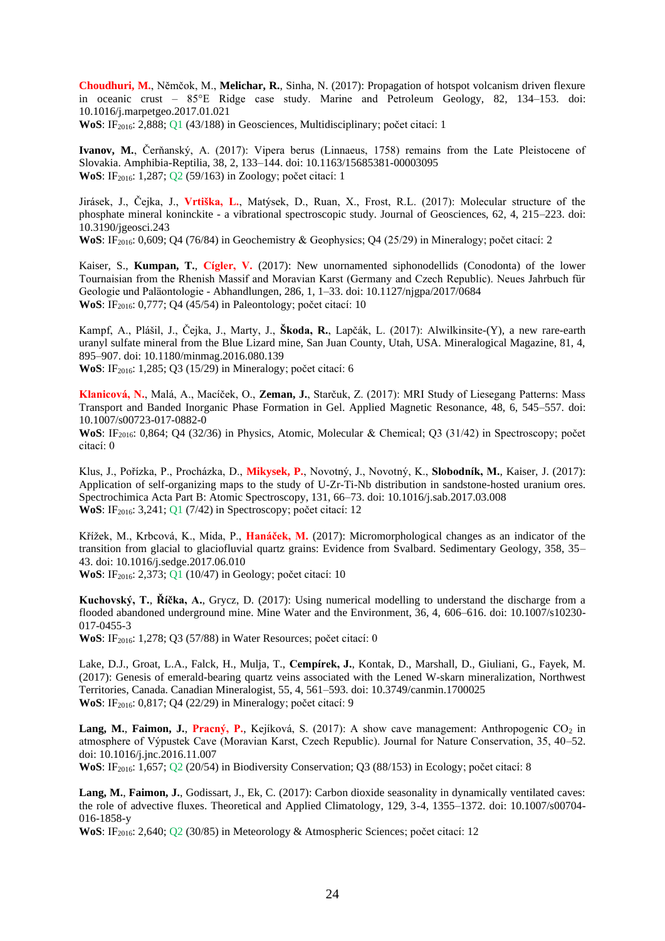**Choudhuri, M.**, Němčok, M., **Melichar, R.**, Sinha, N. (2017): Propagation of hotspot volcanism driven flexure in oceanic crust – 85°E Ridge case study. Marine and Petroleum Geology, 82, 134–153. doi: 10.1016/j.marpetgeo.2017.01.021

WoS: IF<sub>2016</sub>: 2,888; Q1 (43/188) in Geosciences, Multidisciplinary; počet citací: 1

**Ivanov, M.**, Čerňanský, A. (2017): Vipera berus (Linnaeus, 1758) remains from the Late Pleistocene of Slovakia. Amphibia-Reptilia, 38, 2, 133–144. doi: 10.1163/15685381-00003095 **WoS**: IF2016: 1,287; Q2 (59/163) in Zoology; počet citací: 1

Jirásek, J., Čejka, J., **Vrtiška, L.**, Matýsek, D., Ruan, X., Frost, R.L. (2017): Molecular structure of the phosphate mineral koninckite - a vibrational spectroscopic study. Journal of Geosciences, 62, 4, 215–223. doi: 10.3190/jgeosci.243

**WoS**: IF2016: 0,609; Q4 (76/84) in Geochemistry & Geophysics; Q4 (25/29) in Mineralogy; počet citací: 2

Kaiser, S., **Kumpan, T.**, **Cígler, V.** (2017): New unornamented siphonodellids (Conodonta) of the lower Tournaisian from the Rhenish Massif and Moravian Karst (Germany and Czech Republic). Neues Jahrbuch für Geologie und Paläontologie - Abhandlungen, 286, 1, 1–33. doi: 10.1127/njgpa/2017/0684 **WoS**: IF<sub>2016</sub>: 0,777; Q4 (45/54) in Paleontology; počet citací: 10

Kampf, A., Plášil, J., Čejka, J., Marty, J., **Škoda, R.**, Lapčák, L. (2017): Alwilkinsite-(Y), a new rare-earth uranyl sulfate mineral from the Blue Lizard mine, San Juan County, Utah, USA. Mineralogical Magazine, 81, 4, 895–907. doi: 10.1180/minmag.2016.080.139

**WoS**: IF2016: 1,285; Q3 (15/29) in Mineralogy; počet citací: 6

**Klanicová, N.**, Malá, A., Macíček, O., **Zeman, J.**, Starčuk, Z. (2017): MRI Study of Liesegang Patterns: Mass Transport and Banded Inorganic Phase Formation in Gel. Applied Magnetic Resonance, 48, 6, 545–557. doi: 10.1007/s00723-017-0882-0

**WoS**: IF2016: 0,864; Q4 (32/36) in Physics, Atomic, Molecular & Chemical; Q3 (31/42) in Spectroscopy; počet citací: 0

Klus, J., Pořízka, P., Procházka, D., **Mikysek, P.**, Novotný, J., Novotný, K., **Slobodník, M.**, Kaiser, J. (2017): Application of self-organizing maps to the study of U-Zr-Ti-Nb distribution in sandstone-hosted uranium ores. Spectrochimica Acta Part B: Atomic Spectroscopy, 131, 66–73. doi: 10.1016/j.sab.2017.03.008 **WoS**: IF2016: 3,241; Q1 (7/42) in Spectroscopy; počet citací: 12

Křížek, M., Krbcová, K., Mida, P., **Hanáček, M.** (2017): Micromorphological changes as an indicator of the transition from glacial to glaciofluvial quartz grains: Evidence from Svalbard. Sedimentary Geology, 358, 35– 43. doi: 10.1016/j.sedge.2017.06.010

**WoS**: IF2016: 2,373; Q1 (10/47) in Geology; počet citací: 10

**Kuchovský, T.**, **Říčka, A.**, Grycz, D. (2017): Using numerical modelling to understand the discharge from a flooded abandoned underground mine. Mine Water and the Environment, 36, 4, 606–616. doi: 10.1007/s10230- 017-0455-3

**WoS**: IF2016: 1,278; Q3 (57/88) in Water Resources; počet citací: 0

Lake, D.J., Groat, L.A., Falck, H., Mulja, T., **Cempírek, J.**, Kontak, D., Marshall, D., Giuliani, G., Fayek, M. (2017): Genesis of emerald-bearing quartz veins associated with the Lened W-skarn mineralization, Northwest Territories, Canada. Canadian Mineralogist, 55, 4, 561–593. doi: 10.3749/canmin.1700025 **WoS**: IF2016: 0,817; Q4 (22/29) in Mineralogy; počet citací: 9

**Lang, M., Faimon, J., Pracný, P.,** Kejíková, S. (2017): A show cave management: Anthropogenic CO<sub>2</sub> in atmosphere of Výpustek Cave (Moravian Karst, Czech Republic). Journal for Nature Conservation, 35, 40–52. doi: 10.1016/j.jnc.2016.11.007

**WoS**: IF2016: 1,657; Q2 (20/54) in Biodiversity Conservation; Q3 (88/153) in Ecology; počet citací: 8

**Lang, M.**, **Faimon, J.**, Godissart, J., Ek, C. (2017): Carbon dioxide seasonality in dynamically ventilated caves: the role of advective fluxes. Theoretical and Applied Climatology, 129, 3-4, 1355–1372. doi: 10.1007/s00704- 016-1858-y

**WoS**: IF2016: 2,640; Q2 (30/85) in Meteorology & Atmospheric Sciences; počet citací: 12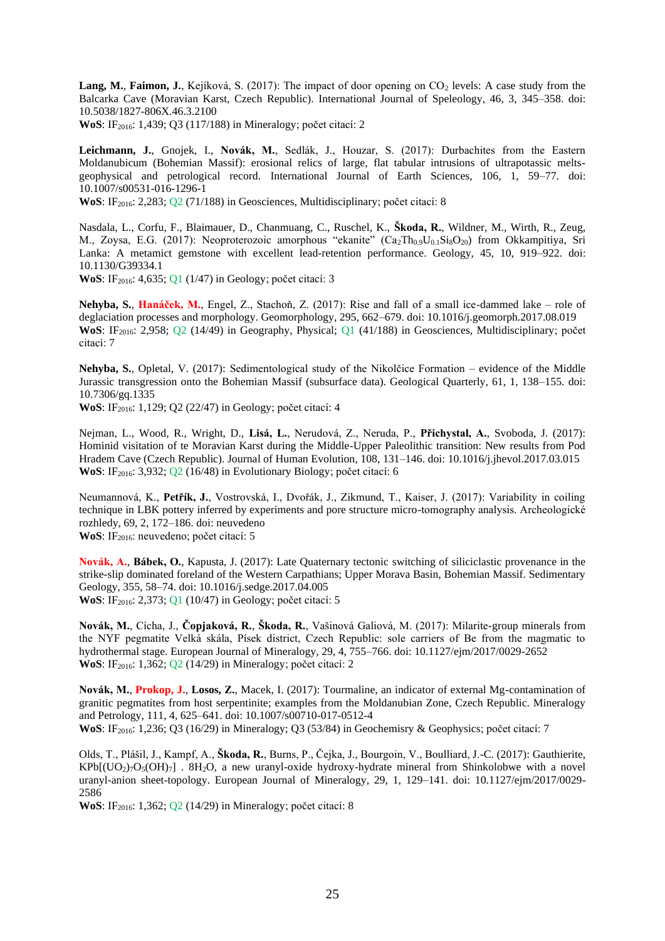Lang, M., Faimon, J., Kejíková, S. (2017): The impact of door opening on CO<sub>2</sub> levels: A case study from the Balcarka Cave (Moravian Karst, Czech Republic). International Journal of Speleology, 46, 3, 345–358. doi: 10.5038/1827-806X.46.3.2100

**WoS**: IF2016: 1,439; Q3 (117/188) in Mineralogy; počet citací: 2

**Leichmann, J.**, Gnojek, I., **Novák, M.**, Sedlák, J., Houzar, S. (2017): Durbachites from the Eastern Moldanubicum (Bohemian Massif): erosional relics of large, flat tabular intrusions of ultrapotassic meltsgeophysical and petrological record. International Journal of Earth Sciences, 106, 1, 59–77. doi: 10.1007/s00531-016-1296-1

**WoS**: IF2016: 2,283; Q2 (71/188) in Geosciences, Multidisciplinary; počet citací: 8

Nasdala, L., Corfu, F., Blaimauer, D., Chanmuang, C., Ruschel, K., **Škoda, R.**, Wildner, M., Wirth, R., Zeug, M., Zoysa, E.G. (2017): Neoproterozoic amorphous "ekanite" (Ca<sub>2</sub>Th<sub>0.9</sub>U<sub>0.1</sub>Si<sub>8</sub>O<sub>20</sub>) from Okkampitiya, Sri Lanka: A metamict gemstone with excellent lead-retention performance. Geology, 45, 10, 919–922. doi: 10.1130/G39334.1

**WoS**: IF2016: 4,635; Q1 (1/47) in Geology; počet citací: 3

**Nehyba, S.**, **Hanáček, M.**, Engel, Z., Stachoň, Z. (2017): Rise and fall of a small ice-dammed lake – role of deglaciation processes and morphology. Geomorphology, 295, 662–679. doi: 10.1016/j.geomorph.2017.08.019 **WoS**: IF2016: 2,958; Q2 (14/49) in Geography, Physical; Q1 (41/188) in Geosciences, Multidisciplinary; počet citací: 7

**Nehyba, S.**, Opletal, V. (2017): Sedimentological study of the Nikolčice Formation – evidence of the Middle Jurassic transgression onto the Bohemian Massif (subsurface data). Geological Quarterly, 61, 1, 138–155. doi: 10.7306/gq.1335

**WoS**: IF2016: 1,129; Q2 (22/47) in Geology; počet citací: 4

Nejman, L., Wood, R., Wright, D., **Lisá, L.**, Nerudová, Z., Neruda, P., **Přichystal, A.**, Svoboda, J. (2017): Hominid visitation of te Moravian Karst during the Middle-Upper Paleolithic transition: New results from Pod Hradem Cave (Czech Republic). Journal of Human Evolution, 108, 131–146. doi: 10.1016/j.jhevol.2017.03.015 **WoS**: IF2016: 3,932; Q2 (16/48) in Evolutionary Biology; počet citací: 6

Neumannová, K., **Petřík, J.**, Vostrovská, I., Dvořák, J., Zikmund, T., Kaiser, J. (2017): Variability in coiling technique in LBK pottery inferred by experiments and pore structure micro-tomography analysis. Archeologické rozhledy, 69, 2, 172–186. doi: neuvedeno

**WoS**: IF2016: neuvedeno; počet citací: 5

**Novák, A.**, **Bábek, O.**, Kapusta, J. (2017): Late Quaternary tectonic switching of siliciclastic provenance in the strike-slip dominated foreland of the Western Carpathians; Upper Morava Basin, Bohemian Massif. Sedimentary Geology, 355, 58–74. doi: 10.1016/j.sedge.2017.04.005 **WoS**: IF2016: 2,373; Q1 (10/47) in Geology; počet citací: 5

**Novák, M.**, Cícha, J., **Čopjaková, R.**, **Škoda, R.**, Vašinová Galiová, M. (2017): Milarite-group minerals from the NYF pegmatite Velká skála, Písek district, Czech Republic: sole carriers of Be from the magmatic to hydrothermal stage. European Journal of Mineralogy, 29, 4, 755–766. doi: 10.1127/ejm/2017/0029-2652 **WoS**: IF2016: 1,362; Q2 (14/29) in Mineralogy; počet citací: 2

**Novák, M.**, **Prokop, J.**, **Losos, Z.**, Macek, I. (2017): Tourmaline, an indicator of external Mg-contamination of granitic pegmatites from host serpentinite; examples from the Moldanubian Zone, Czech Republic. Mineralogy and Petrology, 111, 4, 625–641. doi: 10.1007/s00710-017-0512-4 **WoS**: IF2016: 1,236; Q3 (16/29) in Mineralogy; Q3 (53/84) in Geochemisry & Geophysics; počet citací: 7

Olds, T., Plášil, J., Kampf, A., **Škoda, R.**, Burns, P., Čejka, J., Bourgoin, V., Boulliard, J.-C. (2017): Gauthierite,  $KPb[(UO<sub>2</sub>)/O<sub>5</sub>(OH)<sub>7</sub>]$ . 8H<sub>2</sub>O, a new uranyl-oxide hydroxy-hydrate mineral from Shinkolobwe with a novel uranyl-anion sheet-topology. European Journal of Mineralogy, 29, 1, 129–141. doi: 10.1127/ejm/2017/0029- 2586

**WoS**: IF2016: 1,362; Q2 (14/29) in Mineralogy; počet citací: 8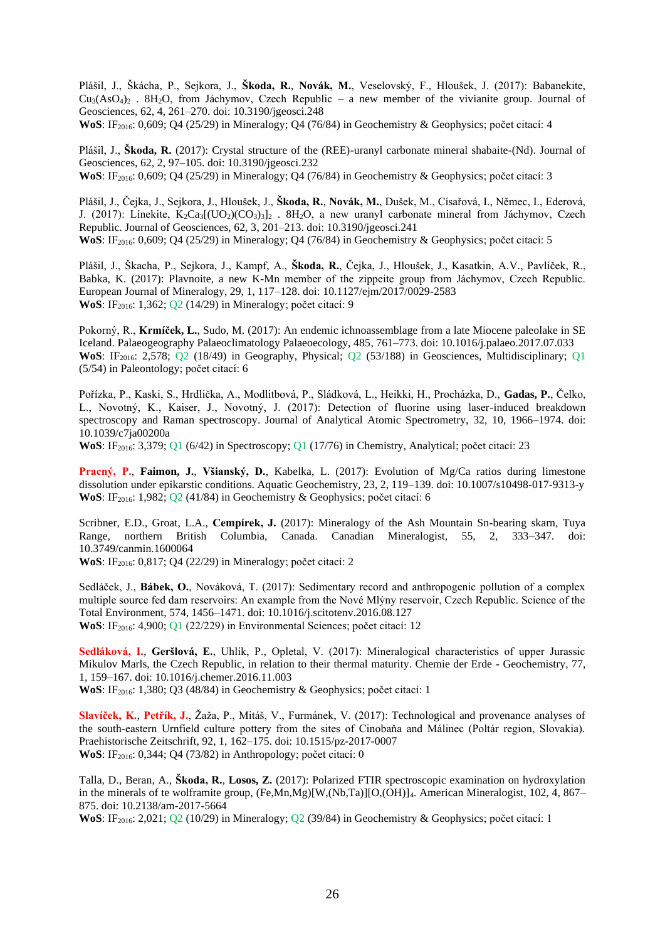Plášil, J., Škácha, P., Sejkora, J., **Škoda, R.**, **Novák, M.**, Veselovský, F., Hloušek, J. (2017): Babanekite,  $Cu<sub>3</sub>(AsO<sub>4</sub>)<sub>2</sub>$ . 8H<sub>2</sub>O, from Jáchymov, Czech Republic – a new member of the vivianite group. Journal of Geosciences, 62, 4, 261–270. doi: 10.3190/jgeosci.248

**WoS**: IF2016: 0,609; Q4 (25/29) in Mineralogy; Q4 (76/84) in Geochemistry & Geophysics; počet citací: 4

Plášil, J., **Škoda, R.** (2017): Crystal structure of the (REE)-uranyl carbonate mineral shabaite-(Nd). Journal of Geosciences, 62, 2, 97–105. doi: 10.3190/jgeosci.232 **WoS**: IF2016: 0,609; Q4 (25/29) in Mineralogy; Q4 (76/84) in Geochemistry & Geophysics; počet citací: 3

Plášil, J., Čejka, J., Sejkora, J., Hloušek, J., **Škoda, R.**, **Novák, M.**, Dušek, M., Císařová, I., Němec, I., Ederová, J. (2017): Línekite,  $K_2Ca_3[(UO_2)(CO_3)_3]_2$ . 8H<sub>2</sub>O, a new uranyl carbonate mineral from Jáchymov, Czech Republic. Journal of Geosciences, 62, 3, 201–213. doi: 10.3190/jgeosci.241 **WoS**: IF2016: 0,609; Q4 (25/29) in Mineralogy; Q4 (76/84) in Geochemistry & Geophysics; počet citací: 5

Plášil, J., Škacha, P., Sejkora, J., Kampf, A., **Škoda, R.**, Čejka, J., Hloušek, J., Kasatkin, A.V., Pavlíček, R., Babka, K. (2017): Plavnoite, a new K-Mn member of the zippeite group from Jáchymov, Czech Republic. European Journal of Mineralogy, 29, 1, 117–128. doi: 10.1127/ejm/2017/0029-2583 **WoS**: IF2016: 1,362; Q2 (14/29) in Mineralogy; počet citací: 9

Pokorný, R., **Krmíček, L.**, Sudo, M. (2017): An endemic ichnoassemblage from a late Miocene paleolake in SE Iceland. Palaeogeography Palaeoclimatology Palaeoecology, 485, 761–773. doi: 10.1016/j.palaeo.2017.07.033 **WoS**: IF2016: 2,578; Q2 (18/49) in Geography, Physical; Q2 (53/188) in Geosciences, Multidisciplinary; Q1 (5/54) in Paleontology; počet citací: 6

Pořízka, P., Kaski, S., Hrdlička, A., Modlitbová, P., Sládková, L., Heikki, H., Procházka, D., **Gadas, P.**, Čelko, L., Novotný, K., Kaiser, J., Novotný, J. (2017): Detection of fluorine using laser-induced breakdown spectroscopy and Raman spectroscopy. Journal of Analytical Atomic Spectrometry, 32, 10, 1966–1974. doi: 10.1039/c7ja00200a

**WoS**: IF2016: 3,379; Q1 (6/42) in Spectroscopy; Q1 (17/76) in Chemistry, Analytical; počet citací: 23

**Pracný, P.**, **Faimon, J.**, **Všianský, D.**, Kabelka, L. (2017): Evolution of Mg/Ca ratios during limestone dissolution under epikarstic conditions. Aquatic Geochemistry, 23, 2, 119–139. doi: 10.1007/s10498-017-9313-y **WoS**: IF2016: 1,982; Q2 (41/84) in Geochemistry & Geophysics; počet citací: 6

Scribner, E.D., Groat, L.A., **Cempírek, J.** (2017): Mineralogy of the Ash Mountain Sn-bearing skarn, Tuya Range, northern British Columbia, Canada. Canadian Mineralogist, 55, 2, 333–347. doi: 10.3749/canmin.1600064

**WoS**: IF2016: 0,817; Q4 (22/29) in Mineralogy; počet citací: 2

Sedláček, J., **Bábek, O.**, Nováková, T. (2017): Sedimentary record and anthropogenic pollution of a complex multiple source fed dam reservoirs: An example from the Nové Mlýny reservoir, Czech Republic. Science of the Total Environment, 574, 1456–1471. doi: 10.1016/j.scitotenv.2016.08.127 **WoS**: IF2016: 4,900; Q1 (22/229) in Environmental Sciences; počet citací: 12

**Sedláková, I.**, **Geršlová, E.**, Uhlík, P., Opletal, V. (2017): Mineralogical characteristics of upper Jurassic Mikulov Marls, the Czech Republic, in relation to their thermal maturity. Chemie der Erde - Geochemistry, 77, 1, 159–167. doi: 10.1016/j.chemer.2016.11.003

**WoS**: IF2016: 1,380; Q3 (48/84) in Geochemistry & Geophysics; počet citací: 1

**Slavíček, K.**, **Petřík, J.**, Žaža, P., Mitáš, V., Furmánek, V. (2017): Technological and provenance analyses of the south-eastern Urnfield culture pottery from the sites of Cinobaňa and Málinec (Poltár region, Slovakia). Praehistorische Zeitschrift, 92, 1, 162–175. doi: 10.1515/pz-2017-0007 **WoS**: IF2016: 0,344; Q4 (73/82) in Anthropology; počet citací: 0

Talla, D., Beran, A., **Škoda, R.**, **Losos, Z.** (2017): Polarized FTIR spectroscopic examination on hydroxylation in the minerals of te wolframite group, (Fe,Mn,Mg)[W,(Nb,Ta)][O,(OH)]4. American Mineralogist, 102, 4, 867– 875. doi: 10.2138/am-2017-5664

**WoS**: IF2016: 2,021; Q2 (10/29) in Mineralogy; Q2 (39/84) in Geochemistry & Geophysics; počet citací: 1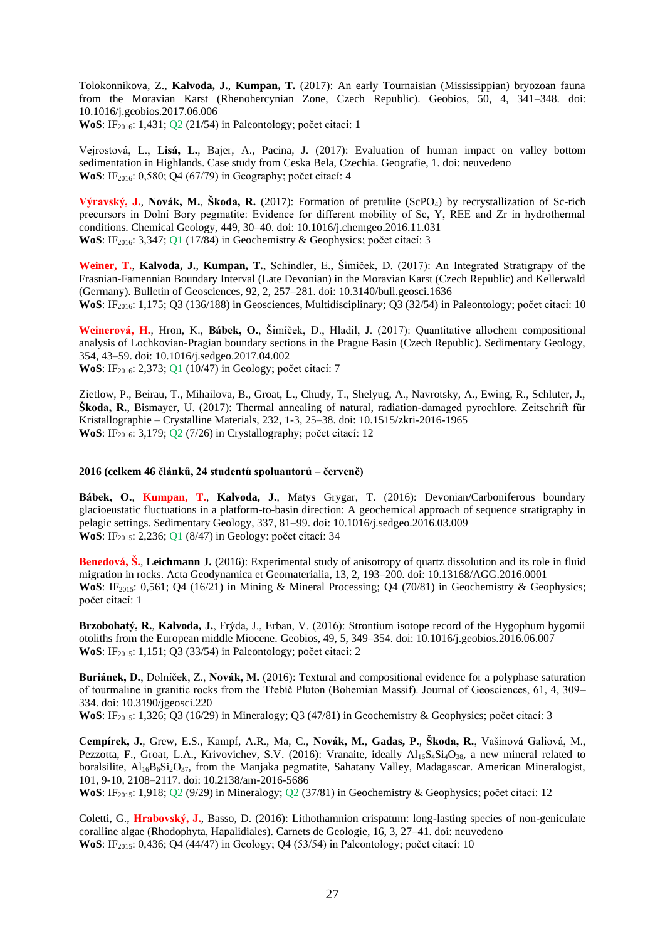Tolokonnikova, Z., **Kalvoda, J.**, **Kumpan, T.** (2017): An early Tournaisian (Mississippian) bryozoan fauna from the Moravian Karst (Rhenohercynian Zone, Czech Republic). Geobios, 50, 4, 341–348. doi: 10.1016/j.geobios.2017.06.006

**WoS**: IF2016: 1,431; Q2 (21/54) in Paleontology; počet citací: 1

Vejrostová, L., **Lisá, L.**, Bajer, A., Pacina, J. (2017): Evaluation of human impact on valley bottom sedimentation in Highlands. Case study from Ceska Bela, Czechia. Geografie, 1. doi: neuvedeno **WoS**: IF2016: 0,580; Q4 (67/79) in Geography; počet citací: 4

**Výravský, J.**, **Novák, M.**, **Škoda, R.** (2017): Formation of pretulite (ScPO4) by recrystallization of Sc-rich precursors in Dolní Bory pegmatite: Evidence for different mobility of Sc, Y, REE and Zr in hydrothermal conditions. Chemical Geology, 449, 30–40. doi: 10.1016/j.chemgeo.2016.11.031 WoS: IF<sub>2016</sub>: 3,347; Q1 (17/84) in Geochemistry & Geophysics; počet citací: 3

**Weiner, T.**, **Kalvoda, J.**, **Kumpan, T.**, Schindler, E., Šimíček, D. (2017): An Integrated Stratigrapy of the Frasnian-Famennian Boundary Interval (Late Devonian) in the Moravian Karst (Czech Republic) and Kellerwald (Germany). Bulletin of Geosciences, 92, 2, 257–281. doi: 10.3140/bull.geosci.1636 **WoS**: IF2016: 1,175; Q3 (136/188) in Geosciences, Multidisciplinary; Q3 (32/54) in Paleontology; počet citací: 10

**Weinerová, H.**, Hron, K., **Bábek, O.**, Šimíček, D., Hladil, J. (2017): Quantitative allochem compositional analysis of Lochkovian-Pragian boundary sections in the Prague Basin (Czech Republic). Sedimentary Geology, 354, 43–59. doi: 10.1016/j.sedgeo.2017.04.002 **WoS**: IF2016: 2,373; Q1 (10/47) in Geology; počet citací: 7

Zietlow, P., Beirau, T., Mihailova, B., Groat, L., Chudy, T., Shelyug, A., Navrotsky, A., Ewing, R., Schluter, J., **Škoda, R.**, Bismayer, U. (2017): Thermal annealing of natural, radiation-damaged pyrochlore. Zeitschrift für Kristallographie – Crystalline Materials, 232, 1-3, 25–38. doi: 10.1515/zkri-2016-1965 **WoS**: IF2016: 3,179; Q2 (7/26) in Crystallography; počet citací: 12

### **2016 (celkem 46 článků, 24 studentů spoluautorů – červeně)**

**Bábek, O.**, **Kumpan, T.**, **Kalvoda, J.**, Matys Grygar, T. (2016): Devonian/Carboniferous boundary glacioeustatic fluctuations in a platform-to-basin direction: A geochemical approach of sequence stratigraphy in pelagic settings. Sedimentary Geology, 337, 81–99. doi: 10.1016/j.sedgeo.2016.03.009 **WoS**: IF2015: 2,236; Q1 (8/47) in Geology; počet citací: 34

**Benedová, Š.**, **Leichmann J.** (2016): Experimental study of anisotropy of quartz dissolution and its role in fluid migration in rocks. Acta Geodynamica et Geomaterialia, 13, 2, 193–200. doi: 10.13168/AGG.2016.0001 **WoS**: IF2015: 0,561; Q4 (16/21) in Mining & Mineral Processing; Q4 (70/81) in Geochemistry & Geophysics; počet citací: 1

**Brzobohatý, R.**, **Kalvoda, J.**, Frýda, J., Erban, V. (2016): Strontium isotope record of the Hygophum hygomii otoliths from the European middle Miocene. Geobios, 49, 5, 349–354. doi: 10.1016/j.geobios.2016.06.007 **WoS**: IF2015: 1,151; Q3 (33/54) in Paleontology; počet citací: 2

**Buriánek, D.**, Dolníček, Z., **Novák, M.** (2016): Textural and compositional evidence for a polyphase saturation of tourmaline in granitic rocks from the Třebíč Pluton (Bohemian Massif). Journal of Geosciences, 61, 4, 309– 334. doi: 10.3190/jgeosci.220

**WoS**: IF2015: 1,326; Q3 (16/29) in Mineralogy; Q3 (47/81) in Geochemistry & Geophysics; počet citací: 3

**Cempírek, J.**, Grew, E.S., Kampf, A.R., Ma, C., **Novák, M.**, **Gadas, P.**, **Škoda, R.**, Vašinová Galiová, M., Pezzotta, F., Groat, L.A., Krivovichev, S.V. (2016): Vranaite, ideally Al<sub>16</sub>S<sub>4</sub>Si<sub>4</sub>O<sub>38</sub>, a new mineral related to boralsilite,  $Al_{16}B_6Si_2O_{37}$ , from the Manjaka pegmatite, Sahatany Valley, Madagascar. American Mineralogist, 101, 9-10, 2108–2117. doi: 10.2138/am-2016-5686

**WoS**: IF2015: 1,918; Q2 (9/29) in Mineralogy; Q2 (37/81) in Geochemistry & Geophysics; počet citací: 12

Coletti, G., **Hrabovský, J.**, Basso, D. (2016): Lithothamnion crispatum: long-lasting species of non-geniculate coralline algae (Rhodophyta, Hapalidiales). Carnets de Geologie, 16, 3, 27–41. doi: neuvedeno **WoS**: IF<sub>2015</sub>: 0,436; Q4 (44/47) in Geology; Q4 (53/54) in Paleontology; počet citací: 10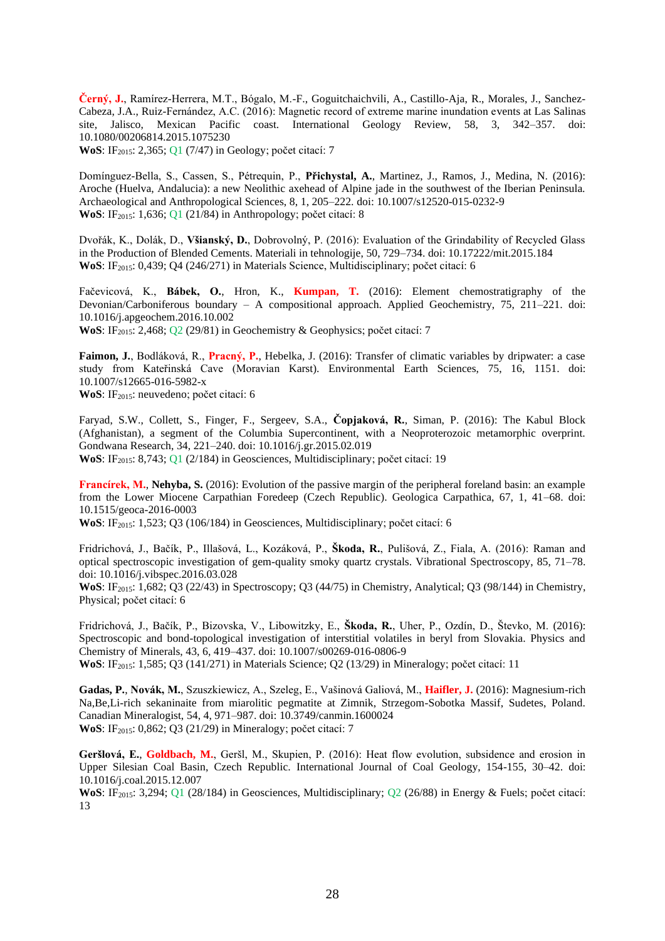**Černý, J.**, Ramírez-Herrera, M.T., Bógalo, M.-F., Goguitchaichvili, A., Castillo-Aja, R., Morales, J., Sanchez-Cabeza, J.A., Ruiz-Fernández, A.C. (2016): Magnetic record of extreme marine inundation events at Las Salinas site, Jalisco, Mexican Pacific coast. International Geology Review, 58, 3, 342–357. doi: 10.1080/00206814.2015.1075230

**WoS**: IF2015: 2,365; Q1 (7/47) in Geology; počet citací: 7

Domínguez-Bella, S., Cassen, S., Pétrequin, P., **Přichystal, A.**, Martinez, J., Ramos, J., Medina, N. (2016): Aroche (Huelva, Andalucia): a new Neolithic axehead of Alpine jade in the southwest of the Iberian Peninsula. Archaeological and Anthropological Sciences, 8, 1, 205–222. doi: 10.1007/s12520-015-0232-9 **WoS**: IF2015: 1,636; Q1 (21/84) in Anthropology; počet citací: 8

Dvořák, K., Dolák, D., **Všianský, D.**, Dobrovolný, P. (2016): Evaluation of the Grindability of Recycled Glass in the Production of Blended Cements. Materiali in tehnologije, 50, 729–734. doi: 10.17222/mit.2015.184 **WoS**: IF2015: 0,439; Q4 (246/271) in Materials Science, Multidisciplinary; počet citací: 6

Fačevicová, K., **Bábek, O.**, Hron, K., **Kumpan, T.** (2016): Element chemostratigraphy of the Devonian/Carboniferous boundary – A compositional approach. Applied Geochemistry, 75, 211–221. doi: 10.1016/j.apgeochem.2016.10.002

**WoS**: IF2015: 2,468; Q2 (29/81) in Geochemistry & Geophysics; počet citací: 7

**Faimon, J.**, Bodláková, R., **Pracný, P.**, Hebelka, J. (2016): Transfer of climatic variables by dripwater: a case study from Kateřinská Cave (Moravian Karst). Environmental Earth Sciences, 75, 16, 1151. doi: 10.1007/s12665-016-5982-x

WoS: IF<sub>2015</sub>: neuvedeno; počet citací: 6

Faryad, S.W., Collett, S., Finger, F., Sergeev, S.A., **Čopjaková, R.**, Siman, P. (2016): The Kabul Block (Afghanistan), a segment of the Columbia Supercontinent, with a Neoproterozoic metamorphic overprint. Gondwana Research, 34, 221–240. doi: 10.1016/j.gr.2015.02.019

**WoS**: IF2015: 8,743; Q1 (2/184) in Geosciences, Multidisciplinary; počet citací: 19

**Francírek, M.**, **Nehyba, S.** (2016): Evolution of the passive margin of the peripheral foreland basin: an example from the Lower Miocene Carpathian Foredeep (Czech Republic). Geologica Carpathica, 67, 1, 41–68. doi: 10.1515/geoca-2016-0003

**WoS**: IF2015: 1,523; Q3 (106/184) in Geosciences, Multidisciplinary; počet citací: 6

Fridrichová, J., Bačík, P., Illašová, L., Kozáková, P., **Škoda, R.**, Pulišová, Z., Fiala, A. (2016): Raman and optical spectroscopic investigation of gem-quality smoky quartz crystals. Vibrational Spectroscopy, 85, 71–78. doi: 10.1016/j.vibspec.2016.03.028

**WoS**: IF2015: 1,682; Q3 (22/43) in Spectroscopy; Q3 (44/75) in Chemistry, Analytical; Q3 (98/144) in Chemistry, Physical; počet citací: 6

Fridrichová, J., Bačík, P., Bizovska, V., Libowitzky, E., **Škoda, R.**, Uher, P., Ozdín, D., Števko, M. (2016): Spectroscopic and bond-topological investigation of interstitial volatiles in beryl from Slovakia. Physics and Chemistry of Minerals, 43, 6, 419–437. doi: 10.1007/s00269-016-0806-9

**WoS**: IF2015: 1,585; Q3 (141/271) in Materials Science; Q2 (13/29) in Mineralogy; počet citací: 11

**Gadas, P.**, **Novák, M.**, Szuszkiewicz, A., Szeleg, E., Vašinová Galiová, M., **Haifler, J.** (2016): Magnesium-rich Na,Be,Li-rich sekaninaite from miarolitic pegmatite at Zimnik, Strzegom-Sobotka Massif, Sudetes, Poland. Canadian Mineralogist, 54, 4, 971–987. doi: 10.3749/canmin.1600024 **WoS**: IF2015: 0,862; Q3 (21/29) in Mineralogy; počet citací: 7

**Geršlová, E.**, **Goldbach, M.**, Geršl, M., Skupien, P. (2016): Heat flow evolution, subsidence and erosion in Upper Silesian Coal Basin, Czech Republic. International Journal of Coal Geology, 154-155, 30–42. doi: 10.1016/j.coal.2015.12.007

**WoS**: IF2015: 3,294; Q1 (28/184) in Geosciences, Multidisciplinary; Q2 (26/88) in Energy & Fuels; počet citací: 13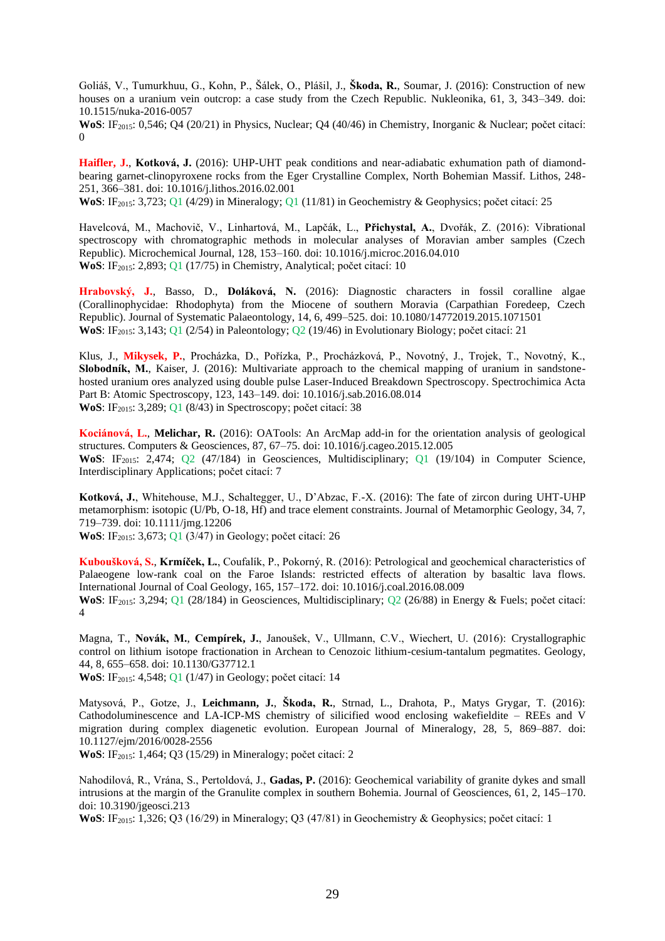Goliáš, V., Tumurkhuu, G., Kohn, P., Šálek, O., Plášil, J., **Škoda, R.**, Soumar, J. (2016): Construction of new houses on a uranium vein outcrop: a case study from the Czech Republic. Nukleonika, 61, 3, 343–349. doi: 10.1515/nuka-2016-0057

**WoS**: IF2015: 0,546; Q4 (20/21) in Physics, Nuclear; Q4 (40/46) in Chemistry, Inorganic & Nuclear; počet citací:  $\Omega$ 

**Haifler, J.**, **Kotková, J.** (2016): UHP-UHT peak conditions and near-adiabatic exhumation path of diamondbearing garnet-clinopyroxene rocks from the Eger Crystalline Complex, North Bohemian Massif. Lithos, 248- 251, 366–381. doi: 10.1016/j.lithos.2016.02.001

**WoS**: IF2015: 3,723; Q1 (4/29) in Mineralogy; Q1 (11/81) in Geochemistry & Geophysics; počet citací: 25

Havelcová, M., Machovič, V., Linhartová, M., Lapčák, L., **Přichystal, A.**, Dvořák, Z. (2016): Vibrational spectroscopy with chromatographic methods in molecular analyses of Moravian amber samples (Czech Republic). Microchemical Journal, 128, 153–160. doi: 10.1016/j.microc.2016.04.010 **WoS**: IF2015: 2,893; Q1 (17/75) in Chemistry, Analytical; počet citací: 10

**Hrabovský, J.**, Basso, D., **Doláková, N.** (2016): Diagnostic characters in fossil coralline algae (Corallinophycidae: Rhodophyta) from the Miocene of southern Moravia (Carpathian Foredeep, Czech Republic). Journal of Systematic Palaeontology, 14, 6, 499–525. doi: 10.1080/14772019.2015.1071501 **WoS**: IF2015: 3,143; Q1 (2/54) in Paleontology; Q2 (19/46) in Evolutionary Biology; počet citací: 21

Klus, J., **Mikysek, P.**, Procházka, D., Pořízka, P., Procházková, P., Novotný, J., Trojek, T., Novotný, K., **Slobodník, M.**, Kaiser, J. (2016): Multivariate approach to the chemical mapping of uranium in sandstonehosted uranium ores analyzed using double pulse Laser-Induced Breakdown Spectroscopy. Spectrochimica Acta Part B: Atomic Spectroscopy, 123, 143–149. doi: 10.1016/j.sab.2016.08.014 **WoS**: IF2015: 3,289; Q1 (8/43) in Spectroscopy; počet citací: 38

**Kociánová, L.**, **Melichar, R.** (2016): OATools: An ArcMap add-in for the orientation analysis of geological structures. Computers & Geosciences, 87, 67–75. doi: 10.1016/j.cageo.2015.12.005 WoS: IF<sub>2015</sub>: 2,474; Q2 (47/184) in Geosciences, Multidisciplinary; Q1 (19/104) in Computer Science, Interdisciplinary Applications; počet citací: 7

**Kotková, J.**, Whitehouse, M.J., Schaltegger, U., D'Abzac, F.-X. (2016): The fate of zircon during UHT-UHP metamorphism: isotopic (U/Pb, O-18, Hf) and trace element constraints. Journal of Metamorphic Geology, 34, 7, 719–739. doi: 10.1111/jmg.12206

**WoS**: IF2015: 3,673; Q1 (3/47) in Geology; počet citací: 26

**Kuboušková, S.**, **Krmíček, L.**, Coufalík, P., Pokorný, R. (2016): Petrological and geochemical characteristics of Palaeogene low-rank coal on the Faroe Islands: restricted effects of alteration by basaltic lava flows. International Journal of Coal Geology, 165, 157–172. doi: 10.1016/j.coal.2016.08.009 **WoS**: IF2015: 3,294; Q1 (28/184) in Geosciences, Multidisciplinary; Q2 (26/88) in Energy & Fuels; počet citací: 4

Magna, T., **Novák, M.**, **Cempírek, J.**, Janoušek, V., Ullmann, C.V., Wiechert, U. (2016): Crystallographic control on lithium isotope fractionation in Archean to Cenozoic lithium-cesium-tantalum pegmatites. Geology, 44, 8, 655–658. doi: 10.1130/G37712.1

**WoS**: IF2015: 4,548; Q1 (1/47) in Geology; počet citací: 14

Matysová, P., Gotze, J., **Leichmann, J.**, **Škoda, R.**, Strnad, L., Drahota, P., Matys Grygar, T. (2016): Cathodoluminescence and LA-ICP-MS chemistry of silicified wood enclosing wakefieldite – REEs and V migration during complex diagenetic evolution. European Journal of Mineralogy, 28, 5, 869–887. doi: 10.1127/ejm/2016/0028-2556

**WoS**: IF2015: 1,464; Q3 (15/29) in Mineralogy; počet citací: 2

Nahodilová, R., Vrána, S., Pertoldová, J., **Gadas, P.** (2016): Geochemical variability of granite dykes and small intrusions at the margin of the Granulite complex in southern Bohemia. Journal of Geosciences, 61, 2, 145–170. doi: 10.3190/jgeosci.213

**WoS**: IF2015: 1,326; Q3 (16/29) in Mineralogy; Q3 (47/81) in Geochemistry & Geophysics; počet citací: 1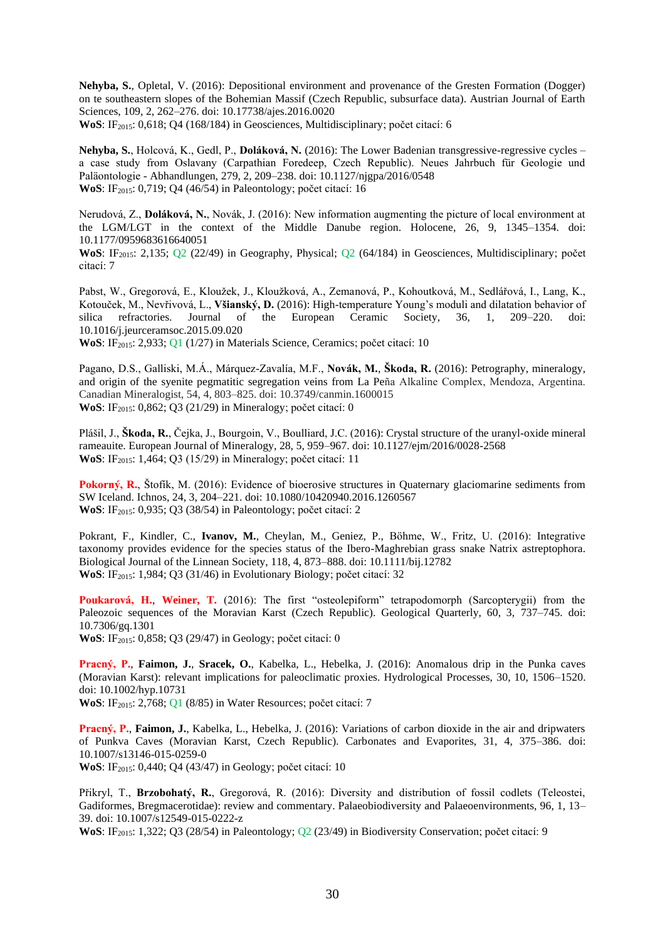**Nehyba, S.**, Opletal, V. (2016): Depositional environment and provenance of the Gresten Formation (Dogger) on te southeastern slopes of the Bohemian Massif (Czech Republic, subsurface data). Austrian Journal of Earth Sciences, 109, 2, 262–276. doi: 10.17738/ajes.2016.0020 **WoS**: IF2015: 0,618; Q4 (168/184) in Geosciences, Multidisciplinary; počet citací: 6

**Nehyba, S.**, Holcová, K., Gedl, P., **Doláková, N.** (2016): The Lower Badenian transgressive-regressive cycles – a case study from Oslavany (Carpathian Foredeep, Czech Republic). Neues Jahrbuch für Geologie und Paläontologie - Abhandlungen, 279, 2, 209–238. doi: 10.1127/njgpa/2016/0548 **WoS**: IF2015: 0,719; Q4 (46/54) in Paleontology; počet citací: 16

Nerudová, Z., **Doláková, N.**, Novák, J. (2016): New information augmenting the picture of local environment at the LGM/LGT in the context of the Middle Danube region. Holocene, 26, 9, 1345–1354. doi: 10.1177/0959683616640051

**WoS**: IF2015: 2,135; Q2 (22/49) in Geography, Physical; Q2 (64/184) in Geosciences, Multidisciplinary; počet citací: 7

Pabst, W., Gregorová, E., Kloužek, J., Kloužková, A., Zemanová, P., Kohoutková, M., Sedlářová, I., Lang, K., Kotouček, M., Nevřivová, L., **Všianský, D.** (2016): High-temperature Young's moduli and dilatation behavior of silica refractories. Journal of the European Ceramic Society, 36, 1, 209–220. doi: 10.1016/j.jeurceramsoc.2015.09.020

**WoS**: IF2015: 2,933; Q1 (1/27) in Materials Science, Ceramics; počet citací: 10

Pagano, D.S., Galliski, M.Á., Márquez-Zavalía, M.F., **Novák, M.**, **Škoda, R.** (2016): Petrography, mineralogy, and origin of the syenite pegmatitic segregation veins from La Peña Alkaline Complex, Mendoza, Argentina. Canadian Mineralogist, 54, 4, 803–825. doi: 10.3749/canmin.1600015 **WoS**: IF2015: 0,862; Q3 (21/29) in Mineralogy; počet citací: 0

Plášil, J., **Škoda, R.**, Čejka, J., Bourgoin, V., Boulliard, J.C. (2016): Crystal structure of the uranyl-oxide mineral rameauite. European Journal of Mineralogy, 28, 5, 959–967. doi: 10.1127/ejm/2016/0028-2568 **WoS**: IF2015: 1,464; Q3 (15/29) in Mineralogy; počet citací: 11

**Pokorný, R.**, Štofík, M. (2016): Evidence of bioerosive structures in Quaternary glaciomarine sediments from SW Iceland. Ichnos, 24, 3, 204–221. doi: 10.1080/10420940.2016.1260567 **WoS**: IF2015: 0,935; Q3 (38/54) in Paleontology; počet citací: 2

Pokrant, F., Kindler, C., **Ivanov, M.**, Cheylan, M., Geniez, P., Böhme, W., Fritz, U. (2016): Integrative taxonomy provides evidence for the species status of the Ibero-Maghrebian grass snake Natrix astreptophora. Biological Journal of the Linnean Society, 118, 4, 873–888. doi: 10.1111/bij.12782 **WoS**: IF2015: 1,984; Q3 (31/46) in Evolutionary Biology; počet citací: 32

**Poukarová, H.**, **Weiner, T.** (2016): The first "osteolepiform" tetrapodomorph (Sarcopterygii) from the Paleozoic sequences of the Moravian Karst (Czech Republic). Geological Quarterly, 60, 3, 737-745. doi: 10.7306/gq.1301

**WoS**: IF2015: 0,858; Q3 (29/47) in Geology; počet citací: 0

**Pracný, P.**, **Faimon, J.**, **Sracek, O.**, Kabelka, L., Hebelka, J. (2016): Anomalous drip in the Punka caves (Moravian Karst): relevant implications for paleoclimatic proxies. Hydrological Processes, 30, 10, 1506–1520. doi: 10.1002/hyp.10731

**WoS**: IF2015: 2,768; Q1 (8/85) in Water Resources; počet citací: 7

**Pracný, P.**, **Faimon, J.**, Kabelka, L., Hebelka, J. (2016): Variations of carbon dioxide in the air and dripwaters of Punkva Caves (Moravian Karst, Czech Republic). Carbonates and Evaporites, 31, 4, 375–386. doi: 10.1007/s13146-015-0259-0

**WoS**: IF<sub>2015</sub>: 0,440; Q4 (43/47) in Geology; počet citací: 10

Přikryl, T., **Brzobohatý, R.**, Gregorová, R. (2016): Diversity and distribution of fossil codlets (Teleostei, Gadiformes, Bregmacerotidae): review and commentary. Palaeobiodiversity and Palaeoenvironments, 96, 1, 13– 39. doi: 10.1007/s12549-015-0222-z

**WoS**: IF2015: 1,322; Q3 (28/54) in Paleontology; Q2 (23/49) in Biodiversity Conservation; počet citací: 9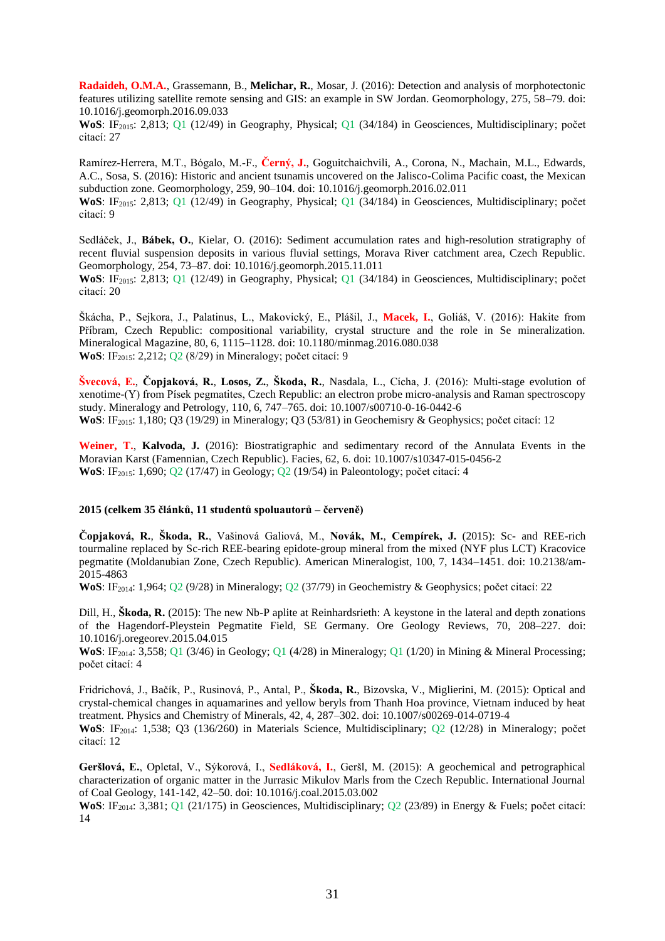**Radaideh, O.M.A.**, Grassemann, B., **Melichar, R.**, Mosar, J. (2016): Detection and analysis of morphotectonic features utilizing satellite remote sensing and GIS: an example in SW Jordan. Geomorphology, 275, 58–79. doi: 10.1016/j.geomorph.2016.09.033

**WoS**: IF2015: 2,813; Q1 (12/49) in Geography, Physical; Q1 (34/184) in Geosciences, Multidisciplinary; počet citací: 27

Ramírez-Herrera, M.T., Bógalo, M.-F., **Černý, J.**, Goguitchaichvili, A., Corona, N., Machain, M.L., Edwards, A.C., Sosa, S. (2016): Historic and ancient tsunamis uncovered on the Jalisco-Colima Pacific coast, the Mexican subduction zone. Geomorphology, 259, 90–104. doi: 10.1016/j.geomorph.2016.02.011

**WoS**: IF2015: 2,813; Q1 (12/49) in Geography, Physical; Q1 (34/184) in Geosciences, Multidisciplinary; počet citací: 9

Sedláček, J., **Bábek, O.**, Kielar, O. (2016): Sediment accumulation rates and high-resolution stratigraphy of recent fluvial suspension deposits in various fluvial settings, Morava River catchment area, Czech Republic. Geomorphology, 254, 73–87. doi: 10.1016/j.geomorph.2015.11.011 WoS: IF<sub>2015</sub>: 2,813; Q1 (12/49) in Geography, Physical; Q1 (34/184) in Geosciences, Multidisciplinary; počet citací: 20

Škácha, P., Sejkora, J., Palatinus, L., Makovický, E., Plášil, J., **Macek, I.**, Goliáš, V. (2016): Hakite from Příbram, Czech Republic: compositional variability, crystal structure and the role in Se mineralization. Mineralogical Magazine, 80, 6, 1115–1128. doi: 10.1180/minmag.2016.080.038 **WoS**: IF<sub>2015</sub>: 2,212; Q2 (8/29) in Mineralogy; počet citací: 9

**Švecová, E.**, **Čopjaková, R.**, **Losos, Z.**, **Škoda, R.**, Nasdala, L., Cícha, J. (2016): Multi-stage evolution of xenotime-(Y) from Písek pegmatites, Czech Republic: an electron probe micro-analysis and Raman spectroscopy study. Mineralogy and Petrology, 110, 6, 747–765. doi: 10.1007/s00710-0-16-0442-6 **WoS**: IF2015: 1,180; Q3 (19/29) in Mineralogy; Q3 (53/81) in Geochemisry & Geophysics; počet citací: 12

**Weiner, T.**, **Kalvoda, J.** (2016): Biostratigraphic and sedimentary record of the Annulata Events in the Moravian Karst (Famennian, Czech Republic). Facies, 62, 6. doi: 10.1007/s10347-015-0456-2 **WoS**: IF2015: 1,690; Q2 (17/47) in Geology; Q2 (19/54) in Paleontology; počet citací: 4

### **2015 (celkem 35 článků, 11 studentů spoluautorů – červeně)**

**Čopjaková, R.**, **Škoda, R.**, Vašinová Galiová, M., **Novák, M.**, **Cempírek, J.** (2015): Sc- and REE-rich tourmaline replaced by Sc-rich REE-bearing epidote-group mineral from the mixed (NYF plus LCT) Kracovice pegmatite (Moldanubian Zone, Czech Republic). American Mineralogist, 100, 7, 1434–1451. doi: 10.2138/am-2015-4863

**WoS**: IF2014: 1,964; Q2 (9/28) in Mineralogy; Q2 (37/79) in Geochemistry & Geophysics; počet citací: 22

Dill, H., **Škoda, R.** (2015): The new Nb-P aplite at Reinhardsrieth: A keystone in the lateral and depth zonations of the Hagendorf-Pleystein Pegmatite Field, SE Germany. Ore Geology Reviews, 70, 208–227. doi: 10.1016/j.oregeorev.2015.04.015

**WoS**: IF2014: 3,558; Q1 (3/46) in Geology; Q1 (4/28) in Mineralogy; Q1 (1/20) in Mining & Mineral Processing; počet citací: 4

Fridrichová, J., Bačík, P., Rusinová, P., Antal, P., **Škoda, R.**, Bizovska, V., Miglierini, M. (2015): Optical and crystal-chemical changes in aquamarines and yellow beryls from Thanh Hoa province, Vietnam induced by heat treatment. Physics and Chemistry of Minerals, 42, 4, 287–302. doi: 10.1007/s00269-014-0719-4 **WoS**: IF2014: 1,538; Q3 (136/260) in Materials Science, Multidisciplinary; Q2 (12/28) in Mineralogy; počet

citací: 12

**Geršlová, E.**, Opletal, V., Sýkorová, I., **Sedláková, I.**, Geršl, M. (2015): A geochemical and petrographical characterization of organic matter in the Jurrasic Mikulov Marls from the Czech Republic. International Journal of Coal Geology, 141-142, 42–50. doi: 10.1016/j.coal.2015.03.002

**WoS**: IF2014: 3,381; Q1 (21/175) in Geosciences, Multidisciplinary; Q2 (23/89) in Energy & Fuels; počet citací: 14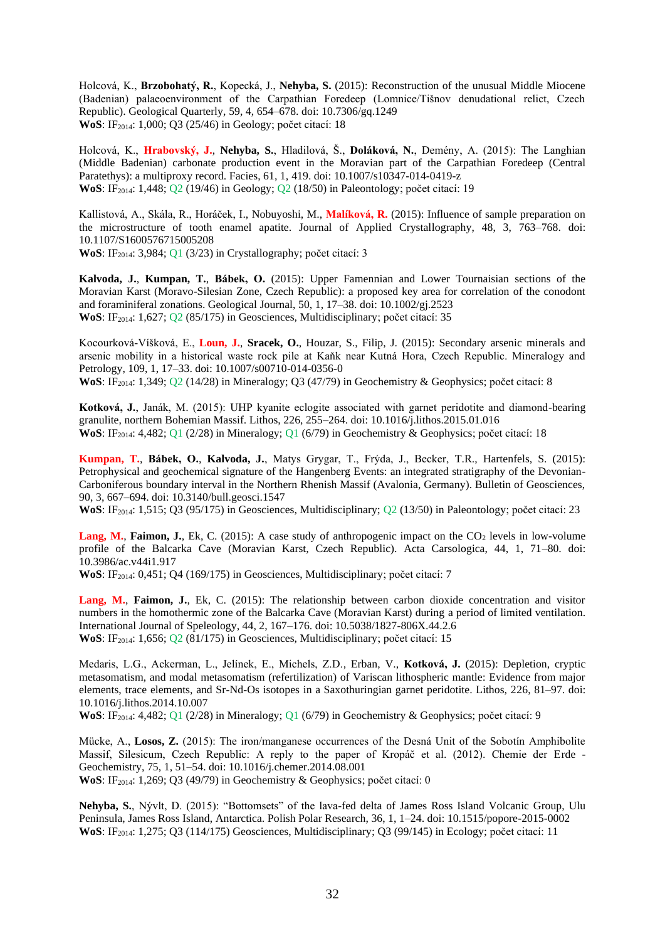Holcová, K., **Brzobohatý, R.**, Kopecká, J., **Nehyba, S.** (2015): Reconstruction of the unusual Middle Miocene (Badenian) palaeoenvironment of the Carpathian Foredeep (Lomnice/Tišnov denudational relict, Czech Republic). Geological Quarterly, 59, 4, 654–678. doi: 10.7306/gq.1249 **WoS**: IF2014: 1,000; Q3 (25/46) in Geology; počet citací: 18

Holcová, K., **Hrabovský, J.**, **Nehyba, S.**, Hladilová, Š., **Doláková, N.**, Demény, A. (2015): The Langhian (Middle Badenian) carbonate production event in the Moravian part of the Carpathian Foredeep (Central Paratethys): a multiproxy record. Facies, 61, 1, 419. doi: 10.1007/s10347-014-0419-z **WoS**: IF2014: 1,448; Q2 (19/46) in Geology; Q2 (18/50) in Paleontology; počet citací: 19

Kallistová, A., Skála, R., Horáček, I., Nobuyoshi, M., **Malíková, R.** (2015): Influence of sample preparation on the microstructure of tooth enamel apatite. Journal of Applied Crystallography, 48, 3, 763–768. doi: 10.1107/S1600576715005208

**WoS**: IF2014: 3,984; Q1 (3/23) in Crystallography; počet citací: 3

**Kalvoda, J.**, **Kumpan, T.**, **Bábek, O.** (2015): Upper Famennian and Lower Tournaisian sections of the Moravian Karst (Moravo-Silesian Zone, Czech Republic): a proposed key area for correlation of the conodont and foraminiferal zonations. Geological Journal, 50, 1, 17–38. doi: 10.1002/gj.2523 WoS: IF<sub>2014</sub>: 1,627; Q2 (85/175) in Geosciences, Multidisciplinary; počet citací: 35

Kocourková-Víšková, E., **Loun, J.**, **Sracek, O.**, Houzar, S., Filip, J. (2015): Secondary arsenic minerals and arsenic mobility in a historical waste rock pile at Kaňk near Kutná Hora, Czech Republic. Mineralogy and Petrology, 109, 1, 17–33. doi: 10.1007/s00710-014-0356-0

**WoS**: IF2014: 1,349; Q2 (14/28) in Mineralogy; Q3 (47/79) in Geochemistry & Geophysics; počet citací: 8

**Kotková, J.**, Janák, M. (2015): UHP kyanite eclogite associated with garnet peridotite and diamond-bearing granulite, northern Bohemian Massif. Lithos, 226, 255–264. doi: 10.1016/j.lithos.2015.01.016 **WoS**: IF2014: 4,482; Q1 (2/28) in Mineralogy; Q1 (6/79) in Geochemistry & Geophysics; počet citací: 18

**Kumpan, T.**, **Bábek, O.**, **Kalvoda, J.**, Matys Grygar, T., Frýda, J., Becker, T.R., Hartenfels, S. (2015): Petrophysical and geochemical signature of the Hangenberg Events: an integrated stratigraphy of the Devonian-Carboniferous boundary interval in the Northern Rhenish Massif (Avalonia, Germany). Bulletin of Geosciences, 90, 3, 667–694. doi: 10.3140/bull.geosci.1547

**WoS**: IF2014: 1,515; Q3 (95/175) in Geosciences, Multidisciplinary; Q2 (13/50) in Paleontology; počet citací: 23

**Lang, M., Faimon, J.,** Ek, C. (2015): A case study of anthropogenic impact on the CO<sub>2</sub> levels in low-volume profile of the Balcarka Cave (Moravian Karst, Czech Republic). Acta Carsologica, 44, 1, 71–80. doi: 10.3986/ac.v44i1.917

**WoS**: IF2014: 0,451; Q4 (169/175) in Geosciences, Multidisciplinary; počet citací: 7

**Lang, M.**, **Faimon, J.**, Ek, C. (2015): The relationship between carbon dioxide concentration and visitor numbers in the homothermic zone of the Balcarka Cave (Moravian Karst) during a period of limited ventilation. International Journal of Speleology, 44, 2, 167–176. doi: 10.5038/1827-806X.44.2.6 WoS: IF<sub>2014</sub>: 1,656; Q2 (81/175) in Geosciences, Multidisciplinary; počet citací: 15

Medaris, L.G., Ackerman, L., Jelínek, E., Michels, Z.D., Erban, V., **Kotková, J.** (2015): Depletion, cryptic metasomatism, and modal metasomatism (refertilization) of Variscan lithospheric mantle: Evidence from major elements, trace elements, and Sr-Nd-Os isotopes in a Saxothuringian garnet peridotite. Lithos, 226, 81–97. doi: 10.1016/j.lithos.2014.10.007

**WoS**: IF2014: 4,482; Q1 (2/28) in Mineralogy; Q1 (6/79) in Geochemistry & Geophysics; počet citací: 9

Mücke, A., **Losos, Z.** (2015): The iron/manganese occurrences of the Desná Unit of the Sobotín Amphibolite Massif, Silesicum, Czech Republic: A reply to the paper of Kropáč et al. (2012). Chemie der Erde - Geochemistry, 75, 1, 51–54. doi: 10.1016/j.chemer.2014.08.001

**WoS**: IF2014: 1,269; Q3 (49/79) in Geochemistry & Geophysics; počet citací: 0

**Nehyba, S.**, Nývlt, D. (2015): "Bottomsets" of the lava-fed delta of James Ross Island Volcanic Group, Ulu Peninsula, James Ross Island, Antarctica. Polish Polar Research, 36, 1, 1–24. doi: 10.1515/popore-2015-0002 **WoS**: IF2014: 1,275; Q3 (114/175) Geosciences, Multidisciplinary; Q3 (99/145) in Ecology; počet citací: 11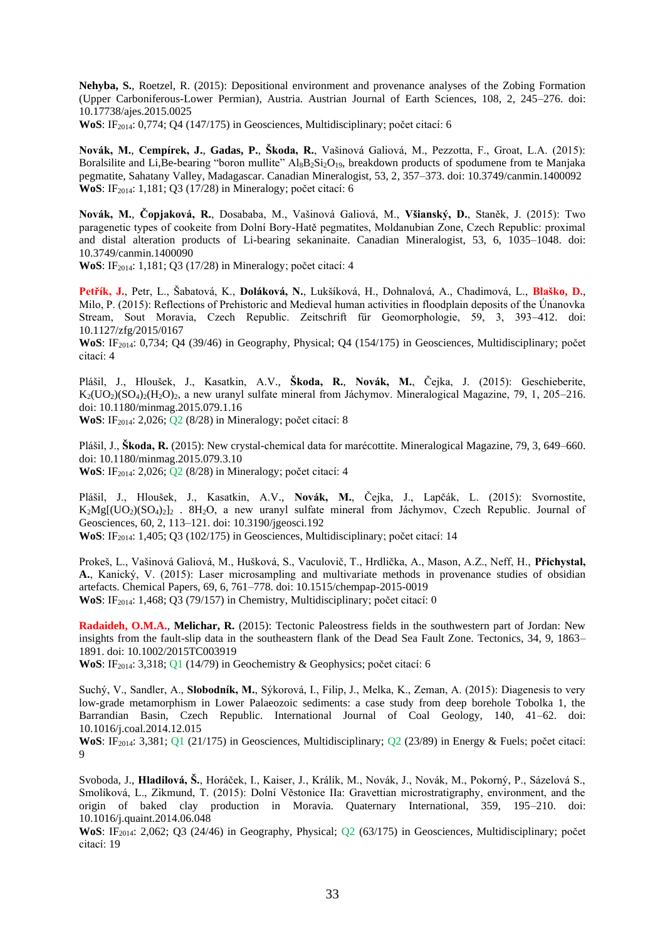**Nehyba, S.**, Roetzel, R. (2015): Depositional environment and provenance analyses of the Zobing Formation (Upper Carboniferous-Lower Permian), Austria. Austrian Journal of Earth Sciences, 108, 2, 245–276. doi: 10.17738/ajes.2015.0025

**WoS**: IF2014: 0,774; Q4 (147/175) in Geosciences, Multidisciplinary; počet citací: 6

**Novák, M.**, **Cempírek, J.**, **Gadas, P.**, **Škoda, R.**, Vašinová Galiová, M., Pezzotta, F., Groat, L.A. (2015): Boralsilite and Li,Be-bearing "boron mullite"  $Al_8B_2Si_2O_{19}$ , breakdown products of spodumene from te Manjaka pegmatite, Sahatany Valley, Madagascar. Canadian Mineralogist, 53, 2, 357–373. doi: 10.3749/canmin.1400092 **WoS**: IF2014: 1,181; Q3 (17/28) in Mineralogy; počet citací: 6

**Novák, M.**, **Čopjaková, R.**, Dosababa, M., Vašinová Galiová, M., **Všianský, D.**, Staněk, J. (2015): Two paragenetic types of cookeite from Dolní Bory-Hatě pegmatites, Moldanubian Zone, Czech Republic: proximal and distal alteration products of Li-bearing sekaninaite. Canadian Mineralogist, 53, 6, 1035–1048. doi: 10.3749/canmin.1400090

**WoS**: IF2014: 1,181; Q3 (17/28) in Mineralogy; počet citací: 4

**Petřík, J.**, Petr, L., Šabatová, K., **Doláková, N.**, Lukšíková, H., Dohnalová, A., Chadimová, L., **Blaško, D.**, Milo, P. (2015): Reflections of Prehistoric and Medieval human activities in floodplain deposits of the Únanovka Stream, Sout Moravia, Czech Republic. Zeitschrift für Geomorphologie, 59, 3, 393–412. doi: 10.1127/zfg/2015/0167

**WoS**: IF2014: 0,734; Q4 (39/46) in Geography, Physical; Q4 (154/175) in Geosciences, Multidisciplinary; počet citací: 4

Plášil, J., Hloušek, J., Kasatkin, A.V., **Škoda, R.**, **Novák, M.**, Čejka, J. (2015): Geschieberite,  $K_2(UO_2)(SO_4)_2(H_2O)_2$ , a new uranyl sulfate mineral from Jáchymov. Mineralogical Magazine, 79, 1, 205–216. doi: 10.1180/minmag.2015.079.1.16

**WoS**: IF2014: 2,026; Q2 (8/28) in Mineralogy; počet citací: 8

Plášil, J., **Škoda, R.** (2015): New crystal-chemical data for marécottite. Mineralogical Magazine, 79, 3, 649–660. doi: 10.1180/minmag.2015.079.3.10 **WoS**: IF2014: 2,026; Q2 (8/28) in Mineralogy; počet citací: 4

Plášil, J., Hloušek, J., Kasatkin, A.V., **Novák, M.**, Čejka, J., Lapčák, L. (2015): Svornostite, K2Mg[(UO2)(SO4)2]<sup>2</sup> . 8H2O, a new uranyl sulfate mineral from Jáchymov, Czech Republic. Journal of Geosciences, 60, 2, 113–121. doi: 10.3190/jgeosci.192

WoS: IF<sub>2014</sub>: 1,405; Q3 (102/175) in Geosciences, Multidisciplinary; počet citací: 14

Prokeš, L., Vašinová Galiová, M., Hušková, S., Vaculovič, T., Hrdlička, A., Mason, A.Z., Neff, H., **Přichystal, A.**, Kanický, V. (2015): Laser microsampling and multivariate methods in provenance studies of obsidian artefacts. Chemical Papers, 69, 6, 761–778. doi: 10.1515/chempap-2015-0019 WoS: IF<sub>2014</sub>: 1,468; Q3 (79/157) in Chemistry, Multidisciplinary; počet citací: 0

**Radaideh, O.M.A.**, **Melichar, R.** (2015): Tectonic Paleostress fields in the southwestern part of Jordan: New insights from the fault-slip data in the southeastern flank of the Dead Sea Fault Zone. Tectonics, 34, 9, 1863– 1891. doi: 10.1002/2015TC003919

**WoS**: IF2014: 3,318; Q1 (14/79) in Geochemistry & Geophysics; počet citací: 6

Suchý, V., Sandler, A., **Slobodník, M.**, Sýkorová, I., Filip, J., Melka, K., Zeman, A. (2015): Diagenesis to very low-grade metamorphism in Lower Palaeozoic sediments: a case study from deep borehole Tobolka 1, the Barrandian Basin, Czech Republic. International Journal of Coal Geology, 140, 41–62. doi: 10.1016/j.coal.2014.12.015

**WoS**: IF2014: 3,381; Q1 (21/175) in Geosciences, Multidisciplinary; Q2 (23/89) in Energy & Fuels; počet citací:  $\mathbf Q$ 

Svoboda, J., **Hladilová, Š.**, Horáček, I., Kaiser, J., Králík, M., Novák, J., Novák, M., Pokorný, P., Sázelová S., Smolíková, L., Zikmund, T. (2015): Dolní Věstonice IIa: Gravettian microstratigraphy, environment, and the origin of baked clay production in Moravia. Quaternary International, 359, 195–210. doi: 10.1016/j.quaint.2014.06.048

WoS: IF<sub>2014</sub>: 2,062; Q3 (24/46) in Geography, Physical; Q2 (63/175) in Geosciences, Multidisciplinary; počet citací: 19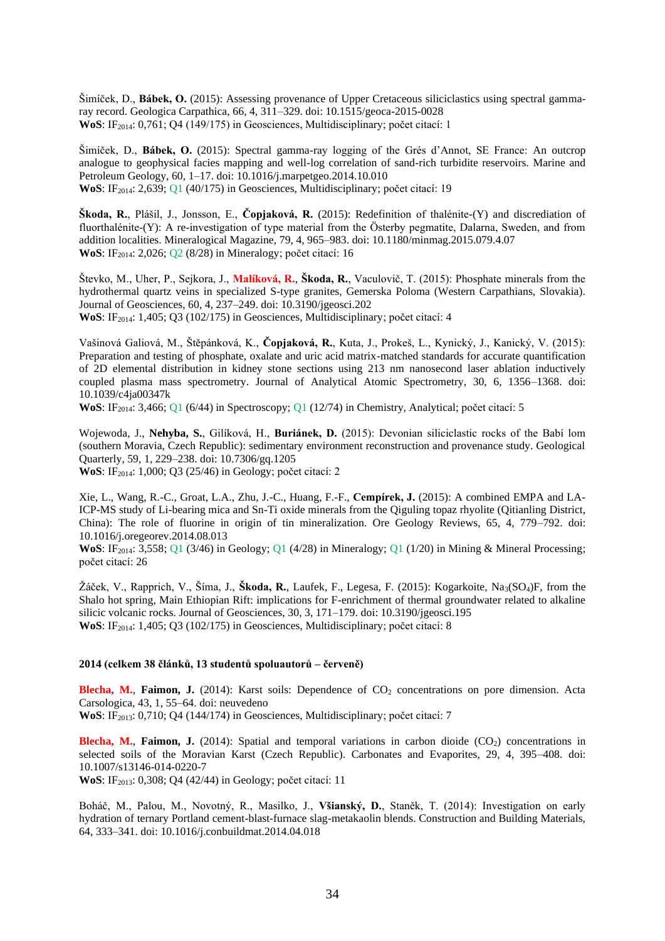Šimíček, D., **Bábek, O.** (2015): Assessing provenance of Upper Cretaceous siliciclastics using spectral gammaray record. Geologica Carpathica, 66, 4, 311–329. doi: 10.1515/geoca-2015-0028 **WoS**: IF2014: 0,761; Q4 (149/175) in Geosciences, Multidisciplinary; počet citací: 1

Šimíček, D., **Bábek, O.** (2015): Spectral gamma-ray logging of the Grés d'Annot, SE France: An outcrop analogue to geophysical facies mapping and well-log correlation of sand-rich turbidite reservoirs. Marine and Petroleum Geology, 60, 1–17. doi: 10.1016/j.marpetgeo.2014.10.010 WoS: IF<sub>2014</sub>: 2,639; Q1 (40/175) in Geosciences, Multidisciplinary; počet citací: 19

**Škoda, R.**, Plášil, J., Jonsson, E., **Čopjaková, R.** (2015): Redefinition of thalénite-(Y) and discrediation of fluorthalénite-(Y): A re-investigation of type material from the Österby pegmatite, Dalarna, Sweden, and from addition localities. Mineralogical Magazine, 79, 4, 965–983. doi: 10.1180/minmag.2015.079.4.07 **WoS**: IF2014: 2,026; Q2 (8/28) in Mineralogy; počet citací: 16

Števko, M., Uher, P., Sejkora, J., **Malíková, R.**, **Škoda, R.**, Vaculovič, T. (2015): Phosphate minerals from the hydrothermal quartz veins in specialized S-type granites, Gemerska Poloma (Western Carpathians, Slovakia). Journal of Geosciences, 60, 4, 237–249. doi: 10.3190/jgeosci.202

**WoS**: IF2014: 1,405; Q3 (102/175) in Geosciences, Multidisciplinary; počet citací: 4

Vašinová Galiová, M., Štěpánková, K., **Čopjaková, R.**, Kuta, J., Prokeš, L., Kynický, J., Kanický, V. (2015): Preparation and testing of phosphate, oxalate and uric acid matrix-matched standards for accurate quantification of 2D elemental distribution in kidney stone sections using 213 nm nanosecond laser ablation inductively coupled plasma mass spectrometry. Journal of Analytical Atomic Spectrometry, 30, 6, 1356–1368. doi: 10.1039/c4ja00347k

**WoS**: IF2014: 3,466; Q1 (6/44) in Spectroscopy; Q1 (12/74) in Chemistry, Analytical; počet citací: 5

Wojewoda, J., **Nehyba, S.**, Gilíková, H., **Buriánek, D.** (2015): Devonian siliciclastic rocks of the Babí lom (southern Moravia, Czech Republic): sedimentary environment reconstruction and provenance study. Geological Quarterly, 59, 1, 229–238. doi: 10.7306/gq.1205

**WoS**: IF2014: 1,000; Q3 (25/46) in Geology; počet citací: 2

Xie, L., Wang, R.-C., Groat, L.A., Zhu, J.-C., Huang, F.-F., **Cempírek, J.** (2015): A combined EMPA and LA-ICP-MS study of Li-bearing mica and Sn-Ti oxide minerals from the Qiguling topaz rhyolite (Qitianling District, China): The role of fluorine in origin of tin mineralization. Ore Geology Reviews, 65, 4, 779–792. doi: 10.1016/j.oregeorev.2014.08.013

**WoS**: IF<sub>2014</sub>: 3,558; Q1 (3/46) in Geology; Q1 (4/28) in Mineralogy; Q1 (1/20) in Mining & Mineral Processing; počet citací: 26

Žáček, V., Rapprich, V., Šíma, J., **Škoda, R.**, Laufek, F., Legesa, F. (2015): Kogarkoite, Na3(SO4)F, from the Shalo hot spring, Main Ethiopian Rift: implications for F-enrichment of thermal groundwater related to alkaline silicic volcanic rocks. Journal of Geosciences, 30, 3, 171–179. doi: 10.3190/jgeosci.195 **WoS**: IF2014: 1,405; Q3 (102/175) in Geosciences, Multidisciplinary; počet citací: 8

### **2014 (celkem 38 článků, 13 studentů spoluautorů – červeně)**

Blecha, M., Faimon, J. (2014): Karst soils: Dependence of CO<sub>2</sub> concentrations on pore dimension. Acta Carsologica, 43, 1, 55–64. doi: neuvedeno

**WoS**: IF2013: 0,710; Q4 (144/174) in Geosciences, Multidisciplinary; počet citací: 7

**Blecha, M., Faimon, J.** (2014): Spatial and temporal variations in carbon dioide (CO<sub>2</sub>) concentrations in selected soils of the Moravian Karst (Czech Republic). Carbonates and Evaporites, 29, 4, 395–408. doi: 10.1007/s13146-014-0220-7

**WoS**: IF2013: 0,308; Q4 (42/44) in Geology; počet citací: 11

Boháč, M., Palou, M., Novotný, R., Masilko, J., **Všianský, D.**, Staněk, T. (2014): Investigation on early hydration of ternary Portland cement-blast-furnace slag-metakaolin blends. Construction and Building Materials, 64, 333–341. doi: 10.1016/j.conbuildmat.2014.04.018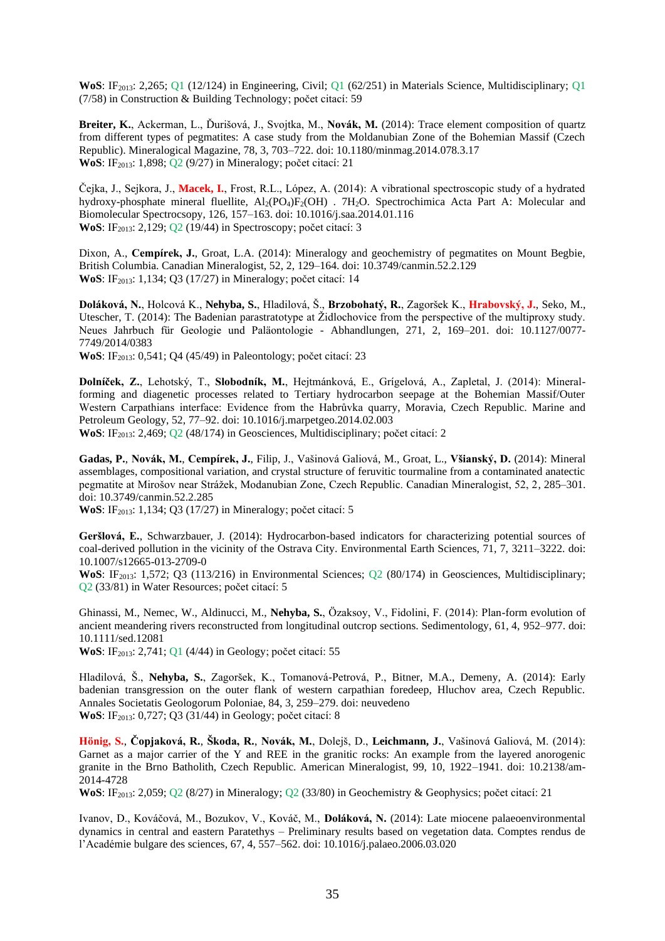**WoS**: IF2013: 2,265; Q1 (12/124) in Engineering, Civil; Q1 (62/251) in Materials Science, Multidisciplinary; Q1 (7/58) in Construction & Building Technology; počet citací: 59

**Breiter, K.**, Ackerman, L., Ďurišová, J., Svojtka, M., **Novák, M.** (2014): Trace element composition of quartz from different types of pegmatites: A case study from the Moldanubian Zone of the Bohemian Massif (Czech Republic). Mineralogical Magazine, 78, 3, 703–722. doi: 10.1180/minmag.2014.078.3.17 **WoS**: IF2013: 1,898; Q2 (9/27) in Mineralogy; počet citací: 21

Čejka, J., Sejkora, J., **Macek, I.**, Frost, R.L., López, A. (2014): A vibrational spectroscopic study of a hydrated hydroxy-phosphate mineral fluellite, Al<sub>2</sub>(PO<sub>4</sub>)F<sub>2</sub>(OH) . 7H<sub>2</sub>O. Spectrochimica Acta Part A: Molecular and Biomolecular Spectrocsopy, 126, 157–163. doi: 10.1016/j.saa.2014.01.116 **WoS**: IF<sub>2013</sub>: 2,129; Q2 (19/44) in Spectroscopy; počet citací: 3

Dixon, A., **Cempírek, J.**, Groat, L.A. (2014): Mineralogy and geochemistry of pegmatites on Mount Begbie, British Columbia. Canadian Mineralogist, 52, 2, 129–164. doi: 10.3749/canmin.52.2.129 **WoS**: IF2013: 1,134; Q3 (17/27) in Mineralogy; počet citací: 14

**Doláková, N.**, Holcová K., **Nehyba, S.**, Hladilová, Š., **Brzobohatý, R.**, Zagoršek K., **Hrabovský, J.**, Seko, M., Utescher, T. (2014): The Badenian parastratotype at Židlochovice from the perspective of the multiproxy study. Neues Jahrbuch für Geologie und Paläontologie - Abhandlungen, 271, 2, 169–201. doi: 10.1127/0077- 7749/2014/0383

**WoS**: IF2013: 0,541; Q4 (45/49) in Paleontology; počet citací: 23

**Dolníček, Z.**, Lehotský, T., **Slobodník, M.**, Hejtmánková, E., Grígelová, A., Zapletal, J. (2014): Mineralforming and diagenetic processes related to Tertiary hydrocarbon seepage at the Bohemian Massif/Outer Western Carpathians interface: Evidence from the Habrůvka quarry, Moravia, Czech Republic. Marine and Petroleum Geology, 52, 77–92. doi: 10.1016/j.marpetgeo.2014.02.003

WoS: IF<sub>2013</sub>: 2,469; Q2 (48/174) in Geosciences, Multidisciplinary; počet citací: 2

**Gadas, P.**, **Novák, M.**, **Cempírek, J.**, Filip, J., Vašinová Galiová, M., Groat, L., **Všianský, D.** (2014): Mineral assemblages, compositional variation, and crystal structure of feruvitic tourmaline from a contaminated anatectic pegmatite at Mirošov near Strážek, Modanubian Zone, Czech Republic. Canadian Mineralogist, 52, 2, 285–301. doi: 10.3749/canmin.52.2.285

**WoS**: IF2013: 1,134; Q3 (17/27) in Mineralogy; počet citací: 5

**Geršlová, E.**, Schwarzbauer, J. (2014): Hydrocarbon-based indicators for characterizing potential sources of coal-derived pollution in the vicinity of the Ostrava City. Environmental Earth Sciences, 71, 7, 3211–3222. doi: 10.1007/s12665-013-2709-0

**WoS**: IF2013: 1,572; Q3 (113/216) in Environmental Sciences; Q2 (80/174) in Geosciences, Multidisciplinary; Q2 (33/81) in Water Resources; počet citací: 5

Ghinassi, M., Nemec, W., Aldinucci, M., **Nehyba, S.**, Özaksoy, V., Fidolini, F. (2014): Plan-form evolution of ancient meandering rivers reconstructed from longitudinal outcrop sections. Sedimentology, 61, 4, 952–977. doi: 10.1111/sed.12081

**WoS**: IF2013: 2,741; Q1 (4/44) in Geology; počet citací: 55

Hladilová, Š., **Nehyba, S.**, Zagoršek, K., Tomanová-Petrová, P., Bitner, M.A., Demeny, A. (2014): Early badenian transgression on the outer flank of western carpathian foredeep, Hluchov area, Czech Republic. Annales Societatis Geologorum Poloniae, 84, 3, 259–279. doi: neuvedeno **WoS**: IF2013: 0,727; Q3 (31/44) in Geology; počet citací: 8

**Hönig, S.**, **Čopjaková, R.**, **Škoda, R.**, **Novák, M.**, Dolejš, D., **Leichmann, J.**, Vašinová Galiová, M. (2014): Garnet as a major carrier of the Y and REE in the granitic rocks: An example from the layered anorogenic granite in the Brno Batholith, Czech Republic. American Mineralogist, 99, 10, 1922–1941. doi: 10.2138/am-2014-4728

**WoS**: IF2013: 2,059; Q2 (8/27) in Mineralogy; Q2 (33/80) in Geochemistry & Geophysics; počet citací: 21

Ivanov, D., Kováčová, M., Bozukov, V., Kováč, M., **Doláková, N.** (2014): Late miocene palaeoenvironmental dynamics in central and eastern Paratethys – Preliminary results based on vegetation data. Comptes rendus de l'Académie bulgare des sciences, 67, 4, 557–562. doi: 10.1016/j.palaeo.2006.03.020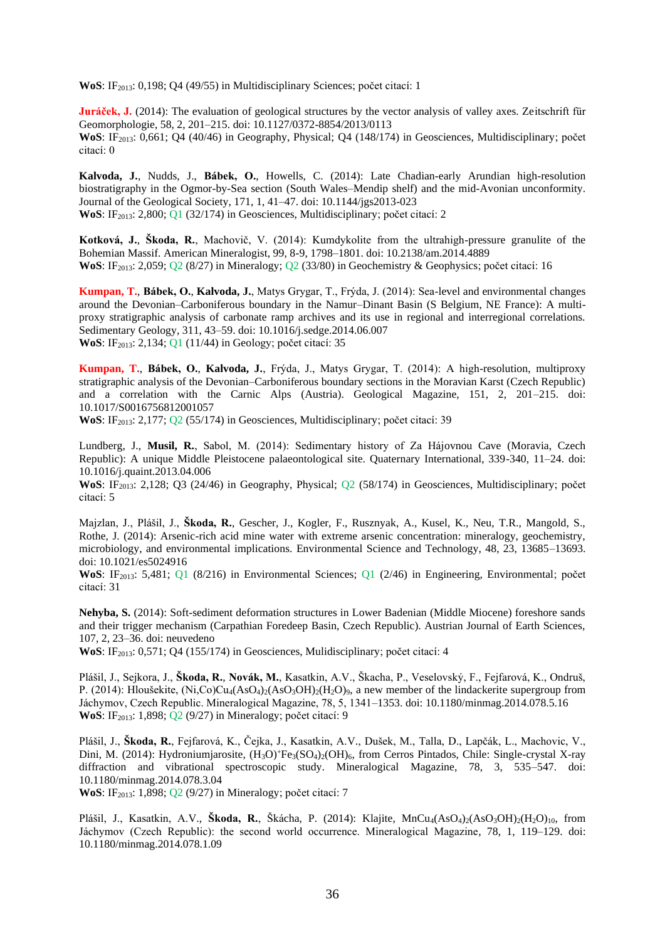**WoS**: IF2013: 0,198; Q4 (49/55) in Multidisciplinary Sciences; počet citací: 1

**Juráček, J.** (2014): The evaluation of geological structures by the vector analysis of valley axes. Zeitschrift für Geomorphologie, 58, 2, 201–215. doi: 10.1127/0372-8854/2013/0113 **WoS**: IF2013: 0,661; Q4 (40/46) in Geography, Physical; Q4 (148/174) in Geosciences, Multidisciplinary; počet citací: 0

**Kalvoda, J.**, Nudds, J., **Bábek, O.**, Howells, C. (2014): Late Chadian-early Arundian high-resolution biostratigraphy in the Ogmor-by-Sea section (South Wales–Mendip shelf) and the mid-Avonian unconformity. Journal of the Geological Society, 171, 1, 41–47. doi: 10.1144/jgs2013-023 **WoS**: IF2013: 2,800; Q1 (32/174) in Geosciences, Multidisciplinary; počet citací: 2

**Kotková, J.**, **Škoda, R.**, Machovič, V. (2014): Kumdykolite from the ultrahigh-pressure granulite of the Bohemian Massif. American Mineralogist, 99, 8-9, 1798–1801. doi: 10.2138/am.2014.4889 **WoS**: IF2013: 2,059; Q2 (8/27) in Mineralogy; Q2 (33/80) in Geochemistry & Geophysics; počet citací: 16

**Kumpan, T.**, **Bábek, O.**, **Kalvoda, J.**, Matys Grygar, T., Frýda, J. (2014): Sea-level and environmental changes around the Devonian–Carboniferous boundary in the Namur–Dinant Basin (S Belgium, NE France): A multiproxy stratigraphic analysis of carbonate ramp archives and its use in regional and interregional correlations. Sedimentary Geology, 311, 43–59. doi: 10.1016/j.sedge.2014.06.007 **WoS**: IF2013: 2,134; Q1 (11/44) in Geology; počet citací: 35

**Kumpan, T.**, **Bábek, O.**, **Kalvoda, J.**, Frýda, J., Matys Grygar, T. (2014): A high-resolution, multiproxy stratigraphic analysis of the Devonian–Carboniferous boundary sections in the Moravian Karst (Czech Republic) and a correlation with the Carnic Alps (Austria). Geological Magazine, 151, 2, 201–215. doi: 10.1017/S0016756812001057

**WoS**: IF2013: 2,177; Q2 (55/174) in Geosciences, Multidisciplinary; počet citací: 39

Lundberg, J., **Musil, R.**, Sabol, M. (2014): Sedimentary history of Za Hájovnou Cave (Moravia, Czech Republic): A unique Middle Pleistocene palaeontological site. Quaternary International, 339-340, 11–24. doi: 10.1016/j.quaint.2013.04.006

**WoS**: IF2013: 2,128; Q3 (24/46) in Geography, Physical; Q2 (58/174) in Geosciences, Multidisciplinary; počet citací: 5

Majzlan, J., Plášil, J., **Škoda, R.**, Gescher, J., Kogler, F., Rusznyak, A., Kusel, K., Neu, T.R., Mangold, S., Rothe, J. (2014): Arsenic-rich acid mine water with extreme arsenic concentration: mineralogy, geochemistry, microbiology, and environmental implications. Environmental Science and Technology, 48, 23, 13685–13693. doi: 10.1021/es5024916

**WoS**: IF2013: 5,481; Q1 (8/216) in Environmental Sciences; Q1 (2/46) in Engineering, Environmental; počet citací: 31

**Nehyba, S.** (2014): Soft-sediment deformation structures in Lower Badenian (Middle Miocene) foreshore sands and their trigger mechanism (Carpathian Foredeep Basin, Czech Republic). Austrian Journal of Earth Sciences, 107, 2, 23–36. doi: neuvedeno

**WoS**: IF2013: 0,571; Q4 (155/174) in Geosciences, Mulidisciplinary; počet citací: 4

Plášil, J., Sejkora, J., **Škoda, R.**, **Novák, M.**, Kasatkin, A.V., Škacha, P., Veselovský, F., Fejfarová, K., Ondruš, P. (2014): Hloušekite,  $(Ni, Co)Cu_4(AsO_4)_2(AsO_3OH)_2(H_2O)_9$ , a new member of the lindackerite supergroup from Jáchymov, Czech Republic. Mineralogical Magazine, 78, 5, 1341–1353. doi: 10.1180/minmag.2014.078.5.16 **WoS**: IF2013: 1,898; Q2 (9/27) in Mineralogy; počet citací: 9

Plášil, J., **Škoda, R.**, Fejfarová, K., Čejka, J., Kasatkin, A.V., Dušek, M., Talla, D., Lapčák, L., Machovic, V., Dini, M. (2014): Hydroniumjarosite,  $(H_3O)^+Fe_3(SO_4)_2(OH)_6$ , from Cerros Pintados, Chile: Single-crystal X-ray diffraction and vibrational spectroscopic study. Mineralogical Magazine, 78, 3, 535–547. doi: 10.1180/minmag.2014.078.3.04

**WoS**: IF2013: 1,898; Q2 (9/27) in Mineralogy; počet citací: 7

Plášil, J., Kasatkin, A.V., Škoda, R., Škácha, P. (2014): Klajite, MnCu<sub>4</sub>(AsO<sub>4</sub>)<sub>2</sub>(AsO<sub>3</sub>OH)<sub>2</sub>(H<sub>2</sub>O<sub>110</sub>, from Jáchymov (Czech Republic): the second world occurrence. Mineralogical Magazine, 78, 1, 119–129. doi: 10.1180/minmag.2014.078.1.09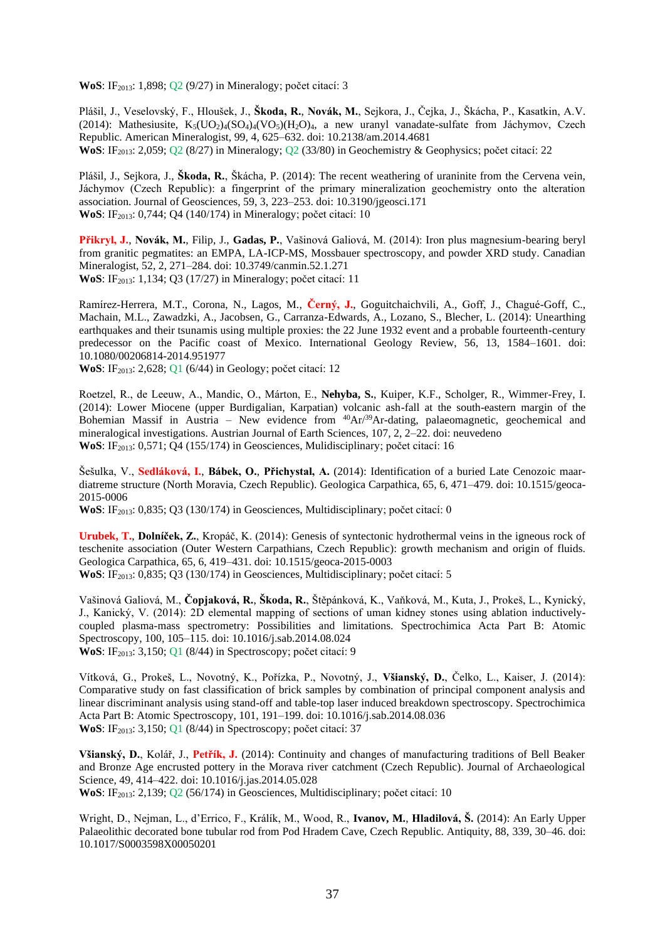**WoS**: IF2013: 1,898; Q2 (9/27) in Mineralogy; počet citací: 3

Plášil, J., Veselovský, F., Hloušek, J., **Škoda, R.**, **Novák, M.**, Sejkora, J., Čejka, J., Škácha, P., Kasatkin, A.V. (2014): Mathesiusite,  $K_5(UO_2)_4(SO_4)_4(VO_5)(H_2O)_4$ , a new uranyl vanadate-sulfate from Jáchymov, Czech Republic. American Mineralogist, 99, 4, 625–632. doi: 10.2138/am.2014.4681 **WoS**: IF2013: 2,059; Q2 (8/27) in Mineralogy; Q2 (33/80) in Geochemistry & Geophysics; počet citací: 22

Plášil, J., Sejkora, J., **Škoda, R.**, Škácha, P. (2014): The recent weathering of uraninite from the Cervena vein, Jáchymov (Czech Republic): a fingerprint of the primary mineralization geochemistry onto the alteration association. Journal of Geosciences, 59, 3, 223–253. doi: 10.3190/jgeosci.171 **WoS**: IF2013: 0,744; Q4 (140/174) in Mineralogy; počet citací: 10

**Přikryl, J.**, **Novák, M.**, Filip, J., **Gadas, P.**, Vašinová Galiová, M. (2014): Iron plus magnesium-bearing beryl from granitic pegmatites: an EMPA, LA-ICP-MS, Mossbauer spectroscopy, and powder XRD study. Canadian Mineralogist, 52, 2, 271–284. doi: 10.3749/canmin.52.1.271 **WoS**: IF<sub>2013</sub>: 1,134; Q3 (17/27) in Mineralogy; počet citací: 11

Ramírez-Herrera, M.T., Corona, N., Lagos, M., **Černý, J.**, Goguitchaichvili, A., Goff, J., Chagué-Goff, C., Machain, M.L., Zawadzki, A., Jacobsen, G., Carranza-Edwards, A., Lozano, S., Blecher, L. (2014): Unearthing earthquakes and their tsunamis using multiple proxies: the 22 June 1932 event and a probable fourteenth-century predecessor on the Pacific coast of Mexico. International Geology Review, 56, 13, 1584–1601. doi: 10.1080/00206814-2014.951977

**WoS**: IF2013: 2,628; Q1 (6/44) in Geology; počet citací: 12

Roetzel, R., de Leeuw, A., Mandic, O., Márton, E., **Nehyba, S.**, Kuiper, K.F., Scholger, R., Wimmer-Frey, I. (2014): Lower Miocene (upper Burdigalian, Karpatian) volcanic ash-fall at the south-eastern margin of the Bohemian Massif in Austria – New evidence from  $\frac{40}{\text{Ar}}$  Ar $/39$ Ar-dating, palaeomagnetic, geochemical and mineralogical investigations. Austrian Journal of Earth Sciences, 107, 2, 2–22. doi: neuvedeno **WoS**: IF2013: 0,571; Q4 (155/174) in Geosciences, Mulidisciplinary; počet citací: 16

Šešulka, V., **Sedláková, I.**, **Bábek, O.**, **Přichystal, A.** (2014): Identification of a buried Late Cenozoic maardiatreme structure (North Moravia, Czech Republic). Geologica Carpathica, 65, 6, 471–479. doi: 10.1515/geoca-2015-0006

**WoS**: IF2013: 0,835; Q3 (130/174) in Geosciences, Multidisciplinary; počet citací: 0

**Urubek, T.**, **Dolníček, Z.**, Kropáč, K. (2014): Genesis of syntectonic hydrothermal veins in the igneous rock of teschenite association (Outer Western Carpathians, Czech Republic): growth mechanism and origin of fluids. Geologica Carpathica, 65, 6, 419–431. doi: 10.1515/geoca-2015-0003 **WoS**: IF2013: 0,835; Q3 (130/174) in Geosciences, Multidisciplinary; počet citací: 5

Vašinová Galiová, M., **Čopjaková, R.**, **Škoda, R.**, Štěpánková, K., Vaňková, M., Kuta, J., Prokeš, L., Kynický, J., Kanický, V. (2014): 2D elemental mapping of sections of uman kidney stones using ablation inductivelycoupled plasma-mass spectrometry: Possibilities and limitations. Spectrochimica Acta Part B: Atomic Spectroscopy, 100, 105–115. doi: 10.1016/j.sab.2014.08.024 **WoS**: IF2013: 3,150; Q1 (8/44) in Spectroscopy; počet citací: 9

Vítková, G., Prokeš, L., Novotný, K., Pořízka, P., Novotný, J., **Všianský, D.**, Čelko, L., Kaiser, J. (2014): Comparative study on fast classification of brick samples by combination of principal component analysis and linear discriminant analysis using stand-off and table-top laser induced breakdown spectroscopy. Spectrochimica Acta Part B: Atomic Spectroscopy, 101, 191–199. doi: 10.1016/j.sab.2014.08.036 **WoS**: IF2013: 3,150; Q1 (8/44) in Spectroscopy; počet citací: 37

**Všianský, D.**, Kolář, J., **Petřík, J.** (2014): Continuity and changes of manufacturing traditions of Bell Beaker and Bronze Age encrusted pottery in the Morava river catchment (Czech Republic). Journal of Archaeological Science, 49, 414–422. doi: 10.1016/j.jas.2014.05.028

WoS: IF<sub>2013</sub>: 2,139; Q2 (56/174) in Geosciences, Multidisciplinary; počet citací: 10

Wright, D., Nejman, L., d'Errico, F., Králík, M., Wood, R., **Ivanov, M.**, **Hladilová, Š.** (2014): An Early Upper Palaeolithic decorated bone tubular rod from Pod Hradem Cave, Czech Republic. Antiquity, 88, 339, 30–46. doi: 10.1017/S0003598X00050201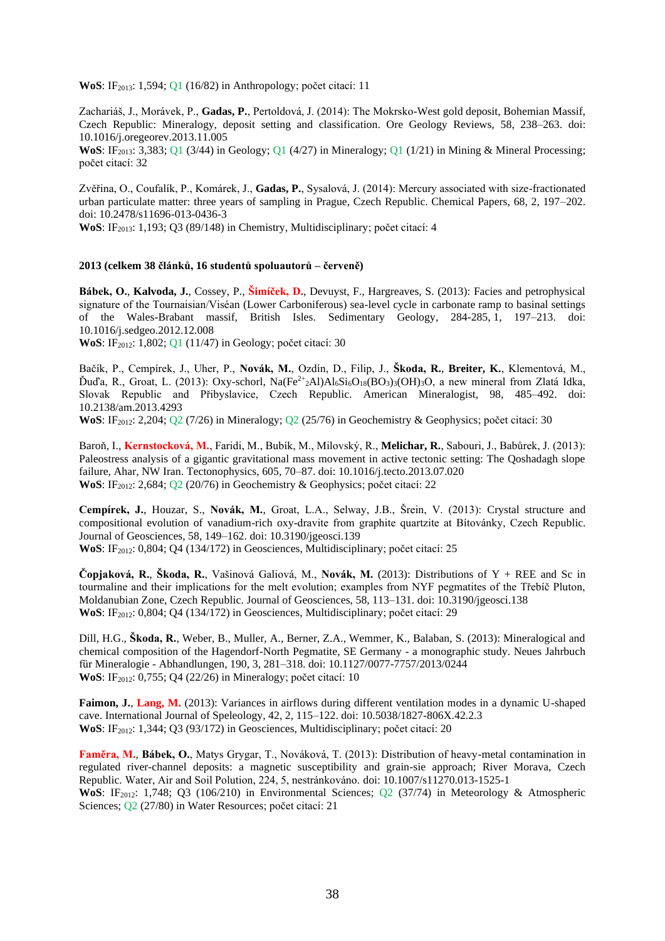**WoS**: IF2013: 1,594; Q1 (16/82) in Anthropology; počet citací: 11

Zachariáš, J., Morávek, P., **Gadas, P.**, Pertoldová, J. (2014): The Mokrsko-West gold deposit, Bohemian Massif, Czech Republic: Mineralogy, deposit setting and classification. Ore Geology Reviews, 58, 238–263. doi: 10.1016/j.oregeorev.2013.11.005

**WoS**: IF2013: 3,383; Q1 (3/44) in Geology; Q1 (4/27) in Mineralogy; Q1 (1/21) in Mining & Mineral Processing; počet citací: 32

Zvěřina, O., Coufalík, P., Komárek, J., **Gadas, P.**, Sysalová, J. (2014): Mercury associated with size-fractionated urban particulate matter: three years of sampling in Prague, Czech Republic. Chemical Papers, 68, 2, 197–202. doi: 10.2478/s11696-013-0436-3

**WoS**: IF2013: 1,193; Q3 (89/148) in Chemistry, Multidisciplinary; počet citací: 4

#### **2013 (celkem 38 článků, 16 studentů spoluautorů – červeně)**

**Bábek, O.**, **Kalvoda, J.**, Cossey, P., **Šimíček, D.**, Devuyst, F., Hargreaves, S. (2013): Facies and petrophysical signature of the Tournaisian/Viséan (Lower Carboniferous) sea-level cycle in carbonate ramp to basinal settings of the Wales-Brabant massif, British Isles. Sedimentary Geology, 284-285, 1, 197–213. doi: 10.1016/j.sedgeo.2012.12.008

**WoS**: IF2012: 1,802; Q1 (11/47) in Geology; počet citací: 30

Bačík, P., Cempírek, J., Uher, P., **Novák, M.**, Ozdín, D., Filip, J., **Škoda, R.**, **Breiter, K.**, Klementová, M., Ďuďa, R., Groat, L. (2013): Oxy-schorl, Na(Fe<sup>2+</sup>2Al)Al<sub>6</sub>Si<sub>6</sub>O<sub>18</sub>(BO<sub>3</sub>)<sub>3</sub>(OH)<sub>3</sub>O, a new mineral from Zlatá Idka, Slovak Republic and Přibyslavice, Czech Republic. American Mineralogist, 98, 485–492. doi: 10.2138/am.2013.4293

**WoS**: IF2012: 2,204; Q2 (7/26) in Mineralogy; Q2 (25/76) in Geochemistry & Geophysics; počet citací: 30

Baroň, I., **Kernstocková, M.**, Faridi, M., Bubík, M., Milovský, R., **Melichar, R.**, Sabouri, J., Babůrek, J. (2013): Paleostress analysis of a gigantic gravitational mass movement in active tectonic setting: The Qoshadagh slope failure, Ahar, NW Iran. Tectonophysics, 605, 70–87. doi: 10.1016/j.tecto.2013.07.020 **WoS**: IF2012: 2,684; Q2 (20/76) in Geochemistry & Geophysics; počet citací: 22

**Cempírek, J.**, Houzar, S., **Novák, M.**, Groat, L.A., Selway, J.B., Šrein, V. (2013): Crystal structure and compositional evolution of vanadium-rich oxy-dravite from graphite quartzite at Bítovánky, Czech Republic. Journal of Geosciences, 58, 149–162. doi: 10.3190/jgeosci.139 WoS: IF<sub>2012</sub>: 0,804; O<sub>4</sub> (134/172) in Geosciences, Multidisciplinary; počet citací: 25

**Čopjaková, R.**, **Škoda, R.**, Vašinová Galiová, M., **Novák, M.** (2013): Distributions of Y + REE and Sc in tourmaline and their implications for the melt evolution; examples from NYF pegmatites of the Třebíč Pluton, Moldanubian Zone, Czech Republic. Journal of Geosciences, 58, 113–131. doi: 10.3190/jgeosci.138 **WoS**: IF2012: 0,804; Q4 (134/172) in Geosciences, Multidisciplinary; počet citací: 29

Dill, H.G., **Škoda, R.**, Weber, B., Muller, A., Berner, Z.A., Wemmer, K., Balaban, S. (2013): Mineralogical and chemical composition of the Hagendorf-North Pegmatite, SE Germany - a monographic study. Neues Jahrbuch für Mineralogie - Abhandlungen, 190, 3, 281–318. doi: 10.1127/0077-7757/2013/0244 **WoS**: IF2012: 0,755; Q4 (22/26) in Mineralogy; počet citací: 10

**Faimon, J., Lang, M.** (2013): Variances in airflows during different ventilation modes in a dynamic U-shaped cave. International Journal of Speleology, 42, 2, 115–122. doi: 10.5038/1827-806X.42.2.3 **WoS**: IF2012: 1,344; Q3 (93/172) in Geosciences, Multidisciplinary; počet citací: 20

**Faměra, M.**, **Bábek, O.**, Matys Grygar, T., Nováková, T. (2013): Distribution of heavy-metal contamination in regulated river-channel deposits: a magnetic susceptibility and grain-sie approach; River Morava, Czech Republic. Water, Air and Soil Polution, 224, 5, nestránkováno. doi: 10.1007/s11270.013-1525-1 **WoS**: IF2012: 1,748; Q3 (106/210) in Environmental Sciences; Q2 (37/74) in Meteorology & Atmospheric Sciences;  $Q2(27/80)$  in Water Resources; počet citací: 21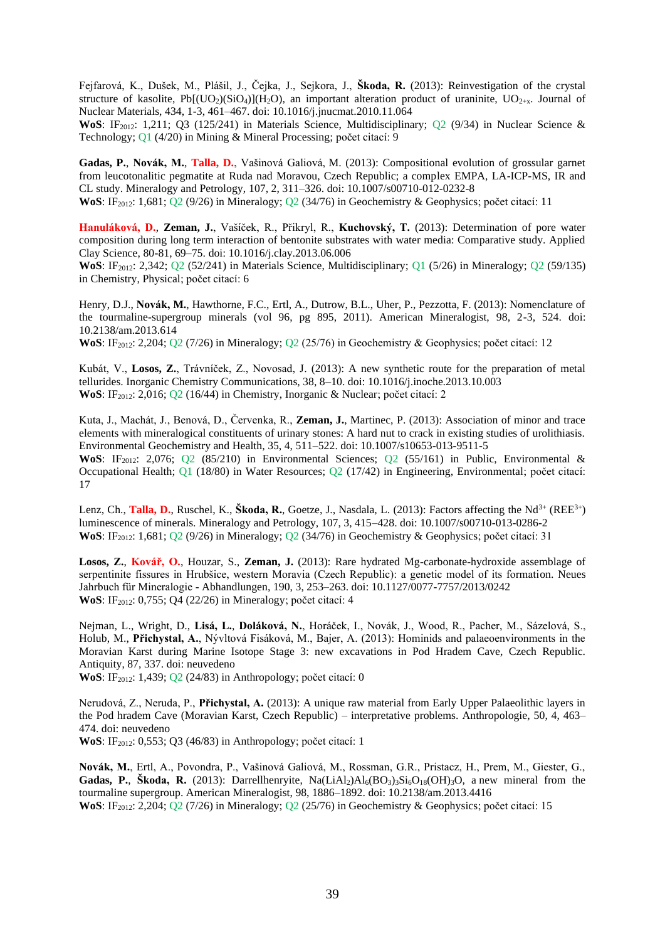Fejfarová, K., Dušek, M., Plášil, J., Čejka, J., Sejkora, J., **Škoda, R.** (2013): Reinvestigation of the crystal structure of kasolite,  $Pb[(UQ_2)(SiQ_4)](H_2O)$ , an important alteration product of uraninite,  $UQ_{2+x}$ . Journal of Nuclear Materials, 434, 1-3, 461–467. doi: 10.1016/j.jnucmat.2010.11.064

WoS: IF<sub>2012</sub>: 1,211; Q3 (125/241) in Materials Science, Multidisciplinary; Q2 (9/34) in Nuclear Science & Technology; Q1 (4/20) in Mining & Mineral Processing; počet citací: 9

**Gadas, P.**, **Novák, M.**, **Talla, D.**, Vašinová Galiová, M. (2013): Compositional evolution of grossular garnet from leucotonalitic pegmatite at Ruda nad Moravou, Czech Republic; a complex EMPA, LA-ICP-MS, IR and CL study. Mineralogy and Petrology, 107, 2, 311–326. doi: 10.1007/s00710-012-0232-8 **WoS**: IF2012: 1,681; Q2 (9/26) in Mineralogy; Q2 (34/76) in Geochemistry & Geophysics; počet citací: 11

**Hanuláková, D.**, **Zeman, J.**, Vašíček, R., Přikryl, R., **Kuchovský, T.** (2013): Determination of pore water composition during long term interaction of bentonite substrates with water media: Comparative study. Applied Clay Science, 80-81, 69–75. doi: 10.1016/j.clay.2013.06.006

**WoS**: IF2012: 2,342; Q2 (52/241) in Materials Science, Multidisciplinary; Q1 (5/26) in Mineralogy; Q2 (59/135) in Chemistry, Physical; počet citací: 6

Henry, D.J., **Novák, M.**, Hawthorne, F.C., Ertl, A., Dutrow, B.L., Uher, P., Pezzotta, F. (2013): Nomenclature of the tourmaline-supergroup minerals (vol 96, pg 895, 2011). American Mineralogist, 98, 2-3, 524. doi: 10.2138/am.2013.614

**WoS**: IF2012: 2,204; Q2 (7/26) in Mineralogy; Q2 (25/76) in Geochemistry & Geophysics; počet citací: 12

Kubát, V., **Losos, Z.**, Trávníček, Z., Novosad, J. (2013): A new synthetic route for the preparation of metal tellurides. Inorganic Chemistry Communications, 38, 8–10. doi: 10.1016/j.inoche.2013.10.003 WoS: IF<sub>2012</sub>: 2,016; Q2 (16/44) in Chemistry, Inorganic & Nuclear; počet citací: 2

Kuta, J., Machát, J., Benová, D., Červenka, R., **Zeman, J.**, Martinec, P. (2013): Association of minor and trace elements with mineralogical constituents of urinary stones: A hard nut to crack in existing studies of urolithiasis. Environmental Geochemistry and Health, 35, 4, 511–522. doi: 10.1007/s10653-013-9511-5

WoS: IF<sub>2012</sub>: 2,076; Q2 (85/210) in Environmental Sciences; Q2 (55/161) in Public, Environmental & Occupational Health; Q1 (18/80) in Water Resources; Q2 (17/42) in Engineering, Environmental; počet citací: 17

Lenz, Ch., **Talla, D.**, Ruschel, K., **Škoda, R.**, Goetze, J., Nasdala, L. (2013): Factors affecting the Nd<sup>3+</sup> (REE<sup>3+</sup>) luminescence of minerals. Mineralogy and Petrology, 107, 3, 415–428. doi: 10.1007/s00710-013-0286-2 **WoS**: IF2012: 1,681; Q2 (9/26) in Mineralogy; Q2 (34/76) in Geochemistry & Geophysics; počet citací: 31

**Losos, Z.**, **Kovář, O.**, Houzar, S., **Zeman, J.** (2013): Rare hydrated Mg-carbonate-hydroxide assemblage of serpentinite fissures in Hrubšice, western Moravia (Czech Republic): a genetic model of its formation. Neues Jahrbuch für Mineralogie - Abhandlungen, 190, 3, 253–263. doi: 10.1127/0077-7757/2013/0242 **WoS**: IF2012: 0,755; Q4 (22/26) in Mineralogy; počet citací: 4

Nejman, L., Wright, D., **Lisá, L.**, **Doláková, N.**, Horáček, I., Novák, J., Wood, R., Pacher, M., Sázelová, S., Holub, M., **Přichystal, A.**, Nývltová Fisáková, M., Bajer, A. (2013): Hominids and palaeoenvironments in the Moravian Karst during Marine Isotope Stage 3: new excavations in Pod Hradem Cave, Czech Republic. Antiquity, 87, 337. doi: neuvedeno

**WoS**: IF2012: 1,439; Q2 (24/83) in Anthropology; počet citací: 0

Nerudová, Z., Neruda, P., **Přichystal, A.** (2013): A unique raw material from Early Upper Palaeolithic layers in the Pod hradem Cave (Moravian Karst, Czech Republic) – interpretative problems. Anthropologie, 50, 4, 463– 474. doi: neuvedeno

**WoS**: IF2012: 0,553; Q3 (46/83) in Anthropology; počet citací: 1

**Novák, M.**, Ertl, A., Povondra, P., Vašinová Galiová, M., Rossman, G.R., Pristacz, H., Prem, M., Giester, G., Gadas, P., Škoda, R. (2013): Darrellhenryite, Na(LiAl<sub>2</sub>)Al<sub>6</sub>(BO<sub>3</sub>)<sub>3</sub>Si<sub>6</sub>O<sub>18</sub>(OH)<sub>3</sub>O, a new mineral from the tourmaline supergroup. American Mineralogist, 98, 1886–1892. doi: 10.2138/am.2013.4416 **WoS**: IF2012: 2,204; Q2 (7/26) in Mineralogy; Q2 (25/76) in Geochemistry & Geophysics; počet citací: 15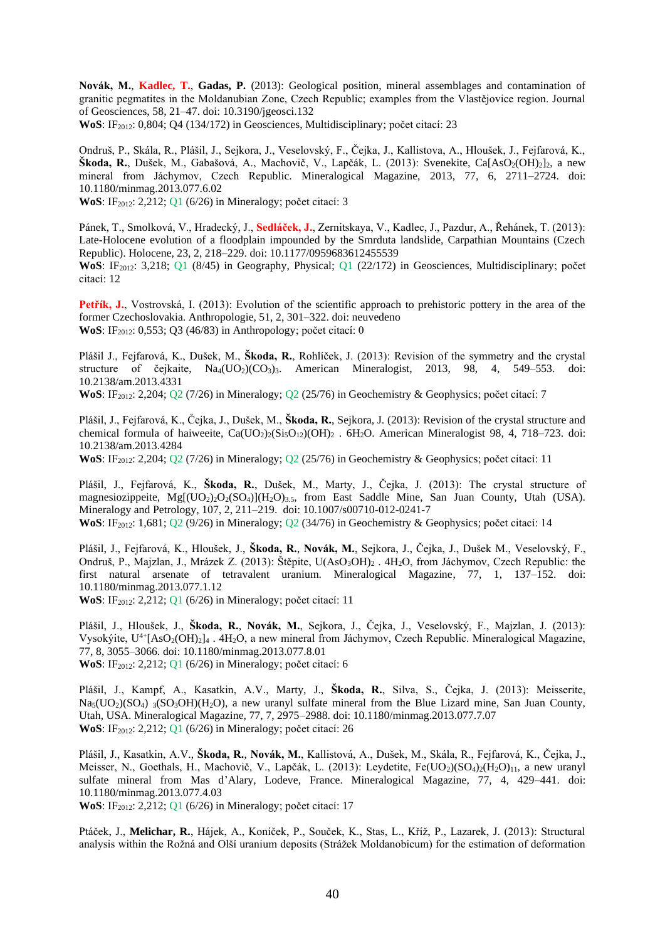**Novák, M.**, **Kadlec, T.**, **Gadas, P.** (2013): Geological position, mineral assemblages and contamination of granitic pegmatites in the Moldanubian Zone, Czech Republic; examples from the Vlastějovice region. Journal of Geosciences, 58, 21–47. doi: 10.3190/jgeosci.132

WoS: IF<sub>2012</sub>: 0,804; Q4 (134/172) in Geosciences, Multidisciplinary; počet citací: 23

Ondruš, P., Skála, R., Plášil, J., Sejkora, J., Veselovský, F., Čejka, J., Kallistova, A., Hloušek, J., Fejfarová, K., **Škoda, R.**, Dušek, M., Gabašová, A., Machovič, V., Lapčák, L. (2013): Svenekite, Ca[AsO<sub>2</sub>(OH)<sub>2</sub>]<sub>2</sub>, a new mineral from Jáchymov, Czech Republic. Mineralogical Magazine, 2013, 77, 6, 2711–2724. doi: 10.1180/minmag.2013.077.6.02

**WoS**: IF<sub>2012</sub>: 2,212; Q1 (6/26) in Mineralogy; počet citací: 3

Pánek, T., Smolková, V., Hradecký, J., **Sedláček, J.**, Zernitskaya, V., Kadlec, J., Pazdur, A., Řehánek, T. (2013): Late-Holocene evolution of a floodplain impounded by the Smrduta landslide, Carpathian Mountains (Czech Republic). Holocene, 23, 2, 218–229. doi: 10.1177/0959683612455539

**WoS**: IF2012: 3,218; Q1 (8/45) in Geography, Physical; Q1 (22/172) in Geosciences, Multidisciplinary; počet citací: 12

**Petřík, J.**, Vostrovská, I. (2013): Evolution of the scientific approach to prehistoric pottery in the area of the former Czechoslovakia. Anthropologie, 51, 2, 301–322. doi: neuvedeno **WoS**: IF2012: 0,553; Q3 (46/83) in Anthropology; počet citací: 0

Plášil J., Fejfarová, K., Dušek, M., **Škoda, R.**, Rohlíček, J. (2013): Revision of the symmetry and the crystal structure of čejkaite,  $Na_4(UO_2)(CO_3)_3$ . American Mineralogist, 2013, 98, 4, 549–553. doi: 10.2138/am.2013.4331

**WoS**: IF2012: 2,204; Q2 (7/26) in Mineralogy; Q2 (25/76) in Geochemistry & Geophysics; počet citací: 7

Plášil, J., Fejfarová, K., Čejka, J., Dušek, M., **Škoda, R.**, Sejkora, J. (2013): Revision of the crystal structure and chemical formula of haiweeite,  $Ca(UO<sub>2</sub>)<sub>2</sub>(Si<sub>5</sub>O<sub>12</sub>)(OH)<sub>2</sub>$ . 6H<sub>2</sub>O. American Mineralogist 98, 4, 718–723. doi: 10.2138/am.2013.4284

**WoS**: IF2012: 2,204; Q2 (7/26) in Mineralogy; Q2 (25/76) in Geochemistry & Geophysics; počet citací: 11

Plášil, J., Fejfarová, K., **Škoda, R.**, Dušek, M., Marty, J., Čejka, J. (2013): The crystal structure of magnesiozippeite,  $Mg[(UO_2)_2O_2(SO_4)](H_2O)_{3.5}$ , from East Saddle Mine, San Juan County, Utah (USA). Mineralogy and Petrology, 107, 2, 211–219. doi: 10.1007/s00710-012-0241-7 **WoS**: IF2012: 1,681; Q2 (9/26) in Mineralogy; Q2 (34/76) in Geochemistry & Geophysics; počet citací: 14

Plášil, J., Fejfarová, K., Hloušek, J., **Škoda, R.**, **Novák, M.**, Sejkora, J., Čejka, J., Dušek M., Veselovský, F., Ondruš, P., Majzlan, J., Mrázek Z. (2013): Štěpite, U(AsO<sub>3</sub>OH)<sub>2</sub>. 4H<sub>2</sub>O, from Jáchymov, Czech Republic: the first natural arsenate of tetravalent uranium. Mineralogical Magazine, 77, 1, 137–152. doi: 10.1180/minmag.2013.077.1.12

**WoS**: IF2012: 2,212; Q1 (6/26) in Mineralogy; počet citací: 11

Plášil, J., Hloušek, J., **Škoda, R.**, **Novák, M.**, Sejkora, J., Čejka, J., Veselovský, F., Majzlan, J. (2013): Vysokýite, U<sup>4+</sup>[AsO<sub>2</sub>(OH)<sub>2</sub>]<sub>4</sub> . 4H<sub>2</sub>O, a new mineral from Jáchymov, Czech Republic. Mineralogical Magazine, 77, 8, 3055–3066. doi: 10.1180/minmag.2013.077.8.01 **WoS**: IF<sub>2012</sub>: 2,212; Q1 (6/26) in Mineralogy; počet citací: 6

Plášil, J., Kampf, A., Kasatkin, A.V., Marty, J., **Škoda, R.**, Silva, S., Čejka, J. (2013): Meisserite,  $N_{\rm 45}(UO_2)(SO_4)$  3( $SO_3OH)(H_2O)$ , a new uranyl sulfate mineral from the Blue Lizard mine, San Juan County, Utah, USA. Mineralogical Magazine, 77, 7, 2975–2988. doi: 10.1180/minmag.2013.077.7.07 **WoS**: IF2012: 2,212; Q1 (6/26) in Mineralogy; počet citací: 26

Plášil, J., Kasatkin, A.V., **Škoda, R.**, **Novák, M.**, Kallistová, A., Dušek, M., Skála, R., Fejfarová, K., Čejka, J., Meisser, N., Goethals, H., Machovič, V., Lapčák, L. (2013): Leydetite, Fe(UO2)(SO4)2(H2O)11, a new uranyl sulfate mineral from Mas d'Alary, Lodeve, France. Mineralogical Magazine, 77, 4, 429–441. doi: 10.1180/minmag.2013.077.4.03

**WoS**: IF2012: 2,212; Q1 (6/26) in Mineralogy; počet citací: 17

Ptáček, J., **Melichar, R.**, Hájek, A., Koníček, P., Souček, K., Stas, L., Kříž, P., Lazarek, J. (2013): Structural analysis within the Rožná and Olší uranium deposits (Strážek Moldanobicum) for the estimation of deformation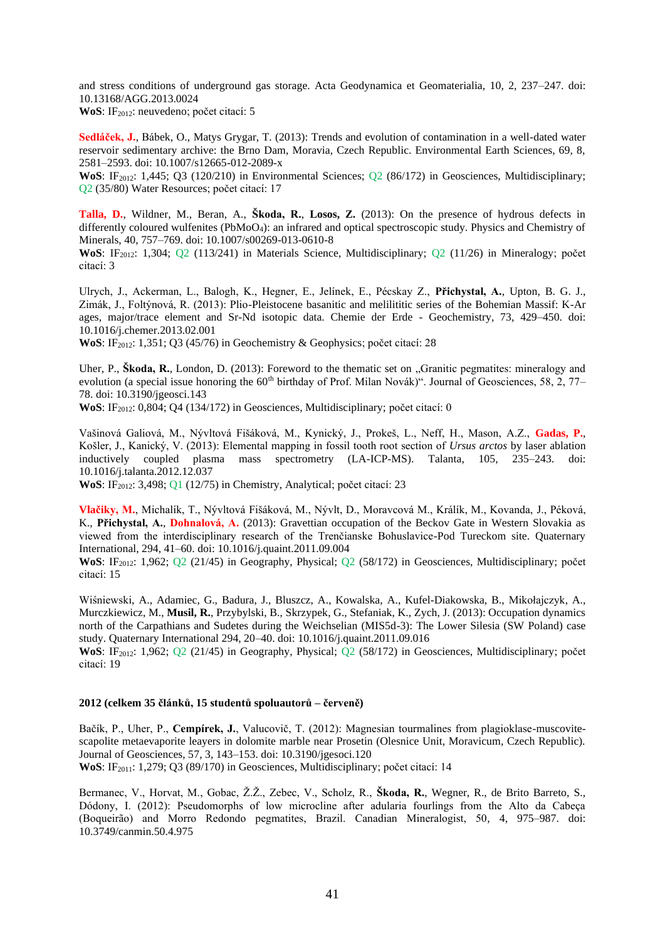and stress conditions of underground gas storage. Acta Geodynamica et Geomaterialia, 10, 2, 237–247. doi: 10.13168/AGG.2013.0024

WoS: IF<sub>2012</sub>: neuvedeno; počet citací: 5

**Sedláček, J.**, Bábek, O., Matys Grygar, T. (2013): Trends and evolution of contamination in a well-dated water reservoir sedimentary archive: the Brno Dam, Moravia, Czech Republic. Environmental Earth Sciences, 69, 8, 2581–2593. doi: 10.1007/s12665-012-2089-x

**WoS**: IF2012: 1,445; Q3 (120/210) in Environmental Sciences; Q2 (86/172) in Geosciences, Multidisciplinary; Q2 (35/80) Water Resources; počet citací: 17

**Talla, D.**, Wildner, M., Beran, A., **Škoda, R.**, **Losos, Z.** (2013): On the presence of hydrous defects in differently coloured wulfenites (PbMoO<sub>4</sub>): an infrared and optical spectroscopic study. Physics and Chemistry of Minerals, 40, 757–769. doi: 10.1007/s00269-013-0610-8

**WoS**: IF2012: 1,304; Q2 (113/241) in Materials Science, Multidisciplinary; Q2 (11/26) in Mineralogy; počet citací: 3

Ulrych, J., Ackerman, L., Balogh, K., Hegner, E., Jelínek, E., Pécskay Z., **Přichystal, A.**, Upton, B. G. J., Zimák, J., Foltýnová, R. (2013): Plio-Pleistocene basanitic and melilititic series of the Bohemian Massif: K-Ar ages, major/trace element and Sr-Nd isotopic data. Chemie der Erde - Geochemistry, 73, 429–450. doi: 10.1016/j.chemer.2013.02.001

**WoS**: IF2012: 1,351; Q3 (45/76) in Geochemistry & Geophysics; počet citací: 28

Uher, P., **Škoda, R.**, London, D. (2013): Foreword to the thematic set on "Granitic pegmatites: mineralogy and evolution (a special issue honoring the  $60<sup>th</sup>$  birthday of Prof. Milan Novák)". Journal of Geosciences, 58, 2, 77– 78. doi: 10.3190/jgeosci.143

**WoS**: IF2012: 0,804; Q4 (134/172) in Geosciences, Multidisciplinary; počet citací: 0

Vašinová Galiová, M., Nývltová Fišáková, M., Kynický, J., Prokeš, L., Neff, H., Mason, A.Z., **Gadas, P.**, Košler, J., Kanický, V. (2013): Elemental mapping in fossil tooth root section of *Ursus arctos* by laser ablation inductively coupled plasma mass spectrometry (LA-ICP-MS). Talanta, 105, 235–243. doi: 10.1016/j.talanta.2012.12.037

**WoS**: IF2012: 3,498; Q1 (12/75) in Chemistry, Analytical; počet citací: 23

**Vlačiky, M.**, Michalík, T., Nývltová Fišáková, M., Nývlt, D., Moravcová M., Králík, M., Kovanda, J., Péková, K., **Přichystal, A.**, **Dohnalová, A.** (2013): Gravettian occupation of the Beckov Gate in Western Slovakia as viewed from the interdisciplinary research of the Trenčianske Bohuslavice-Pod Tureckom site. Quaternary International, 294, 41–60. doi: 10.1016/j.quaint.2011.09.004

**WoS**: IF2012: 1,962; Q2 (21/45) in Geography, Physical; Q2 (58/172) in Geosciences, Multidisciplinary; počet citací: 15

[Wiśniewski,](http://www.sciencedirect.com/science/article/pii/S1040618211005350) A., [Adamiec,](http://www.sciencedirect.com/science/article/pii/S1040618211005350) G., [Badura,](http://www.sciencedirect.com/science/article/pii/S1040618211005350) J., [Bluszcz,](http://www.sciencedirect.com/science/article/pii/S1040618211005350) A., [Kowalska,](http://www.sciencedirect.com/science/article/pii/S1040618211005350) A., [Kufel-Diakowska,](http://www.sciencedirect.com/science/article/pii/S1040618211005350) B., [Mikołajczyk,](http://www.sciencedirect.com/science/article/pii/S1040618211005350) A., [Murczkiewicz,](http://www.sciencedirect.com/science/article/pii/S1040618211005350) M., **[Musil,](http://www.sciencedirect.com/science/article/pii/S1040618211005350) R.**, [Przybylski,](http://www.sciencedirect.com/science/article/pii/S1040618211005350) B., [Skrzypek,](http://www.sciencedirect.com/science/article/pii/S1040618211005350) G., [Stefaniak,](http://www.sciencedirect.com/science/article/pii/S1040618211005350) K., [Zych,](http://www.sciencedirect.com/science/article/pii/S1040618211005350) J. (2013): Occupation dynamics north of the Carpathians and Sudetes during the Weichselian (MIS5d-3): The Lower Silesia (SW Poland) case study. Quaternary International 294, 20–40. doi: 10.1016/j.quaint.2011.09.016

WoS: IF<sub>2012</sub>: 1,962; Q2 (21/45) in Geography, Physical; Q2 (58/172) in Geosciences, Multidisciplinary; počet citací: 19

## **2012 (celkem 35 článků, 15 studentů spoluautorů – červeně)**

Bačík, P., Uher, P., **Cempírek, J.**, Valucovič, T. (2012): Magnesian tourmalines from plagioklase-muscovitescapolite metaevaporite leayers in dolomite marble near Prosetin (Olesnice Unit, Moravicum, Czech Republic). Journal of Geosciences, 57, 3, 143–153. doi: 10.3190/jgesoci.120

WoS: IF<sub>2011</sub>: 1,279; Q3 (89/170) in Geosciences, Multidisciplinary; počet citací: 14

Bermanec, V., Horvat, M., Gobac, Ž.Ž., Zebec, V., Scholz, R., **Škoda, R.**, Wegner, R., de Brito Barreto, S., Dódony, I. (2012): Pseudomorphs of low microcline after adularia fourlings from the Alto da Cabeça (Boqueirão) and Morro Redondo pegmatites, Brazil. Canadian Mineralogist, 50, 4, 975–987. doi: 10.3749/canmin.50.4.975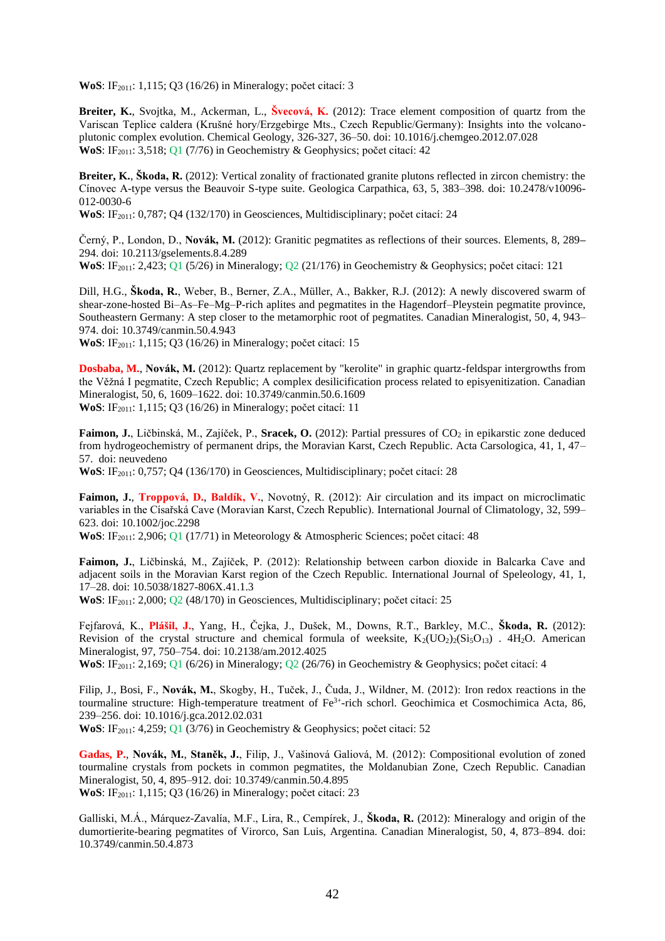**WoS**: IF2011: 1,115; Q3 (16/26) in Mineralogy; počet citací: 3

**Breiter, K.**, Svojtka, M., Ackerman, L., **Švecová, K.** (2012): Trace element composition of quartz from the Variscan Teplice caldera (Krušné hory/Erzgebirge Mts., Czech Republic/Germany): Insights into the volcanoplutonic complex evolution. Chemical Geology, 326-327, 36–50. doi: 10.1016/j.chemgeo.2012.07.028 **WoS**: IF2011: 3,518; Q1 (7/76) in Geochemistry & Geophysics; počet citací: 42

**Breiter, K.**, **Škoda, R.** (2012): Vertical zonality of fractionated granite plutons reflected in zircon chemistry: the Cínovec A-type versus the Beauvoir S-type suite. Geologica Carpathica, 63, 5, 383–398. doi: 10.2478/v10096- 012-0030-6

**WoS**: IF2011: 0,787; Q4 (132/170) in Geosciences, Multidisciplinary; počet citací: 24

Černý, P., London, D., **Novák, M.** (2012): Granitic pegmatites as reflections of their sources. Elements, 8, 289**–** 294. doi: 10.2113/gselements.8.4.289

**WoS**: IF2011: 2,423; Q1 (5/26) in Mineralogy; Q2 (21/176) in Geochemistry & Geophysics; počet citací: 121

Dill, H.G., **Škoda, R.**, Weber, B., Berner, Z.A., Müller, A., Bakker, R.J. (2012): A newly discovered swarm of shear-zone-hosted Bi–As–Fe–Mg–P-rich aplites and pegmatites in the Hagendorf–Pleystein pegmatite province, Southeastern Germany: A step closer to the metamorphic root of pegmatites. Canadian Mineralogist, 50, 4, 943– 974. doi: 10.3749/canmin.50.4.943

**WoS**: IF2011: 1,115; Q3 (16/26) in Mineralogy; počet citací: 15

**Dosbaba, M., Novák, M.** (2012): Quartz replacement by "kerolite" in graphic quartz-feldspar intergrowths from the Věžná I pegmatite, Czech Republic; A complex desilicification process related to episyenitization. Canadian Mineralogist, 50, 6, 1609–1622. doi: 10.3749/canmin.50.6.1609 **WoS**: IF2011: 1,115; Q3 (16/26) in Mineralogy; počet citací: 11

**Faimon, J.**, Ličbinská, M., Zajíček, P., **Sracek, O.** (2012): Partial pressures of CO<sub>2</sub> in epikarstic zone deduced from hydrogeochemistry of permanent drips, the Moravian Karst, Czech Republic. Acta Carsologica, 41, 1, 47– 57. doi: neuvedeno

**WoS**: IF2011: 0,757; Q4 (136/170) in Geosciences, Multidisciplinary; počet citací: 28

**Faimon, J.**, **Troppová, D.**, **Baldík, V.**, Novotný, R. (2012): Air circulation and its impact on microclimatic variables in the Císařská Cave (Moravian Karst, Czech Republic). International Journal of Climatology, 32, 599– 623. doi: 10.1002/joc.2298

**WoS**: IF2011: 2,906; Q1 (17/71) in Meteorology & Atmospheric Sciences; počet citací: 48

**Faimon, J.**, Ličbinská, M., Zajíček, P. (2012): Relationship between carbon dioxide in Balcarka Cave and adjacent soils in the Moravian Karst region of the Czech Republic. International Journal of Speleology, 41, 1, 17–28. doi: 10.5038/1827-806X.41.1.3

WoS: IF<sub>2011</sub>: 2,000; Q2 (48/170) in Geosciences, Multidisciplinary; počet citací: 25

Fejfarová, K., **Plášil, J.**, Yang, H., Čejka, J., Dušek, M., Downs, R.T., Barkley, M.C., **Škoda, R.** (2012): Revision of the crystal structure and chemical formula of weeksite,  $K_2(UO_2)(Si_5O_{13})$ . 4H<sub>2</sub>O. American Mineralogist, 97, 750–754. doi: 10.2138/am.2012.4025

**WoS**: IF2011: 2,169; Q1 (6/26) in Mineralogy; Q2 (26/76) in Geochemistry & Geophysics; počet citací: 4

Filip, J., Bosi, F., **Novák, M.**, Skogby, H., Tuček, J., Čuda, J., Wildner, M. (2012): Iron redox reactions in the tourmaline structure: High-temperature treatment of Fe<sup>3+</sup>-rich schorl. Geochimica et Cosmochimica Acta, 86, 239–256. doi: 10.1016/j.gca.2012.02.031

WoS: IF<sub>2011</sub>: 4,259; Q1 (3/76) in Geochemistry & Geophysics; počet citací: 52

**Gadas, P.**, **Novák, M.**, **Staněk, J.**, Filip, J., Vašinová Galiová, M. (2012): Compositional evolution of zoned tourmaline crystals from pockets in common pegmatites, the Moldanubian Zone, Czech Republic. Canadian Mineralogist, 50, 4, 895–912. doi: 10.3749/canmin.50.4.895 **WoS**: IF2011: 1,115; Q3 (16/26) in Mineralogy; počet citací: 23

Galliski, M.Á., Márquez-Zavalía, M.F., Lira, R., Cempírek, J., **Škoda, R.** (2012): Mineralogy and origin of the dumortierite-bearing pegmatites of Virorco, San Luis, Argentina. Canadian Mineralogist, 50, 4, 873–894. doi: 10.3749/canmin.50.4.873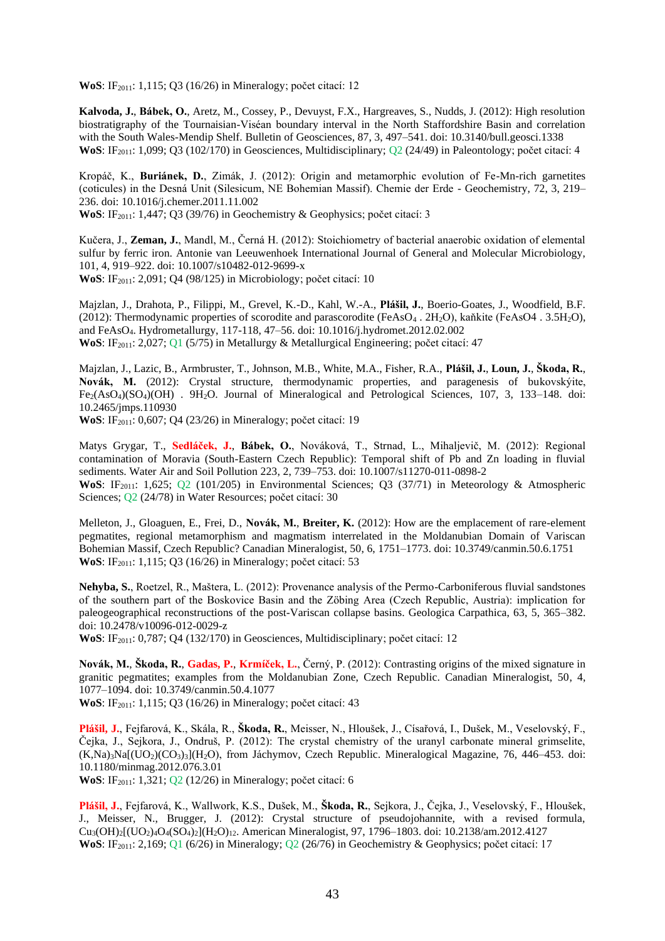**WoS**: IF2011: 1,115; Q3 (16/26) in Mineralogy; počet citací: 12

**[Kalvoda, J.](https://is.muni.cz/auth/osoba/2007?vysledek=38608)**, **[Bábek, O.](https://is.muni.cz/auth/osoba/48838?vysledek=38608)**, Aretz, M., Cossey, P., Devuyst, F.X., Hargreaves, S., Nudds, J. (2012): High resolution biostratigraphy of the Tournaisian-Viséan boundary interval in the North Staffordshire Basin and correlation with the South Wales-Mendip Shelf. Bulletin of Geosciences, 87, 3, 497–541. doi: 10.3140/bull.geosci.1338 **WoS**: IF2011: 1,099; Q3 (102/170) in Geosciences, Multidisciplinary; Q2 (24/49) in Paleontology; počet citací: 4

Kropáč, K., **Buriánek, D.**, Zimák, J. (2012): Origin and metamorphic evolution of Fe-Mn-rich garnetites (coticules) in the Desná Unit (Silesicum, NE Bohemian Massif). Chemie der Erde - Geochemistry, 72, 3, 219– 236. doi: 10.1016/j.chemer.2011.11.002

**WoS**: IF2011: 1,447; Q3 (39/76) in Geochemistry & Geophysics; počet citací: 3

Kučera, J., **Zeman, J.**, Mandl, M., Černá H. (2012): Stoichiometry of bacterial anaerobic oxidation of elemental sulfur by ferric iron. Antonie van Leeuwenhoek International Journal of General and Molecular Microbiology, 101, 4, 919–922. doi: 10.1007/s10482-012-9699-x **WoS**: IF<sub>2011</sub>: 2,091; Q4 (98/125) in Microbiology; počet citací: 10

Majzlan, J., Drahota, P., Filippi, M., Grevel, K.-D., Kahl, W.-A., **Plášil, J.**, Boerio-Goates, J., Woodfield, B.F. (2012): Thermodynamic properties of scorodite and parascorodite (FeAsO<sub>4</sub> . 2H<sub>2</sub>O), kaňkite (FeAsO4 . 3.5H<sub>2</sub>O), and FeAsO4. Hydrometallurgy, 117-118, 47–56. doi: 10.1016/j.hydromet.2012.02.002 **WoS**: IF2011: 2,027; Q1 (5/75) in Metallurgy & Metallurgical Engineering; počet citací: 47

Majzlan, J., Lazic, B., Armbruster, T., Johnson, M.B., White, M.A., Fisher, R.A., **Plášil, J.**, **Loun, J.**, **Škoda, R.**, **Novák, M.** (2012): Crystal structure, thermodynamic properties, and paragenesis of bukovskýite, Fe<sub>2</sub>(AsO<sub>4</sub>)(SO<sub>4</sub>)(OH) . 9H<sub>2</sub>O. Journal of Mineralogical and Petrological Sciences, 107, 3, 133–148. doi: 10.2465/jmps.110930

**WoS**: IF2011: 0,607; Q4 (23/26) in Mineralogy; počet citací: 19

Matys Grygar, T., **Sedláček, J.**, **Bábek, O.**, Nováková, T., Strnad, L., Mihaljevič, M. (2012): Regional contamination of Moravia (South-Eastern Czech Republic): Temporal shift of Pb and Zn loading in fluvial sediments. Water Air and Soil Pollution 223, 2, 739–753. doi: 10.1007/s11270-011-0898-2 **WoS**: IF2011: 1,625; Q2 (101/205) in Environmental Sciences; Q3 (37/71) in Meteorology & Atmospheric Sciences; Q2 (24/78) in Water Resources; počet citací: 30

Melleton, J., Gloaguen, E., Frei, D., **Novák, M.**, **Breiter, K.** (2012): How are the emplacement of rare-element pegmatites, regional metamorphism and magmatism interrelated in the Moldanubian Domain of Variscan Bohemian Massif, Czech Republic? Canadian Mineralogist, 50, 6, 1751–1773. doi: 10.3749/canmin.50.6.1751 **WoS**: IF2011: 1,115; Q3 (16/26) in Mineralogy; počet citací: 53

**Nehyba, S.**, Roetzel, R., Maštera, L. (2012): Provenance analysis of the Permo-Carboniferous fluvial sandstones of the southern part of the Boskovice Basin and the Zöbing Area (Czech Republic, Austria): implication for paleogeographical reconstructions of the post-Variscan collapse basins. Geologica Carpathica, 63, 5, 365–382. doi: 10.2478/v10096-012-0029-z

WoS: IF<sub>2011</sub>: 0,787; Q4 (132/170) in Geosciences, Multidisciplinary; počet citací: 12

**Novák, M.**, **Škoda, R.**, **Gadas, P.**, **Krmíček, L.**, Černý, P. (2012): Contrasting origins of the mixed signature in granitic pegmatites; examples from the Moldanubian Zone, Czech Republic. Canadian Mineralogist, 50, 4, 1077–1094. doi: 10.3749/canmin.50.4.1077

**WoS**: IF2011: 1,115; Q3 (16/26) in Mineralogy; počet citací: 43

**Plášil, J.**, Fejfarová, K., Skála, R., **Škoda, R.**, Meisser, N., Hloušek, J., Císařová, I., Dušek, M., Veselovský, F., Čejka, J., Sejkora, J., Ondruš, P. (2012): The crystal chemistry of the uranyl carbonate mineral grimselite,  $(K,Na)$ <sub>3</sub>Na[(UO<sub>2</sub>)(CO<sub>3</sub>)<sub>3</sub>](H<sub>2</sub>O), from Jáchymov, Czech Republic. Mineralogical Magazine, 76, 446–453. doi: 10.1180/minmag.2012.076.3.01

**WoS**: IF2011: 1,321; Q2 (12/26) in Mineralogy; počet citací: 6

**Plášil, J.**, Fejfarová, K., Wallwork, K.S., Dušek, M., **Škoda, R.**, Sejkora, J., Čejka, J., Veselovský, F., Hloušek, J., Meisser, N., Brugger, J. (2012): Crystal structure of pseudojohannite, with a revised formula,  $Cu_3(OH)_2[(UO_2)_4O_4(SO_4)_2](H_2O)_{12}$ . American Mineralogist, 97, 1796–1803. doi: 10.2138/am.2012.4127 **WoS**: IF2011: 2,169; Q1 (6/26) in Mineralogy; Q2 (26/76) in Geochemistry & Geophysics; počet citací: 17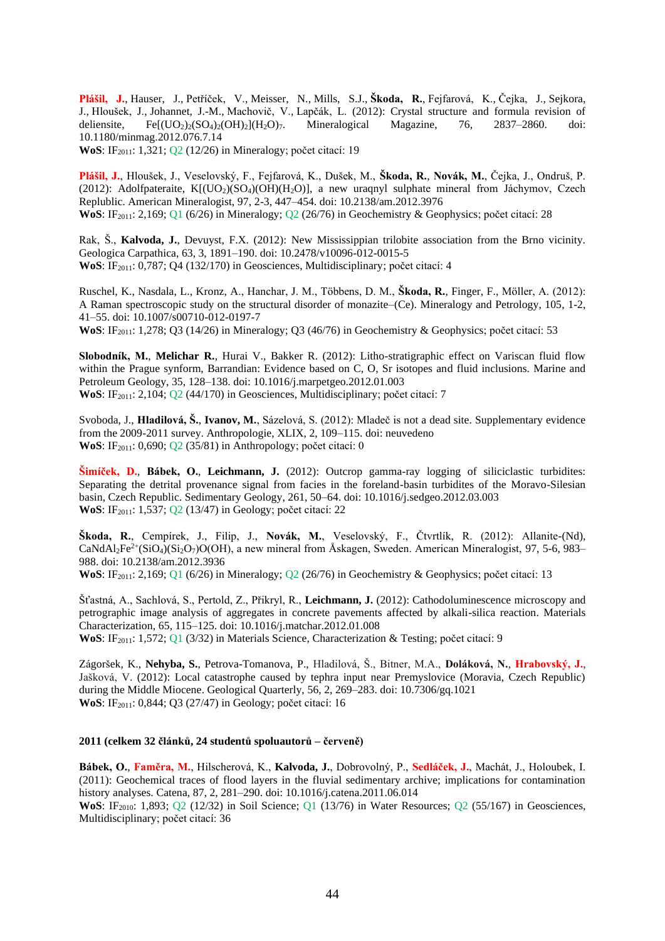**[Plášil, J.](http://www.scopus.com/authid/detail.url?authorId=23025751100&eid=2-s2.0-84875745243)**, [Hauser, J.,](http://www.scopus.com/authid/detail.url?authorId=7202945939&eid=2-s2.0-84875745243) [Petříček, V.,](http://www.scopus.com/authid/detail.url?authorId=7003549186&eid=2-s2.0-84875745243) [Meisser, N.,](http://www.scopus.com/authid/detail.url?authorId=6603508724&eid=2-s2.0-84875745243) [Mills, S.J.,](http://www.scopus.com/authid/detail.url?authorId=7202974104&eid=2-s2.0-84875745243) **[Škoda, R.](http://www.scopus.com/authid/detail.url?authorId=13102643700&eid=2-s2.0-84875745243)**, [Fejfarová, K.,](http://www.scopus.com/authid/detail.url?authorId=6508087797&eid=2-s2.0-84875745243) [Čejka, J.,](http://www.scopus.com/authid/detail.url?authorId=26425652500&eid=2-s2.0-84875745243) [Sejkora,](http://www.scopus.com/authid/detail.url?authorId=6701729565&eid=2-s2.0-84875745243)  [J.,](http://www.scopus.com/authid/detail.url?authorId=6701729565&eid=2-s2.0-84875745243) [Hloušek, J.,](http://www.scopus.com/authid/detail.url?authorId=6603921226&eid=2-s2.0-84875745243) [Johannet, J.-M.,](http://www.scopus.com/authid/detail.url?authorId=55639444700&eid=2-s2.0-84875745243) [Machovič, V.,](http://www.scopus.com/authid/detail.url?authorId=6602131639&eid=2-s2.0-84875745243) [Lapčák, L.](http://www.scopus.com/authid/detail.url?authorId=55620521100&eid=2-s2.0-84875745243) (2012): Crystal structure and formula revision of deliensite,  $Fe[(UO<sub>2</sub>)<sub>2</sub>(SO<sub>4</sub>)<sub>2</sub>(OH)<sub>2</sub>](H<sub>2</sub>O)<sub>7</sub>$ . Mineralogical Magazine, 76, 2837–2860. doi: 10.1180/minmag.2012.076.7.14

**WoS**: IF<sub>2011</sub>: 1,321; Q2 (12/26) in Mineralogy; počet citací: 19

**Plášil, J.**, Hloušek, J., Veselovský, F., Fejfarová, K., Dušek, M., **Škoda, R.**, **Novák, M.**, Čejka, J., Ondruš, P. (2012): Adolfpateraite, K $[(UO<sub>2</sub>)(SO<sub>4</sub>)(OH)(H<sub>2</sub>O)]$ , a new uraqnyl sulphate mineral from Jáchymov, Czech Replublic. American Mineralogist, 97, 2-3, 447–454. doi: 10.2138/am.2012.3976 **WoS**: IF2011: 2,169; Q1 (6/26) in Mineralogy; Q2 (26/76) in Geochemistry & Geophysics; počet citací: 28

Rak, Š., **Kalvoda, J.**, Devuyst, F.X. (2012): New Mississippian trilobite association from the Brno vicinity. Geologica Carpathica, 63, 3, 1891–190. doi: 10.2478/v10096-012-0015-5 **WoS**: IF2011: 0,787; Q4 (132/170) in Geosciences, Multidisciplinary; počet citací: 4

Ruschel, K., Nasdala, L., Kronz, A., Hanchar, J. M., Többens, D. M., **Škoda, R.**, Finger, F., Möller, A. (2012): A Raman spectroscopic study on the structural disorder of monazite–(Ce). Mineralogy and Petrology, 105, 1-2, 41–55. doi: 10.1007/s00710-012-0197-7

**WoS**: IF2011: 1,278; Q3 (14/26) in Mineralogy; Q3 (46/76) in Geochemistry & Geophysics; počet citací: 53

**Slobodník, M.**, **Melichar R.**, Hurai V., Bakker R. (2012): Litho-stratigraphic effect on Variscan fluid flow within the Prague synform, Barrandian: Evidence based on C, O, Sr isotopes and fluid inclusions. Marine and Petroleum Geology, 35, 128–138. doi: 10.1016/j.marpetgeo.2012.01.003 WoS: IF<sub>2011</sub>: 2,104; Q2 (44/170) in Geosciences, Multidisciplinary; počet citací: 7

Svoboda, J., **Hladilová, Š.**, **Ivanov, M.**, Sázelová, S. (2012): Mladeč is not a dead site. Supplementary evidence from the 2009-2011 survey. Anthropologie, XLIX, 2, 109–115. doi: neuvedeno **WoS**: IF<sub>2011</sub>: 0,690; Q2 (35/81) in Anthropology; počet citací: 0

**Šimíček, D.**, **Bábek, O.**, **Leichmann, J.** (2012): Outcrop gamma-ray logging of siliciclastic turbidites: Separating the detrital provenance signal from facies in the foreland-basin turbidites of the Moravo-Silesian basin, Czech Republic. Sedimentary Geology, 261, 50–64. doi: 10.1016/j.sedgeo.2012.03.003 **WoS**: IF2011: 1,537; Q2 (13/47) in Geology; počet citací: 22

**Škoda, R.**, Cempírek, J., Filip, J., **Novák, M.**, Veselovský, F., Čtvrtlík, R. (2012): Allanite-(Nd),  $CaNdA<sub>12</sub>Fe<sup>2+</sup>(SiO<sub>4</sub>)(Si<sub>2</sub>)(O(H))$ , a new mineral from Åskagen, Sweden. American Mineralogist, 97, 5-6, 983– 988. doi: 10.2138/am.2012.3936

**WoS**: IF2011: 2,169; Q1 (6/26) in Mineralogy; Q2 (26/76) in Geochemistry & Geophysics; počet citací: 13

Šťastná, A., Sachlová, S., Pertold, Z., Přikryl, R., **[Leichmann, J.](https://is.muni.cz/osoba/1923)** (2012): Cathodoluminescence microscopy and petrographic image analysis of aggregates in concrete pavements affected by alkali-silica reaction. Materials Characterization, 65, 115–125. doi: 10.1016/j.matchar.2012.01.008 **WoS**: IF2011: 1,572; Q1 (3/32) in Materials Science, Characterization & Testing; počet citací: 9

Zágoršek, K., **Nehyba, S.**, Petrova-Tomanova, P., Hladilová, Š., Bitner, M.A., **Doláková, N.**, **Hrabovský, J.**, Jašková, V. (2012): [Local catastrophe caused by tephra input near Premyslovice \(Moravia, Czech Republic\)](http://apps.webofknowledge.com/full_record.do?product=WOS&search_mode=GeneralSearch&qid=1&SID=P1i7dI7iFeaKMLLKCkO&page=1&doc=2)  [during the Middle Miocene.](http://apps.webofknowledge.com/full_record.do?product=WOS&search_mode=GeneralSearch&qid=1&SID=P1i7dI7iFeaKMLLKCkO&page=1&doc=2) Geological Quarterly, 56, 2, 269–283. doi: 10.7306/gq.1021 **WoS**: IF2011: 0,844; Q3 (27/47) in Geology; počet citací: 16

## **2011 (celkem 32 článků, 24 studentů spoluautorů – červeně)**

**Bábek, O.**, **Faměra, M.**, Hilscherová, K., **Kalvoda, J.**, Dobrovolný, P., **Sedláček, J.**, Machát, J., Holoubek, I. (2011): [Geochemical traces of flood layers in the fluvial sedimentary archive; implications for contamination](http://apps.webofknowledge.com/full_record.do?product=WOS&search_mode=Refine&qid=9&SID=3EbKHcGAdjld1DgnAgA&page=1&doc=1)  [history analyses. C](http://apps.webofknowledge.com/full_record.do?product=WOS&search_mode=Refine&qid=9&SID=3EbKHcGAdjld1DgnAgA&page=1&doc=1)atena, 87, 2, 281–290. doi: 10.1016/j.catena.2011.06.014

**WoS**: IF2010: 1,893; Q2 (12/32) in Soil Science; Q1 (13/76) in Water Resources; Q2 (55/167) in Geosciences, Multidisciplinary; počet citací: 36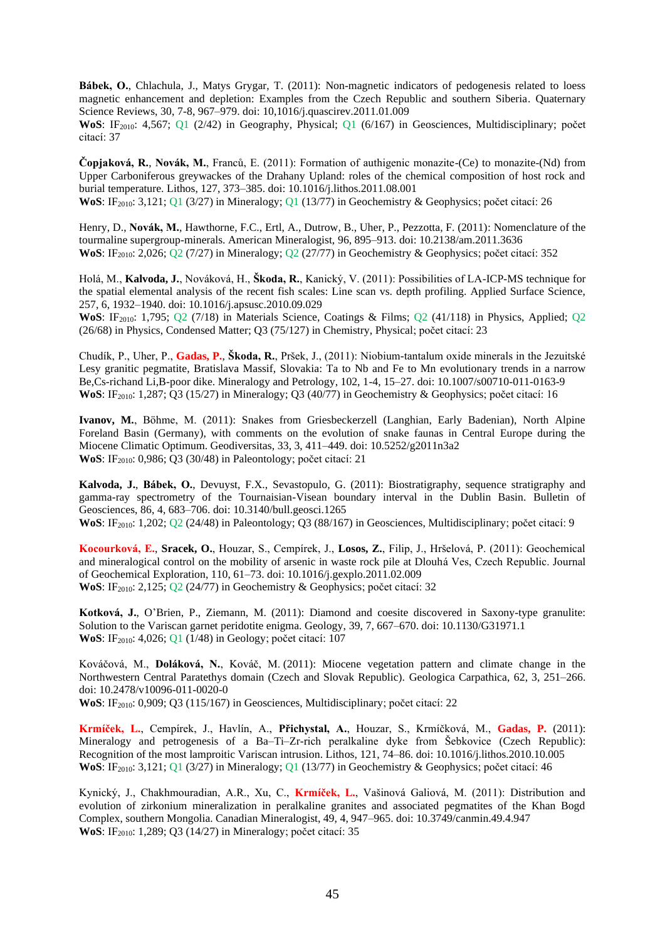**Bábek, O.**, Chlachula, J., Matys Grygar, T. (2011): [Non-magnetic indicators of pedogenesis related to loess](http://apps.webofknowledge.com/full_record.do?product=WOS&search_mode=Refine&qid=12&SID=3EbKHcGAdjld1DgnAgA&page=1&doc=2)  [magnetic enhancement and depletion: Examples from the Czech Republic and southern Siberia.](http://apps.webofknowledge.com/full_record.do?product=WOS&search_mode=Refine&qid=12&SID=3EbKHcGAdjld1DgnAgA&page=1&doc=2) Quaternary Science Reviews, 30, 7-8, 967–979. doi: 10,1016/j.quascirev.2011.01.009 WoS: IF<sub>2010</sub>: 4,567; Q1 (2/42) in Geography, Physical; Q1 (6/167) in Geosciences, Multidisciplinary; počet citací: 37

**Čopjaková, R.**, **Novák, M.**, Franců, E. (2011): Formation of authigenic monazite-(Ce) to monazite-(Nd) from Upper Carboniferous greywackes of the Drahany Upland: roles of the chemical composition of host rock and burial temperature. Lithos, 127, 373–385. doi: 10.1016/j.lithos.2011.08.001 **WoS**: IF2010: 3,121; Q1 (3/27) in Mineralogy; Q1 (13/77) in Geochemistry & Geophysics; počet citací: 26

Henry, D., **Novák, M.**, Hawthorne, F.C., Ertl, A., Dutrow, B., Uher, P., Pezzotta, F. (2011): Nomenclature of the tourmaline supergroup-minerals. American Mineralogist, 96, 895–913. doi: 10.2138/am.2011.3636 **WoS**: IF2010: 2,026; Q2 (7/27) in Mineralogy; Q2 (27/77) in Geochemistry & Geophysics; počet citací: 352

Holá, M., **Kalvoda, J.**, Nováková, H., **Škoda, R.**, Kanický, V. (2011): Possibilities of LA-ICP-MS technique for the spatial elemental analysis of the recent fish scales: Line scan vs. depth profiling. Applied Surface Science, 257, 6, 1932–1940. doi: 10.1016/j.apsusc.2010.09.029

**WoS**: IF2010: 1,795; Q2 (7/18) in Materials Science, Coatings & Films; Q2 (41/118) in Physics, Applied; Q2 (26/68) in Physics, Condensed Matter; Q3 (75/127) in Chemistry, Physical; počet citací: 23

Chudík, P., Uher, P., **Gadas, P.**, **Škoda, R.**, Pršek, J., (2011): Niobium-tantalum oxide minerals in the Jezuitské Lesy granitic pegmatite, Bratislava Massif, Slovakia: Ta to Nb and Fe to Mn evolutionary trends in a narrow Be,Cs-richand Li,B-poor dike. Mineralogy and Petrology, 102, 1-4, 15–27. doi: 10.1007/s00710-011-0163-9 **WoS**: IF2010: 1,287; Q3 (15/27) in Mineralogy; Q3 (40/77) in Geochemistry & Geophysics; počet citací: 16

**Ivanov, M.**, Böhme, M. (2011): Snakes from Griesbeckerzell (Langhian, Early Badenian), North Alpine Foreland Basin (Germany), with comments on the evolution of snake faunas in Central Europe during the Miocene Climatic Optimum. Geodiversitas, 33, 3, 411–449. doi: 10.5252/g2011n3a2 **WoS**: IF2010: 0,986; Q3 (30/48) in Paleontology; počet citací: 21

**Kalvoda, J.**, **Bábek, O.**, Devuyst, F.X., Sevastopulo, G. (2011): [Biostratigraphy, sequence stratigraphy and](http://apps.webofknowledge.com/full_record.do?product=WOS&search_mode=Refine&qid=9&SID=3EbKHcGAdjld1DgnAgA&page=1&doc=2)  [gamma-ray spectrometry of the Tournaisian-Visean boundary interval in the Dublin Basin. B](http://apps.webofknowledge.com/full_record.do?product=WOS&search_mode=Refine&qid=9&SID=3EbKHcGAdjld1DgnAgA&page=1&doc=2)ulletin of Geosciences, 86, 4, 683–706. doi: 10.3140/bull.geosci.1265

**WoS**: IF2010: 1,202; Q2 (24/48) in Paleontology; Q3 (88/167) in Geosciences, Multidisciplinary; počet citací: 9

**Kocourková, E.**, **Sracek, O.**, Houzar, S., Cempírek, J., **Losos, Z.**, Filip, J., Hršelová, P. (2011): Geochemical and mineralogical control on the mobility of arsenic in waste rock pile at Dlouhá Ves, Czech Republic. Journal of Geochemical Exploration, 110, 61–73. doi: 10.1016/j.gexplo.2011.02.009 WoS: IF<sub>2010</sub>: 2,125; Q2 (24/77) in Geochemistry & Geophysics; počet citací: 32

**Kotková, J.**, O'Brien, P., Ziemann, M. (2011): Diamond and coesite discovered in Saxony-type granulite: Solution to the Variscan garnet peridotite enigma. Geology, 39, 7, 667–670. doi: 10.1130/G31971.1 **WoS**: IF2010: 4,026; Q1 (1/48) in Geology; počet citací: 107

Kováčová, M., **Doláková, N.**, Kováč, M. (2011): Miocene vegetation pattern and climate change in the Northwestern Central Paratethys domain (Czech and Slovak Republic). Geologica Carpathica, 62, 3, 251–266. doi: 10.2478/v10096-011-0020-0

**WoS**: IF2010: 0,909; Q3 (115/167) in Geosciences, Multidisciplinary; počet citací: 22

**Krmíček, L.**, Cempírek, J., Havlín, A., **Přichystal, A.**, Houzar, S., Krmíčková, M., **Gadas, P.** (2011): Mineralogy and petrogenesis of a Ba–Ti–Zr-rich peralkaline dyke from Šebkovice (Czech Republic): Recognition of the most lamproitic Variscan intrusion. Lithos, 121, 74–86. doi: 10.1016/j.lithos.2010.10.005 **WoS**: IF2010: 3,121; Q1 (3/27) in Mineralogy; Q1 (13/77) in Geochemistry & Geophysics; počet citací: 46

Kynický, J., Chakhmouradian, A.R., Xu, C., **Krmíček, L.**, Vašinová Galiová, M. (2011): Distribution and evolution of zirkonium mineralization in peralkaline granites and associated pegmatites of the Khan Bogd Complex, southern Mongolia. Canadian Mineralogist, 49, 4, 947–965. doi: 10.3749/canmin.49.4.947 **WoS**: IF2010: 1,289; Q3 (14/27) in Mineralogy; počet citací: 35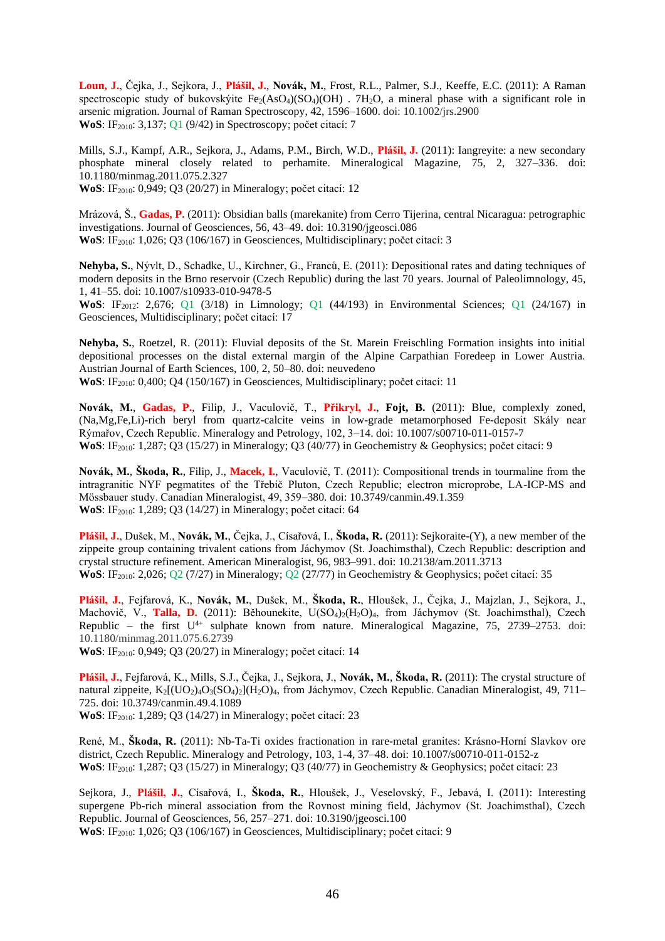**Loun, J.**, Čejka, J., Sejkora, J., **Plášil, J.**, **Novák, M.**, Frost, R.L., Palmer, S.J., Keeffe, E.C. (2011): A Raman spectroscopic study of bukovskýite  $Fe<sub>2</sub>(AsO<sub>4</sub>)(SO<sub>4</sub>)(OH)$ . 7H<sub>2</sub>O, a mineral phase with a significant role in arsenic migration. Journal of Raman Spectroscopy, 42, 1596–1600. doi: 10.1002/jrs.2900 **WoS**: IF2010: 3,137; Q1 (9/42) in Spectroscopy; počet citací: 7

Mills, S.J., Kampf, A.R., Sejkora, J., Adams, P.M., Birch, W.D., **Plášil, J.** (2011): Iangreyite: a new secondary phosphate mineral closely related to perhamite. Mineralogical Magazine, 75, 2, 327–336. doi: 10.1180/minmag.2011.075.2.327

**WoS**: IF<sub>2010</sub>: 0,949; Q3 (20/27) in Mineralogy; počet citací: 12

Mrázová, Š., **Gadas, P.** (2011): [Obsidian balls \(marekanite\) from Cerro Tijerina, central Nicaragua: petrographic](http://apps.webofknowledge.com/full_record.do?product=WOS&search_mode=GeneralSearch&qid=29&SID=3EbKHcGAdjld1DgnAgA&page=1&doc=3)  [investigations. J](http://apps.webofknowledge.com/full_record.do?product=WOS&search_mode=GeneralSearch&qid=29&SID=3EbKHcGAdjld1DgnAgA&page=1&doc=3)ournal of Geosciences, 56, 43–49. doi: 10.3190/jgeosci.086 WoS: IF<sub>2010</sub>: 1,026; Q3 (106/167) in Geosciences, Multidisciplinary; počet citací: 3

**Nehyba, S.**, Nývlt, D., Schadke, U., Kirchner, G., Franců, E. (2011): Depositional rates and dating techniques of modern deposits in the Brno reservoir (Czech Republic) during the last 70 years. Journal of Paleolimnology, 45, 1, 41–55. doi: 10.1007/s10933-010-9478-5

**WoS**: IF2012: 2,676; Q1 (3/18) in Limnology; Q1 (44/193) in Environmental Sciences; Q1 (24/167) in Geosciences, Multidisciplinary; počet citací: 17

**Nehyba, S.**, Roetzel, R. (2011): Fluvial deposits of the St. Marein Freischling Formation insights into initial depositional processes on the distal external margin of the Alpine Carpathian Foredeep in Lower Austria. Austrian Journal of Earth Sciences, 100, 2, 50–80. doi: neuvedeno

**WoS**: IF2010: 0,400; Q4 (150/167) in Geosciences, Multidisciplinary; počet citací: 11

**Novák, M.**, **Gadas, P.**, Filip, J., Vaculovič, T., **Přikryl, J.**, **Fojt, B.** (2011): Blue, complexly zoned, (Na,Mg,Fe,Li)-rich beryl from quartz-calcite veins in low-grade metamorphosed Fe-deposit Skály near Rýmařov, Czech Republic. Mineralogy and Petrology, 102, 3–14. doi: 10.1007/s00710-011-0157-7 **WoS**: IF2010: 1,287; Q3 (15/27) in Mineralogy; Q3 (40/77) in Geochemistry & Geophysics; počet citací: 9

**Novák, M.**, **Škoda, R.**, Filip, J., **Macek, I.**, Vaculovič, T. (2011): Compositional trends in tourmaline from the intragranitic NYF pegmatites of the Třebíč Pluton, Czech Republic; electron microprobe, LA-ICP-MS and Mössbauer study. Canadian Mineralogist, 49, 359–380. doi: 10.3749/canmin.49.1.359 **WoS**: IF2010: 1,289; Q3 (14/27) in Mineralogy; počet citací: 64

**Plášil, J.**, Dušek, M., **Novák, M.**, Čejka, J., Císařová, I., **Škoda, R.** (2011): Sejkoraite-(Y), a new member of the zippeite group containing trivalent cations from Jáchymov (St. Joachimsthal), Czech Republic: description and crystal structure refinement. American Mineralogist, 96, 983–991. doi: 10.2138/am.2011.3713 **WoS**: IF2010: 2,026; Q2 (7/27) in Mineralogy; Q2 (27/77) in Geochemistry & Geophysics; počet citací: 35

**Plášil, J.**, Fejfarová, K., **Novák, M.**, Dušek, M., **Škoda, R.**, Hloušek, J., Čejka, J., Majzlan, J., Sejkora, J., Machovič, V., Talla, D. (2011): Běhounekite, U(SO<sub>4)2</sub>(H<sub>2</sub>O)<sub>4</sub>, from Jáchymov (St. Joachimsthal), Czech Republic – the first  $U^{4+}$  sulphate known from nature. Mineralogical Magazine, 75, 2739–2753. doi: 10.1180/minmag.2011.075.6.2739

**WoS**: IF2010: 0,949; Q3 (20/27) in Mineralogy; počet citací: 14

**Plášil, J.**, Fejfarová, K., Mills, S.J., Čejka, J., Sejkora, J., **Novák, M.**, **Škoda, R.** (2011): The crystal structure of natural zippeite, K<sub>2</sub>[(UO<sub>2</sub>)<sub>4</sub>O<sub>3</sub>(SO<sub>4</sub>)<sub>2</sub>](H<sub>2</sub>O)<sub>4</sub>, from Jáchymov, Czech Republic. Canadian Mineralogist, 49, 711– 725. doi: 10.3749/canmin.49.4.1089

**WoS**: IF2010: 1,289; Q3 (14/27) in Mineralogy; počet citací: 23

René, M., **Škoda, R.** (2011): Nb-Ta-Ti oxides fractionation in rare-metal granites: Krásno-Horní Slavkov ore district, Czech Republic. Mineralogy and Petrology, 103, 1-4, 37–48. doi: 10.1007/s00710-011-0152-z **WoS**: IF2010: 1,287; Q3 (15/27) in Mineralogy; Q3 (40/77) in Geochemistry & Geophysics; počet citací: 23

Sejkora, J., **Plášil, J.**, Císařová, I., **Škoda, R.**, Hloušek, J., Veselovský, F., Jebavá, I. (2011): Interesting supergene Pb-rich mineral association from the Rovnost mining field, Jáchymov (St. Joachimsthal), Czech Republic. Journal of Geosciences, 56, 257–271. doi: 10.3190/jgeosci.100 **WoS**: IF2010: 1,026; Q3 (106/167) in Geosciences, Multidisciplinary; počet citací: 9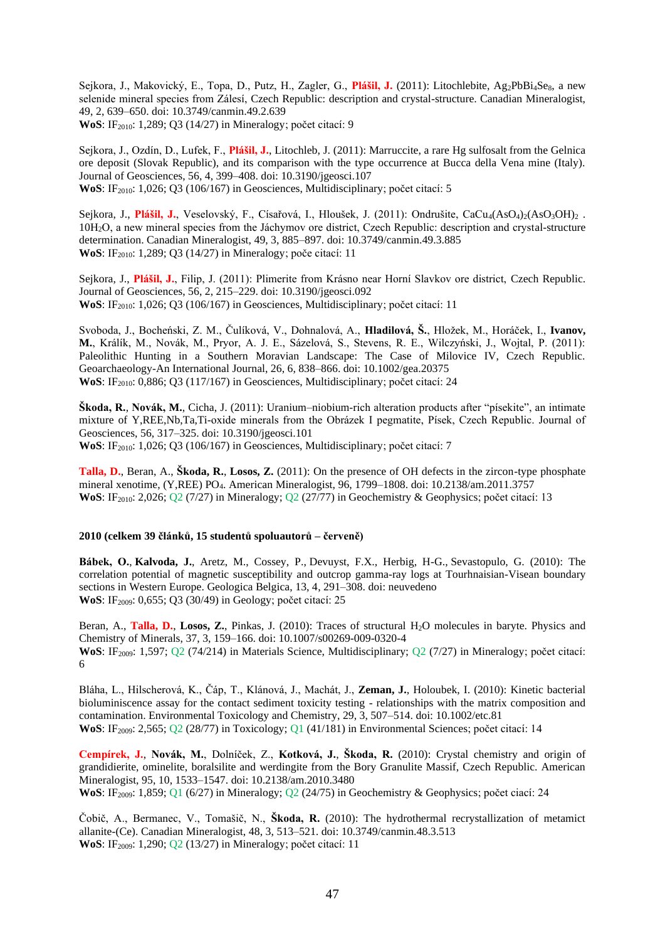Sejkora, J., Makovický, E., Topa, D., Putz, H., Zagler, G., *Plášil, J.* (2011): Litochlebite, Ag2PbBi4Se<sub>8</sub>, a new selenide mineral species from Zálesí, Czech Republic: description and crystal-structure. Canadian Mineralogist, 49, 2, 639–650. doi: 10.3749/canmin.49.2.639 **WoS**: IF2010: 1,289; Q3 (14/27) in Mineralogy; počet citací: 9

Sejkora, J., Ozdín, D., Lufek, F., **Plášil, J.**, Litochleb, J. (2011): Marruccite, a rare Hg sulfosalt from the Gelnica ore deposit (Slovak Republic), and its comparison with the type occurrence at Bucca della Vena mine (Italy). Journal of Geosciences, 56, 4, 399–408. doi: 10.3190/jgeosci.107 **WoS**: IF2010: 1,026; Q3 (106/167) in Geosciences, Multidisciplinary; počet citací: 5

Sejkora, J., *Plášil*, J., Veselovský, F., Císařová, I., Hloušek, J. (2011): Ondrušite, CaCu<sub>4</sub>(AsO<sub>4</sub>)<sub>2</sub>(AsO<sub>3</sub>OH)<sub>2</sub>. 10H2O, a new mineral species from the Jáchymov ore district, Czech Republic: description and crystal-structure determination. Canadian Mineralogist, 49, 3, 885–897. doi: 10.3749/canmin.49.3.885 **WoS**: IF2010: 1,289; Q3 (14/27) in Mineralogy; poče citací: 11

Sejkora, J., **Plášil, J.**, Filip, J. (2011): Plimerite from Krásno near Horní Slavkov ore district, Czech Republic. Journal of Geosciences, 56, 2, 215–229. doi: 10.3190/jgeosci.092 WoS: IF<sub>2010</sub>: 1,026; Q3 (106/167) in Geosciences, Multidisciplinary; počet citací: 11

Svoboda, J., Bocheński, Z. M., Čulíková, V., Dohnalová, A., **Hladilová, Š.**, Hložek, M., Horáček, I., **Ivanov, M.**, Králík, M., Novák, M., Pryor, A. J. E., Sázelová, S., Stevens, R. E., Wilczyński, J., Wojtal, P. (2011): Paleolithic Hunting in a Southern Moravian Landscape: The Case of Milovice IV, Czech Republic. Geoarchaeology-An International Journal, 26, 6, 838–866. doi: 10.1002/gea.20375 **WoS**: IF2010: 0,886; Q3 (117/167) in Geosciences, Multidisciplinary; počet citací: 24

**Škoda, R.**, **Novák, M.**, Cicha, J. (2011): Uranium–niobium-rich alteration products after "písekite", an intimate mixture of Y,REE,Nb,Ta,Ti-oxide minerals from the Obrázek I pegmatite, Písek, Czech Republic. Journal of Geosciences, 56, 317–325. doi: 10.3190/jgeosci.101 **WoS**: IF2010: 1,026; Q3 (106/167) in Geosciences, Multidisciplinary; počet citací: 7

**Talla, D.**, Beran, A., **Škoda, R.**, **Losos, Z.** (2011): On the presence of OH defects in the zircon-type phosphate mineral xenotime, (Y,REE) PO4. American Mineralogist, 96, 1799–1808. doi: 10.2138/am.2011.3757 **WoS**: IF2010: 2,026; Q2 (7/27) in Mineralogy; Q2 (27/77) in Geochemistry & Geophysics; počet citací: 13

### **2010 (celkem 39 článků, 15 studentů spoluautorů – červeně)**

**Bábek, O.**, **Kalvoda, J.**, Aretz, M., Cossey, P., Devuyst, F.X., Herbig, H-G., Sevastopulo, G. (2010): The correlation potential of magnetic susceptibility and outcrop gamma-ray logs at Tourhnaisian-Visean boundary sections in Western Europe. Geologica Belgica, 13, 4, 291–308. doi: neuvedeno **WoS**: IF2009: 0,655; Q3 (30/49) in Geology; počet citací: 25

Beran, A., **Talla, D.**, **Losos, Z.**, Pinkas, J. (2010): Traces of structural H2O molecules in baryte. Physics and Chemistry of Minerals, 37, 3, 159–166. doi: 10.1007/s00269-009-0320-4 **WoS**: IF2009: 1,597; Q2 (74/214) in Materials Science, Multidisciplinary; Q2 (7/27) in Mineralogy; počet citací: 6

Bláha, L., Hilscherová, K., Čáp, T., Klánová, J., Machát, J., **Zeman, J.**, Holoubek, I. (2010): Kinetic bacterial bioluminiscence assay for the contact sediment toxicity testing - relationships with the matrix composition and contamination. Environmental Toxicology and Chemistry, 29, 3, 507–514. doi: 10.1002/etc.81 **WoS**: IF2009: 2,565; Q2 (28/77) in Toxicology; Q1 (41/181) in Environmental Sciences; počet citací: 14

**Cempírek, J.**, **Novák, M.**, Dolníček, Z., **Kotková, J.**, **Škoda, R.** (2010): Crystal chemistry and origin of grandidierite, ominelite, boralsilite and werdingite from the Bory Granulite Massif, Czech Republic. American Mineralogist, 95, 10, 1533–1547. doi: 10.2138/am.2010.3480 **WoS**: IF2009: 1,859; Q1 (6/27) in Mineralogy; Q2 (24/75) in Geochemistry & Geophysics; počet ciací: 24

Čobič, A., Bermanec, V., Tomašič, N., **Škoda, R.** (2010): The hydrothermal recrystallization of metamict allanite-(Ce). Canadian Mineralogist, 48, 3, 513–521. doi: 10.3749/canmin.48.3.513 **WoS**: IF2009: 1,290; Q2 (13/27) in Mineralogy; počet citací: 11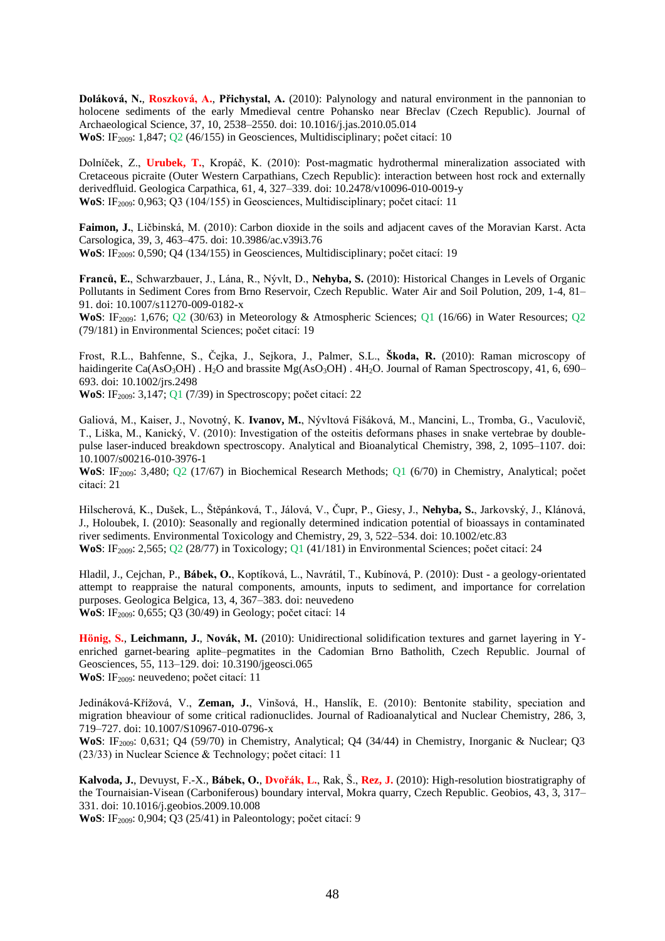**Doláková, N.**, **Roszková, A.**, **Přichystal, A.** (2010): Palynology and natural environment in the pannonian to holocene sediments of the early Mmedieval centre Pohansko near Břeclav (Czech Republic). Journal of Archaeological Science, 37, 10, 2538–2550. doi: 10.1016/j.jas.2010.05.014 **WoS**: IF2009: 1,847; Q2 (46/155) in Geosciences, Multidisciplinary; počet citací: 10

Dolníček, Z., **Urubek, T.**, Kropáč, K. (2010): Post-magmatic hydrothermal mineralization associated with Cretaceous picraite (Outer Western Carpathians, Czech Republic): interaction between host rock and externally derivedfluid. Geologica Carpathica, 61, 4, 327–339. doi: 10.2478/v10096-010-0019-y **WoS**: IF2009: 0,963; Q3 (104/155) in Geosciences, Multidisciplinary; počet citací: 11

**Faimon, J.**, Ličbinská, M. (2010): [Carbon dioxide in the soils and adjacent caves of the Moravian Karst.](http://apps.isiknowledge.com/full_record.do?product=WOS&search_mode=GeneralSearch&qid=1&SID=S1lPPCh@ebmHea@FbJB&page=1&doc=1&cacheurlFromRightClick=no) Acta Carsologica, 39, 3, 463–475. doi: 10.3986/ac.v39i3.76 **WoS**: IF2009: 0,590; Q4 (134/155) in Geosciences, Multidisciplinary; počet citací: 19

**Franců, E.**, Schwarzbauer, J., Lána, R., Nývlt, D., **Nehyba, S.** (2010): Historical Changes in Levels of Organic Pollutants in Sediment Cores from Brno Reservoir, Czech Republic. Water Air and Soil Polution, 209, 1-4, 81– 91. doi: 10.1007/s11270-009-0182-x

**WoS**: IF2009: 1,676; Q2 (30/63) in Meteorology & Atmospheric Sciences; Q1 (16/66) in Water Resources; Q2 (79/181) in Environmental Sciences; počet citací: 19

Frost, R.L., Bahfenne, S., Čejka, J., Sejkora, J., Palmer, S.L., **Škoda, R.** (2010): Raman microscopy of haidingerite  $Ca(AsO<sub>3</sub>OH)$ . H<sub>2</sub>O and brassite Mg(AsO<sub>3</sub>OH) . 4H<sub>2</sub>O. Journal of Raman Spectroscopy, 41, 6, 690– 693. doi: 10.1002/jrs.2498

**WoS**: IF2009: 3,147; Q1 (7/39) in Spectroscopy; počet citací: 22

Galiová, M., Kaiser, J., Novotný, K. **Ivanov, M.**, Nývltová Fišáková, M., Mancini, L., Tromba, G., Vaculovič, T., Liška, M., Kanický, V. (2010): Investigation of the osteitis deformans phases in snake vertebrae by doublepulse laser-induced breakdown spectroscopy. Analytical and Bioanalytical Chemistry, 398, 2, 1095–1107. doi: 10.1007/s00216-010-3976-1

**WoS**: IF2009: 3,480; Q2 (17/67) in Biochemical Research Methods; Q1 (6/70) in Chemistry, Analytical; počet citací: 21

Hilscherová, K., Dušek, L., Štěpánková, T., Jálová, V., Čupr, P., Giesy, J., **Nehyba, S.**, Jarkovský, J., Klánová, J., Holoubek, I. (2010): Seasonally and regionally determined indication potential of bioassays in contaminated river sediments. Environmental Toxicology and Chemistry, 29, 3, 522–534. doi: 10.1002/etc.83 **WoS**: IF2009: 2,565; Q2 (28/77) in Toxicology; Q1 (41/181) in Environmental Sciences; počet citací: 24

Hladil, J., Cejchan, P., **Bábek, O.**, Koptíková, L., Navrátil, T., Kubínová, P. (2010): Dust - a geology-orientated attempt to reappraise the natural components, amounts, inputs to sediment, and importance for correlation purposes. Geologica Belgica, 13, 4, 367–383. doi: neuvedeno **WoS**: IF2009: 0,655; Q3 (30/49) in Geology; počet citací: 14

**Hönig, S.**, **Leichmann, J.**, **Novák, M.** (2010): Unidirectional solidification textures and garnet layering in Yenriched garnet-bearing aplite–pegmatites in the Cadomian Brno Batholith, Czech Republic. Journal of Geosciences, 55, 113–129. doi: 10.3190/jgeosci.065 WoS: IF<sub>2009</sub>: neuvedeno; počet citací: 11

Jedináková-Křížová, V., **Zeman, J.**, Vinšová, H., Hanslík, E. (2010): Bentonite stability, speciation and migration bheaviour of some critical radionuclides. Journal of Radioanalytical and Nuclear Chemistry, 286, 3, 719–727. doi: 10.1007/S10967-010-0796-x

**WoS**: IF2009: 0,631; Q4 (59/70) in Chemistry, Analytical; Q4 (34/44) in Chemistry, Inorganic & Nuclear; Q3 (23/33) in Nuclear Science & Technology; počet citací: 11

**Kalvoda, J.**, Devuyst, F.-X., **Bábek, O.**, **Dvořák, L.**, Rak, Š., **Rez, J.** (2010): High-resolution biostratigraphy of the Tournaisian-Visean (Carboniferous) boundary interval, Mokra quarry, Czech Republic. Geobios, 43, 3, 317– 331. doi: 10.1016/j.geobios.2009.10.008

**WoS**: IF2009: 0,904; Q3 (25/41) in Paleontology; počet citací: 9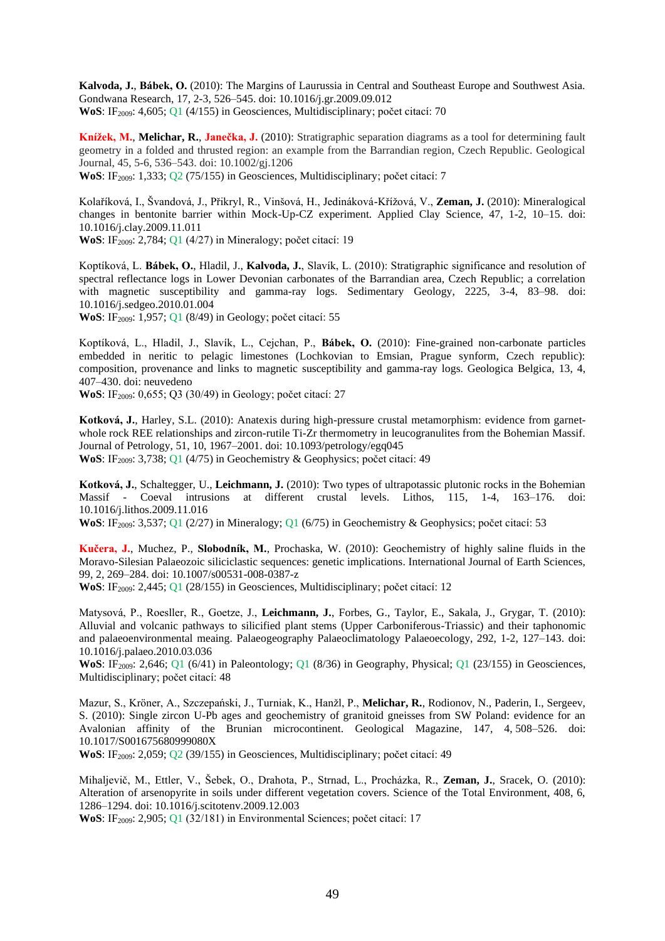**Kalvoda, J.**, **[Bábek, O.](http://apps.isiknowledge.com/DaisyOneClickSearch.do?product=WOS&search_mode=DaisyOneClickSearch&db_id=&SID=R1i176iLN9P@HIhF7ln&name=Babek%20O&ut=000274911600024&pos=2)** (2010): The Margins of Laurussia in Central and Southeast Europe and Southwest Asia. Gondwana Research, 17, 2-3, 526–545. doi: 10.1016/j.gr.2009.09.012 WoS: IF<sub>2009</sub>: 4,605; Q1 (4/155) in Geosciences, Multidisciplinary; počet citací: 70

**Knížek, M.**, **Melichar, R.**, **Janečka, J.** (2010): Stratigraphic separation diagrams as a tool for determining fault geometry in a folded and thrusted region: an example from the Barrandian region, Czech Republic. Geological Journal, 45, 5-6, 536–543. doi: 10.1002/gj.1206

**WoS**: IF2009: 1,333; Q2 (75/155) in Geosciences, Multidisciplinary; počet citací: 7

Kolaříková, I., Švandová, J., Přikryl, R., Vinšová, H., Jedináková-Křížová, V., **Zeman, J.** (2010): Mineralogical changes in bentonite barrier within Mock-Up-CZ experiment. Applied Clay Science, 47, 1-2, 10–15. doi: 10.1016/j.clay.2009.11.011

**WoS**: IF<sub>2009</sub>: 2,784; Q1 (4/27) in Mineralogy; počet citací: 19

Koptíková, L. **Bábek, O.**, Hladil, J., **Kalvoda, J.**, Slavík, L. (2010): Stratigraphic significance and resolution of spectral reflectance logs in Lower Devonian carbonates of the Barrandian area, Czech Republic; a correlation with magnetic susceptibility and gamma-ray logs. Sedimentary Geology, 2225, 3-4, 83–98, doi: 10.1016/j.sedgeo.2010.01.004

**WoS**: IF2009: 1,957; Q1 (8/49) in Geology; počet citací: 55

Koptíková, L., Hladil, J., Slavík, L., Cejchan, P., **Bábek, O.** (2010): Fine-grained non-carbonate particles embedded in neritic to pelagic limestones (Lochkovian to Emsian, Prague synform, Czech republic): composition, provenance and links to magnetic susceptibility and gamma-ray logs. Geologica Belgica, 13, 4, 407–430. doi: neuvedeno

**WoS**: IF2009: 0,655; Q3 (30/49) in Geology; počet citací: 27

**Kotková, J.**, Harley, S.L. (2010): Anatexis during high-pressure crustal metamorphism: evidence from garnetwhole rock REE relationships and zircon-rutile Ti-Zr thermometry in leucogranulites from the Bohemian Massif. Journal of Petrology, 51, 10, 1967–2001. doi: 10.1093/petrology/egq045 **WoS**: IF2009: 3,738; Q1 (4/75) in Geochemistry & Geophysics; počet citací: 49

**Kotková, J.**, Schaltegger, U., **Leichmann, J.** (2010): Two types of ultrapotassic plutonic rocks in the Bohemian Massif - Coeval intrusions at different crustal levels. Lithos, 115, 1-4, 163–176. doi: 10.1016/j.lithos.2009.11.016

**WoS**: IF2009: 3,537; Q1 (2/27) in Mineralogy; Q1 (6/75) in Geochemistry & Geophysics; počet citací: 53

**Kučera, J.**, Muchez, P., **Slobodník, M.**, Prochaska, W. (2010): Geochemistry of highly saline fluids in the Moravo-Silesian Palaeozoic siliciclastic sequences: genetic implications. International Journal of Earth Sciences, 99, 2, 269–284. doi: 10.1007/s00531-008-0387-z

**WoS**: IF2009: 2,445; Q1 (28/155) in Geosciences, Multidisciplinary; počet citací: 12

Matysová, P., Roesller, R., Goetze, J., **[Leichmann, J.](https://is.muni.cz/auth/osoba/1923)**, Forbes, G., Taylor, E., Sakala, J., Grygar, T. (2010): Alluvial and volcanic pathways to silicified plant stems (Upper Carboniferous-Triassic) and their taphonomic and palaeoenvironmental meaing. Palaeogeography Palaeoclimatology Palaeoecology, 292, 1-2, 127-143. doi: 10.1016/j.palaeo.2010.03.036

**WoS**: IF2009: 2,646; Q1 (6/41) in Paleontology; Q1 (8/36) in Geography, Physical; Q1 (23/155) in Geosciences, Multidisciplinary; počet citací: 48

Mazur, S., Kröner, A., Szczepański, J., Turniak, K., Hanžl, P., **Melichar, R.**, Rodionov, N., Paderin, I., Sergeev, S. (2010): Single zircon U-Pb ages and geochemistry of granitoid gneisses from SW Poland: evidence for an Avalonian affinity of the Brunian microcontinent. Geological Magazine, 147, 4, 508–526. doi: 10.1017/S001675680999080X

**WoS**: IF2009: 2,059; Q2 (39/155) in Geosciences, Multidisciplinary; počet citací: 49

Mihaljevič, M., Ettler, V., Šebek, O., Drahota, P., Strnad, L., Procházka, R., **Zeman, J.**, Sracek, O. (2010): Alteration of arsenopyrite in soils under different vegetation covers. Science of the Total Environment, 408, 6, 1286–1294. doi: 10.1016/j.scitotenv.2009.12.003

**WoS**: IF2009: 2,905; Q1 (32/181) in Environmental Sciences; počet citací: 17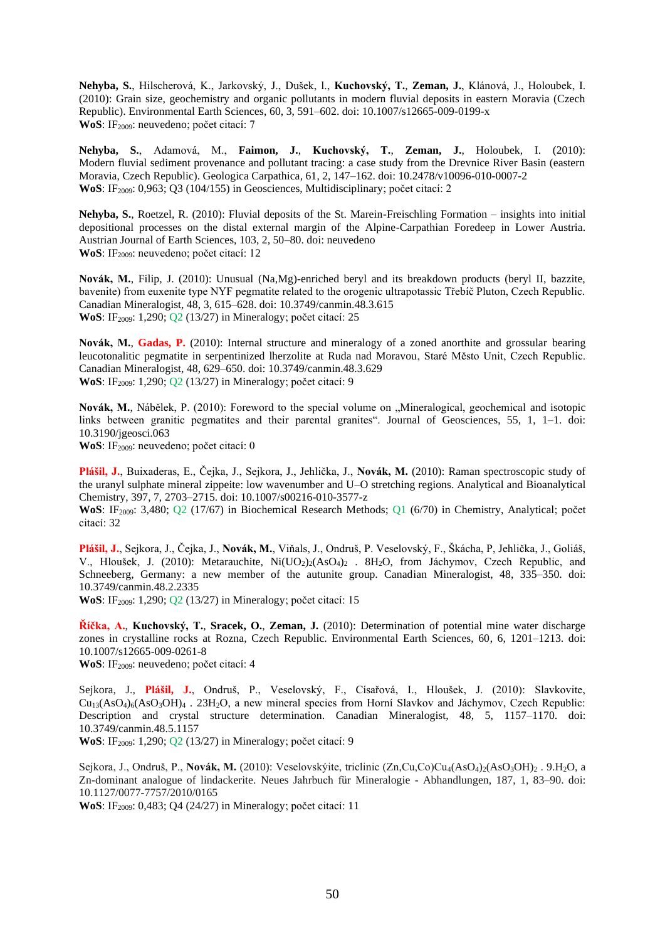**Nehyba, S.**, Hilscherová, K., Jarkovský, J., Dušek, l., **Kuchovský, T.**, **Zeman, J.**, Klánová, J., Holoubek, I. (2010): Grain size, geochemistry and organic pollutants in modern fluvial deposits in eastern Moravia (Czech Republic). Environmental Earth Sciences, 60, 3, 591–602. doi: 10.1007/s12665-009-0199-x WoS: IF<sub>2009</sub>: neuvedeno; počet citací: 7

**Nehyba, S.**, Adamová, M., **Faimon, J.**, **Kuchovský, T.**, **Zeman, J.**, Holoubek, I. (2010): Modern fluvial sediment provenance and pollutant tracing: a case study from the Drevnice River Basin (eastern Moravia, Czech Republic). Geologica Carpathica, 61, 2, 147–162. doi: 10.2478/v10096-010-0007-2 **WoS**: IF2009: 0,963; Q3 (104/155) in Geosciences, Multidisciplinary; počet citací: 2

**Nehyba, S.**, Roetzel, R. (2010): Fluvial deposits of the St. Marein-Freischling Formation – insights into initial depositional processes on the distal external margin of the Alpine-Carpathian Foredeep in Lower Austria. Austrian Journal of Earth Sciences, 103, 2, 50–80. doi: neuvedeno **WoS**: IF2009: neuvedeno; počet citací: 12

**Novák, M.**, Filip, J. (2010): Unusual (Na,Mg)-enriched beryl and its breakdown products (beryl II, bazzite, bavenite) from euxenite type NYF pegmatite related to the orogenic ultrapotassic Třebíč Pluton, Czech Republic. Canadian Mineralogist, 48, 3, 615–628. doi: 10.3749/canmin.48.3.615 **WoS**: IF2009: 1,290; Q2 (13/27) in Mineralogy; počet citací: 25

**Novák, M.**, **Gadas, P.** (2010): Internal structure and mineralogy of a zoned anorthite and grossular bearing leucotonalitic pegmatite in serpentinized lherzolite at Ruda nad Moravou, Staré Město Unit, Czech Republic. Canadian Mineralogist, 48, 629–650. doi: 10.3749/canmin.48.3.629 **WoS**: IF2009: 1,290; Q2 (13/27) in Mineralogy; počet citací: 9

**Novák, M.**, Nábělek, P. (2010): Foreword to the special volume on "Mineralogical, geochemical and isotopic links between granitic pegmatites and their parental granites". Journal of Geosciences, 55, 1, 1–1. doi: 10.3190/jgeosci.063

**WoS**: IF2009: neuvedeno; počet citací: 0

**Plášil, J.**, Buixaderas, E., Čejka, J., Sejkora, J., Jehlička, J., **Novák, M.** (2010): Raman spectroscopic study of the uranyl sulphate mineral zippeite: low wavenumber and U–O stretching regions. Analytical and Bioanalytical Chemistry, 397, 7, 2703–2715. doi: 10.1007/s00216-010-3577-z

**WoS**: IF2009: 3,480; Q2 (17/67) in Biochemical Research Methods; Q1 (6/70) in Chemistry, Analytical; počet citací: 32

**Plášil, J.**, Sejkora, J., Čejka, J., **Novák, M.**, Viňals, J., Ondruš, P. Veselovský, F., Škácha, P, Jehlička, J., Goliáš, V., Hloušek, J. (2010): Metarauchite,  $Ni(UO<sub>2</sub>)<sub>2</sub>(AsO<sub>4</sub>)<sub>2</sub>$ . 8H<sub>2</sub>O, from Jáchymov, Czech Republic, and Schneeberg, Germany: a new member of the autunite group. Canadian Mineralogist, 48, 335–350. doi: 10.3749/canmin.48.2.2335

**WoS**: IF2009: 1,290; Q2 (13/27) in Mineralogy; počet citací: 15

**Říčka, A.**, **Kuchovský, T.**, **Sracek, O.**, **Zeman, J.** (2010): Determination of potential mine water discharge zones in crystalline rocks at Rozna, Czech Republic. Environmental Earth Sciences, 60, 6, 1201–1213. doi: 10.1007/s12665-009-0261-8

WoS: IF<sub>2009</sub>: neuvedeno; počet citací: 4

Sejkora, J., **Plášil, J.**, Ondruš, P., Veselovský, F., Císařová, I., Hloušek, J. (2010): Slavkovite,  $Cu<sub>13</sub>(AsO<sub>4</sub>)<sub>6</sub>(AsO<sub>3</sub>OH)<sub>4</sub>$ . 23H<sub>2</sub>O, a new mineral species from Horní Slavkov and Jáchymov, Czech Republic: Description and crystal structure determination. Canadian Mineralogist, 48, 5, 1157–1170. doi: 10.3749/canmin.48.5.1157

**WoS**: IF2009: 1,290; Q2 (13/27) in Mineralogy; počet citací: 9

Sejkora, J., Ondruš, P., Novák, M. (2010): Veselovskýite, triclinic (Zn,Cu,Co)Cu<sub>4</sub>(AsO<sub>4</sub>)<sub>2</sub>(AsO<sub>3</sub>OH)<sub>2</sub>. 9.H<sub>2</sub>O, a Zn-dominant analogue of lindackerite. Neues Jahrbuch für Mineralogie - Abhandlungen, 187, 1, 83–90. doi: 10.1127/0077-7757/2010/0165

**WoS**: IF2009: 0,483; Q4 (24/27) in Mineralogy; počet citací: 11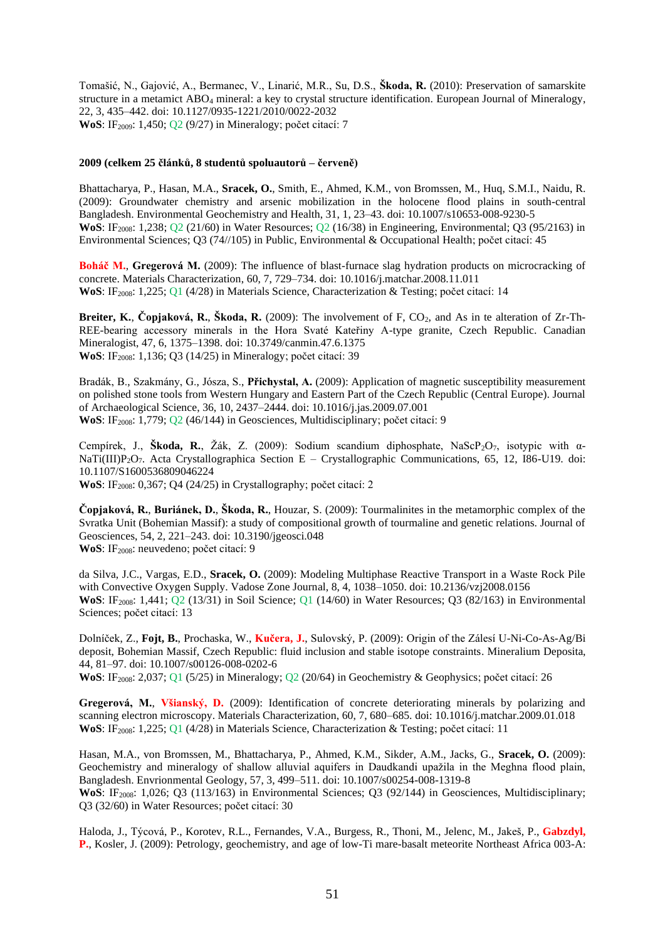Tomašić, N., Gajović, A., Bermanec, V., Linarić, M.R., Su, D.S., **Škoda, R.** (2010): Preservation of samarskite structure in a metamict ABO<sup>4</sup> mineral: a key to crystal structure identification. European Journal of Mineralogy, 22, 3, 435–442. doi: 10.1127/0935-1221/2010/0022-2032 **WoS**: IF2009: 1,450; Q2 (9/27) in Mineralogy; počet citací: 7

### **2009 (celkem 25 článků, 8 studentů spoluautorů – červeně)**

[Bhattacharya,](http://apps.isiknowledge.com/DaisyOneClickSearch.do?product=WOS&search_mode=DaisyOneClickSearch&db_id=&SID=T2jFPi2oGlLIe44@Lf3&name=Bhattacharya%20P&ut=000266560300003&pos=1) P., [Hasan,](http://apps.isiknowledge.com/DaisyOneClickSearch.do?product=WOS&search_mode=DaisyOneClickSearch&db_id=&SID=T2jFPi2oGlLIe44@Lf3&name=Hasan%20MA&ut=000266560300003&pos=2) M.A., **[Sracek,](http://apps.isiknowledge.com/DaisyOneClickSearch.do?product=WOS&search_mode=DaisyOneClickSearch&db_id=&SID=T2jFPi2oGlLIe44@Lf3&name=Sracek%20O&ut=000266560300003&pos=3) O.**, [Smith,](http://apps.isiknowledge.com/DaisyOneClickSearch.do?product=WOS&search_mode=DaisyOneClickSearch&db_id=&SID=T2jFPi2oGlLIe44@Lf3&name=Smith%20E&ut=000266560300003&pos=4) E., [Ahmed,](http://apps.isiknowledge.com/DaisyOneClickSearch.do?product=WOS&search_mode=DaisyOneClickSearch&db_id=&SID=T2jFPi2oGlLIe44@Lf3&name=Ahmed%20KM&ut=000266560300003&pos=5) K.M., [von Bromssen,](http://apps.isiknowledge.com/DaisyOneClickSearch.do?product=WOS&search_mode=DaisyOneClickSearch&db_id=&SID=T2jFPi2oGlLIe44@Lf3&name=von%20Bromssen%20M&ut=000266560300003&pos=6) M., Huq, [S.M.I.](http://apps.isiknowledge.com/DaisyOneClickSearch.do?product=WOS&search_mode=DaisyOneClickSearch&db_id=&SID=T2jFPi2oGlLIe44@Lf3&name=Huq%20SMI&ut=000266560300003&pos=7)[, Naidu,](http://apps.isiknowledge.com/DaisyOneClickSearch.do?product=WOS&search_mode=DaisyOneClickSearch&db_id=&SID=T2jFPi2oGlLIe44@Lf3&name=Naidu%20R&ut=000266560300003&pos=8) R. (2009): Groundwater chemistry and arsenic mobilization in the holocene flood plains in south-central Bangladesh. Environmental Geochemistry and Health, 31, 1, 23–43. doi: 10.1007/s10653-008-9230-5 **WoS**: IF<sub>2008</sub>: 1,238; Q2 (21/60) in Water Resources; Q2 (16/38) in Engineering, Environmental; Q3 (95/2163) in Environmental Sciences; Q3 (74//105) in Public, Environmental & Occupational Health; počet citací: 45

**Boháč M.**, **Gregerová M.** (2009): The influence of blast-furnace slag hydration products on microcracking of concrete. Materials Characterization, 60, 7, 729–734. doi: 10.1016/j.matchar.2008.11.011 **WoS**: IF2008: 1,225; Q1 (4/28) in Materials Science, Characterization & Testing; počet citací: 14

**Breiter, K.**, **Čopjaková, R.**, **Škoda, R.** (2009): The involvement of F, CO2, and As in te alteration of Zr-Th-REE-bearing accessory minerals in the Hora Svaté Kateřiny A-type granite, Czech Republic. Canadian Mineralogist, 47, 6, 1375–1398. doi: 10.3749/canmin.47.6.1375 **WoS**: IF2008: 1,136; Q3 (14/25) in Mineralogy; počet citací: 39

Bradák, B., Szakmány, G., Jósza, S., **Přichystal, A.** (2009): Application of magnetic susceptibility measurement on polished stone tools from Western Hungary and Eastern Part of the Czech Republic (Central Europe). Journal of Archaeological Science, 36, 10, 2437–2444. doi: 10.1016/j.jas.2009.07.001 **WoS**: IF2008: 1,779; Q2 (46/144) in Geosciences, Multidisciplinary; počet citací: 9

Cempírek, J., **Škoda, R.**, Žák, Z. (2009): Sodium scandium diphosphate, NaScP<sub>2</sub>O<sub>7</sub>, isotypic with α-NaTi(III)P<sub>2</sub>O<sub>7</sub>. Acta Crystallographica Section E – Crystallographic Communications, 65, 12, I86-U19. doi: 10.1107/S1600536809046224

**WoS**: IF2008: 0,367; Q4 (24/25) in Crystallography; počet citací: 2

**Čopjaková, R.**, **Buriánek, D.**, **Škoda, R.**, Houzar, S. (2009): Tourmalinites in the metamorphic complex of the Svratka Unit (Bohemian Massif): a study of compositional growth of tourmaline and genetic relations. Journal of Geosciences, 54, 2, 221–243. doi: 10.3190/jgeosci.048 WoS: IF<sub>2008</sub>: neuvedeno; počet citací: 9

[da Silva,](http://apps.isiknowledge.com/DaisyOneClickSearch.do?product=WOS&search_mode=DaisyOneClickSearch&db_id=&SID=T2jFPi2oGlLIe44@Lf3&name=da%20Silva%20JC&ut=000271936900021&pos=1) J.C., [Vargas,](http://apps.isiknowledge.com/DaisyOneClickSearch.do?product=WOS&search_mode=DaisyOneClickSearch&db_id=&SID=T2jFPi2oGlLIe44@Lf3&name=Vargas%20ED&ut=000271936900021&pos=2) E.D., **[Sracek,](http://apps.isiknowledge.com/DaisyOneClickSearch.do?product=WOS&search_mode=DaisyOneClickSearch&db_id=&SID=T2jFPi2oGlLIe44@Lf3&name=Sracek%20O&ut=000271936900021&pos=3) O.** (2009): Modeling Multiphase Reactive Transport in a Waste Rock Pile with Convective Oxygen Supply. Vadose Zone Journal, 8, 4, 1038–1050. doi: 10.2136/vzj2008.0156 **WoS**: IF2008: 1,441; Q2 (13/31) in Soil Science; Q1 (14/60) in Water Resources; Q3 (82/163) in Environmental Sciences; počet citací: 13

Dolníček, Z., **Fojt, B.**, Prochaska, W., **Kučera, J.**, Sulovský, P. (2009): Origin of the Zálesí U-Ni-Co-As-Ag/Bi deposit, Bohemian Massif, Czech Republic: fluid inclusion and stable isotope constraints. Mineralium Deposita, 44, 81–97. doi: 10.1007/s00126-008-0202-6

**WoS**: IF2008: 2,037; Q1 (5/25) in Mineralogy; Q2 (20/64) in Geochemistry & Geophysics; počet citací: 26

**Gregerová, M.**, **Všianský, D.** (2009): Identification of concrete deteriorating minerals by polarizing and scanning electron microscopy. Materials Characterization, 60, 7, 680–685. doi: 10.1016/j.matchar.2009.01.018 WoS: IF<sub>2008</sub>: 1,225; Q1 (4/28) in Materials Science, Characterization & Testing; počet citací: 11

Hasan, M.A., von Bromssen, M., Bhattacharya, P., Ahmed, K.M., Sikder, A.M., Jacks, G., **Sracek, O.** (2009): Geochemistry and mineralogy of shallow alluvial aquifers in Daudkandi upažila in the Meghna flood plain, Bangladesh. Envrionmental Geology, 57, 3, 499–511. doi: 10.1007/s00254-008-1319-8 **WoS**: IF2008: 1,026; Q3 (113/163) in Environmental Sciences; Q3 (92/144) in Geosciences, Multidisciplinary; Q3 (32/60) in Water Resources; počet citací: 30

[Haloda,](http://apps.isiknowledge.com/DaisyOneClickSearch.do?product=WOS&search_mode=DaisyOneClickSearch&db_id=&SID=T2jFPi2oGlLIe44@Lf3&name=Haloda%20J&ut=000266059700022&pos=1) J., [Týcová,](http://apps.isiknowledge.com/DaisyOneClickSearch.do?product=WOS&search_mode=DaisyOneClickSearch&db_id=&SID=T2jFPi2oGlLIe44@Lf3&name=Tycova%20P&ut=000266059700022&pos=2) P., [Korotev,](http://apps.isiknowledge.com/DaisyOneClickSearch.do?product=WOS&search_mode=DaisyOneClickSearch&db_id=&SID=T2jFPi2oGlLIe44@Lf3&name=Korotev%20RL&ut=000266059700022&pos=3) R.L., [Fernandes,](http://apps.isiknowledge.com/DaisyOneClickSearch.do?product=WOS&search_mode=DaisyOneClickSearch&db_id=&SID=T2jFPi2oGlLIe44@Lf3&name=Fernandes%20VA&ut=000266059700022&pos=4) V.A., [Burgess,](http://apps.isiknowledge.com/DaisyOneClickSearch.do?product=WOS&search_mode=DaisyOneClickSearch&db_id=&SID=T2jFPi2oGlLIe44@Lf3&name=Burgess%20R&ut=000266059700022&pos=5) R., [Thoni,](http://apps.isiknowledge.com/DaisyOneClickSearch.do?product=WOS&search_mode=DaisyOneClickSearch&db_id=&SID=T2jFPi2oGlLIe44@Lf3&name=Thoni%20M&ut=000266059700022&pos=6) M., [Jelenc,](http://apps.isiknowledge.com/DaisyOneClickSearch.do?product=WOS&search_mode=DaisyOneClickSearch&db_id=&SID=T2jFPi2oGlLIe44@Lf3&name=Jelenc%20M&ut=000266059700022&pos=7) M., [Jakeš,](http://apps.isiknowledge.com/DaisyOneClickSearch.do?product=WOS&search_mode=DaisyOneClickSearch&db_id=&SID=T2jFPi2oGlLIe44@Lf3&name=Jakes%20P&ut=000266059700022&pos=8) P., **[Gabzdyl,](http://apps.isiknowledge.com/DaisyOneClickSearch.do?product=WOS&search_mode=DaisyOneClickSearch&db_id=&SID=T2jFPi2oGlLIe44@Lf3&name=Gabzdyl%20P&ut=000266059700022&pos=9) [P.](http://apps.isiknowledge.com/DaisyOneClickSearch.do?product=WOS&search_mode=DaisyOneClickSearch&db_id=&SID=T2jFPi2oGlLIe44@Lf3&name=Gabzdyl%20P&ut=000266059700022&pos=9)**, [Kosler, J.](http://apps.isiknowledge.com/DaisyOneClickSearch.do?product=WOS&search_mode=DaisyOneClickSearch&db_id=&SID=T2jFPi2oGlLIe44@Lf3&name=Kosler%20J&ut=000266059700022&pos=10) (2009): Petrology, geochemistry, and age of low-Ti mare-basalt meteorite Northeast Africa 003-A: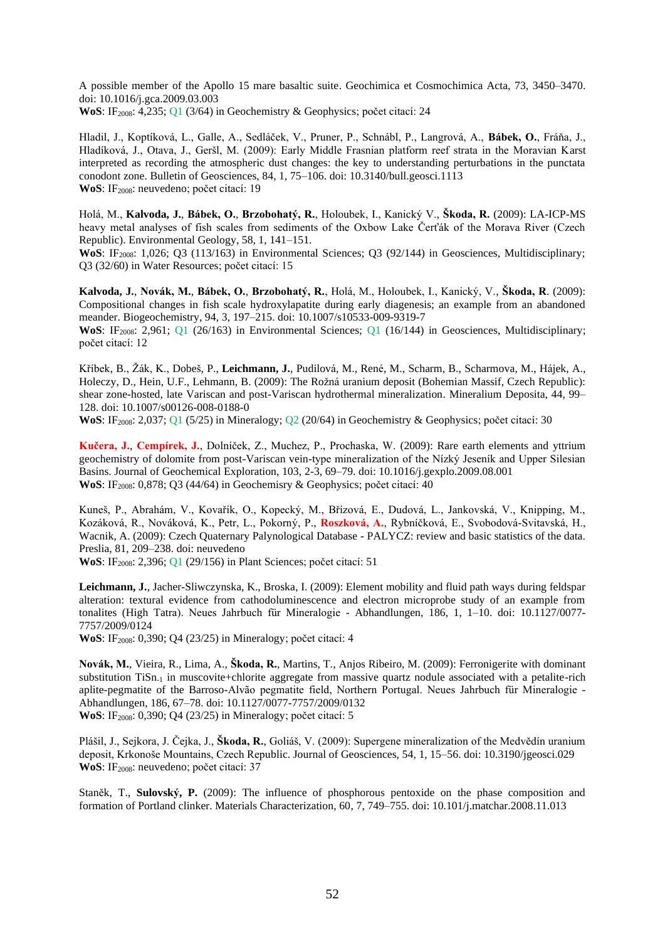A possible member of the Apollo 15 mare basaltic suite. Geochimica et Cosmochimica Acta, 73, 3450–3470. doi: 10.1016/j.gca.2009.03.003

**WoS**: IF2008: 4,235; Q1 (3/64) in Geochemistry & Geophysics; počet citací: 24

Hladil, J., Koptíková, L., Galle, A., Sedláček, V., Pruner, P., Schnábl, P., Langrová, A., **Bábek, O.**, Fráňa, J., Hladíková, J., Otava, J., Geršl, M. (2009): Early Middle Frasnian platform reef strata in the Moravian Karst interpreted as recording the atmospheric dust changes: the key to understanding perturbations in the punctata conodont zone. Bulletin of Geosciences, 84, 1, 75–106. doi: 10.3140/bull.geosci.1113 WoS: IF<sub>2008</sub>: neuvedeno; počet citací: 19

Holá, M., **Kalvoda, J.**, **Bábek, O.**, **Brzobohatý, R.**, Holoubek, I., Kanický V., **Škoda, R.** (2009): LA-ICP-MS heavy metal analyses of fish scales from sediments of the Oxbow Lake Čerťák of the Morava River (Czech Republic). Environmental Geology, 58, 1, 141–151.

**WoS**: IF2008: 1,026; Q3 (113/163) in Environmental Sciences; Q3 (92/144) in Geosciences, Multidisciplinary; Q3 (32/60) in Water Resources; počet citací: 15

**Kalvoda, J.**, **Novák, M.**, **Bábek, O.**, **Brzobohatý, R.**, Holá, M., Holoubek, I., Kanický, V., **Škoda, R**. (2009): Compositional changes in fish scale hydroxylapatite during early diagenesis; an example from an abandoned meander. Biogeochemistry, 94, 3, 197–215. doi: 10.1007/s10533-009-9319-7

**WoS**: IF2008: 2,961; Q1 (26/163) in Environmental Sciences; Q1 (16/144) in Geosciences, Multidisciplinary; počet citací: 12

[Kříbek,](http://apps.isiknowledge.com/DaisyOneClickSearch.do?product=WOS&search_mode=DaisyOneClickSearch&db_id=&SID=T2jFPi2oGlLIe44@Lf3&name=Kribek%20B&ut=000261692000007&pos=1) B., Žák, K., [Dobeš,](http://apps.isiknowledge.com/DaisyOneClickSearch.do?product=WOS&search_mode=DaisyOneClickSearch&db_id=&SID=T2jFPi2oGlLIe44@Lf3&name=Dobes%20P&ut=000261692000007&pos=3) P., **[Leichmann,](http://apps.isiknowledge.com/DaisyOneClickSearch.do?product=WOS&search_mode=DaisyOneClickSearch&db_id=&SID=T2jFPi2oGlLIe44@Lf3&name=Leichmann%20J&ut=000261692000007&pos=4) J.**, [Pudilová,](http://apps.isiknowledge.com/DaisyOneClickSearch.do?product=WOS&search_mode=DaisyOneClickSearch&db_id=&SID=T2jFPi2oGlLIe44@Lf3&name=Pudilova%20M&ut=000261692000007&pos=5) M., [René,](http://apps.isiknowledge.com/DaisyOneClickSearch.do?product=WOS&search_mode=DaisyOneClickSearch&db_id=&SID=T2jFPi2oGlLIe44@Lf3&name=Rene%20M&ut=000261692000007&pos=6) M., [Scharm,](http://apps.isiknowledge.com/DaisyOneClickSearch.do?product=WOS&search_mode=DaisyOneClickSearch&db_id=&SID=T2jFPi2oGlLIe44@Lf3&name=Scharm%20B&ut=000261692000007&pos=7) B., [Scharmova,](http://apps.isiknowledge.com/DaisyOneClickSearch.do?product=WOS&search_mode=DaisyOneClickSearch&db_id=&SID=T2jFPi2oGlLIe44@Lf3&name=Scharmova%20M&ut=000261692000007&pos=8) M., [Hájek,](http://apps.isiknowledge.com/DaisyOneClickSearch.do?product=WOS&search_mode=DaisyOneClickSearch&db_id=&SID=T2jFPi2oGlLIe44@Lf3&name=Hajek%20A&ut=000261692000007&pos=9) A., [Holeczy,](http://apps.isiknowledge.com/DaisyOneClickSearch.do?product=WOS&search_mode=DaisyOneClickSearch&db_id=&SID=T2jFPi2oGlLIe44@Lf3&name=Holeczy%20D&ut=000261692000007&pos=10) D., [Hein,](http://apps.isiknowledge.com/DaisyOneClickSearch.do?product=WOS&search_mode=DaisyOneClickSearch&db_id=&SID=T2jFPi2oGlLIe44@Lf3&name=Hein%20UF&ut=000261692000007&pos=11) U.F., [Lehmann,](http://apps.isiknowledge.com/DaisyOneClickSearch.do?product=WOS&search_mode=DaisyOneClickSearch&db_id=&SID=T2jFPi2oGlLIe44@Lf3&name=Lehmann%20B&ut=000261692000007&pos=12) B. (2009): The Rožná uranium deposit (Bohemian Massif, Czech Republic): shear zone-hosted, late Variscan and post-Variscan hydrothermal mineralization. Mineralium Deposita, 44, 99– 128. doi: 10.1007/s00126-008-0188-0

**WoS**: IF2008: 2,037; Q1 (5/25) in Mineralogy; Q2 (20/64) in Geochemistry & Geophysics; počet citací: 30

**Kučera, J.**, **Cempírek, J.**, Dolníček, Z., Muchez, P., Prochaska, W. (2009): Rare earth elements and yttrium geochemistry of dolomite from post-Variscan vein-type mineralization of the Nízký Jeseník and Upper Silesian Basins. Journal of Geochemical Exploration, 103, 2-3, 69–79. doi: 10.1016/j.gexplo.2009.08.001 **WoS**: IF2008: 0,878; Q3 (44/64) in Geochemisry & Geophysics; počet citací: 40

Kuneš, P., Abrahám, V., Kovařík, O., Kopecký, M., Břízová, E., Dudová, L., Jankovská, V., Knipping, M., Kozáková, R., Nováková, K., Petr, L., Pokorný, P., **Roszková, A.**, Rybníčková, E., Svobodová-Svitavská, H., Wacnik, A. (2009): Czech Quaternary Palynological Database - PALYCZ: review and basic statistics of the data. Preslia, 81, 209–238. doi: neuvedeno

**WoS**: IF2008: 2,396; Q1 (29/156) in Plant Sciences; počet citací: 51

**Leichmann, J.**, Jacher-Sliwczynska, K., Broska, I. (2009): Element mobility and fluid path ways during feldspar alteration: textural evidence from cathodoluminescence and electron microprobe study of an example from tonalites (High Tatra). Neues Jahrbuch für Mineralogie - Abhandlungen, 186, 1, 1–10. doi: 10.1127/0077- 7757/2009/0124

**WoS**: IF2008: 0,390; Q4 (23/25) in Mineralogy; počet citací: 4

**Novák, M.**, Vieira, R., Lima, A., **Škoda, R.**, Martins, T., Anjos Ribeiro, M. (2009): Ferronigerite with dominant substitution TiSn<sub>-1</sub> in muscovite+chlorite aggregate from massive quartz nodule associated with a petalite-rich aplite-pegmatite of the Barroso-Alvão pegmatite field, Northern Portugal. Neues Jahrbuch für Mineralogie - Abhandlungen, 186, 67–78. doi: 10.1127/0077-7757/2009/0132 **WoS**: IF2008: 0,390; Q4 (23/25) in Mineralogy; počet citací: 5

Plášil, J., Sejkora, J. Čejka, J., **Škoda, R.**, Goliáš, V. (2009): Supergene mineralization of the Medvědín uranium deposit, Krkonoše Mountains, Czech Republic. Journal of Geosciences, 54, 1, 15–56. doi: 10.3190/jgeosci.029 WoS: IF<sub>2008</sub>: neuvedeno; počet citací: 37

[Staněk,](http://apps.isiknowledge.com/DaisyOneClickSearch.do?product=WOS&search_mode=DaisyOneClickSearch&db_id=&SID=T2jFPi2oGlLIe44@Lf3&name=Stanek%20T&ut=000266997200020&pos=1) T., **[Sulovský,](http://apps.isiknowledge.com/DaisyOneClickSearch.do?product=WOS&search_mode=DaisyOneClickSearch&db_id=&SID=T2jFPi2oGlLIe44@Lf3&name=Sulovsky%20P&ut=000266997200020&pos=2) P.** (2009): The influence of phosphorous pentoxide on the phase composition and formation of Portland clinker. Materials Characterization, 60, 7, 749–755. doi: 10.101/j.matchar.2008.11.013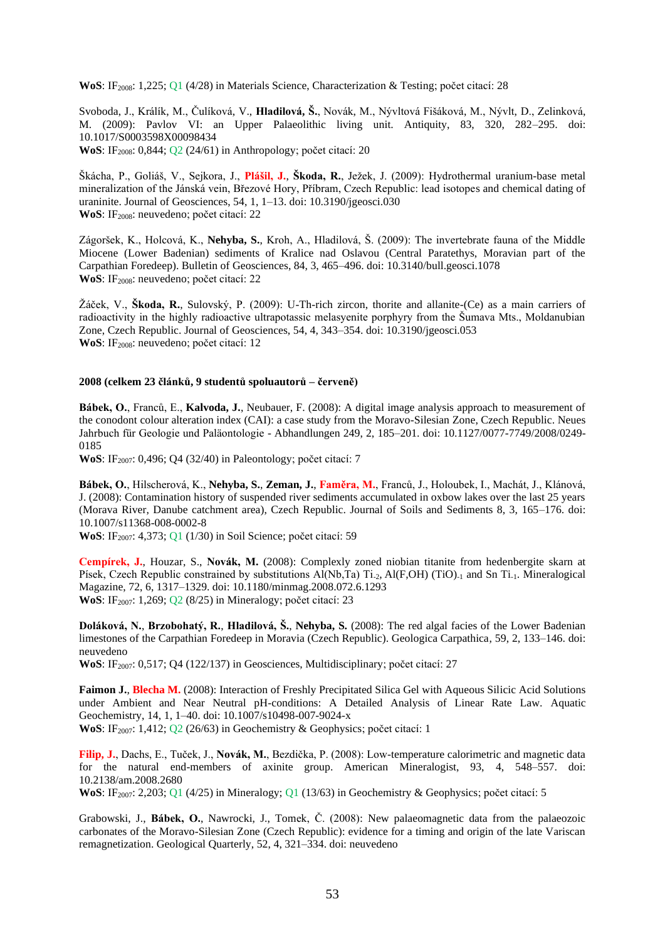**WoS**: IF2008: 1,225; Q1 (4/28) in Materials Science, Characterization & Testing; počet citací: 28

Svoboda, J., Králík, M., Čulíková, V., **Hladilová, Š.**, Novák, M., Nývltová Fišáková, M., Nývlt, D., Zelinková, M. (2009): Pavlov VI: an Upper Palaeolithic living unit. Antiquity, 83, 320, 282–295. doi: 10.1017/S0003598X00098434 **WoS**: IF2008: 0,844; Q2 (24/61) in Anthropology; počet citací: 20

Škácha, P., Goliáš, V., Sejkora, J., **Plášil, J.**, **Škoda, R.**, Ježek, J. (2009): Hydrothermal uranium-base metal mineralization of the Jánská vein, Březové Hory, Příbram, Czech Republic: lead isotopes and chemical dating of uraninite. Journal of Geosciences, 54, 1, 1–13. doi: 10.3190/jgeosci.030 **WoS**: IF2008: neuvedeno; počet citací: 22

Zágoršek, K., Holcová, K., **Nehyba, S.**, Kroh, A., Hladilová, Š. (2009): The invertebrate fauna of the Middle Miocene (Lower Badenian) sediments of Kralice nad Oslavou (Central Paratethys, Moravian part of the Carpathian Foredeep). Bulletin of Geosciences, 84, 3, 465–496. doi: 10.3140/bull.geosci.1078 WoS: IF<sub>2008</sub>: neuvedeno; počet citací: 22

Žáček, V., **Škoda, R.**, Sulovský, P. (2009): U-Th-rich zircon, thorite and allanite-(Ce) as a main carriers of radioactivity in the highly radioactive ultrapotassic melasyenite porphyry from the Šumava Mts., Moldanubian Zone, Czech Republic. Journal of Geosciences, 54, 4, 343–354. doi: 10.3190/jgeosci.053 **WoS**: IF2008: neuvedeno; počet citací: 12

### **2008 (celkem 23 článků, 9 studentů spoluautorů – červeně)**

**Bábek, O.**, Franců, E., **Kalvoda, J.**, Neubauer, F. (2008): A digital image analysis approach to measurement of the conodont colour alteration index (CAI): a case study from the Moravo-Silesian Zone, Czech Republic. Neues Jahrbuch für Geologie und Paläontologie - Abhandlungen 249, 2, 185–201. doi: 10.1127/0077-7749/2008/0249- 0185

**WoS**: IF2007: 0,496; Q4 (32/40) in Paleontology; počet citací: 7

**Bábek, O.**, Hilscherová, K., **Nehyba, S.**, **Zeman, J.**, **Faměra, M.**, Franců, J., Holoubek, I., Machát, J., Klánová, J. (2008): Contamination history of suspended river sediments accumulated in oxbow lakes over the last 25 years (Morava River, Danube catchment area), Czech Republic. Journal of Soils and Sediments 8, 3, 165–176. doi: 10.1007/s11368-008-0002-8

**WoS**: IF2007: 4,373; Q1 (1/30) in Soil Science; počet citací: 59

**Cempírek, J.**, Houzar, S., **Novák, M.** (2008): Complexly zoned niobian titanite from hedenbergite skarn at Písek, Czech Republic constrained by substitutions Al(Nb,Ta) Ti<sub>-2</sub>, Al(F,OH) (TiO)<sub>-1</sub> and Sn Ti<sub>-1</sub>. Mineralogical Magazine, 72, 6, 1317–1329. doi: 10.1180/minmag.2008.072.6.1293 **WoS**: IF2007: 1,269; Q2 (8/25) in Mineralogy; počet citací: 23

**Doláková, N.**, **Brzobohatý, R.**, **Hladilová, Š.**, **Nehyba, S.** (2008): The red algal facies of the Lower Badenian limestones of the Carpathian Foredeep in Moravia (Czech Republic). Geologica Carpathica, 59, 2, 133–146. doi: neuvedeno

**WoS**: IF2007: 0,517; Q4 (122/137) in Geosciences, Multidisciplinary; počet citací: 27

**Faimon J.**, **Blecha M.** (2008): Interaction of Freshly Precipitated Silica Gel with Aqueous Silicic Acid Solutions under Ambient and Near Neutral pH-conditions: A Detailed Analysis of Linear Rate Law. Aquatic Geochemistry, 14, 1, 1–40. doi: 10.1007/s10498-007-9024-x

**WoS**: IF2007: 1,412; Q2 (26/63) in Geochemistry & Geophysics; počet citací: 1

**Filip, J.**, Dachs, E., Tuček, J., **Novák, M.**, Bezdička, P. (2008): Low-temperature calorimetric and magnetic data for the natural end-members of axinite group. American Mineralogist, 93, 4, 548–557. doi: 10.2138/am.2008.2680

**WoS**: IF2007: 2,203; Q1 (4/25) in Mineralogy; Q1 (13/63) in Geochemistry & Geophysics; počet citací: 5

Grabowski, J., **Bábek, O.**, Nawrocki, J., Tomek, Č. (2008): New palaeomagnetic data from the palaeozoic carbonates of the Moravo-Silesian Zone (Czech Republic): evidence for a timing and origin of the late Variscan remagnetization. Geological Quarterly, 52, 4, 321–334. doi: neuvedeno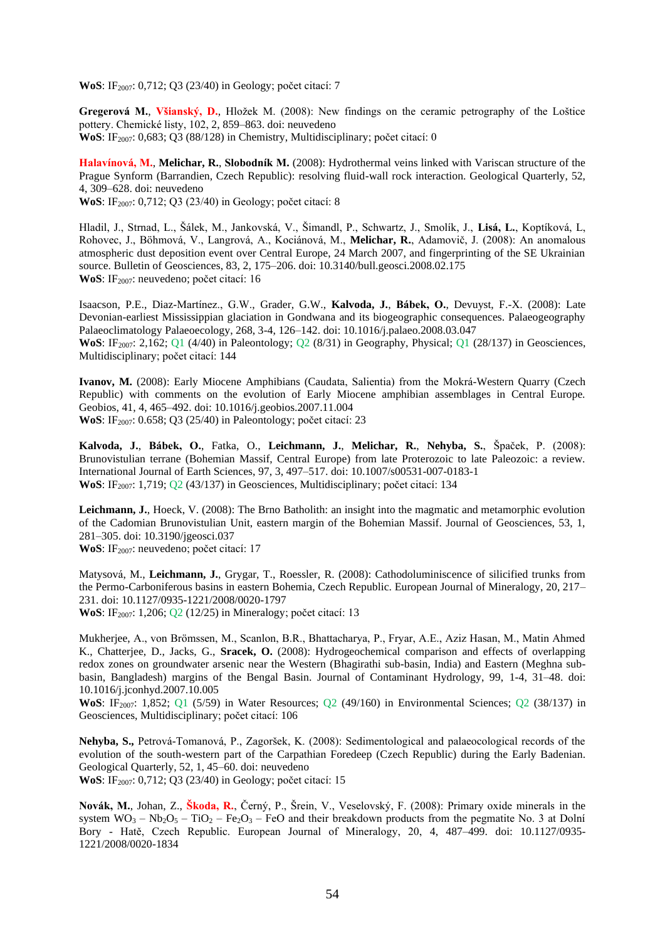**WoS**: IF2007: 0,712; Q3 (23/40) in Geology; počet citací: 7

**Gregerová M.**, **Všianský, D.**, Hložek M. (2008): New findings on the ceramic petrography of the Loštice pottery. Chemické listy, 102, 2, 859–863. doi: neuvedeno **WoS**: IF2007: 0,683; Q3 (88/128) in Chemistry, Multidisciplinary; počet citací: 0

**Halavínová, M.**, **Melichar, R.**, **Slobodník M.** (2008): Hydrothermal veins linked with Variscan structure of the Prague Synform (Barrandien, Czech Republic): resolving fluid-wall rock interaction. Geological Quarterly, 52, 4, 309–628. doi: neuvedeno

**WoS**: IF2007: 0,712; Q3 (23/40) in Geology; počet citací: 8

Hladil, J., Strnad, L., Šálek, M., Jankovská, V., Šimandl, P., Schwartz, J., Smolík, J., **Lisá, L.**, Koptíková, L, Rohovec, J., Böhmová, V., Langrová, A., Kociánová, M., **Melichar, R.**, Adamovič, J. (2008): An anomalous atmospheric dust deposition event over Central Europe, 24 March 2007, and fingerprinting of the SE Ukrainian source. Bulletin of Geosciences, 83, 2, 175–206. doi: 10.3140/bull.geosci.2008.02.175 WoS: IF<sub>2007</sub>: neuvedeno; počet citací: 16

Isaacson, P.E., Diaz-Martínez., G.W., Grader, G.W., **Kalvoda, J.**, **Bábek, O.**, Devuyst, F.-X. (2008): Late Devonian-earliest Mississippian glaciation in Gondwana and its biogeographic consequences. Palaeogeography Palaeoclimatology Palaeoecology, 268, 3-4, 126–142. doi: 10.1016/j.palaeo.2008.03.047

**WoS**: IF2007: 2,162; Q1 (4/40) in Paleontology; Q2 (8/31) in Geography, Physical; Q1 (28/137) in Geosciences, Multidisciplinary; počet citací: 144

**Ivanov, M.** (2008): Early Miocene Amphibians (Caudata, Salientia) from the Mokrá-Western Quarry (Czech Republic) with comments on the evolution of Early Miocene amphibian assemblages in Central Europe. Geobios, 41, 4, 465–492. doi: 10.1016/j.geobios.2007.11.004 **WoS**: IF2007: 0.658; Q3 (25/40) in Paleontology; počet citací: 23

**Kalvoda, J.**, **Bábek, O.**, Fatka, O., **Leichmann, J.**, **Melichar, R.**, **Nehyba, S.**, Špaček, P. (2008): Brunovistulian terrane (Bohemian Massif, Central Europe) from late Proterozoic to late Paleozoic: a review. International Journal of Earth Sciences, 97, 3, 497–517. doi: 10.1007/s00531-007-0183-1 **WoS**: IF2007: 1,719; Q2 (43/137) in Geosciences, Multidisciplinary; počet citací: 134

**Leichmann, J.**, Hoeck, V. (2008): The Brno Batholith: an insight into the magmatic and metamorphic evolution of the Cadomian Brunovistulian Unit, eastern margin of the Bohemian Massif. Journal of Geosciences, 53, 1, 281–305. doi: 10.3190/jgeosci.037 WoS: IF<sub>2007</sub>: neuvedeno; počet citací: 17

Matysová, M., **Leichmann, J.**, Grygar, T., Roessler, R. (2008): Cathodoluminiscence of silicified trunks from the Permo-Carboniferous basins in eastern Bohemia, Czech Republic. European Journal of Mineralogy, 20, 217– 231. doi: 10.1127/0935-1221/2008/0020-1797

**WoS**: IF2007: 1,206; Q2 (12/25) in Mineralogy; počet citací: 13

Mukherjee, A., von Brömssen, M., Scanlon, B.R., Bhattacharya, P., Fryar, A.E., Aziz Hasan, M., Matin Ahmed K., Chatterjee, D., Jacks, G., **Sracek, O.** (2008): Hydrogeochemical comparison and effects of overlapping redox zones on groundwater arsenic near the Western (Bhagirathi sub-basin, India) and Eastern (Meghna subbasin, Bangladesh) margins of the Bengal Basin. Journal of Contaminant Hydrology, 99, 1-4, 31–48. doi: 10.1016/j.jconhyd.2007.10.005

**WoS**: IF2007: 1,852; Q1 (5/59) in Water Resources; Q2 (49/160) in Environmental Sciences; Q2 (38/137) in Geosciences, Multidisciplinary; počet citací: 106

**Nehyba, S.,** Petrová-Tomanová, P., Zagoršek, K. (2008): Sedimentological and palaeocological records of the evolution of the south-western part of the Carpathian Foredeep (Czech Republic) during the Early Badenian. Geological Quarterly, 52, 1, 45–60. doi: neuvedeno

**WoS**: IF2007: 0,712; Q3 (23/40) in Geology; počet citací: 15

**Novák, M.**, Johan, Z., **Škoda, R.**, Černý, P., Šrein, V., Veselovský, F. (2008): Primary oxide minerals in the system  $WO_3 - Nb_2O_5 - TiO_2 - Fe_2O_3 - Fe_2O_4$  heir breakdown products from the pegmatite No. 3 at Dolní Bory - Hatě, Czech Republic. European Journal of Mineralogy, 20, 4, 487–499. doi: 10.1127/0935- 1221/2008/0020-1834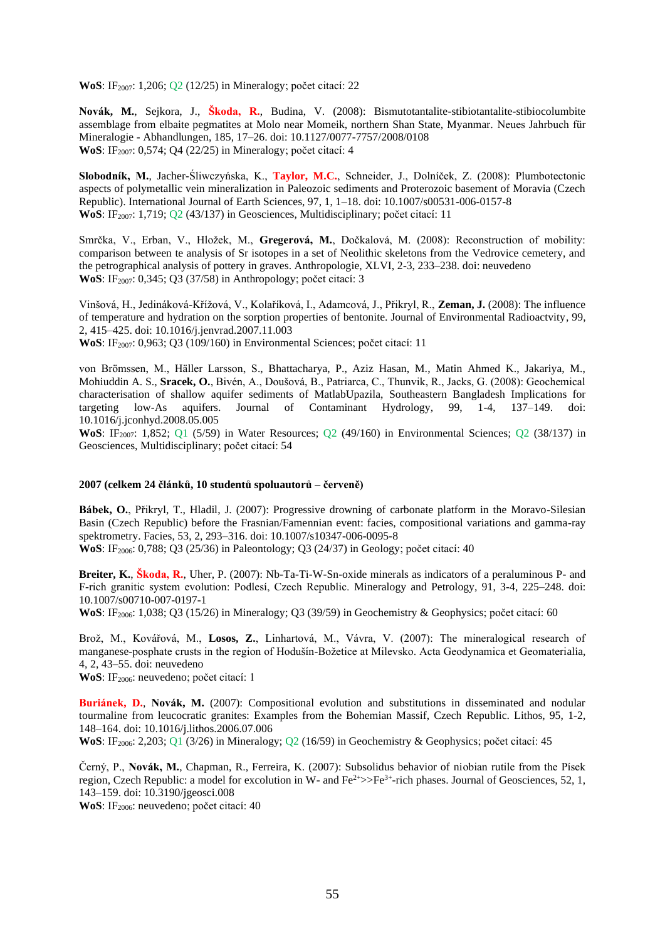**WoS**: IF2007: 1,206; Q2 (12/25) in Mineralogy; počet citací: 22

**Novák, M.**, Sejkora, J., **Škoda, R.**, Budina, V. (2008): Bismutotantalite-stibiotantalite-stibiocolumbite assemblage from elbaite pegmatites at Molo near Momeik, northern Shan State, Myanmar. Neues Jahrbuch für Mineralogie - Abhandlungen, 185, 17–26. doi: 10.1127/0077-7757/2008/0108 **WoS**: IF<sub>2007</sub>: 0,574; Q4 (22/25) in Mineralogy; počet citací: 4

**Slobodník, M.**, Jacher-Śliwczyńska, K., **Taylor, M.C.**, Schneider, J., Dolníček, Z. (2008): Plumbotectonic aspects of polymetallic vein mineralization in Paleozoic sediments and Proterozoic basement of Moravia (Czech Republic). International Journal of Earth Sciences, 97, 1, 1–18. doi: 10.1007/s00531-006-0157-8 **WoS**: IF2007: 1,719; Q2 (43/137) in Geosciences, Multidisciplinary; počet citací: 11

Smrčka, V., Erban, V., Hložek, M., **Gregerová, M.**, Dočkalová, M. (2008): Reconstruction of mobility: comparison between te analysis of Sr isotopes in a set of Neolithic skeletons from the Vedrovice cemetery, and the petrographical analysis of pottery in graves. Anthropologie, XLVI, 2-3, 233–238. doi: neuvedeno **WoS**: IF<sub>2007</sub>: 0,345; Q3 (37/58) in Anthropology; počet citací: 3

Vinšová, H., Jedináková-Křížová, V., Kolaříková, I., Adamcová, J., Přikryl, R., **Zeman, J.** (2008): The influence of temperature and hydration on the sorption properties of bentonite. Journal of Environmental Radioactvity, 99, 2, 415–425. doi: 10.1016/j.jenvrad.2007.11.003

**WoS**: IF2007: 0,963; Q3 (109/160) in Environmental Sciences; počet citací: 11

von Brömssen, M., Häller Larsson, S., Bhattacharya, P., Aziz Hasan, M., Matin Ahmed K., Jakariya, M., Mohiuddin A. S., **Sracek, O.**, Bivén, A., Doušová, B., Patriarca, C., Thunvik, R., Jacks, G. (2008): Geochemical characterisation of shallow aquifer sediments of MatlabUpazila, Southeastern Bangladesh Implications for targeting low-As aquifers. Journal of Contaminant Hydrology, 99, 1-4, 137–149. doi: 10.1016/j.jconhyd.2008.05.005

**WoS**: IF2007: 1,852; Q1 (5/59) in Water Resources; Q2 (49/160) in Environmental Sciences; Q2 (38/137) in Geosciences, Multidisciplinary; počet citací: 54

### **2007 (celkem 24 článků, 10 studentů spoluautorů – červeně)**

**Bábek, O.**, Přikryl, T., Hladil, J. (2007): Progressive drowning of carbonate platform in the Moravo-Silesian Basin (Czech Republic) before the Frasnian/Famennian event: facies, compositional variations and gamma-ray spektrometry. Facies, 53, 2, 293–316. doi: 10.1007/s10347-006-0095-8 **WoS**: IF2006: 0,788; Q3 (25/36) in Paleontology; Q3 (24/37) in Geology; počet citací: 40

**Breiter, K.**, **Škoda, R.**, Uher, P. (2007): Nb-Ta-Ti-W-Sn-oxide minerals as indicators of a peraluminous P- and F-rich granitic system evolution: Podlesí, Czech Republic. Mineralogy and Petrology, 91, 3-4, 225–248. doi: 10.1007/s00710-007-0197-1

**WoS**: IF2006: 1,038; Q3 (15/26) in Mineralogy; Q3 (39/59) in Geochemistry & Geophysics; počet citací: 60

Brož, M., Kovářová, M., **Losos, Z.**, Linhartová, M., Vávra, V. (2007): The mineralogical research of manganese-posphate crusts in the region of Hodušín-Božetice at Milevsko. Acta Geodynamica et Geomaterialia, 4, 2, 43–55. doi: neuvedeno

**WoS**: IF2006: neuvedeno; počet citací: 1

**Buriánek, D.**, **Novák, M.** (2007): Compositional evolution and substitutions in disseminated and nodular tourmaline from leucocratic granites: Examples from the Bohemian Massif, Czech Republic. Lithos, 95, 1-2, 148–164. doi: 10.1016/j.lithos.2006.07.006

**WoS**: IF2006: 2,203; Q1 (3/26) in Mineralogy; Q2 (16/59) in Geochemistry & Geophysics; počet citací: 45

Černý, P., **Novák, M.**, Chapman, R., Ferreira, K. (2007): Subsolidus behavior of niobian rutile from the Písek region, Czech Republic: a model for excolution in W- and  $Fe^{2+}>> Fe^{3+}$ -rich phases. Journal of Geosciences, 52, 1, 143–159. doi: 10.3190/jgeosci.008

**WoS**: IF2006: neuvedeno; počet citací: 40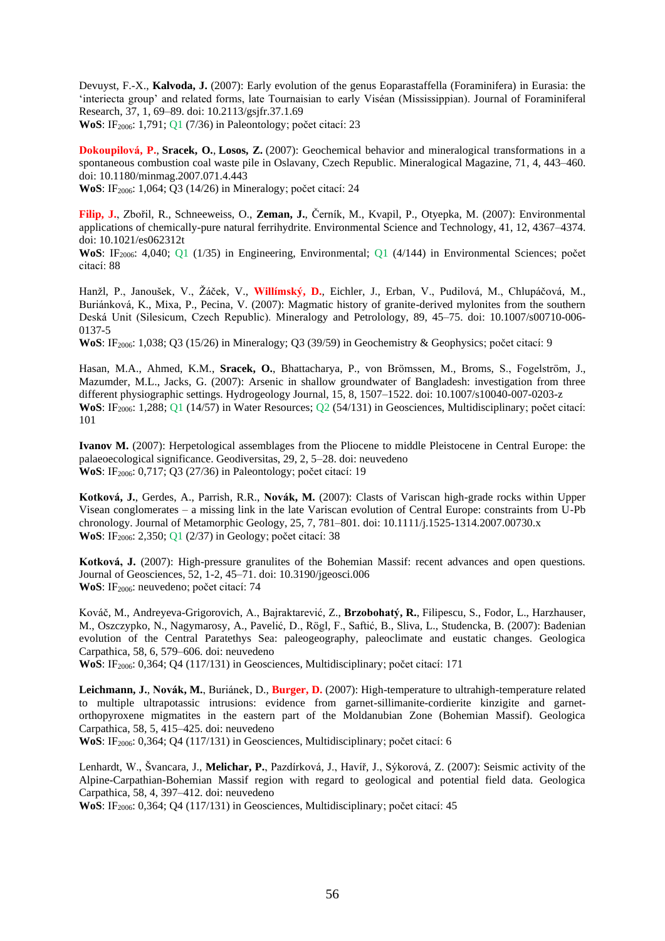Devuyst, F.-X., **Kalvoda, J.** (2007): Early evolution of the genus Eoparastaffella (Foraminifera) in Eurasia: the 'interiecta group' and related forms, late Tournaisian to early Viséan (Mississippian). Journal of Foraminiferal Research, 37, 1, 69–89. doi: 10.2113/gsjfr.37.1.69

**WoS**: IF2006: 1,791; Q1 (7/36) in Paleontology; počet citací: 23

**Dokoupilová, P.**, **Sracek, O.**, **Losos, Z.** (2007): Geochemical behavior and mineralogical transformations in a spontaneous combustion coal waste pile in Oslavany, Czech Republic. Mineralogical Magazine, 71, 4, 443–460. doi: 10.1180/minmag.2007.071.4.443

**WoS**: IF2006: 1,064; Q3 (14/26) in Mineralogy; počet citací: 24

**Filip, J.**, Zbořil, R., Schneeweiss, O., **Zeman, J.**, Černík, M., Kvapil, P., Otyepka, M. (2007): Environmental applications of chemically-pure natural ferrihydrite. Environmental Science and Technology, 41, 12, 4367–4374. doi: 10.1021/es062312t

**WoS**: IF2006: 4,040; Q1 (1/35) in Engineering, Environmental; Q1 (4/144) in Environmental Sciences; počet citací: 88

Hanžl, P., Janoušek, V., Žáček, V., **Willímský, D.**, Eichler, J., Erban, V., Pudilová, M., Chlupáčová, M., Buriánková, K., Mixa, P., Pecina, V. (2007): Magmatic history of granite-derived mylonites from the southern Deská Unit (Silesicum, Czech Republic). Mineralogy and Petrolology, 89, 45–75. doi: 10.1007/s00710-006- 0137-5

**WoS**: IF2006: 1,038; Q3 (15/26) in Mineralogy; Q3 (39/59) in Geochemistry & Geophysics; počet citací: 9

Hasan, M.A., Ahmed, K.M., **Sracek, O.**, Bhattacharya, P., von Brömssen, M., Broms, S., Fogelström, J., Mazumder, M.L., Jacks, G. (2007): Arsenic in shallow groundwater of Bangladesh: investigation from three different physiographic settings. Hydrogeology Journal, 15, 8, 1507–1522. doi: 10.1007/s10040-007-0203-z **WoS**: IF2006: 1,288; Q1 (14/57) in Water Resources; Q2 (54/131) in Geosciences, Multidisciplinary; počet citací: 101

**Ivanov M.** (2007): Herpetological assemblages from the Pliocene to middle Pleistocene in Central Europe: the palaeoecological significance. Geodiversitas, 29, 2, 5–28. doi: neuvedeno **WoS**: IF2006: 0,717; Q3 (27/36) in Paleontology; počet citací: 19

**Kotková, J.**, Gerdes, A., Parrish, R.R., **Novák, M.** (2007): Clasts of Variscan high-grade rocks within Upper Visean conglomerates – a missing link in the late Variscan evolution of Central Europe: constraints from U-Pb chronology. Journal of Metamorphic Geology, 25, 7, 781–801. doi: 10.1111/j.1525-1314.2007.00730.x **WoS**: IF2006: 2,350; Q1 (2/37) in Geology; počet citací: 38

**Kotková, J.** (2007): High-pressure granulites of the Bohemian Massif: recent advances and open questions. Journal of Geosciences, 52, 1-2, 45–71. doi: 10.3190/jgeosci.006 **WoS**: IF2006: neuvedeno; počet citací: 74

Kováč, M., Andreyeva-Grigorovich, A., Bajraktarević, Z., **Brzobohatý, R.**, Filipescu, S., Fodor, L., Harzhauser, M., Oszczypko, N., Nagymarosy, A., Pavelić, D., Rögl, F., Saftić, B., Sliva, L., Studencka, B. (2007): Badenian evolution of the Central Paratethys Sea: paleogeography, paleoclimate and eustatic changes. Geologica Carpathica, 58, 6, 579–606. doi: neuvedeno

**WoS**: IF2006: 0,364; Q4 (117/131) in Geosciences, Multidisciplinary; počet citací: 171

**Leichmann, J.**, **Novák, M.**, Buriánek, D., **Burger, D.** (2007): High-temperature to ultrahigh-temperature related to multiple ultrapotassic intrusions: evidence from garnet-sillimanite-cordierite kinzigite and garnetorthopyroxene migmatites in the eastern part of the Moldanubian Zone (Bohemian Massif). Geologica Carpathica, 58, 5, 415–425. doi: neuvedeno

**WoS**: IF2006: 0,364; Q4 (117/131) in Geosciences, Multidisciplinary; počet citací: 6

Lenhardt, W., Švancara, J., **Melichar, P.**, Pazdírková, J., Havíř, J., Sýkorová, Z. (2007): Seismic activity of the Alpine-Carpathian-Bohemian Massif region with regard to geological and potential field data. Geologica Carpathica, 58, 4, 397–412. doi: neuvedeno

**WoS**: IF2006: 0,364; Q4 (117/131) in Geosciences, Multidisciplinary; počet citací: 45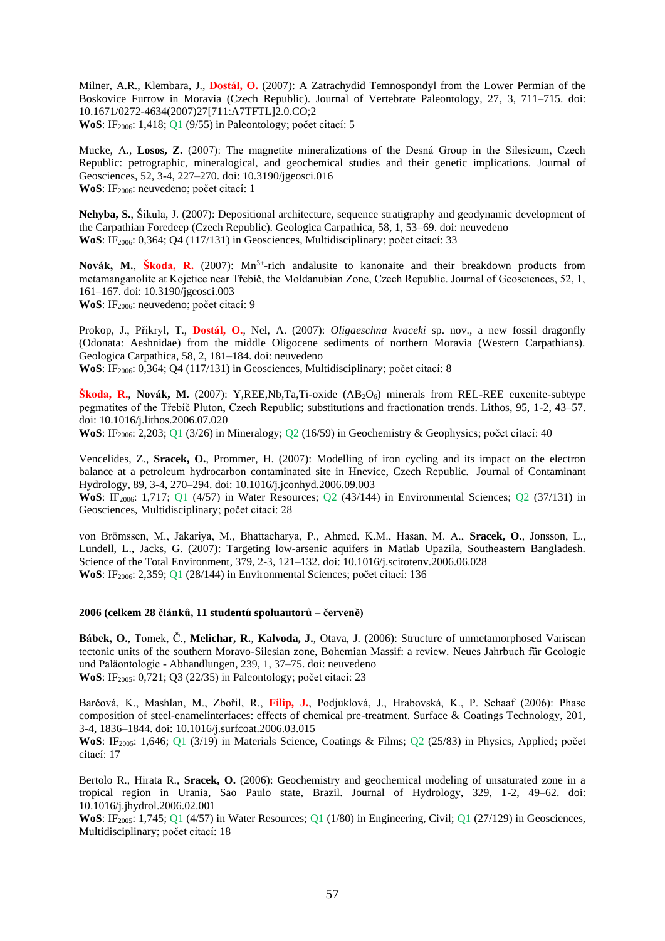Milner, A.R., Klembara, J., **Dostál, O.** (2007): A Zatrachydid Temnospondyl from the Lower Permian of the Boskovice Furrow in Moravia (Czech Republic). Journal of Vertebrate Paleontology, 27, 3, 711–715. doi: 10.1671/0272-4634(2007)27[711:A7TFTL]2.0.CO;2 **WoS**: IF2006: 1,418; Q1 (9/55) in Paleontology; počet citací: 5

Mucke, A., **Losos, Z.** (2007): The magnetite mineralizations of the Desná Group in the Silesicum, Czech Republic: petrographic, mineralogical, and geochemical studies and their genetic implications. Journal of Geosciences, 52, 3-4, 227–270. doi: 10.3190/jgeosci.016 WoS: IF<sub>2006</sub>: neuvedeno; počet citací: 1

**Nehyba, S.**, Šikula, J. (2007): Depositional architecture, sequence stratigraphy and geodynamic development of the Carpathian Foredeep (Czech Republic). Geologica Carpathica, 58, 1, 53–69. doi: neuvedeno **WoS**: IF2006: 0,364; Q4 (117/131) in Geosciences, Multidisciplinary; počet citací: 33

**Novák, M., Škoda, R.** (2007): Mn<sup>3+</sup>-rich andalusite to kanonaite and their breakdown products from metamanganolite at Kojetice near Třebíč, the Moldanubian Zone, Czech Republic. Journal of Geosciences, 52, 1, 161–167. doi: 10.3190/jgeosci.003

WoS: IF<sub>2006</sub>: neuvedeno; počet citací: 9

Prokop, J., Přikryl, T., **Dostál, O.**, Nel, A. (2007): *Oligaeschna kvaceki* sp. nov., a new fossil dragonfly (Odonata: Aeshnidae) from the middle Oligocene sediments of northern Moravia (Western Carpathians). Geologica Carpathica, 58, 2, 181–184. doi: neuvedeno

**WoS**: IF2006: 0,364; Q4 (117/131) in Geosciences, Multidisciplinary; počet citací: 8

**Škoda, R.**, **Novák, M.** (2007): Y,REE,Nb,Ta,Ti-oxide (AB2O6) minerals from REL-REE euxenite-subtype pegmatites of the Třebíč Pluton, Czech Republic; substitutions and fractionation trends. Lithos, 95, 1-2, 43–57. doi: 10.1016/j.lithos.2006.07.020

**WoS**: IF2006: 2,203; Q1 (3/26) in Mineralogy; Q2 (16/59) in Geochemistry & Geophysics; počet citací: 40

Vencelides, Z., **Sracek, O.**, Prommer, H. (2007): Modelling of iron cycling and its impact on the electron balance at a petroleum hydrocarbon contaminated site in Hnevice, Czech Republic. Journal of Contaminant Hydrology, 89, 3-4, 270–294. doi: 10.1016/j.jconhyd.2006.09.003

**WoS**: IF2006: 1,717; Q1 (4/57) in Water Resources; Q2 (43/144) in Environmental Sciences; Q2 (37/131) in Geosciences, Multidisciplinary; počet citací: 28

von Brömssen, M., Jakariya, M., Bhattacharya, P., Ahmed, K.M., Hasan, M. A., **Sracek, O.**, Jonsson, L., Lundell, L., Jacks, G. (2007): Targeting low-arsenic aquifers in Matlab Upazila, Southeastern Bangladesh. Science of the Total Environment, 379, 2-3, 121–132. doi: 10.1016/j.scitotenv.2006.06.028 **WoS**: IF2006: 2,359; Q1 (28/144) in Environmental Sciences; počet citací: 136

### **2006 (celkem 28 článků, 11 studentů spoluautorů – červeně)**

**Bábek, O.**, Tomek, Č., **Melichar, R.**, **Kalvoda, J.**, Otava, J. (2006): Structure of unmetamorphosed Variscan tectonic units of the southern Moravo-Silesian zone, Bohemian Massif: a review. Neues Jahrbuch für Geologie und Paläontologie - Abhandlungen, 239, 1, 37–75. doi: neuvedeno **WoS**: IF2005: 0,721; Q3 (22/35) in Paleontology; počet citací: 23

Barčová, K., Mashlan, M., Zbořil, R., **Filip, J.**, Podjuklová, J., Hrabovská, K., P. Schaaf (2006): Phase composition of steel-enamelinterfaces: effects of chemical pre-treatment. Surface & Coatings Technology, 201, 3-4, 1836–1844. doi: 10.1016/j.surfcoat.2006.03.015

**WoS**: IF2005: 1,646; Q1 (3/19) in Materials Science, Coatings & Films; Q2 (25/83) in Physics, Applied; počet citací: 17

Bertolo R., Hirata R., **Sracek, O.** (2006): Geochemistry and geochemical modeling of unsaturated zone in a tropical region in Urania, Sao Paulo state, Brazil. Journal of Hydrology, 329, 1-2, 49–62. doi: 10.1016/j.jhydrol.2006.02.001

**WoS**: IF2005: 1,745; Q1 (4/57) in Water Resources; Q1 (1/80) in Engineering, Civil; Q1 (27/129) in Geosciences, Multidisciplinary; počet citací: 18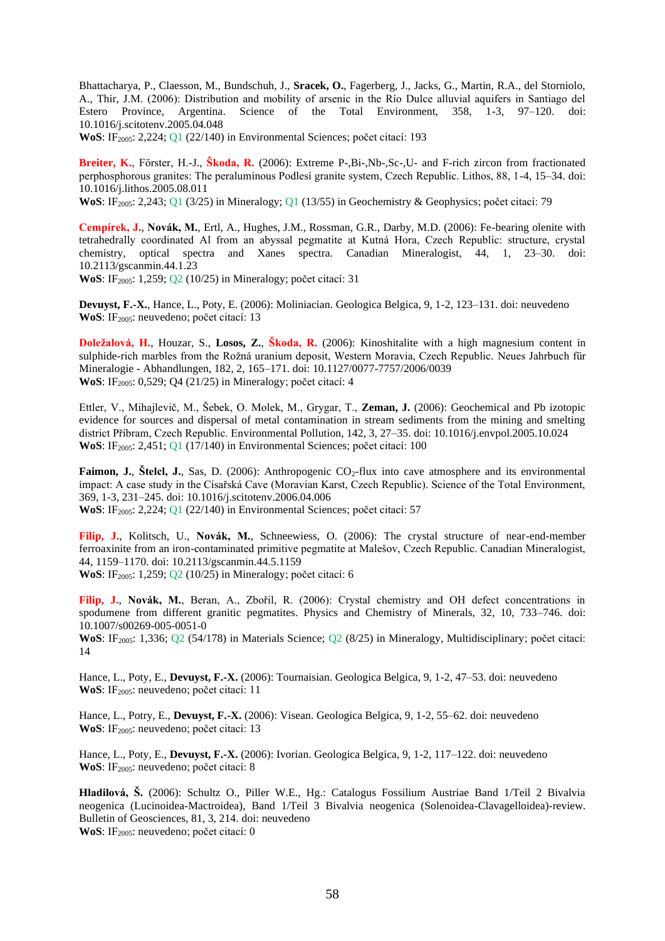Bhattacharya, P., Claesson, M., Bundschuh, J., **Sracek, O.**, Fagerberg, J., Jacks, G., Martin, R.A., del Storniolo, A., Thir, J.M. (2006): Distribution and mobility of arsenic in the Río Dulce alluvial aquifers in Santiago del Estero Province, Argentina. Science of the Total Environment, 358, 1-3, 97–120. doi: 10.1016/j.scitotenv.2005.04.048

**WoS**: IF2005: 2,224; Q1 (22/140) in Environmental Sciences; počet citací: 193

**Breiter, K.**, Förster, H.-J., **Škoda, R.** (2006): Extreme P-,Bi-,Nb-,Sc-,U- and F-rich zircon from fractionated perphosphorous granites: The peraluminous Podlesí granite system, Czech Republic. Lithos, 88, 1-4, 15–34. doi: 10.1016/j.lithos.2005.08.011

**WoS**: IF2005: 2,243; Q1 (3/25) in Mineralogy; Q1 (13/55) in Geochemistry & Geophysics; počet citací: 79

**Cempírek, J.**, **Novák, M.**, Ertl, A., Hughes, J.M., Rossman, G.R., Darby, M.D. (2006): Fe-bearing olenite with tetrahedrally coordinated Al from an abyssal pegmatite at Kutná Hora, Czech Republic: structure, crystal chemistry, optical spectra and Xanes spectra. Canadian Mineralogist, 44, 1, 23–30. doi: 10.2113/gscanmin.44.1.23

**WoS**: IF2005: 1,259; Q2 (10/25) in Mineralogy; počet citací: 31

**Devuyst, F.-X.**, Hance, L., Poty, E. (2006): Moliniacian. Geologica Belgica, 9, 1-2, 123–131. doi: neuvedeno WoS: IF<sub>2005</sub>: neuvedeno; počet citací: 13

**Doležalová, H.**, Houzar, S., **Losos, Z.**, **Škoda, R.** (2006): Kinoshitalite with a high magnesium content in sulphide-rich marbles from the Rožná uranium deposit, Western Moravia, Czech Republic. Neues Jahrbuch für Mineralogie - Abhandlungen, 182, 2, 165–171. doi: 10.1127/0077-7757/2006/0039 **WoS**: IF2005: 0,529; Q4 (21/25) in Mineralogy; počet citací: 4

Ettler, V., Mihajlevič, M., Šebek, O. Molek, M., Grygar, T., **Zeman, J.** (2006): Geochemical and Pb izotopic evidence for sources and dispersal of metal contamination in stream sediments from the mining and smelting district Příbram, Czech Republic. Environmental Pollution, 142, 3, 27–35. doi: 10.1016/j.envpol.2005.10.024 **WoS**: IF2005: 2,451; Q1 (17/140) in Environmental Sciences; počet citací: 100

**Faimon, J., Štelcl, J.**, Sas, D. (2006): Anthropogenic CO<sub>2</sub>-flux into cave atmosphere and its environmental impact: A case study in the Císařská Cave (Moravian Karst, Czech Republic). Science of the Total Environment, 369, 1-3, 231–245. doi: 10.1016/j.scitotenv.2006.04.006 WoS: IF<sub>2005</sub>: 2,224; Q1 (22/140) in Environmental Sciences; počet citací: 57

**Filip, J.**, Kolitsch, U., **Novák, M.**, Schneewiess, O. (2006): The crystal structure of near-end-member ferroaxinite from an iron-contaminated primitive pegmatite at Malešov, Czech Republic. Canadian Mineralogist, 44, 1159–1170. doi: 10.2113/gscanmin.44.5.1159 **WoS**: IF2005: 1,259; Q2 (10/25) in Mineralogy; počet citací: 6

**Filip, J.**, **Novák, M.**, Beran, A., Zbořil, R. (2006): Crystal chemistry and OH defect concentrations in spodumene from different granitic pegmatites. Physics and Chemistry of Minerals, 32, 10, 733–746. doi: 10.1007/s00269-005-0051-0

**WoS**: IF2005: 1,336; Q2 (54/178) in Materials Science; Q2 (8/25) in Mineralogy, Multidisciplinary; počet citací: 14

Hance, L., Poty, E., **Devuyst, F.-X.** (2006): Tournaisian. Geologica Belgica, 9, 1-2, 47–53. doi: neuvedeno **WoS**: IF2005: neuvedeno; počet citací: 11

Hance, L., Potry, E., **Devuyst, F.-X.** (2006): Visean. Geologica Belgica, 9, 1-2, 55–62. doi: neuvedeno WoS: IF<sub>2005</sub>: neuvedeno; počet citací: 13

Hance, L., Poty, E., **Devuyst, F.-X.** (2006): Ivorian. Geologica Belgica, 9, 1-2, 117–122. doi: neuvedeno WoS: IF<sub>2005</sub>: neuvedeno; počet citací: 8

**Hladilová, Š.** (2006): Schultz O., Piller W.E., Hg.: Catalogus Fossilium Austriae Band 1/Teil 2 Bivalvia neogenica (Lucinoidea-Mactroidea), Band 1/Teil 3 Bivalvia neogenica (Solenoidea-Clavagelloidea)-review. Bulletin of Geosciences, 81, 3, 214. doi: neuvedeno WoS: IF<sub>2005</sub>: neuvedeno; počet citací: 0

58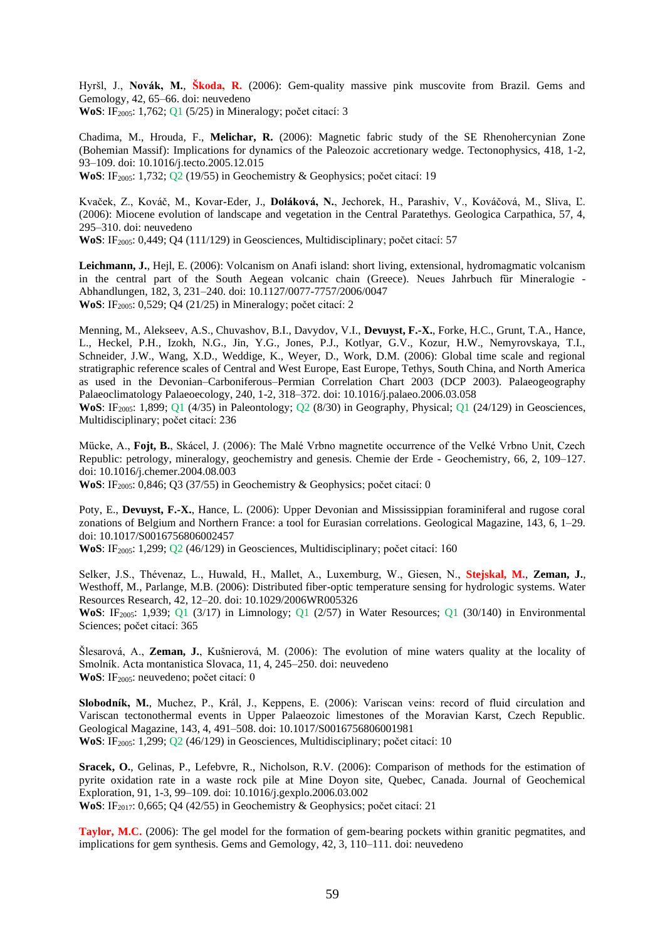Hyršl, J., **Novák, M.**, **Škoda, R.** (2006): Gem-quality massive pink muscovite from Brazil. Gems and Gemology, 42, 65–66. doi: neuvedeno

**WoS**: IF2005: 1,762; Q1 (5/25) in Mineralogy; počet citací: 3

Chadima, M., Hrouda, F., **Melichar, R.** (2006): Magnetic fabric study of the SE Rhenohercynian Zone (Bohemian Massif): Implications for dynamics of the Paleozoic accretionary wedge. Tectonophysics, 418, 1-2, 93–109. doi: 10.1016/j.tecto.2005.12.015

**WoS**: IF2005: 1,732; Q2 (19/55) in Geochemistry & Geophysics; počet citací: 19

Kvaček, Z., Kováč, M., Kovar-Eder, J., **Doláková, N.**, Jechorek, H., Parashiv, V., Kováčová, M., Sliva, Ľ. (2006): Miocene evolution of landscape and vegetation in the Central Paratethys. Geologica Carpathica, 57, 4, 295–310. doi: neuvedeno

WoS: IF<sub>2005</sub>: 0,449; Q4 (111/129) in Geosciences, Multidisciplinary; počet citací: 57

**Leichmann, J.**, Hejl, E. (2006): Volcanism on Anafi island: short living, extensional, hydromagmatic volcanism in the central part of the South Aegean volcanic chain (Greece). Neues Jahrbuch für Mineralogie - Abhandlungen, 182, 3, 231–240. doi: 10.1127/0077-7757/2006/0047 **WoS**: IF2005: 0,529; Q4 (21/25) in Mineralogy; počet citací: 2

Menning, M., Alekseev, A.S., Chuvashov, B.I., Davydov, V.I., **Devuyst, F.-X.**, Forke, H.C., Grunt, T.A., Hance, L., Heckel, P.H., Izokh, N.G., Jin, Y.G., Jones, P.J., Kotlyar, G.V., Kozur, H.W., Nemyrovskaya, T.I., Schneider, J.W., Wang, X.D., Weddige, K., Weyer, D., Work, D.M. (2006): Global time scale and regional stratigraphic reference scales of Central and West Europe, East Europe, Tethys, South China, and North America as used in the Devonian–Carboniferous–Permian Correlation Chart 2003 (DCP 2003). Palaeogeography Palaeoclimatology Palaeoecology, 240, 1-2, 318–372. doi: 10.1016/j.palaeo.2006.03.058 **WoS**: IF2005: 1,899; Q1 (4/35) in Paleontology; Q2 (8/30) in Geography, Physical; Q1 (24/129) in Geosciences,

Multidisciplinary; počet citací: 236

Mücke, A., **Fojt, B.**, Skácel, J. (2006): The Malé Vrbno magnetite occurrence of the Velké Vrbno Unit, Czech Republic: petrology, mineralogy, geochemistry and genesis. Chemie der Erde - Geochemistry, 66, 2, 109–127. doi: 10.1016/j.chemer.2004.08.003

**WoS**: IF2005: 0,846; Q3 (37/55) in Geochemistry & Geophysics; počet citací: 0

Poty, E., **Devuyst, F.-X.**, Hance, L. (2006): Upper Devonian and Mississippian foraminiferal and rugose coral zonations of Belgium and Northern France: a tool for Eurasian correlations. Geological Magazine, 143, 6, 1–29*.* doi: 10.1017/S0016756806002457

**WoS**: IF2005: 1,299; Q2 (46/129) in Geosciences, Multidisciplinary; počet citací: 160

Selker, J.S., Thévenaz, L., Huwald, H., Mallet, A., Luxemburg, W., Giesen, N., **Stejskal, M.**, **Zeman, J.**, Westhoff, M., Parlange, M.B. (2006): Distributed fiber-optic temperature sensing for hydrologic systems. Water Resources Research, 42, 12–20. doi: 10.1029/2006WR005326

**WoS**: IF2005: 1,939; Q1 (3/17) in Limnology; Q1 (2/57) in Water Resources; Q1 (30/140) in Environmental Sciences; počet citací: 365

Šlesarová, A., **Zeman, J.**, Kušnierová, M. (2006): The evolution of mine waters quality at the locality of Smolník. Acta montanistica Slovaca, 11, 4, 245–250. doi: neuvedeno WoS: IF<sub>2005</sub>: neuvedeno; počet citací: 0

**Slobodník, M.**, Muchez, P., Král, J., Keppens, E. (2006): Variscan veins: record of fluid circulation and Variscan tectonothermal events in Upper Palaeozoic limestones of the Moravian Karst, Czech Republic. Geological Magazine, 143, 4, 491–508. doi: 10.1017/S0016756806001981 **WoS**: IF2005: 1,299; Q2 (46/129) in Geosciences, Multidisciplinary; počet citací: 10

**Sracek, O.**, Gelinas, P., Lefebvre, R., Nicholson, R.V. (2006): Comparison of methods for the estimation of pyrite oxidation rate in a waste rock pile at Mine Doyon site, Quebec, Canada. Journal of Geochemical Exploration, 91, 1-3, 99–109. doi: 10.1016/j.gexplo.2006.03.002

**WoS**: IF2017: 0,665; Q4 (42/55) in Geochemistry & Geophysics; počet citací: 21

**Taylor, M.C.** (2006): The gel model for the formation of gem-bearing pockets within granitic pegmatites, and implications for gem synthesis. Gems and Gemology, 42, 3, 110–111. doi: neuvedeno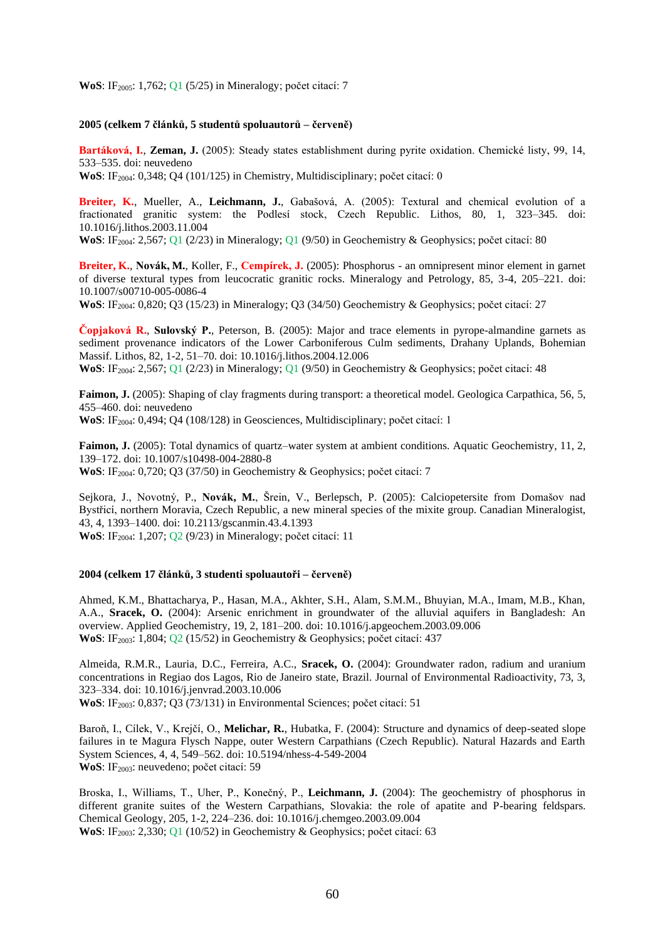**WoS**: IF2005: 1,762; Q1 (5/25) in Mineralogy; počet citací: 7

#### **2005 (celkem 7 článků, 5 studentů spoluautorů – červeně)**

**Bartáková, I.**, **Zeman, J.** (2005): Steady states establishment during pyrite oxidation. Chemické listy, 99, 14, 533–535. doi: neuvedeno

**WoS**: IF2004: 0,348; Q4 (101/125) in Chemistry, Multidisciplinary; počet citací: 0

**Breiter, K.**, Mueller, A., **Leichmann, J.**, Gabašová, A. (2005): Textural and chemical evolution of a fractionated granitic system: the Podlesí stock, Czech Republic. Lithos, 80, 1, 323–345. doi: 10.1016/j.lithos.2003.11.004

**WoS**: IF2004: 2,567; Q1 (2/23) in Mineralogy; Q1 (9/50) in Geochemistry & Geophysics; počet citací: 80

**Breiter, K.**, **Novák, M.**, Koller, F., **Cempírek, J.** (2005): Phosphorus - an omnipresent minor element in garnet of diverse textural types from leucocratic granitic rocks. Mineralogy and Petrology, 85, 3-4, 205–221. doi: 10.1007/s00710-005-0086-4

**WoS**: IF2004: 0,820; Q3 (15/23) in Mineralogy; Q3 (34/50) Geochemistry & Geophysics; počet citací: 27

**Čopjaková R.**, **Sulovský P.**, Peterson, B. (2005): Major and trace elements in pyrope-almandine garnets as sediment provenance indicators of the Lower Carboniferous Culm sediments, Drahany Uplands, Bohemian Massif. Lithos, 82, 1-2, 51–70. doi: 10.1016/j.lithos.2004.12.006 **WoS**: IF2004: 2,567; Q1 (2/23) in Mineralogy; Q1 (9/50) in Geochemistry & Geophysics; počet citací: 48

**Faimon, J.** (2005): Shaping of clay fragments during transport: a theoretical model. Geologica Carpathica, 56, 5, 455–460. doi: neuvedeno

**WoS**: IF2004: 0,494; Q4 (108/128) in Geosciences, Multidisciplinary; počet citací: 1

**Faimon, J.** (2005): Total dynamics of quartz–water system at ambient conditions. Aquatic Geochemistry, 11, 2, 139–172. doi: 10.1007/s10498-004-2880-8 **WoS**: IF2004: 0,720; Q3 (37/50) in Geochemistry & Geophysics; počet citací: 7

Sejkora, J., Novotný, P., **Novák, M.**, Šrein, V., Berlepsch, P. (2005): Calciopetersite from Domašov nad Bystřicí, northern Moravia, Czech Republic, a new mineral species of the mixite group. Canadian Mineralogist, 43, 4, 1393–1400. doi: 10.2113/gscanmin.43.4.1393

**WoS**: IF2004: 1,207; Q2 (9/23) in Mineralogy; počet citací: 11

## **2004 (celkem 17 článků, 3 studenti spoluautoři – červeně)**

Ahmed, K.M., Bhattacharya, P., Hasan, M.A., Akhter, S.H., Alam, S.M.M., Bhuyian, M.A., Imam, M.B., Khan, A.A., **Sracek, O.** (2004): Arsenic enrichment in groundwater of the alluvial aquifers in Bangladesh: An overview. Applied Geochemistry, 19, 2, 181–200. doi: 10.1016/j.apgeochem.2003.09.006 **WoS**: IF2003: 1,804; Q2 (15/52) in Geochemistry & Geophysics; počet citací: 437

Almeida, R.M.R., Lauria, D.C., Ferreira, A.C., **Sracek, O.** (2004): Groundwater radon, radium and uranium concentrations in Regiao dos Lagos, Rio de Janeiro state, Brazil. Journal of Environmental Radioactivity, 73, 3, 323–334. doi: 10.1016/j.jenvrad.2003.10.006 **WoS**: IF2003: 0,837; Q3 (73/131) in Environmental Sciences; počet citací: 51

Baroň, I., Cílek, V., Krejčí, O., **Melichar, R.**, Hubatka, F. (2004): Structure and dynamics of deep-seated slope failures in te Magura Flysch Nappe, outer Western Carpathians (Czech Republic). Natural Hazards and Earth System Sciences, 4, 4, 549–562. doi: 10.5194/nhess-4-549-2004 WoS: IF<sub>2003</sub>: neuvedeno; počet citací: 59

Broska, I., Williams, T., Uher, P., Konečný, P., **Leichmann, J.** (2004): The geochemistry of phosphorus in different granite suites of the Western Carpathians, Slovakia: the role of apatite and P-bearing feldspars. Chemical Geology, 205, 1-2, 224–236. doi: 10.1016/j.chemgeo.2003.09.004 **WoS**: IF2003: 2,330; Q1 (10/52) in Geochemistry & Geophysics; počet citací: 63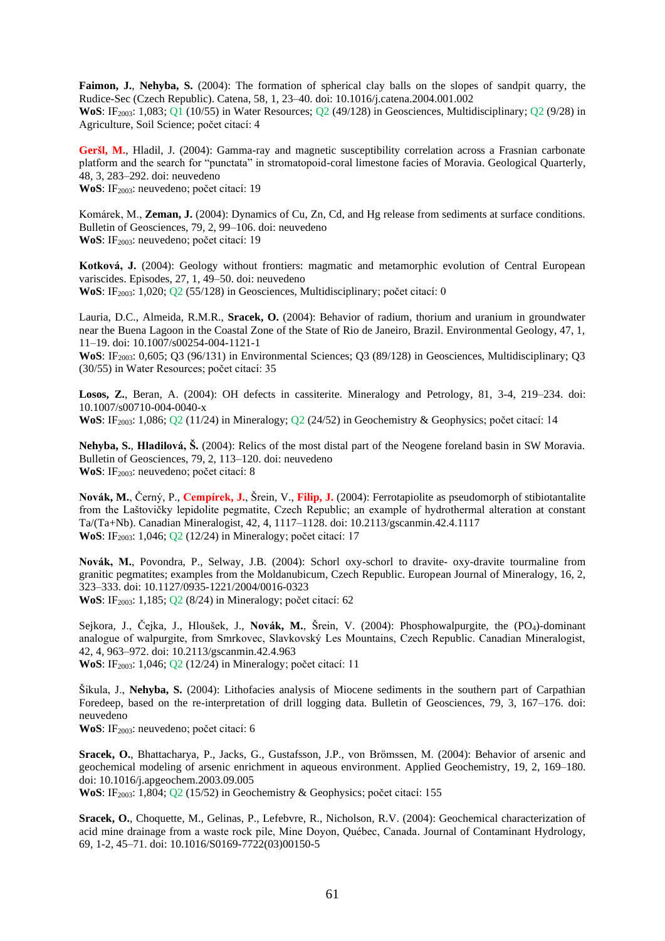**Faimon, J.**, **Nehyba, S.** (2004): The formation of spherical clay balls on the slopes of sandpit quarry, the Rudice-Sec (Czech Republic). Catena, 58, 1, 23–40. doi: 10.1016/j.catena.2004.001.002 **WoS**: IF2003: 1,083; Q1 (10/55) in Water Resources; Q2 (49/128) in Geosciences, Multidisciplinary; Q2 (9/28) in Agriculture, Soil Science; počet citací: 4

**Geršl, M.**, Hladil, J. (2004): Gamma-ray and magnetic susceptibility correlation across a Frasnian carbonate platform and the search for "punctata" in stromatopoid-coral limestone facies of Moravia. Geological Quarterly, 48, 3, 283–292. doi: neuvedeno

WoS: IF<sub>2003</sub>: neuvedeno; počet citací: 19

Komárek, M., **Zeman, J.** (2004): Dynamics of Cu, Zn, Cd, and Hg release from sediments at surface conditions. Bulletin of Geosciences, 79, 2, 99–106. doi: neuvedeno WoS: IF<sub>2003</sub>: neuvedeno; počet citací: 19

**Kotková, J.** (2004): Geology without frontiers: magmatic and metamorphic evolution of Central European variscides. Episodes, 27, 1, 49–50. doi: neuvedeno **WoS**: IF2003: 1,020; Q2 (55/128) in Geosciences, Multidisciplinary; počet citací: 0

Lauria, D.C., Almeida, R.M.R., **Sracek, O.** (2004): Behavior of radium, thorium and uranium in groundwater near the Buena Lagoon in the Coastal Zone of the State of Rio de Janeiro, Brazil. Environmental Geology, 47, 1, 11–19. doi: 10.1007/s00254-004-1121-1

**WoS**: IF2003: 0,605; Q3 (96/131) in Environmental Sciences; Q3 (89/128) in Geosciences, Multidisciplinary; Q3 (30/55) in Water Resources; počet citací: 35

**Losos, Z.**, Beran, A. (2004): OH defects in cassiterite. Mineralogy and Petrology, 81, 3-4, 219–234. doi: 10.1007/s00710-004-0040-x

**WoS**: IF2003: 1,086; Q2 (11/24) in Mineralogy; Q2 (24/52) in Geochemistry & Geophysics; počet citací: 14

**Nehyba, S.**, **Hladilová, Š.** (2004): Relics of the most distal part of the Neogene foreland basin in SW Moravia. Bulletin of Geosciences, 79, 2, 113–120. doi: neuvedeno **WoS**: IF2003: neuvedeno; počet citací: 8

**Novák, M.**, Černý, P., **Cempírek, J.**, Šrein, V., **Filip, J.** (2004): Ferrotapiolite as pseudomorph of stibiotantalite from the Laštovičky lepidolite pegmatite, Czech Republic; an example of hydrothermal alteration at constant Ta/(Ta+Nb). Canadian Mineralogist, 42, 4, 1117–1128. doi: 10.2113/gscanmin.42.4.1117 **WoS**: IF2003: 1,046; Q2 (12/24) in Mineralogy; počet citací: 17

**Novák, M.**, Povondra, P., Selway, J.B. (2004): Schorl oxy-schorl to dravite- oxy-dravite tourmaline from granitic pegmatites; examples from the Moldanubicum, Czech Republic. European Journal of Mineralogy, 16, 2, 323–333. doi: 10.1127/0935-1221/2004/0016-0323

**WoS**: IF2003: 1,185; Q2 (8/24) in Mineralogy; počet citací: 62

Sejkora, J., Čejka, J., Hloušek, J., **Novák, M.**, Šrein, V. (2004): Phosphowalpurgite, the (PO4)-dominant analogue of walpurgite, from Smrkovec, Slavkovský Les Mountains, Czech Republic. Canadian Mineralogist, 42, 4, 963–972. doi: 10.2113/gscanmin.42.4.963

**WoS**: IF2003: 1,046; Q2 (12/24) in Mineralogy; počet citací: 11

Šikula, J., **Nehyba, S.** (2004): Lithofacies analysis of Miocene sediments in the southern part of Carpathian Foredeep, based on the re-interpretation of drill logging data. Bulletin of Geosciences, 79, 3, 167–176. doi: neuvedeno

WoS: IF<sub>2003</sub>: neuvedeno; počet citací: 6

**Sracek, O.**, Bhattacharya, P., Jacks, G., Gustafsson, J.P., von Brömssen, M. (2004): Behavior of arsenic and geochemical modeling of arsenic enrichment in aqueous environment. Applied Geochemistry, 19, 2, 169–180. doi: 10.1016/j.apgeochem.2003.09.005

**WoS**: IF2003: 1,804; Q2 (15/52) in Geochemistry & Geophysics; počet citací: 155

**Sracek, O.**, Choquette, M., Gelinas, P., Lefebvre, R., Nicholson, R.V. (2004): Geochemical characterization of acid mine drainage from a waste rock pile, Mine Doyon, Québec, Canada. Journal of Contaminant Hydrology, 69, 1-2, 45–71. doi: 10.1016/S0169-7722(03)00150-5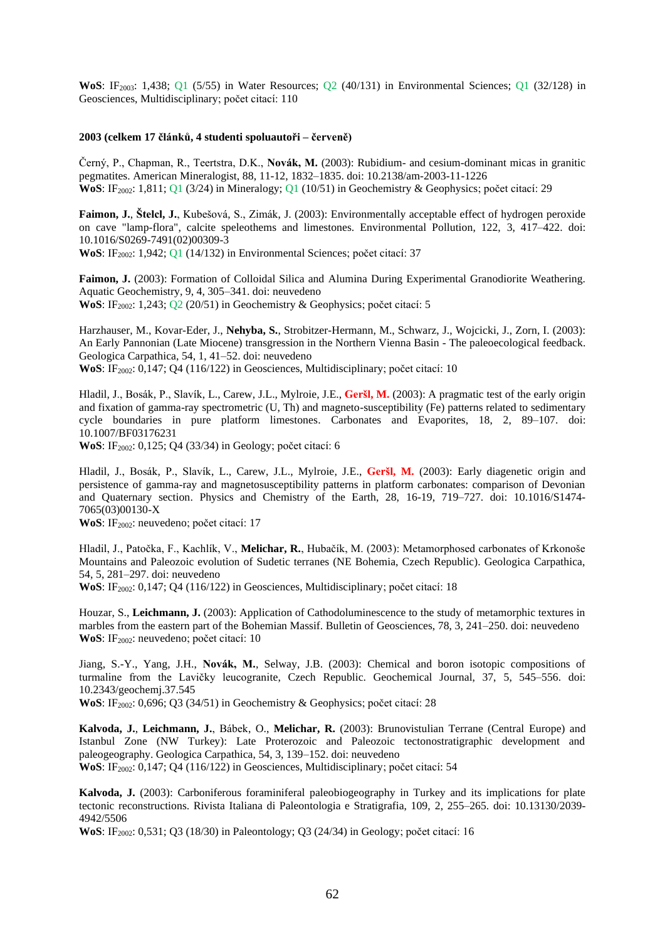**WoS**: IF2003: 1,438; Q1 (5/55) in Water Resources; Q2 (40/131) in Environmental Sciences; Q1 (32/128) in Geosciences, Multidisciplinary; počet citací: 110

### **2003 (celkem 17 článků, 4 studenti spoluautoři – červeně)**

Černý, P., Chapman, R., Teertstra, D.K., **Novák, M.** (2003): Rubidium- and cesium-dominant micas in granitic pegmatites. American Mineralogist, 88, 11-12, 1832–1835. doi: 10.2138/am-2003-11-1226 **WoS**: IF2002: 1,811; Q1 (3/24) in Mineralogy; Q1 (10/51) in Geochemistry & Geophysics; počet citací: 29

**Faimon, J.**, **Štelcl, J.**, Kubešová, S., Zimák, J. (2003): Environmentally acceptable effect of hydrogen peroxide on cave "lamp-flora", calcite speleothems and limestones. Environmental Pollution, 122, 3, 417–422. doi: 10.1016/S0269-7491(02)00309-3

**WoS**: IF2002: 1,942; Q1 (14/132) in Environmental Sciences; počet citací: 37

**Faimon, J.** (2003): Formation of Colloidal Silica and Alumina During Experimental Granodiorite Weathering. Aquatic Geochemistry, 9, 4, 305–341. doi: neuvedeno **WoS**: IF2002: 1,243; Q2 (20/51) in Geochemistry & Geophysics; počet citací: 5

Harzhauser, M., Kovar-Eder, J., **Nehyba, S.**, Strobitzer-Hermann, M., Schwarz, J., Wojcicki, J., Zorn, I. (2003): An Early Pannonian (Late Miocene) transgression in the Northern Vienna Basin - The paleoecological feedback. Geologica Carpathica, 54, 1, 41–52. doi: neuvedeno

**WoS**: IF2002: 0,147; Q4 (116/122) in Geosciences, Multidisciplinary; počet citací: 10

Hladil, J., Bosák, P., Slavík, L., Carew, J.L., Mylroie, J.E., **Geršl, M.** (2003): A pragmatic test of the early origin and fixation of gamma-ray spectrometric (U, Th) and magneto-susceptibility (Fe) patterns related to sedimentary cycle boundaries in pure platform limestones. Carbonates and Evaporites, 18, 2, 89–107. doi: 10.1007/BF03176231

**WoS**: IF2002: 0,125; Q4 (33/34) in Geology; počet citací: 6

Hladil, J., Bosák, P., Slavík, L., Carew, J.L., Mylroie, J.E., **Geršl, M.** (2003): Early diagenetic origin and persistence of gamma-ray and magnetosusceptibility patterns in platform carbonates: comparison of Devonian and Quaternary section. Physics and Chemistry of the Earth, 28, 16-19, 719–727. doi: 10.1016/S1474- 7065(03)00130-X

WoS: IF<sub>2002</sub>: neuvedeno; počet citací: 17

Hladil, J., Patočka, F., Kachlík, V., **Melichar, R.**, Hubačík, M. (2003): Metamorphosed carbonates of Krkonoše Mountains and Paleozoic evolution of Sudetic terranes (NE Bohemia, Czech Republic). Geologica Carpathica, 54, 5, 281–297. doi: neuvedeno

WoS: IF<sub>2002</sub>: 0,147; Q4 (116/122) in Geosciences, Multidisciplinary; počet citací: 18

Houzar, S., **Leichmann, J.** (2003): Application of Cathodoluminescence to the study of metamorphic textures in marbles from the eastern part of the Bohemian Massif. Bulletin of Geosciences, 78, 3, 241–250. doi: neuvedeno WoS: IF<sub>2002</sub>: neuvedeno; počet citací: 10

Jiang, S.-Y., Yang, J.H., **Novák, M.**, Selway, J.B. (2003): Chemical and boron isotopic compositions of turmaline from the Lavičky leucogranite, Czech Republic. Geochemical Journal, 37, 5, 545–556. doi: 10.2343/geochemj.37.545

**WoS**: IF2002: 0,696; Q3 (34/51) in Geochemistry & Geophysics; počet citací: 28

**Kalvoda, J.**, **Leichmann, J.**, Bábek, O., **Melichar, R.** (2003): Brunovistulian Terrane (Central Europe) and Istanbul Zone (NW Turkey): Late Proterozoic and Paleozoic tectonostratigraphic development and paleogeography. Geologica Carpathica, 54, 3, 139–152. doi: neuvedeno **WoS**: IF2002: 0,147; Q4 (116/122) in Geosciences, Multidisciplinary; počet citací: 54

**Kalvoda, J.** (2003): Carboniferous foraminiferal paleobiogeography in Turkey and its implications for plate tectonic reconstructions. Rivista Italiana di Paleontologia e Stratigrafia, 109, 2, 255–265. doi: 10.13130/2039- 4942/5506

**WoS**: IF2002: 0,531; Q3 (18/30) in Paleontology; Q3 (24/34) in Geology; počet citací: 16